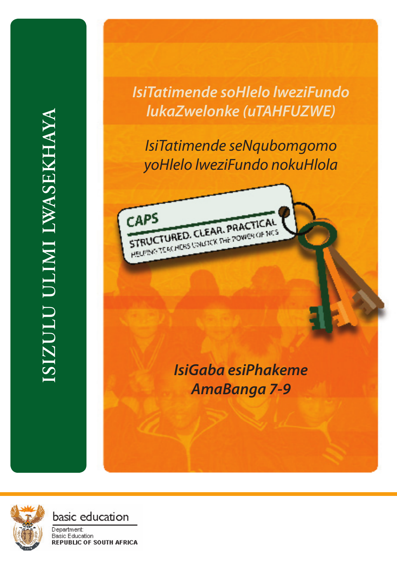*IsiTatimende soHlelo lweziFundo lukaZwelonke (uTAHFUZWE)*

*IsiTatimende seNqubomgomo yoHlelo lweziFundo nokuHlola* 

STRUCTURED, CLEAR, PRACTICAL STRUCTURED, CLEAR, PRACTICAL

> *IsiGaba esiPhakeme AmaBanga 7-9*



**ISIZULU ULIMI LWASEKHAYA** 

CAPS

**ISIZULU ULIMI LWASEKHAYA** 

basic education

Department: Basic Education **REPUBLIC OF SOUTH AFRICA**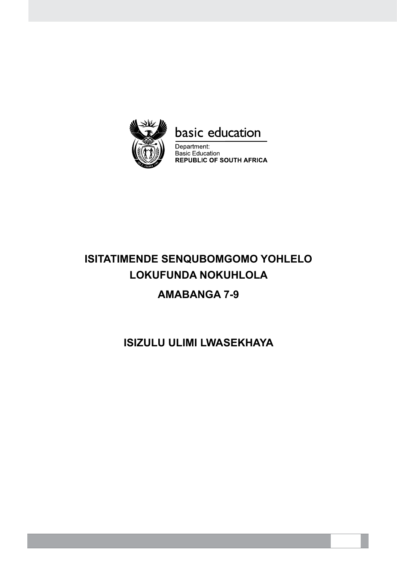

# basic education

Department: **Basic Education REPUBLIC OF SOUTH AFRICA** 

# **ISITATIMENDE SENQUBOMGOMO YOHLELO LOKUFUNDA NOKUHLOLA AMABANGA 7-9**

## **ISIZULU ULIMI LWASEKHAYA**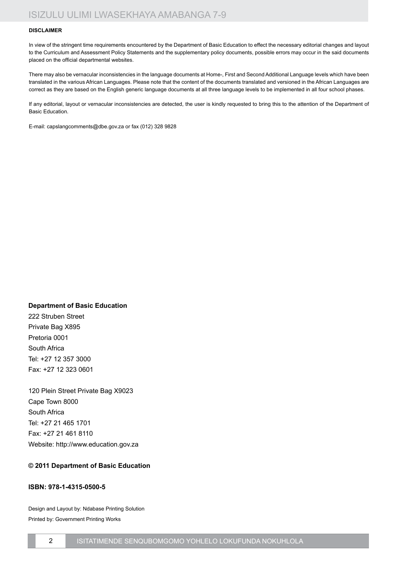#### **DISCLAIMER**

In view of the stringent time requirements encountered by the Department of Basic Education to effect the necessary editorial changes and layout to the Curriculum and Assessment Policy Statements and the supplementary policy documents, possible errors may occur in the said documents placed on the official departmental websites.

There may also be vernacular inconsistencies in the language documents at Home-, First and Second Additional Language levels which have been translated in the various African Languages. Please note that the content of the documents translated and versioned in the African Languages are correct as they are based on the English generic language documents at all three language levels to be implemented in all four school phases.

If any editorial, layout or vernacular inconsistencies are detected, the user is kindly requested to bring this to the attention of the Department of Basic Education.

E-mail: capslangcomments@dbe.gov.za or fax (012) 328 9828

#### **Department of Basic Education**

222 Struben Street Private Bag X895 Pretoria 0001 South Africa Tel: +27 12 357 3000 Fax: +27 12 323 0601

120 Plein Street Private Bag X9023 Cape Town 8000 South Africa Tel: +27 21 465 1701 Fax: +27 21 461 8110 Website: http://www.education.gov.za

#### **© 2011 Department of Basic Education**

#### **Isbn: 978-1-4315-0500-5**

Design and Layout by: Ndabase Printing Solution Printed by: Government Printing Works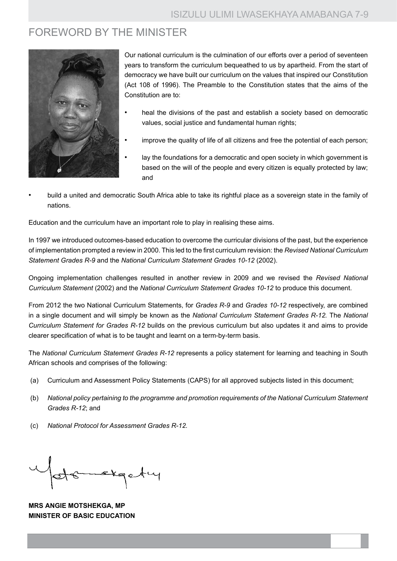## FOREWORD by the minister



Our national curriculum is the culmination of our efforts over a period of seventeen years to transform the curriculum bequeathed to us by apartheid. From the start of democracy we have built our curriculum on the values that inspired our Constitution (Act 108 of 1996). The Preamble to the Constitution states that the aims of the Constitution are to:

- heal the divisions of the past and establish a society based on democratic values, social justice and fundamental human rights;
- improve the quality of life of all citizens and free the potential of each person;
	- lay the foundations for a democratic and open society in which government is based on the will of the people and every citizen is equally protected by law; and
- build a united and democratic South Africa able to take its rightful place as a sovereign state in the family of nations.

Education and the curriculum have an important role to play in realising these aims.

In 1997 we introduced outcomes-based education to overcome the curricular divisions of the past, but the experience of implementation prompted a review in 2000. This led to the first curriculum revision: the *Revised National Curriculum Statement Grades R-9* and the *National Curriculum Statement Grades 10-12* (2002).

Ongoing implementation challenges resulted in another review in 2009 and we revised the *Revised National Curriculum Statement* (2002) and the *National Curriculum Statement Grades 10-12* to produce this document.

From 2012 the two National Curriculum Statements, for *Grades R-9* and *Grades 10-12* respectively, are combined in a single document and will simply be known as the *National Curriculum Statement Grades R-12.* The *National Curriculum Statement for Grades R-12* builds on the previous curriculum but also updates it and aims to provide clearer specification of what is to be taught and learnt on a term-by-term basis.

The *National Curriculum Statement Grades R-12* represents a policy statement for learning and teaching in South African schools and comprises of the following:

- (a) Curriculum and Assessment Policy Statements (CAPS) for all approved subjects listed in this document;
- (b) *National policy pertaining to the programme and promotion requirements of the National Curriculum Statement Grades R-12*; and
- (c) *National Protocol for Assessment Grades R-12.*

experty

**MRS ANGIE MOTSHEKGA, MP MINISTER OF BASIC EDUCATION**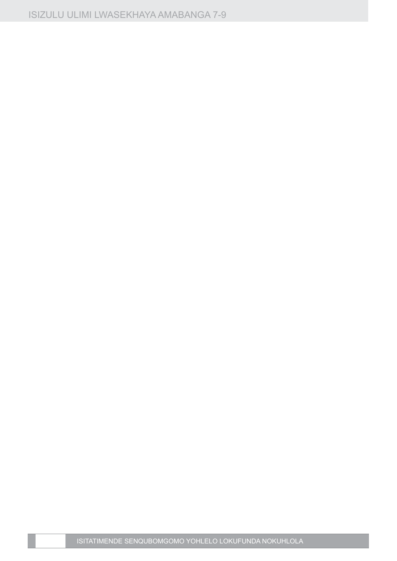ISITATIMENDE SENQUBOMGOMO YOHLELO LOKUFUNDA NOKUHLOLA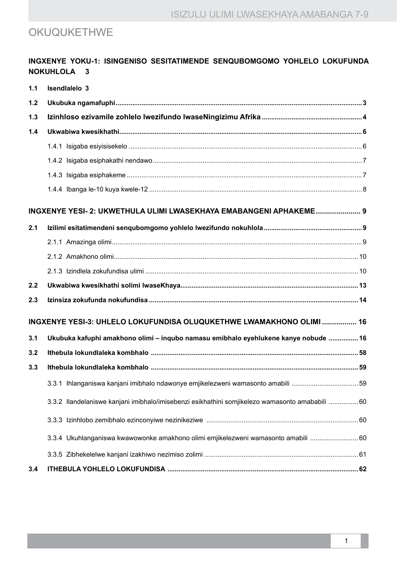## **OKUQUKETHWE**

### **Ingxenye yOku-1: isingeniso sesitatimende senqubomgomo yohlelo lokufunda nokuhlola 3**

| 1.1 | Isendlalelo 3                                                                                  |  |
|-----|------------------------------------------------------------------------------------------------|--|
| 1.2 |                                                                                                |  |
| 1.3 |                                                                                                |  |
| 1.4 |                                                                                                |  |
|     |                                                                                                |  |
|     |                                                                                                |  |
|     |                                                                                                |  |
|     |                                                                                                |  |
|     | INGXENYE YESI-2: UKWETHULA ULIMI LWASEKHAYA EMABANGENI APHAKEME 9                              |  |
| 2.1 |                                                                                                |  |
|     |                                                                                                |  |
|     |                                                                                                |  |
|     |                                                                                                |  |
| 2.2 |                                                                                                |  |
| 2.3 |                                                                                                |  |
|     | INGXENYE YESI-3: UHLELO LOKUFUNDISA OLUQUKETHWE LWAMAKHONO OLIMI  16                           |  |
| 3.1 | Ukubuka kafuphi amakhono olimi - inqubo namasu emibhalo eyehlukene kanye nobude  16            |  |
| 3.2 |                                                                                                |  |
| 3.3 |                                                                                                |  |
|     | 3.3.1 Ihlanganiswa kanjani imibhalo ndawonye emjikelezweni wamasonto amabili 59                |  |
|     | 3.3.2 Ilandelaniswe kanjani imibhalo/imisebenzi esikhathini somjikelezo wamasonto amababili 60 |  |
|     |                                                                                                |  |
|     | 3.3.4 Ukuhlanganiswa kwawowonke amakhono olimi emjikelezweni wamasonto amabili  60             |  |
|     |                                                                                                |  |
| 3.4 |                                                                                                |  |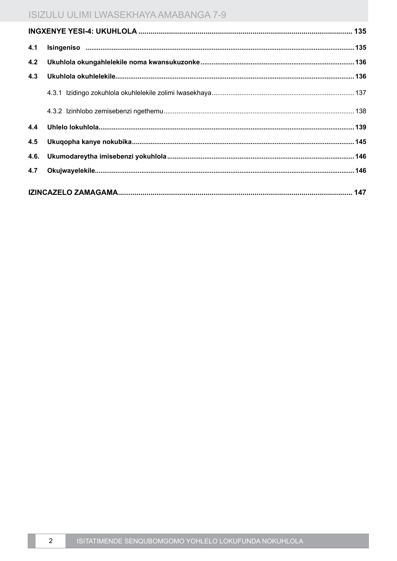| 4.1  |  |  |  |
|------|--|--|--|
| 4.2  |  |  |  |
| 4.3  |  |  |  |
|      |  |  |  |
|      |  |  |  |
| 4.4  |  |  |  |
| 4.5  |  |  |  |
| 4.6. |  |  |  |
| 4.7  |  |  |  |
|      |  |  |  |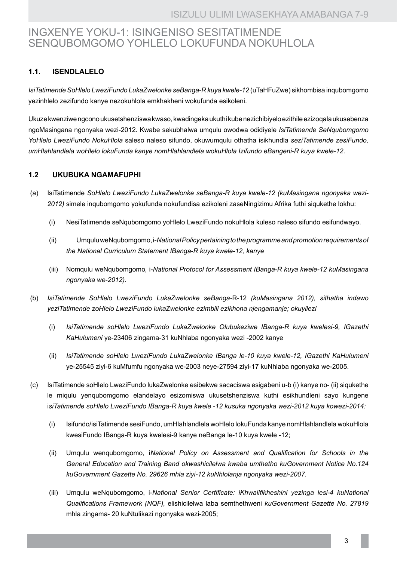## Ingxenye yOku-1: ISINGENISO SESITATIMENDE SENQUBOMGOMO YOHLELO LOKUFUNDA NOKUHLOLA

#### **1.1. Isendlalelo**

*IsiTatimende SoHlelo LweziFundo LukaZwelonke seBanga-R kuya kwele-12* (uTaHFuZwe) sikhombisa inqubomgomo yezinhlelo zezifundo kanye nezokuhlola emkhakheni wokufunda esikoleni.

Ukuze kwenziwe ngcono ukusetshenziswa kwaso, kwadingeka ukuthi kube nezichibiyelo ezithile ezizoqala ukusebenza ngoMasingana ngonyaka wezi-2012. Kwabe sekubhalwa umqulu owodwa odidiyele *IsiTatimende SeNqubomgomo YoHlelo LweziFundo NokuHlola* saleso naleso sifundo, okuwumqulu othatha isikhundla *seziTatimende zesiFundo, umHlahlandlela woHlelo lokuFunda kanye nomHlahlandlela wokuHlola Izifundo eBangeni-R kuya kwele-12*.

#### **1.2 Ukubuka ngamafuphi**

- (a) IsiTatimende *SoHlelo LweziFundo LukaZwelonke seBanga-R kuya kwele-12 (kuMasingana ngonyaka wezi-2012)* simele inqubomgomo yokufunda nokufundisa ezikoleni zaseNingizimu Afrika futhi siqukethe lokhu:
	- (i) NesiTatimende seNqubomgomo yoHlelo LweziFundo nokuHlola kuleso naleso sifundo esifundwayo.
	- (ii) Umqulu weNqubomgomo, i-*National Policy pertaining to the programme and promotion requirements of the National Curriculum Statement IBanga-R kuya kwele-12, kanye*
	- (iii) Nomqulu weNqubomgomo*,* i-*National Protocol for Assessment IBanga-R kuya kwele-12 kuMasingana ngonyaka we-2012).*
- (b) *IsiTatimende SoHlelo LweziFundo LukaZwelonke seBanga-*R-12 *(kuMasingana 2012), sithatha indawo yeziTatimende zoHlelo LweziFundo lukaZwelonke ezimbili ezikhona njengamanje; okuyilezi*
	- (i) *IsiTatimende soHlelo LweziFundo LukaZwelonke Olubukeziwe IBanga-R kuya kwelesi-9, IGazethi KaHulumeni* ye-23406 zingama-31 kuNhlaba ngonyaka wezi -2002 kanye
	- (ii) *IsiTatimende soHlelo LweziFundo LukaZwelonke IBanga le-10 kuya kwele-12, IGazethi KaHulumeni* ye-25545 ziyi-6 kuMfumfu ngonyaka we-2003 neye-27594 ziyi-17 kuNhlaba ngonyaka we-2005.
- (c) IsiTatimende soHlelo LweziFundo lukaZwelonke esibekwe sacaciswa esigabeni u-b (i) kanye no- (ii) siqukethe le miqulu yenqubomgomo elandelayo esizomiswa ukusetshenziswa kuthi esikhundleni sayo kungene i*siTatimende soHlelo LweziFundo IBanga-R kuya kwele -12 kusuka ngonyaka wezi-2012 kuya kowezi-2014:* 
	- (i) Isifundo/isiTatimende sesiFundo, umHlahlandlela woHlelo lokuFunda kanye nomHlahlandlela wokuHlola kwesiFundo IBanga-R kuya kwelesi-9 kanye neBanga le-10 kuya kwele -12;
	- (ii) Umqulu wenqubomgomo, i*National Policy on Assessment and Qualification for Schools in the General Education and Training Band okwashicilelwa kwaba umthetho kuGovernment Notice No.124 kuGovernment Gazette No. 29626 mhla ziyi-12 kuNhlolanja ngonyaka wezi-2007.*
	- (iii) Umqulu weNqubomgomo, i-*National Senior Certificate: iKhwalifikheshini yezinga lesi-4 kuNational Qualifications Framework (NQF),* elishicilelwa laba semthethweni *kuGovernment Gazette No. 27819* mhla zingama- 20 kuNtulikazi ngonyaka wezi-2005;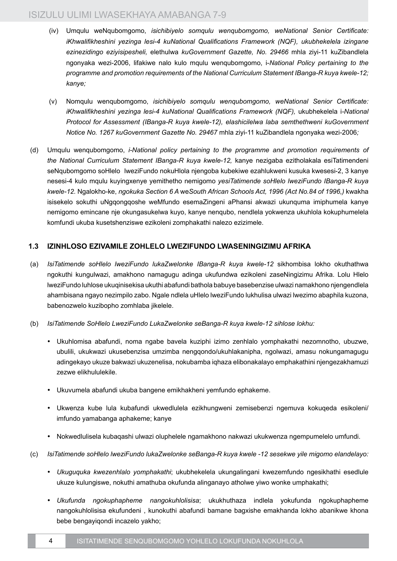- (iv) Umqulu weNqubomgomo, *isichibiyelo somqulu wenqubomgomo, weNational Senior Certificate: iKhwalifikheshini yezinga lesi-4 kuNational Qualifications Framework (NQF), ukubhekelela izingane ezinezidingo eziyisipesheli,* elethulwa *kuGovernment Gazette, No. 29466* mhla ziyi-11 kuZibandlela ngonyaka wezi-2006, lifakiwe nalo kulo mqulu wenqubomgomo, i-*National Policy pertaining to the programme and promotion requirements of the National Curriculum Statement IBanga-R kuya kwele-12; kanye;*
- (v) Nomqulu wenqubomgomo, *isichibiyelo somqulu wenqubomgomo, weNational Senior Certificate: iKhwalifikheshini yezinga lesi-4 kuNational Qualifications Framework (NQF), ukubhekelela i-National Protocol for Assessment (IBanga-R kuya kwele-12), elashicilelwa laba semthethweni kuGovernment Notice No. 1267 kuGovernment Gazette No. 29467* mhla ziyi-11 kuZibandlela ngonyaka wezi-2006*;*
- (d) Umqulu wenqubomgomo, *i-National policy pertaining to the programme and promotion requirements of the National Curriculum Statement IBanga-R kuya kwele-12,* kanye nezigaba ezitholakala esiTatimendeni seNqubomgomo soHlelo lweziFundo nokuHlola njengoba kubekiwe ezahlukweni kusuka kwesesi-2, 3 kanye nesesi-4 kulo mqulu kuyingxenye yemithetho nemigomo *yesiTatimende soHlelo lweziFundo IBanga-R kuya kwele-12.* Ngalokho-ke, *ngokuka Section 6 A* we*South African Schools Act, 1996 (Act No.84 of 1996,)* kwakha isisekelo sokuthi uNgqongqoshe weMfundo esemaZingeni aPhansi akwazi ukunquma imiphumela kanye nemigomo emincane nje okungasukelwa kuyo, kanye nenqubo, nendlela yokwenza ukuhlola kokuphumelela komfundi ukuba kusetshenziswe ezikoleni zomphakathi nalezo ezizimele.

#### **1.3 Izinhloso ezivamile zohlelo lwezifundo lwaseNingizimu Afrika**

- (a) *IsiTatimende soHlelo lweziFundo lukaZwelonke IBanga-R kuya kwele-12* sikhombisa lokho okuthathwa ngokuthi kungulwazi, amakhono namagugu adinga ukufundwa ezikoleni zaseNingizimu Afrika. Lolu Hlelo lweziFundo luhlose ukuqinisekisa ukuthi abafundi bathola babuye basebenzise ulwazi namakhono njengendlela ahambisana ngayo nezimpilo zabo. Ngale ndlela uHlelo lweziFundo lukhulisa ulwazi lwezimo abaphila kuzona, babenozwelo kuzibopho zomhlaba jikelele.
- (b) *IsiTatimende SoHlelo LweziFundo LukaZwelonke seBanga-R kuya kwele-12 sihlose lokhu:* 
	- • Ukuhlomisa abafundi, noma ngabe bavela kuziphi izimo zenhlalo yomphakathi nezomnotho, ubuzwe, ubulili, ukukwazi ukusebenzisa umzimba nengqondo/ukuhlakanipha, ngolwazi, amasu nokungamagugu adingekayo ukuze bakwazi ukuzenelisa, nokubamba iqhaza elibonakalayo emphakathini njengezakhamuzi zezwe elikhululekile.
	- • Ukuvumela abafundi ukuba bangene emikhakheni yemfundo ephakeme.
	- • Ukwenza kube lula kubafundi ukwedlulela ezikhungweni zemisebenzi ngemuva kokuqeda esikoleni/ imfundo yamabanga aphakeme; kanye
	- • Nokwedlulisela kubaqashi ulwazi oluphelele ngamakhono nakwazi ukukwenza ngempumelelo umfundi.
- (c) *IsiTatimende soHlelo lweziFundo lukaZwelonke seBanga-R kuya kwele -12 sesekwe yile migomo elandelayo:* 
	- • *Ukuguquka kwezenhlalo yomphakathi*; ukubhekelela ukungalingani kwezemfundo ngesikhathi esedlule ukuze kulungiswe, nokuthi amathuba okufunda alinganayo atholwe yiwo wonke umphakathi;
	- • *Ukufunda ngokuphapheme nangokuhlolisisa*; ukukhuthaza indlela yokufunda ngokuphapheme nangokuhlolisisa ekufundeni , kunokuthi abafundi bamane bagxishe emakhanda lokho abanikwe khona bebe bengayiqondi incazelo yakho;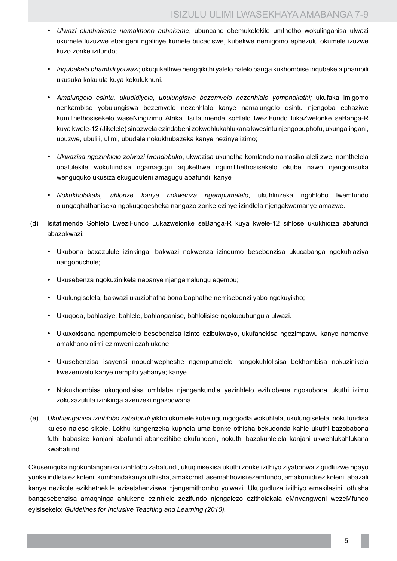- • *Ulwazi oluphakeme namakhono aphakeme*, ubuncane obemukelekile umthetho wokulinganisa ulwazi okumele luzuzwe ebangeni ngalinye kumele bucaciswe, kubekwe nemigomo ephezulu okumele izuzwe kuzo zonke izifundo;
- • *Inqubekela phambili yolwazi*; okuqukethwe nengqikithi yalelo nalelo banga kukhombise inqubekela phambili ukusuka kokulula kuya kokulukhuni.
- • *Amalungelo esintu, ukudidiyela, ubulungiswa bezemvelo nezenhlalo yomphakathi;* ukufaka imigomo nenkambiso yobulungiswa bezemvelo nezenhlalo kanye namalungelo esintu njengoba echaziwe kumThethosisekelo waseNingizimu Afrika. IsiTatimende soHlelo lweziFundo lukaZwelonke seBanga-R kuya kwele-12 (Jikelele) sinozwela ezindabeni zokwehlukahlukana kwesintu njengobuphofu, ukungalingani, ubuzwe, ubulili, ulimi, ubudala nokukhubazeka kanye nezinye izimo;
- • *Ukwazisa ngezinhlelo zolwazi lwendabuko*, ukwazisa ukunotha komlando namasiko aleli zwe, nomthelela obalulekile wokufundisa ngamagugu aqukethwe ngumThethosisekelo okube nawo njengomsuka wenguquko ukusiza ekuguquleni amagugu abafundi; kanye
- • *Nokukholakala, uhlonze kanye nokwenza ngempumelelo*, ukuhlinzeka ngohlobo lwemfundo olungaqhathaniseka ngokuqeqesheka nangazo zonke ezinye izindlela njengakwamanye amazwe.
- (d) Isitatimende Sohlelo LweziFundo Lukazwelonke seBanga-R kuya kwele-12 sihlose ukukhiqiza abafundi abazokwazi:
	- • Ukubona baxazulule izinkinga, bakwazi nokwenza izinqumo besebenzisa ukucabanga ngokuhlaziya nangobuchule;
	- • Ukusebenza ngokuzinikela nabanye njengamalungu eqembu;
	- • Ukulungiselela, bakwazi ukuziphatha bona baphathe nemisebenzi yabo ngokuyikho;
	- • Ukuqoqa, bahlaziye, bahlele, bahlanganise, bahlolisise ngokucubungula ulwazi.
	- • Ukuxoxisana ngempumelelo besebenzisa izinto ezibukwayo, ukufanekisa ngezimpawu kanye namanye amakhono olimi ezimweni ezahlukene;
	- • Ukusebenzisa isayensi nobuchwepheshe ngempumelelo nangokuhlolisisa bekhombisa nokuzinikela kwezemvelo kanye nempilo yabanye; kanye
	- • Nokukhombisa ukuqondisisa umhlaba njengenkundla yezinhlelo ezihlobene ngokubona ukuthi izimo zokuxazulula izinkinga azenzeki ngazodwana.
- (e) *Ukuhlanganisa izinhlobo zabafundi* yikho okumele kube ngumgogodla wokuhlela, ukulungiselela, nokufundisa kuleso naleso sikole. Lokhu kungenzeka kuphela uma bonke othisha bekuqonda kahle ukuthi bazobabona futhi babasize kanjani abafundi abanezihibe ekufundeni, nokuthi bazokuhlelela kanjani ukwehlukahlukana kwabafundi.

Okusemqoka ngokuhlanganisa izinhlobo zabafundi, ukuqinisekisa ukuthi zonke izithiyo ziyabonwa zigudluzwe ngayo yonke indlela ezikoleni, kumbandakanya othisha, amakomidi asemahhovisi ezemfundo, amakomidi ezikoleni, abazali kanye nezikole ezikhethekile ezisetshenziswa njengemithombo yolwazi. Ukugudluza izithiyo emakilasini, othisha bangasebenzisa amaqhinga ahlukene ezinhlelo zezifundo njengalezo ezitholakala eMnyangweni wezeMfundo eyisisekelo: *Guidelines for Inclusive Teaching and Learning (2010).*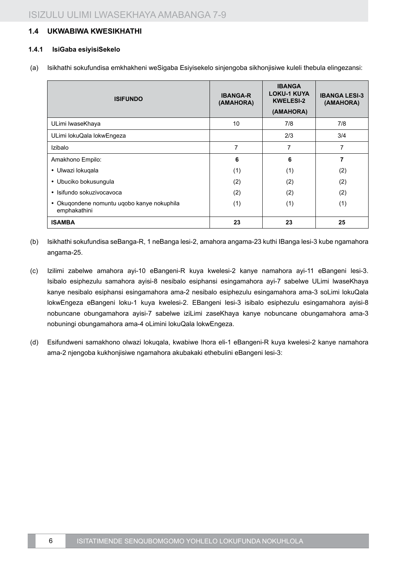#### **1.4 Ukwabiwa kwesikhathi**

#### **1.4.1 IsiGaba esiyisiSekelo**

| (a) Isikhathi sokufundisa emkhakheni weSigaba Esiyisekelo sinjengoba sikhonjisiwe kuleli thebula elingezansi: |
|---------------------------------------------------------------------------------------------------------------|
|                                                                                                               |
|                                                                                                               |
|                                                                                                               |

| <b>ISIFUNDO</b>                                            | <b>IBANGA-R</b><br>(AMAHORA) | <b>IBANGA</b><br><b>LOKU-1 KUYA</b><br><b>KWELESI-2</b><br>(AMAHORA) | <b>IBANGA LESI-3</b><br>(AMAHORA) |
|------------------------------------------------------------|------------------------------|----------------------------------------------------------------------|-----------------------------------|
| ULimi lwaseKhaya                                           | 10                           | 7/8                                                                  | 7/8                               |
| ULimi lokuQala lokwEngeza                                  |                              | 2/3                                                                  | 3/4                               |
| <b>Izibalo</b>                                             | 7                            | 7                                                                    | 7                                 |
| Amakhono Empilo:                                           | 6                            | 6                                                                    | 7                                 |
| • Ulwazi lokuqala                                          | (1)                          | (1)                                                                  | (2)                               |
| • Ubuciko bokusungula                                      | (2)                          | (2)                                                                  | (2)                               |
| · Isifundo sokuzivocavoca                                  | (2)                          | (2)                                                                  | (2)                               |
| • Okugondene nomuntu ugobo kanye nokuphila<br>emphakathini | (1)                          | (1)                                                                  | (1)                               |
| <b>ISAMBA</b>                                              | 23                           | 23                                                                   | 25                                |

 (b) Isikhathi sokufundisa seBanga-R, 1 neBanga lesi-2, amahora angama-23 kuthi IBanga lesi-3 kube ngamahora angama-25.

- (c) Izilimi zabelwe amahora ayi-10 eBangeni-R kuya kwelesi-2 kanye namahora ayi-11 eBangeni lesi-3. Isibalo esiphezulu samahora ayisi-8 nesibalo esiphansi esingamahora ayi-7 sabelwe ULimi lwaseKhaya kanye nesibalo esiphansi esingamahora ama-2 nesibalo esiphezulu esingamahora ama-3 soLimi lokuQala lokwEngeza eBangeni loku-1 kuya kwelesi-2. EBangeni lesi-3 isibalo esiphezulu esingamahora ayisi-8 nobuncane obungamahora ayisi-7 sabelwe iziLimi zaseKhaya kanye nobuncane obungamahora ama-3 nobuningi obungamahora ama-4 oLimini lokuQala lokwEngeza.
- (d) Esifundweni samakhono olwazi lokuqala, kwabiwe Ihora eli-1 eBangeni-R kuya kwelesi-2 kanye namahora ama-2 njengoba kukhonjisiwe ngamahora akubakaki ethebulini eBangeni lesi-3: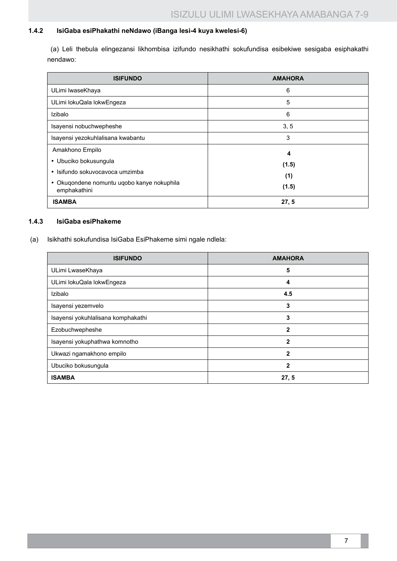#### **1.4.2 IsiGaba esiPhakathi neNdawo (iBanga lesi-4 kuya kwelesi-6)**

 (a) Leli thebula elingezansi likhombisa izifundo nesikhathi sokufundisa esibekiwe sesigaba esiphakathi nendawo:

| <b>ISIFUNDO</b>                                               | <b>AMAHORA</b> |
|---------------------------------------------------------------|----------------|
| ULimi lwaseKhaya                                              | 6              |
| ULimi lokuQala lokwEngeza                                     | 5              |
| Izibalo                                                       | 6              |
| Isayensi nobuchwepheshe                                       | 3, 5           |
| Isayensi yezokuhlalisana kwabantu                             | 3              |
| Amakhono Empilo                                               | 4              |
| • Ubuciko bokusungula                                         | (1.5)          |
| Isifundo sokuvocavoca umzimba<br>$\bullet$                    | (1)            |
| Okugondene nomuntu ugobo kanye nokuphila<br>٠<br>emphakathini | (1.5)          |
| <b>ISAMBA</b>                                                 | 27, 5          |

#### **1.4.3 IsiGaba esiPhakeme**

#### (a) Isikhathi sokufundisa IsiGaba EsiPhakeme simi ngale ndlela:

| <b>ISIFUNDO</b>                    | <b>AMAHORA</b> |
|------------------------------------|----------------|
| ULimi LwaseKhaya                   | 5              |
| ULimi lokuQala lokwEngeza          | 4              |
| Izibalo                            | 4.5            |
| Isayensi yezemvelo                 | 3              |
| Isayensi yokuhlalisana komphakathi | 3              |
| Ezobuchwepheshe                    | $\mathbf{2}$   |
| Isayensi yokuphathwa komnotho      | 2              |
| Ukwazi ngamakhono empilo           | $\mathbf{2}$   |
| Ubuciko bokusungula                | $\mathbf{2}$   |
| <b>ISAMBA</b>                      | 27, 5          |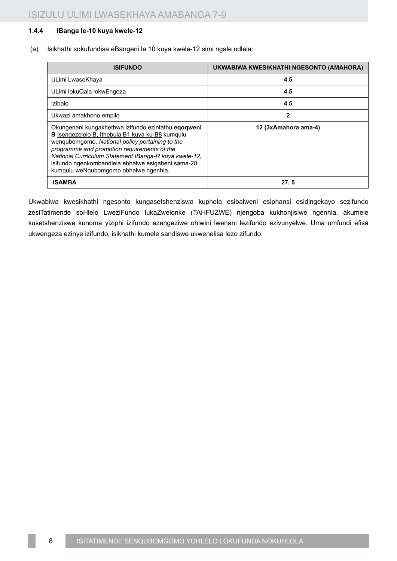#### **1.4.4 IBanga le-10 kuya kwele-12**

(a) Isikhathi sokufundisa eBangeni le 10 kuya kwele-12 simi ngale ndlela:

| <b>ISIFUNDO</b>                                                                                                                                                                                                                                                                                                                                                   | UKWABIWA KWESIKHATHI NGESONTO (AMAHORA) |
|-------------------------------------------------------------------------------------------------------------------------------------------------------------------------------------------------------------------------------------------------------------------------------------------------------------------------------------------------------------------|-----------------------------------------|
| ULimi LwaseKhaya                                                                                                                                                                                                                                                                                                                                                  | 4.5                                     |
| ULimi lokuQala lokwEngeza                                                                                                                                                                                                                                                                                                                                         | 4.5                                     |
| Izibalo                                                                                                                                                                                                                                                                                                                                                           | 4.5                                     |
| Ukwazi amakhono empilo                                                                                                                                                                                                                                                                                                                                            | 2                                       |
| Okungenani kungakhethwa izifundo ezintathu eqoqweni<br>B Isengezelelo B, Ithebula B1 kuya ku-B8 kumqulu<br>wenqubomgomo, National policy pertaining to the<br>programme and promotion requirements of the<br>National Curriculum Statement IBanga-R kuya kwele-12,<br>isifundo ngenkombandlela ebhalwe esigabeni sama-28<br>kumqulu weNqubomgomo obhalwe ngenhla. | 12 (3xAmahora ama-4)                    |
| ISAMBA                                                                                                                                                                                                                                                                                                                                                            | 27, 5                                   |

Ukwabiwa kwesikhathi ngesonto kungasetshenziswa kuphela esibalweni esiphansi esidingekayo sezifundo zesiTatimende soHlelo LweziFundo lukaZwelonke (TAHFUZWE) njengoba kukhonjisiwe ngenhla, akumele kusetshenziswe kunoma yiziphi izifundo ezengeziwe ohlwini lwenani lezifundo ezivunyelwe. Uma umfundi efisa ukwengeza ezinye izifundo, isikhathi kumele sandiswe ukwenelisa lezo zifundo.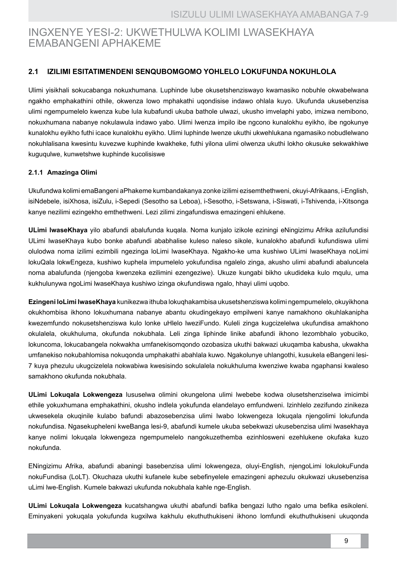## INGXENYE YESI-2: UKWETHULWA KOLIMI LWASEKHAYA EMABANGENI APHAKEME

#### **2.1 Izilimi esiTatimendeni seNqubomgomo yoHlelo lokuFunda nokuHlola**

Ulimi yisikhali sokucabanga nokuxhumana. Luphinde lube okusetshenziswayo kwamasiko nobuhle okwabelwana ngakho emphakathini othile, okwenza lowo mphakathi uqondisise indawo ohlala kuyo. Ukufunda ukusebenzisa ulimi ngempumelelo kwenza kube lula kubafundi ukuba bathole ulwazi, ukusho imvelaphi yabo, imizwa nemibono, nokuxhumana nabanye nokulawula indawo yabo. Ulimi lwenza impilo ibe ngcono kunalokhu eyikho, ibe ngokunye kunalokhu eyikho futhi icace kunalokhu eyikho. Ulimi luphinde lwenze ukuthi ukwehlukana ngamasiko nobudlelwano nokuhlalisana kwesintu kuvezwe kuphinde kwakheke, futhi yilona ulimi olwenza ukuthi lokho okusuke sekwakhiwe kuguqulwe, kunwetshwe kuphinde kucolisiswe

#### **2.1.1 Amazinga Olimi**

Ukufundwa kolimi emaBangeni aPhakeme kumbandakanya zonke izilimi ezisemthethweni, okuyi-Afrikaans, i-English, isiNdebele, isiXhosa, isiZulu, i-Sepedi (Sesotho sa Leboa), i-Sesotho, i-Setswana, i-Siswati, i-Tshivenda, i-Xitsonga kanye nezilimi ezingekho emthethweni. Lezi zilimi zingafundiswa emazingeni ehlukene.

**ULimi lwaseKhaya** yilo abafundi abalufunda kuqala. Noma kunjalo izikole eziningi eNingizimu Afrika azilufundisi ULimi lwaseKhaya kubo bonke abafundi ababhalise kuleso naleso sikole, kunalokho abafundi kufundiswa ulimi olulodwa noma izilimi ezimbili ngezinga loLimi lwaseKhaya. Ngakho-ke uma kushiwo ULimi lwaseKhaya noLimi lokuQala lokwEngeza, kushiwo kuphela impumelelo yokufundisa ngalelo zinga, akusho ulimi abafundi abaluncela noma abalufunda (njengoba kwenzeka ezilimini ezengeziwe). Ukuze kungabi bikho ukudideka kulo mqulu, uma kukhulunywa ngoLimi lwaseKhaya kushiwo izinga okufundiswa ngalo, hhayi ulimi uqobo.

**Ezingeni loLimi lwaseKhaya** kunikezwa ithuba lokuqhakambisa ukusetshenziswa kolimi ngempumelelo, okuyikhona okukhombisa ikhono lokuxhumana nabanye abantu okudingekayo empilweni kanye namakhono okuhlakanipha kwezemfundo nokusetshenziswa kulo lonke uHlelo lweziFundo. Kuleli zinga kugcizelelwa ukufundisa amakhono okulalela, okukhuluma, okufunda nokubhala. Leli zinga liphinde linike abafundi ikhono lezombhalo yobuciko, lokuncoma, lokucabangela nokwakha umfanekisomqondo ozobasiza ukuthi bakwazi ukuqamba kabusha, ukwakha umfanekiso nokubahlomisa nokuqonda umphakathi abahlala kuwo. Ngakolunye uhlangothi, kusukela eBangeni lesi-7 kuya phezulu ukugcizelela nokwabiwa kwesisindo sokulalela nokukhuluma kwenziwe kwaba ngaphansi kwaleso samakhono okufunda nokubhala.

**ULimi Lokuqala Lokwengeza** lususelwa olimini okungelona ulimi lwebebe kodwa olusetshenziselwa imicimbi ethile yokuxhumana emphakathini, okusho indlela yokufunda elandelayo emfundweni. Izinhlelo zezifundo zinikeza ukwesekela okuqinile kulabo bafundi abazosebenzisa ulimi lwabo lokwengeza lokuqala njengolimi lokufunda nokufundisa. Ngasekupheleni kweBanga lesi-9, abafundi kumele ukuba sebekwazi ukusebenzisa ulimi lwasekhaya kanye nolimi lokuqala lokwengeza ngempumelelo nangokuzethemba ezinhlosweni ezehlukene okufaka kuzo nokufunda.

ENingizimu Afrika, abafundi abaningi basebenzisa ulimi lokwengeza, oluyi-English, njengoLimi lokulokuFunda nokuFundisa (LoLT). Okuchaza ukuthi kufanele kube sebefinyelele emazingeni aphezulu okukwazi ukusebenzisa uLimi lwe-English. Kumele bakwazi ukufunda nokubhala kahle nge-English.

**ULimi Lokuqala Lokwengeza** kucatshangwa ukuthi abafundi bafika bengazi lutho ngalo uma befika esikoleni. Eminyakeni yokuqala yokufunda kugxilwa kakhulu ekuthuthukiseni ikhono lomfundi ekuthuthukiseni ukuqonda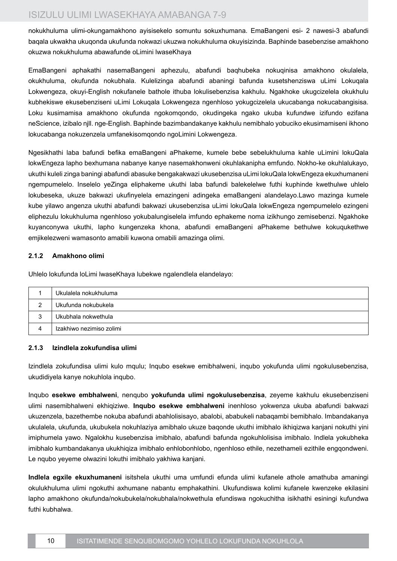nokukhuluma ulimi-okungamakhono ayisisekelo somuntu sokuxhumana. EmaBangeni esi- 2 nawesi-3 abafundi baqala ukwakha ukuqonda ukufunda nokwazi ukuzwa nokukhuluma okuyisizinda. Baphinde basebenzise amakhono okuzwa nokukhuluma abawafunde oLimini lwaseKhaya

EmaBangeni aphakathi nasemaBangeni aphezulu, abafundi baqhubeka nokuqinisa amakhono okulalela, okukhuluma, okufunda nokubhala. Kulelizinga abafundi abaningi bafunda kusetshenziswa uLimi Lokuqala Lokwengeza, okuyi-English nokufanele bathole ithuba lokulisebenzisa kakhulu. Ngakhoke ukugcizelela okukhulu kubhekiswe ekusebenziseni uLimi Lokuqala Lokwengeza ngenhloso yokugcizelela ukucabanga nokucabangisisa. Loku kusimamisa amakhono okufunda ngokomqondo, okudingeka ngako ukuba kufundwe izifundo ezifana neScience, izibalo njll. nge-English. Baphinde bazimbandakanye kakhulu nemibhalo yobuciko ekusimamiseni ikhono lokucabanga nokuzenzela umfanekisomqondo ngoLimini Lokwengeza.

Ngesikhathi laba bafundi befika emaBangeni aPhakeme, kumele bebe sebelukhuluma kahle uLimini lokuQala lokwEngeza lapho bexhumana nabanye kanye nasemakhonweni okuhlakanipha emfundo. Nokho-ke okuhlalukayo, ukuthi kuleli zinga baningi abafundi abasuke bengakakwazi ukusebenzisa uLimi lokuQala lokwEngeza ekuxhumaneni ngempumelelo. Inselelo yeZinga eliphakeme ukuthi laba bafundi balekelelwe futhi kuphinde kwethulwe uhlelo lokubeseka, ukuze bakwazi ukufinyelela emazingeni adingeka emaBangeni alandelayo.Lawo mazinga kumele kube yilawo angenza ukuthi abafundi bakwazi ukusebenzisa uLimi lokuQala lokwEngeza ngempumelelo ezingeni eliphezulu lokukhuluma ngenhloso yokubalungiselela imfundo ephakeme noma izikhungo zemisebenzi. Ngakhoke kuyanconywa ukuthi, lapho kungenzeka khona, abafundi emaBangeni aPhakeme bethulwe kokuqukethwe emjikelezweni wamasonto amabili kuwona omabili amazinga olimi.

#### **2.1.2 Amakhono olimi**

Uhlelo lokufunda loLimi lwaseKhaya lubekwe ngalendlela elandelayo:

|        | Ukulalela nokukhuluma    |
|--------|--------------------------|
|        | Ukufunda nokubukela      |
| ◠<br>ت | Ukubhala nokwethula      |
|        | Izakhiwo nezimiso zolimi |

#### **2.1.3 Izindlela zokufundisa ulimi**

Izindlela zokufundisa ulimi kulo mqulu; Inqubo esekwe emibhalweni, inqubo yokufunda ulimi ngokulusebenzisa, ukudidiyela kanye nokuhlola inqubo.

Inqubo **esekwe embhalweni**, nenqubo **yokufunda ulimi ngokulusebenzisa**, zeyeme kakhulu ekusebenziseni ulimi nasemibhalweni ekhiqiziwe. **Inqubo esekwe embhalweni** inenhloso yokwenza ukuba abafundi bakwazi ukuzenzela, bazethembe nokuba abafundi abahlolisisayo, abalobi, ababukeli nabaqambi bemibhalo. Imbandakanya ukulalela, ukufunda, ukubukela nokuhlaziya amibhalo ukuze baqonde ukuthi imibhalo ikhiqizwa kanjani nokuthi yini imiphumela yawo. Ngalokhu kusebenzisa imibhalo, abafundi bafunda ngokuhlolisisa imibhalo. Indlela yokubheka imibhalo kumbandakanya ukukhiqiza imibhalo enhlobonhlobo, ngenhloso ethile, nezethameli ezithile engqondweni. Le nqubo yeyeme olwazini lokuthi imibhalo yakhiwa kanjani.

**Indlela egxile ekuxhumaneni** isitshela ukuthi uma umfundi efunda ulimi kufanele athole amathuba amaningi okulukhuluma ulimi ngokuthi axhumane nabantu emphakathini. Ukufundiswa kolimi kufanele kwenzeke ekilasini lapho amakhono okufunda/nokubukela/nokubhala/nokwethula efundiswa ngokuchitha isikhathi esiningi kufundwa futhi kubhalwa.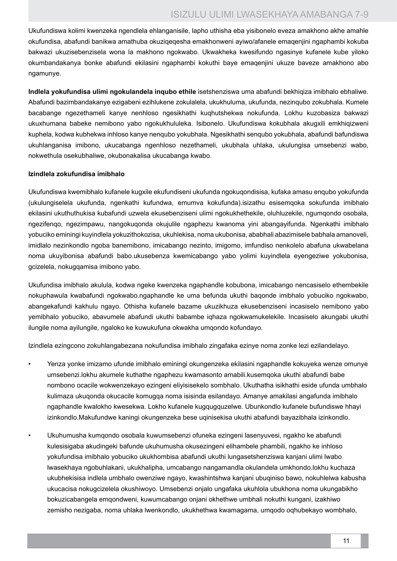Ukufundiswa kolimi kwenzeka ngendlela ehlanganisile, lapho uthisha eba yisibonelo eveza amakhono akhe amahle okufundisa, abafundi banikwa amathuba okuziqeqesha emakhonweni ayiwo/afanele emaqenjini ngaphambi kokuba bakwazi ukuzisebenzisela wona la makhono ngokwabo. Ukwakheka kwesifundo ngasinye kufanele kube yiloko okumbandakanya bonke abafundi ekilasini ngaphambi kokuthi baye emaqenjini ukuze baveze amakhono abo ngamunye.

**Indlela yokufundisa ulimi ngokulandela inqubo ethile** isetshenziswa uma abafundi bekhiqiza imibhalo ebhaliwe. Abafundi bazimbandakanye ezigabeni ezihlukene zokulalela, ukukhuluma, ukufunda, nezinqubo zokubhala. Kumele bacabange ngezethameli kanye nenhloso ngesikhathi kuqhutshekwa nokufunda. Lokhu kuzobasiza bakwazi ukuxhumana babeke nemibono yabo ngokukhululeka. Isibonelo. Ukufundiswa kokubhala akugxili emkhiqizweni kuphela, kodwa kubhekwa inhloso kanye nenqubo yokubhala. Ngesikhathi senqubo yokubhala, abafundi bafundiswa ukuhlanganisa imibono, ukucabanga ngenhloso nezethameli, ukubhala uhlaka, ukulungisa umsebenzi wabo, nokwethula osekubhaliwe, okubonakalisa ukucabanga kwabo.

#### **Izindlela zokufundisa imibhalo**

Ukufundiswa kwemibhalo kufanele kugxile ekufundiseni ukufunda ngokuqondisisa, kufaka amasu enqubo yokufunda (ukulungiselela ukufunda, ngenkathi kufundwa, emumva kokufunda).isizathu esisemqoka sokufunda imibhalo ekilasini ukuthuthukisa kubafundi uzwela ekusebenziseni ulimi ngokukhethekile, oluhluzekile, ngumqondo osobala, ngezifengo, ngezimpawu, nangokugonda okujulile ngaphezu kwanoma yini abangayifunda. Ngenkathi imibhalo yobuciko eminingi kuyindlela yokuzithokozisa, ukuhlekisa, noma ukubonisa, ababhali abazimisele babhala amanoveli, imidlalo nezinkondlo ngoba banemibono, imicabango nezinto, imigomo, imfundiso nenkolelo abafuna ukwabelana noma ukuyibonisa abafundi babo.ukusebenza kwemicabango yabo yolimi kuyindlela eyengeziwe yokubonisa, gcizelela, nokugqamisa imibono yabo.

Ukufundisa imibhalo akulula, kodwa ngeke kwenzeka ngaphandle kobubona, imicabango nencasiselo ethembekile nokuphawula kwabafundi ngokwabo.ngaphandle ke uma befunda ukuthi baqonde imibhalo yobuciko ngokwabo, abangekafundi kakhulu ngayo. Othisha kufanele bazame ukuzikhuza ekusebenziseni incasiselo nemibono yabo yemibhalo yobuciko, abavumele abafundi ukuthi babambe iqhaza ngokwamukelekile. Incasiselo akungabi ukuthi ilungile noma ayilungile, ngaloko ke kuwukufuna okwakha umqondo kofundayo.

Izindlela ezingcono zokuhlangabezana nokufundisa imibhalo zingafaka ezinye noma zonke lezi ezilandelayo.

- Yenza yonke imizamo ufunde imibhalo eminingi okungenzeka ekilasini ngaphandle kokuyeka wenze omunye umsebenzi.lokhu akumele kuthathe ngaphezu kwamasonto amabili.kusemqoka ukuthi abafundi babe nombono ocacile wokwenzekayo ezingeni eliyisisekelo sombhalo. Ukuthatha isikhathi eside ufunda umbhalo kulimaza ukuqonda okucacile komugqa noma isisinda esilandayo. Amanye amakilasi angafunda imibhalo ngaphandle kwalokho kwesekwa. Lokho kufanele kugqugquzelwe. Ubunkondlo kufanele bufundiswe hhayi izinkondlo.Makufundwe kaningi okungenzeka bese uqinisekisa ukuthi abafundi bayazibhala izinkondlo.
- Ukuhumusha kumqondo osobala kuwumsebenzi ofuneka ezingeni lasenyuvesi, ngakho ke abafundi kulesisigaba akudingeki bafunde ukuhumusha okusezingeni elihambele phambili, ngakho ke inhloso yokufundisa imibhalo yobuciko ukukhombisa abafundi ukuthi lungasetshenziswa kanjani ulimi lwabo lwasekhaya ngobuhlakani, ukukhalipha, umcabango nangamandla okulandela umkhondo.lokhu kuchaza ukubhekisisa indlela umbhalo owenziwe ngayo, kwashintshwa kanjani ubuqiniso bawo, nokuhlelwa kabusha ukucacisa nokugcizelela okushiwoyo. Umsebenzi onjalo ungafaka ukuhlola ubukhona noma ukungabikho bokuzicabangela emqondweni, kuwumcabango onjani okhethwe umbhali nokuthi kungani, izakhiwo zemisho nezigaba, noma uhlaka lwenkondlo, ukukhethwa kwamagama, umqodo oqhubekayo wombhalo,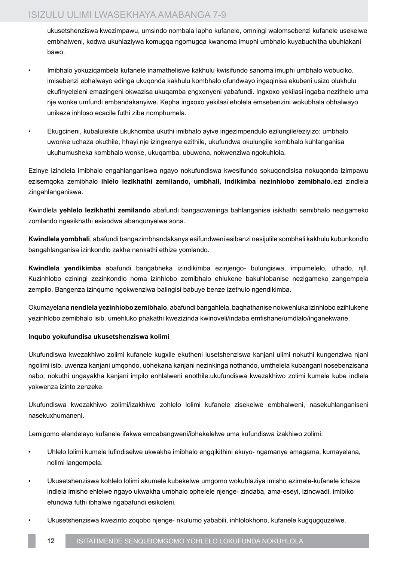ukusetshenziswa kwezimpawu, umsindo nombala lapho kufanele, omningi walomsebenzi kufanele usekelwe embhalweni, kodwa ukuhlaziywa komugqa ngomugqa kwanoma imuphi umbhalo kuyabuchitha ubuhlakani bawo.

- Imibhalo yokuziqambela kufanele inamatheliswe kakhulu kwisifundo sanoma imuphi umbhalo wobuciko. imisebenzi ebhalwayo edinga ukuqonda kakhulu kombhalo ofundwayo ingaqinisa ekubeni usizo olukhulu ekufinyeleleni emazingeni okwazisa ukuqamba engxenyeni yabafundi. Ingxoxo yekilasi ingaba nezithelo uma nje wonke umfundi embandakanyiwe. Kepha ingxoxo yekilasi eholela emsebenzini wokubhala obhalwayo unikeza inhloso ecacile futhi zibe nomphumela.
- Ekugcineni, kubalulekile ukukhomba ukuthi imibhalo ayive ingezimpendulo ezilungile/eziyizo: umbhalo uwonke uchaza okuthile, hhayi nje izingxenye ezithile, ukufundwa okulungile kombhalo kuhlanganisa ukuhumusheka kombhalo wonke, ukuqamba, ubuwona, nokwenziwa ngokuhlola.

Ezinye izindlela imibhalo engahlanganiswa ngayo nokufundiswa kwesifundo sokuqondisisa nokuqonda izimpawu ezisemqoka zemibhalo **ihlelo lezikhathi zemilando, umbhali, indikimba nezinhlobo zemibhalo.**lezi zindlela zingahlanganiswa.

Kwindlela **yehlelo lezikhathi zemilando** abafundi bangacwaninga bahlanganise isikhathi semibhalo nezigameko zomlando ngesikhathi esisodwa abanqunyelwe sona.

**Kwindlela yombhali**, abafundi bangazimbhandakanya esifundweni esibanzi nesijulile sombhali kakhulu kubunkondlo bangahlanganisa izinkondlo zakhe nenkathi ethize yomlando.

**Kwindlela yendikimba** abafundi bangabheka izindikimba ezinjengo- bulungiswa, impumelelo, uthado, njll. Kuzinhlobo eziningi zezinkondlo noma izinhlobo zemibhalo ehlukene bakuhlobanise nezigameko zangempela zempilo. Bangenza izinqumo ngokwenziwa balingisi babuye benze izethulo ngendikimba.

Okumayelana **nendlela yezinhlobo zemibhalo**, abafundi bangahlela, baqhathanise nokwehluka izinhlobo ezihlukene yezinhlobo zemibhalo isib. umehluko phakathi kwezizinda kwinoveli/indaba emfishane/umdlalo/inganekwane.

#### **Inqubo yokufundisa ukusetshenziswa kolimi**

Ukufundiswa kwezakhiwo zolimi kufanele kugxile ekutheni lusetshenziswa kanjani ulimi nokuthi kungenziwa njani ngolimi isib. uwenza kanjani umqondo, ubhekana kanjani nezinkinga nothando, umthelela kubangani nosebenzisana nabo, nokuthi ungayakha kanjani impilo enhlalweni enothile.ukufundiswa kwezakhiwo zolimi kumele kube indlela yokwenza izinto zenzeke.

Ukufundiswa kwezakhiwo zolimi/izakhiwo zohlelo lolimi kufanele zisekelwe embhalweni, nasekuhlanganiseni nasekuxhumaneni.

Lemigomo elandelayo kufanele ifakwe emcabangweni/ibhekelelwe uma kufundiswa izakhiwo zolimi:

- Uhlelo lolimi kumele lufindiselwe ukwakha imibhalo engqikithini ekuyo- ngamanye amagama, kumayelana, nolimi langempela.
- Ukusetshenziswa kohlelo lolimi akumele kubekelwe umgomo wokuhlaziya imisho ezimele-kufanele ichaze indlela imisho ehlelwe ngayo ukwakha umbhalo ophelele njenge- zindaba, ama-eseyi, izincwadi, imibiko efundwa futhi ibhalwe ngabafundi esikoleni.
	- Ukusetshenziswa kwezinto zoqobo njenge- nkulumo yababili, inhlolokhono, kufanele kugqugquzelwe.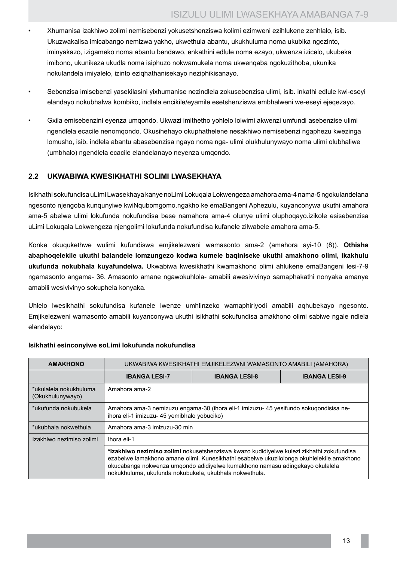- Xhumanisa izakhiwo zolimi nemisebenzi yokusetshenziswa kolimi ezimweni ezihlukene zenhlalo, isib. Ukuzwakalisa imicabango nemizwa yakho, ukwethula abantu, ukukhuluma noma ukubika ngezinto, iminyakazo, izigameko noma abantu bendawo, enkathini edlule noma ezayo, ukwenza izicelo, ukubeka imibono, ukunikeza ukudla noma isiphuzo nokwamukela noma ukwenqaba ngokuzithoba, ukunika nokulandela imiyalelo, izinto eziqhathanisekayo neziphikisanayo.
- Sebenzisa imisebenzi yasekilasini yixhumanise nezindlela zokusebenzisa ulimi, isib. inkathi edlule kwi-eseyi elandayo nokubhalwa kombiko, indlela encikile/eyamile esetshenziswa embhalweni we-eseyi ejeqezayo.
- Gxila emisebenzini eyenza umqondo. Ukwazi imithetho yohlelo lolwimi akwenzi umfundi asebenzise ulimi ngendlela ecacile nenomqondo. Okusihehayo okuphathelene nesakhiwo nemisebenzi ngaphezu kwezinga lomusho, isib. indlela abantu abasebenzisa ngayo noma nga- ulimi olukhulunywayo noma ulimi olubhaliwe (umbhalo) ngendlela ecacile elandelanayo neyenza umqondo.

#### **2.2 UKWABIWA KWESIKHATHI SOLIMI LWASEKHAYA**

Isikhathi sokufundisa uLimi Lwasekhaya kanye noLimi Lokuqala Lokwengeza amahora ama-4 nama-5 ngokulandelana ngesonto njengoba kunqunyiwe kwiNqubomgomo.ngakho ke emaBangeni Aphezulu, kuyanconywa ukuthi amahora ama-5 abelwe ulimi lokufunda nokufundisa bese namahora ama-4 olunye ulimi oluphoqayo.izikole esisebenzisa uLimi Lokuqala Lokwengeza njengolimi lokufunda nokufundisa kufanele zilwabele amahora ama-5.

Konke okuqukethwe wulimi kufundiswa emjikelezweni wamasonto ama-2 (amahora ayi-10 (8)). **Othisha abaphoqelekile ukuthi balandele lomzungezo kodwa kumele baqiniseke ukuthi amakhono olimi, ikakhulu ukufunda nokubhala kuyafundelwa.** Ukwabiwa kwesikhathi kwamakhono olimi ahlukene emaBangeni lesi-7-9 ngamasonto angama- 36. Amasonto amane ngawokuhlola- amabili awesivivinyo samaphakathi nonyaka amanye amabili wesivivinyo sokuphela konyaka.

Uhlelo lwesikhathi sokufundisa kufanele lwenze umhlinzeko wamaphiriyodi amabili aqhubekayo ngesonto. Emjikelezweni wamasonto amabili kuyanconywa ukuthi isikhathi sokufundisa amakhono olimi sabiwe ngale ndlela elandelayo:

| <b>AMAKHONO</b>                                                                                                                                                                                                                                                                                                                | UKWABIWA KWESIKHATHI EMJIKELEZWNI WAMASONTO AMABILI (AMAHORA)                                                                        |                      |                      |
|--------------------------------------------------------------------------------------------------------------------------------------------------------------------------------------------------------------------------------------------------------------------------------------------------------------------------------|--------------------------------------------------------------------------------------------------------------------------------------|----------------------|----------------------|
|                                                                                                                                                                                                                                                                                                                                | <b>IBANGA LESI-7</b>                                                                                                                 | <b>IBANGA LESI-8</b> | <b>IBANGA LESI-9</b> |
| *ukulalela nokukhuluma<br>(Okukhulunywayo)                                                                                                                                                                                                                                                                                     | Amahora ama-2                                                                                                                        |                      |                      |
| *ukufunda nokubukela                                                                                                                                                                                                                                                                                                           | Amahora ama-3 nemizuzu engama-30 (ihora eli-1 imizuzu- 45 yesifundo sokuqondisisa ne-<br>ihora eli-1 imizuzu- 45 yemibhalo yobuciko) |                      |                      |
| *ukubhala nokwethula                                                                                                                                                                                                                                                                                                           | Amahora ama-3 imizuzu-30 min                                                                                                         |                      |                      |
| Izakhiwo nezimiso zolimi                                                                                                                                                                                                                                                                                                       | Ihora eli-1                                                                                                                          |                      |                      |
| *Izakhiwo nezimiso zolimi nokusetshenziswa kwazo kudidiyelwe kulezi zikhathi zokufundisa<br>ezabelwe lamakhono amane olimi. Kunesikhathi esabelwe ukuzilolonga okuhlelekile.amakhono<br>okucabanga nokwenza umqondo adidiyelwe kumakhono namasu adingekayo okulalela<br>nokukhuluma, ukufunda nokubukela, ukubhala nokwethula. |                                                                                                                                      |                      |                      |

#### **Isikhathi esinconyiwe soLimi lokufunda nokufundisa**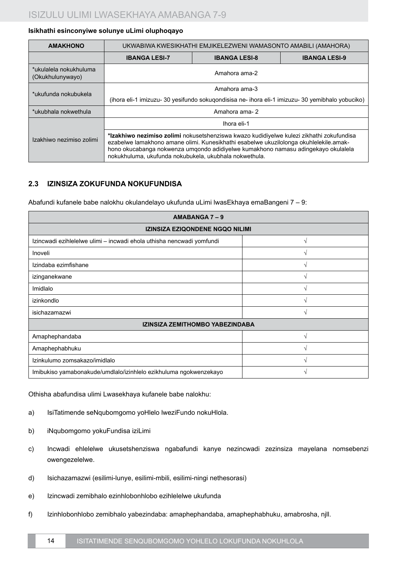#### **Isikhathi esinconyiwe solunye uLimi oluphoqayo**

| <b>AMAKHONO</b>                            | UKWABIWA KWESIKHATHI EMJIKELEZWENI WAMASONTO AMABILI (AMAHORA)                                   |                                                                                                                                                                                                                                                                        |  |
|--------------------------------------------|--------------------------------------------------------------------------------------------------|------------------------------------------------------------------------------------------------------------------------------------------------------------------------------------------------------------------------------------------------------------------------|--|
|                                            | <b>IBANGA LESI-8</b><br><b>IBANGA LESI-9</b><br><b>IBANGA LESI-7</b>                             |                                                                                                                                                                                                                                                                        |  |
| *ukulalela nokukhuluma<br>(Okukhulunywayo) | Amahora ama-2                                                                                    |                                                                                                                                                                                                                                                                        |  |
| *ukufunda nokubukela                       | Amahora ama-3                                                                                    |                                                                                                                                                                                                                                                                        |  |
|                                            | (ihora eli-1 imizuzu- 30 yesifundo sokuqondisisa ne- ihora eli-1 imizuzu- 30 yemibhalo yobuciko) |                                                                                                                                                                                                                                                                        |  |
| *ukubhala nokwethula                       | Amahora ama-2                                                                                    |                                                                                                                                                                                                                                                                        |  |
|                                            |                                                                                                  | Ihora eli-1                                                                                                                                                                                                                                                            |  |
| Izakhiwo nezimiso zolimi                   | nokukhuluma, ukufunda nokubukela, ukubhala nokwethula.                                           | *Izakhiwo nezimiso zolimi nokusetshenziswa kwazo kudidiyelwe kulezi zikhathi zokufundisa<br>ezabelwe lamakhono amane olimi. Kunesikhathi esabelwe ukuzilolonga okuhlelekile.amak-<br>hono okucabanga nokwenza umqondo adidiyelwe kumakhono namasu adingekayo okulalela |  |

#### **2.3 IZINSIZA ZOKUFUNDA NOKUFUNDISA**

Abafundi kufanele babe nalokhu okulandelayo ukufunda uLimi lwasEkhaya emaBangeni 7 – 9:

| AMABANGA 7-9                                                          |  |  |
|-----------------------------------------------------------------------|--|--|
| IZINSIZA EZIQONDENE NGQO NILIMI                                       |  |  |
| Izincwadi ezihlelelwe ulimi - incwadi ehola uthisha nencwadi yomfundi |  |  |
| Inoveli                                                               |  |  |
| Izindaba ezimfishane                                                  |  |  |
| izinganekwane                                                         |  |  |
| Imidlalo                                                              |  |  |
| izinkondlo                                                            |  |  |
| isichazamazwi                                                         |  |  |
| IZINSIZA ZEMITHOMBO YABEZINDABA                                       |  |  |
| Amaphephandaba                                                        |  |  |
| Amaphephabhuku                                                        |  |  |
| Izinkulumo zomsakazo/imidlalo                                         |  |  |
| Imibukiso yamabonakude/umdlalo/izinhlelo ezikhuluma ngokwenzekayo     |  |  |

Othisha abafundisa ulimi Lwasekhaya kufanele babe nalokhu:

- a) IsiTatimende seNqubomgomo yoHlelo lweziFundo nokuHlola.
- b) iNqubomgomo yokuFundisa iziLimi
- c) Incwadi ehlelelwe ukusetshenziswa ngabafundi kanye nezincwadi zezinsiza mayelana nomsebenzi owengezelelwe.
- d) Isichazamazwi (esilimi-lunye, esilimi-mbili, esilimi-ningi nethesorasi)
- e) Izincwadi zemibhalo ezinhlobonhlobo ezihlelelwe ukufunda
- f) Izinhlobonhlobo zemibhalo yabezindaba: amaphephandaba, amaphephabhuku, amabrosha, njll.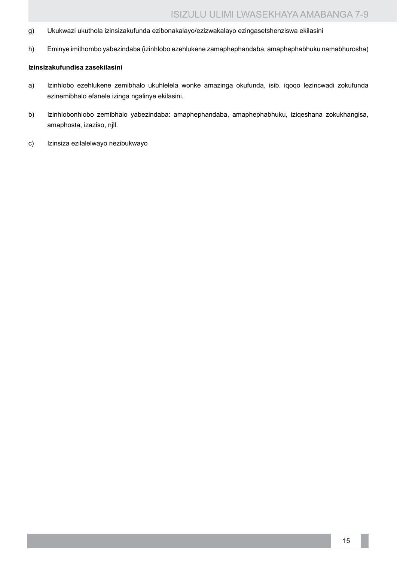- g) Ukukwazi ukuthola izinsizakufunda ezibonakalayo/ezizwakalayo ezingasetshenziswa ekilasini
- h) Eminye imithombo yabezindaba (izinhlobo ezehlukene zamaphephandaba, amaphephabhuku namabhurosha)

#### **Izinsizakufundisa zasekilasini**

- a) Izinhlobo ezehlukene zemibhalo ukuhlelela wonke amazinga okufunda, isib. iqoqo lezincwadi zokufunda ezinemibhalo efanele izinga ngalinye ekilasini.
- b) Izinhlobonhlobo zemibhalo yabezindaba: amaphephandaba, amaphephabhuku, iziqeshana zokukhangisa, amaphosta, izaziso, njll.
- c) Izinsiza ezilalelwayo nezibukwayo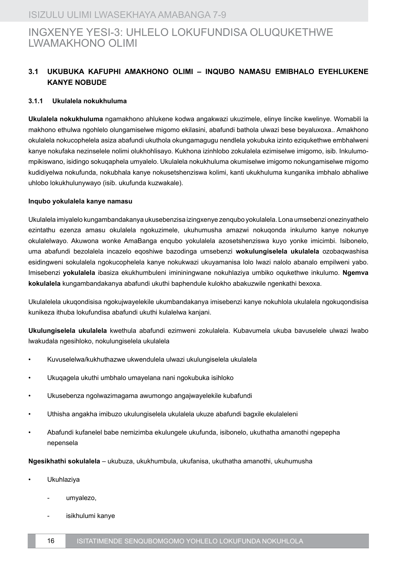## Ingxenye yesi-3: uhlelo lokufundisa oluqukethwe lwamakhono olimi

### **3.1 Ukubuka kafuphi amakhono olimi – inqubo namasu emibhalo eyehlukene kanye nobude**

#### **3.1.1 Ukulalela nokukhuluma**

**Ukulalela nokukhuluma** ngamakhono ahlukene kodwa angakwazi ukuzimele, elinye lincike kwelinye. Womabili la makhono ethulwa ngohlelo olungamiselwe migomo ekilasini, abafundi bathola ulwazi bese beyaluxoxa.. Amakhono okulalela nokucophelela asiza abafundi ukuthola okungamagugu nendlela yokubuka izinto eziqukethwe embhalweni kanye nokufaka nezinselele nolimi olukhohlisayo. Kukhona izinhlobo zokulalela ezimiselwe imigomo, isib. Inkulumompikiswano, isidingo sokuqaphela umyalelo. Ukulalela nokukhuluma okumiselwe imigomo nokungamiselwe migomo kudidiyelwa nokufunda, nokubhala kanye nokusetshenziswa kolimi, kanti ukukhuluma kunganika imbhalo abhaliwe uhlobo lokukhulunywayo (isib. ukufunda kuzwakale).

#### **Inqubo yokulalela kanye namasu**

Ukulalela imiyalelo kungambandakanya ukusebenzisa izingxenye zenqubo yokulalela. Lona umsebenzi onezinyathelo ezintathu ezenza amasu okulalela ngokuzimele, ukuhumusha amazwi nokuqonda inkulumo kanye nokunye okulalelwayo. Akuwona wonke AmaBanga enqubo yokulalela azosetshenziswa kuyo yonke imicimbi. Isibonelo, uma abafundi bezolalela incazelo eqoshiwe bazodinga umsebenzi **wokulungiselela ukulalela** ozobaqwashisa esidingweni sokulalela ngokucophelela kanye nokukwazi ukuyamanisa lolo lwazi nalolo abanalo empilweni yabo. Imisebenzi **yokulalela** ibasiza ekukhumbuleni imininingwane nokuhlaziya umbiko oqukethwe inkulumo. **Ngemva kokulalela** kungambandakanya abafundi ukuthi baphendule kulokho abakuzwile ngenkathi bexoxa.

Ukulalelela ukuqondisisa ngokujwayelekile ukumbandakanya imisebenzi kanye nokuhlola ukulalela ngokuqondisisa kunikeza ithuba lokufundisa abafundi ukuthi kulalelwa kanjani.

**Ukulungiselela ukulalela** kwethula abafundi ezimweni zokulalela. Kubavumela ukuba bavuselele ulwazi lwabo lwakudala ngesihloko, nokulungiselela ukulalela

- Kuvuselelwa/kukhuthazwe ukwendulela ulwazi ukulungiselela ukulalela
- Ukuqagela ukuthi umbhalo umayelana nani ngokubuka isihloko
- Ukusebenza ngolwazimagama awumongo angajwayelekile kubafundi
- Uthisha angakha imibuzo ukulungiselela ukulalela ukuze abafundi bagxile ekulaleleni
- Abafundi kufanelel babe nemizimba ekulungele ukufunda, isibonelo, ukuthatha amanothi ngepepha nepensela

**Ngesikhathi sokulalela** – ukubuza, ukukhumbula, ukufanisa, ukuthatha amanothi, ukuhumusha

- Ukuhlaziya
	- umyalezo,
	- isikhulumi kanve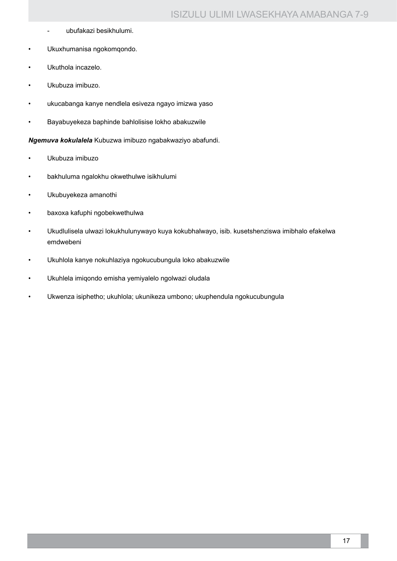- ubufakazi besikhulumi.
- Ukuxhumanisa ngokomqondo.
- Ukuthola incazelo.
- Ukubuza imibuzo.
- ukucabanga kanye nendlela esiveza ngayo imizwa yaso
- Bayabuyekeza baphinde bahlolisise lokho abakuzwile

*Ngemuva kokulalela* Kubuzwa imibuzo ngabakwaziyo abafundi.

- Ukubuza imibuzo
- bakhuluma ngalokhu okwethulwe isikhulumi
- Ukubuyekeza amanothi
- baxoxa kafuphi ngobekwethulwa
- Ukudlulisela ulwazi lokukhulunywayo kuya kokubhalwayo, isib. kusetshenziswa imibhalo efakelwa emdwebeni
- Ukuhlola kanye nokuhlaziya ngokucubungula loko abakuzwile
- Ukuhlela imiqondo emisha yemiyalelo ngolwazi oludala
- Ukwenza isiphetho; ukuhlola; ukunikeza umbono; ukuphendula ngokucubungula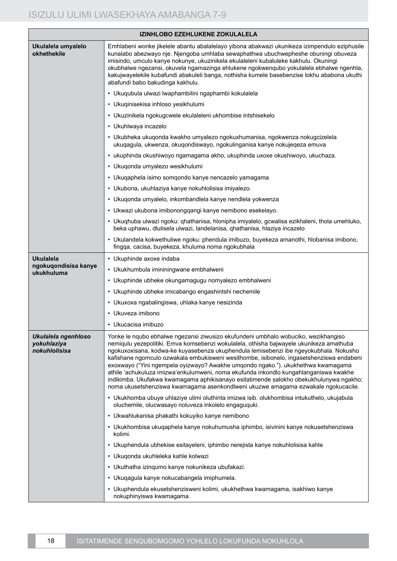| IZINHLOBO EZEHLUKENE ZOKULALELA                     |                                                                                                                                                                                                                                                                                                                                                                                                                                                                                                                                                                                                                                                                                                                                |  |
|-----------------------------------------------------|--------------------------------------------------------------------------------------------------------------------------------------------------------------------------------------------------------------------------------------------------------------------------------------------------------------------------------------------------------------------------------------------------------------------------------------------------------------------------------------------------------------------------------------------------------------------------------------------------------------------------------------------------------------------------------------------------------------------------------|--|
| Ukulalela umyalelo<br>okhethekile                   | Emhlabeni wonke jikelele abantu abalalelayo yibona abakwazi ukunikeza izimpendulo eziphusile<br>kunalabo abezwayo nje. Njengoba umhlaba sewaphathwa ubuchwepheshe obuningi obuveza<br>imisindo, umculo kanye nokunye, ukuzinikela ekulaleleni kubaluleke kakhulu. Okuningi<br>okubhalwe ngezansi, okuvela ngamazinga ehlukene ngokwenqubo yokulalela ebhalwe ngenhla,<br>kakujwayelekile kubafundi abakuleli banga, nothisha kumele basebenzise lokhu ababona ukuthi<br>abafundi babo bakudinga kakhulu.                                                                                                                                                                                                                       |  |
|                                                     | · Ukuqubula ulwazi lwaphambilini ngaphambi kokulalela                                                                                                                                                                                                                                                                                                                                                                                                                                                                                                                                                                                                                                                                          |  |
|                                                     | • Ukuqinisekisa inhloso yesikhulumi                                                                                                                                                                                                                                                                                                                                                                                                                                                                                                                                                                                                                                                                                            |  |
|                                                     | · Ukuzinikela ngokugcwele ekulaleleni ukhombise intshisekelo                                                                                                                                                                                                                                                                                                                                                                                                                                                                                                                                                                                                                                                                   |  |
|                                                     | • Ukuhlwaya incazelo                                                                                                                                                                                                                                                                                                                                                                                                                                                                                                                                                                                                                                                                                                           |  |
|                                                     | • Ukubheka ukuqonda kwakho umyalezo ngokuxhumanisa, ngokwenza nokugcizelela<br>ukuqagula, ukwenza, okuqondiswayo, ngokulinganisa kanye nokujeqeza emuva                                                                                                                                                                                                                                                                                                                                                                                                                                                                                                                                                                        |  |
|                                                     | • ukuphinda okushiwoyo ngamagama akho, ukuphinda uxoxe okushiwoyo, ukuchaza.                                                                                                                                                                                                                                                                                                                                                                                                                                                                                                                                                                                                                                                   |  |
|                                                     | • Ukuqonda umyalezo wesikhulumi                                                                                                                                                                                                                                                                                                                                                                                                                                                                                                                                                                                                                                                                                                |  |
|                                                     | · Ukuqaphela isimo somqondo kanye nencazelo yamagama                                                                                                                                                                                                                                                                                                                                                                                                                                                                                                                                                                                                                                                                           |  |
|                                                     | · Ukubona, ukuhlaziya kanye nokuhlolisisa imiyalezo.                                                                                                                                                                                                                                                                                                                                                                                                                                                                                                                                                                                                                                                                           |  |
|                                                     | · Ukuqonda umyalelo, inkombandlela kanye nendlela yokwenza                                                                                                                                                                                                                                                                                                                                                                                                                                                                                                                                                                                                                                                                     |  |
|                                                     | · Ukwazi ukubona imibonongqangi kanye nemibono esekelayo.                                                                                                                                                                                                                                                                                                                                                                                                                                                                                                                                                                                                                                                                      |  |
|                                                     | • Ukuqhuba ulwazi ngoku: qhathanisa, hlonipha imiyalelo, gcwalisa ezikhaleni, thola umehluko,<br>beka uphawu, dlulisela ulwazi, landelanisa, qhathanisa, hlaziya incazelo                                                                                                                                                                                                                                                                                                                                                                                                                                                                                                                                                      |  |
|                                                     | · Ukulandela kokwethuliwe ngoku: phendula imibuzo, buyekeza amanothi, hlobanisa imibono,<br>fingqa, cacisa, buyekeza, khuluma noma ngokubhala                                                                                                                                                                                                                                                                                                                                                                                                                                                                                                                                                                                  |  |
| <b>Ukulalela</b>                                    | • Ukuphinde axoxe indaba                                                                                                                                                                                                                                                                                                                                                                                                                                                                                                                                                                                                                                                                                                       |  |
| ngokuqondisisa kanye<br>ukukhuluma                  | • Ukukhumbula imininingwane embhalweni                                                                                                                                                                                                                                                                                                                                                                                                                                                                                                                                                                                                                                                                                         |  |
|                                                     | • Ukuphinde ubheke okungamagugu nomyalezo embhalweni                                                                                                                                                                                                                                                                                                                                                                                                                                                                                                                                                                                                                                                                           |  |
|                                                     | • Ukuphinde ubheke imicabango engashintshi nechemile                                                                                                                                                                                                                                                                                                                                                                                                                                                                                                                                                                                                                                                                           |  |
|                                                     | • Ukuxoxa ngabalingiswa, uhlaka kanye nesizinda                                                                                                                                                                                                                                                                                                                                                                                                                                                                                                                                                                                                                                                                                |  |
|                                                     | • Ukuveza imibono                                                                                                                                                                                                                                                                                                                                                                                                                                                                                                                                                                                                                                                                                                              |  |
|                                                     | $\cdot$ Ukucacisa imibuzo                                                                                                                                                                                                                                                                                                                                                                                                                                                                                                                                                                                                                                                                                                      |  |
| Ukulalela ngenhloso<br>yokuhlaziya<br>nokuhlolisisa | Yonke le nqubo ebhalwe ngezansi ziwusizo ekufundeni umbhalo wobuciko, wezikhangiso<br>nemiqulu yezepolitiki. Emva komsebenzi wokulalela, othisha bajwayele ukunikeza amathuba<br>ngokuxoxisana, kodwa-ke kuyasebenza ukuphendula lemisebenzi ibe ngeyokubhala. Nokusho<br>kafishane ngomculo ozwakala embukisweni wesithombe, isibonelo, ingasetshenziswa endabeni<br>exoxwayo ("Yini ngempela oyizwayo? Awakhe umqondo ngako."). ukukhethwa kwamagama<br>athile 'achukuluza imizwa'enkulumweni, noma ekufunda inkondlo kungahlanganiswa kwakhe<br>indikimba. Ukufakwa kwamagama aphikisanayo esitatimende salokho obekukhulunywa ngakho;<br>noma ukusetshenziswa kwamagama asenkondlweni ukuzwe amagama ezwakale ngokucacile. |  |
|                                                     | · Ukukhomba ubuye uhlaziye ulimi oluthinta imizwa isib. olukhombisa intukuthelo, ukujabula<br>oluchemile, olucwasayo noluveza inkolelo engaguquki.                                                                                                                                                                                                                                                                                                                                                                                                                                                                                                                                                                             |  |
|                                                     | • Ukwahlukanisa phakathi kokuyiko kanye nemibono                                                                                                                                                                                                                                                                                                                                                                                                                                                                                                                                                                                                                                                                               |  |
|                                                     | • Ukukhombisa ukuqaphela kanye nokuhumusha iphimbo, isivinini kanye nokusetshenziswa<br>kolimi.                                                                                                                                                                                                                                                                                                                                                                                                                                                                                                                                                                                                                                |  |
|                                                     | • Ukuphendula ubhekise esitayeleni, iphimbo nerejista kanye nokuhlolisisa kahle                                                                                                                                                                                                                                                                                                                                                                                                                                                                                                                                                                                                                                                |  |
|                                                     | • Ukuqonda ukuhleleka kahle kolwazi                                                                                                                                                                                                                                                                                                                                                                                                                                                                                                                                                                                                                                                                                            |  |
|                                                     | · Ukuthatha izinqumo kanye nokunikeza ubufakazi.                                                                                                                                                                                                                                                                                                                                                                                                                                                                                                                                                                                                                                                                               |  |
|                                                     | · Ukuqagula kanye nokucabangela imiphumela.                                                                                                                                                                                                                                                                                                                                                                                                                                                                                                                                                                                                                                                                                    |  |
|                                                     | • Ukuphendula ekusetshenzisweni kolimi, ukukhethwa kwamagama, isakhiwo kanye<br>nokuphinyiswa kwamagama.                                                                                                                                                                                                                                                                                                                                                                                                                                                                                                                                                                                                                       |  |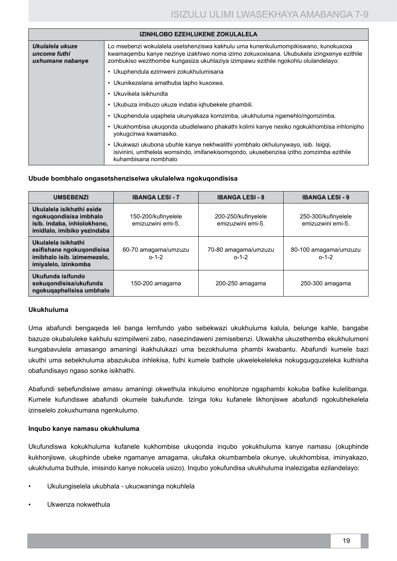| IZINHLOBO EZEHLUKENE ZOKULALELA                     |                                                                                                                                                                                                                                                                      |  |
|-----------------------------------------------------|----------------------------------------------------------------------------------------------------------------------------------------------------------------------------------------------------------------------------------------------------------------------|--|
| Ukulalela ukuze<br>uncome futhi<br>uxhumane nabanye | Lo msebenzi wokulalela usetshenziswa kakhulu uma kunenkulumompikiswano, kunokuxoxa<br>kwamaqembu kanye nezinye izakhiwo noma izimo zokuxoxisana. Ukubukela izingxenye ezithile<br>zombukiso wezithombe kungasiza ukuhlaziya izimpawu ezithile ngokohlu olulandelayo: |  |
|                                                     | • Ukuphendula ezimweni zokukhulumisana                                                                                                                                                                                                                               |  |
|                                                     | • Ukunikezelana amathuba lapho kuxoxwa.                                                                                                                                                                                                                              |  |
|                                                     | • Ukuvikela isikhundla                                                                                                                                                                                                                                               |  |
|                                                     | • Ukubuza imibuzo ukuze indaba iqhubekele phambili.                                                                                                                                                                                                                  |  |
|                                                     | • Ukuphendula uqaphela ukunyakaza komzimba, ukukhuluma ngamehlo/ngomzimba.                                                                                                                                                                                           |  |
|                                                     | Ukukhombisa ukugonda ubudlelwano phakathi kolimi kanye nesiko ngokukhombisa inhlonipho<br>yokugcinwa kwamasiko.                                                                                                                                                      |  |
|                                                     | • Ukukwazi ukubona ubuhle kanye nekhwalithi yombhalo okhulunywayo, isib. Isigqi,<br>isivinini, umthelela womsindo, imifanekisomgondo, ukusebenzisa izitho zomzimba ezithile<br>kuhambisana nombhalo                                                                  |  |
|                                                     |                                                                                                                                                                                                                                                                      |  |

#### **Ubude bombhalo ongasetshenziselwa ukulalelwa ngokuqondisisa**

| <b>UMSEBENZI</b>                                                                                                  | <b>IBANGA LESI - 7</b>                   | <b>IBANGA LESI - 8</b>                   | <b>IBANGA LESI - 9</b>                   |
|-------------------------------------------------------------------------------------------------------------------|------------------------------------------|------------------------------------------|------------------------------------------|
| Ukulalela isikhathi eside<br>ngokugondisisa imbhalo<br>isib. indaba, inhlolokhono,<br>imidlalo, imibiko yezindaba | 150-200/kufinyelele<br>emizuzwini emi-5. | 200-250/kufinyelele<br>emizuzwini emi-5. | 250-300/kufinyelele<br>emizuzwini emi-5. |
| Ukulalela isikhathi<br>esifishane ngokuqondisisa<br>imibhalo isib. izimemezelo,<br>imiyalelo, izinkomba           | 60-70 amagama/umzuzu<br>$0 - 1 - 2$      | 70-80 amagama/umzuzu<br>$0 - 1 - 2$      | 80-100 amagama/umzuzu<br>$0 - 1 - 2$     |
| Ukufunda isifundo<br>sokugondisisa/ukufunda<br>ngokuqaphelisisa umbhalo                                           | 150-200 amagama                          | 200-250 amagama                          | 250-300 amagama                          |

#### **Ukukhuluma**

Uma abafundi bengaqeda leli banga lemfundo yabo sebekwazi ukukhuluma kalula, belunge kahle, bangabe bazuze okubaluleke kakhulu ezimpilweni zabo, nasezindaweni zemisebenzi. Ukwakha ukuzethemba ekukhulumeni kungabavulela amasango amaningi ikakhulukazi uma bezokhuluma phambi kwabantu. Abafundi kumele bazi ukuthi uma sebekhuluma abazukuba inhlekisa, futhi kumele bathole ukwelekeleleka nokugqugquzeleka kuthisha obafundisayo ngaso sonke isikhathi.

Abafundi sebefundisiwe amasu amaningi okwethula inkulumo enohlonze ngaphambi kokuba bafike kulelibanga. Kumele kufundiswe abafundi okumele bakufunde. Izinga loku kufanele likhonjiswe abafundi ngokubhekelela izinselelo zokuxhumana ngenkulumo.

#### **Inqubo kanye namasu okukhuluma**

Ukufundiswa kokukhuluma kufanele kukhombise ukuqonda inqubo yokukhuluma kanye namasu (okuphinde kukhonjiswe, ukuphinde ubeke ngamanye amagama, ukufaka okumbambela okunye, ukukhombisa, iminyakazo, ukukhuluma buthule, imisindo kanye nokucela usizo). Inqubo yokufundisa ukukhuluma inalezigaba ezilandelayo:

- Ukulungiselela ukubhala ukucwaninga nokuhlela
- Ukwenza nokwethula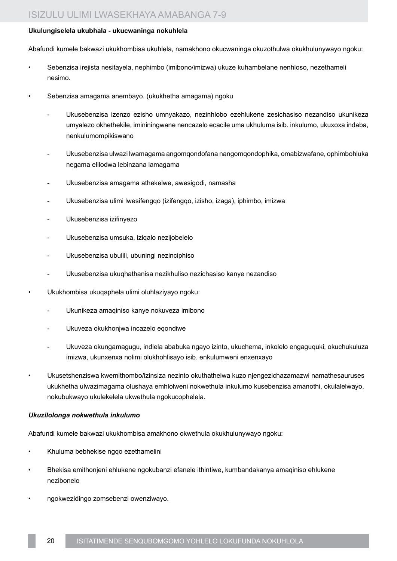#### **Ukulungiselela ukubhala - ukucwaninga nokuhlela**

Abafundi kumele bakwazi ukukhombisa ukuhlela, namakhono okucwaninga okuzothulwa okukhulunywayo ngoku:

- Sebenzisa irejista nesitayela, nephimbo (imibono/imizwa) ukuze kuhambelane nenhloso, nezethameli nesimo.
- Sebenzisa amagama anembayo. (ukukhetha amagama) ngoku
	- Ukusebenzisa izenzo ezisho umnyakazo, nezinhlobo ezehlukene zesichasiso nezandiso ukunikeza umyalezo okhethekile, imininingwane nencazelo ecacile uma ukhuluma isib. inkulumo, ukuxoxa indaba, nenkulumompikiswano
	- Ukusebenzisa ulwazi lwamagama angomqondofana nangomqondophika, omabizwafane, ophimbohluka negama elilodwa lebinzana lamagama
	- Ukusebenzisa amagama athekelwe, awesigodi, namasha
	- Ukusebenzisa ulimi lwesifengqo (izifengqo, izisho, izaga), iphimbo, imizwa
	- Ukusebenzisa izifinyezo
	- Ukusebenzisa umsuka, izigalo nezijobelelo
	- Ukusebenzisa ubulili, ubuningi nezinciphiso
	- Ukusebenzisa ukuqhathanisa nezikhuliso nezichasiso kanye nezandiso
- Ukukhombisa ukuqaphela ulimi oluhlaziyayo ngoku:
	- Ukunikeza amaqiniso kanye nokuveza imibono
	- Ukuveza okukhonjwa incazelo eqondiwe
	- Ukuveza okungamagugu, indlela ababuka ngayo izinto, ukuchema, inkolelo engaguquki, okuchukuluza imizwa, ukunxenxa nolimi olukhohlisayo isib. enkulumweni enxenxayo
- Ukusetshenziswa kwemithombo/izinsiza nezinto okuthathelwa kuzo njengezichazamazwi namathesauruses ukukhetha ulwazimagama olushaya emhlolweni nokwethula inkulumo kusebenzisa amanothi, okulalelwayo, nokubukwayo ukulekelela ukwethula ngokucophelela.

#### *Ukuzilolonga nokwethula inkulumo*

Abafundi kumele bakwazi ukukhombisa amakhono okwethula okukhulunywayo ngoku:

- Khuluma bebhekise ngqo ezethamelini
- Bhekisa emithonjeni ehlukene ngokubanzi efanele ithintiwe, kumbandakanya amaqiniso ehlukene nezibonelo
- ngokwezidingo zomsebenzi owenziwayo.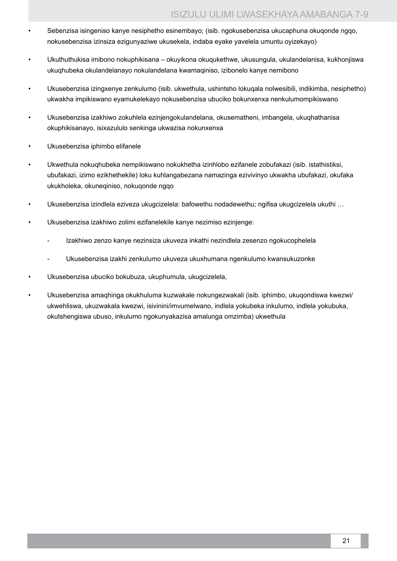- Sebenzisa isingeniso kanye nesiphetho esinembayo; (isib. ngokusebenzisa ukucaphuna okuqonde ngqo, nokusebenzisa izinsiza ezigunyaziwe ukusekela, indaba eyake yavelela umuntu oyizekayo)
- Ukuthuthukisa imibono nokuphikisana okuyikona okuqukethwe, ukusungula, ukulandelanisa, kukhonjiswa ukuqhubeka okulandelanayo nokulandelana kwamaqiniso, izibonelo kanye nemibono
- Ukusebenzisa izingxenye zenkulumo (isib. ukwethula, ushintsho lokuqala nolwesibili, indikimba, nesiphetho) ukwakha impikiswano eyamukelekayo nokusebenzisa ubuciko bokunxenxa nenkulumompikiswano
- Ukusebenzisa izakhiwo zokuhlela ezinjengokulandelana, okusematheni, imbangela, ukuqhathanisa okuphikisanayo, isixazululo senkinga ukwazisa nokunxenxa
- Ukusebenzisa iphimbo elifanele
- Ukwethula nokuqhubeka nempikiswano nokukhetha izinhlobo ezifanele zobufakazi (isib. istathistiksi, ubufakazi, izimo ezikhethekile) loku kuhlangabezana namazinga ezivivinyo ukwakha ubufakazi, okufaka ukukholeka, okuneqiniso, nokuqonde ngqo
- Ukusebenzisa izindlela eziveza ukugcizelela: bafowethu nodadewethu; ngifisa ukugcizelela ukuthi …
- Ukusebenzisa izakhiwo zolimi ezifanelekile kanye nezimiso ezinjenge:
	- Izakhiwo zenzo kanye nezinsiza ukuveza inkathi nezindlela zesenzo ngokucophelela
	- Ukusebenzisa izakhi zenkulumo ukuveza ukuxhumana ngenkulumo kwansukuzonke
- Ukusebenzisa ubuciko bokubuza, ukuphumula, ukugcizelela,
- Ukusebenzisa amaqhinga okukhuluma kuzwakale nokungezwakali (isib. iphimbo, ukuqondiswa kwezwi/ ukwehliswa, ukuzwakala kwezwi, isivinini/imvumelwano, indlela yokubeka inkulumo, indlela yokubuka, okutshengiswa ubuso, inkulumo ngokunyakazisa amalunga omzimba) ukwethula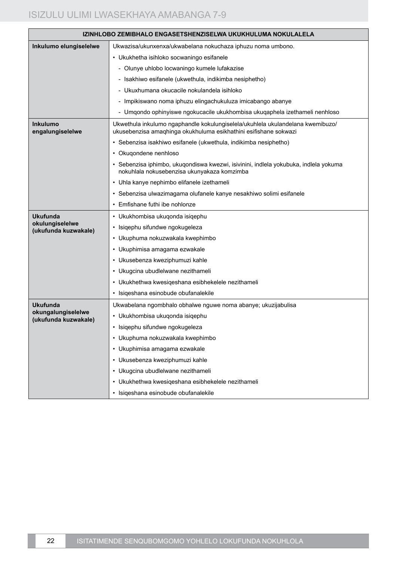| IZINHLOBO ZEMIBHALO ENGASETSHENZISELWA UKUKHULUMA NOKULALELA |                                                                                                                                                    |  |
|--------------------------------------------------------------|----------------------------------------------------------------------------------------------------------------------------------------------------|--|
| Inkulumo elungiselelwe                                       | Ukwazisa/ukunxenxa/ukwabelana nokuchaza iphuzu noma umbono.                                                                                        |  |
|                                                              | • Ukukhetha isihloko socwaningo esifanele                                                                                                          |  |
|                                                              | - Olunye uhlobo locwaningo kumele lufakazise                                                                                                       |  |
|                                                              | - Isakhiwo esifanele (ukwethula, indikimba nesiphetho)                                                                                             |  |
|                                                              | Ukuxhumana okucacile nokulandela isihloko                                                                                                          |  |
|                                                              | - Impikiswano noma iphuzu elingachukuluza imicabango abanye                                                                                        |  |
|                                                              | - Umgondo ophinyiswe ngokucacile ukukhombisa ukuqaphela izethameli nenhloso                                                                        |  |
| <b>Inkulumo</b><br>engalungiselelwe                          | Ukwethula inkulumo ngaphandle kokulungiselela/ukuhlela ukulandelana kwemibuzo/<br>ukusebenzisa amaqhinga okukhuluma esikhathini esifishane sokwazi |  |
|                                                              | · Sebenzisa isakhiwo esifanele (ukwethula, indikimba nesiphetho)                                                                                   |  |
|                                                              | • Okuqondene nenhloso                                                                                                                              |  |
|                                                              | · Sebenzisa iphimbo, ukuqondiswa kwezwi, isivinini, indlela yokubuka, indlela yokuma<br>nokuhlala nokusebenzisa ukunyakaza komzimba                |  |
|                                                              | • Uhla kanye nephimbo elifanele izethameli                                                                                                         |  |
|                                                              | · Sebenzisa ulwazimagama olufanele kanye nesakhiwo solimi esifanele                                                                                |  |
|                                                              | • Emfishane futhi ibe nohlonze                                                                                                                     |  |
| <b>Ukufunda</b>                                              | • Ukukhombisa ukuqonda isiqephu                                                                                                                    |  |
| okulungiselelwe<br>(ukufunda kuzwakale)                      | · Isiqephu sifundwe ngokugeleza                                                                                                                    |  |
|                                                              | • Ukuphuma nokuzwakala kwephimbo                                                                                                                   |  |
|                                                              | • Ukuphimisa amagama ezwakale                                                                                                                      |  |
|                                                              | • Ukusebenza kweziphumuzi kahle                                                                                                                    |  |
|                                                              | • Ukugcina ubudlelwane nezithameli                                                                                                                 |  |
|                                                              | • Ukukhethwa kwesiqeshana esibhekelele nezithameli                                                                                                 |  |
|                                                              | · Isiqeshana esinobude obufanalekile                                                                                                               |  |
| <b>Ukufunda</b>                                              | Ukwabelana ngombhalo obhalwe nguwe noma abanye; ukuzijabulisa                                                                                      |  |
| okungalungiselelwe<br>(ukufunda kuzwakale)                   | • Ukukhombisa ukuqonda isiqephu                                                                                                                    |  |
|                                                              | Isiqephu sifundwe ngokugeleza                                                                                                                      |  |
|                                                              | • Ukuphuma nokuzwakala kwephimbo                                                                                                                   |  |
|                                                              | • Ukuphimisa amagama ezwakale                                                                                                                      |  |
|                                                              | • Ukusebenza kweziphumuzi kahle                                                                                                                    |  |
|                                                              | • Ukugcina ubudlelwane nezithameli                                                                                                                 |  |
|                                                              | • Ukukhethwa kwesiqeshana esibhekelele nezithameli                                                                                                 |  |
|                                                              | · Isiqeshana esinobude obufanalekile                                                                                                               |  |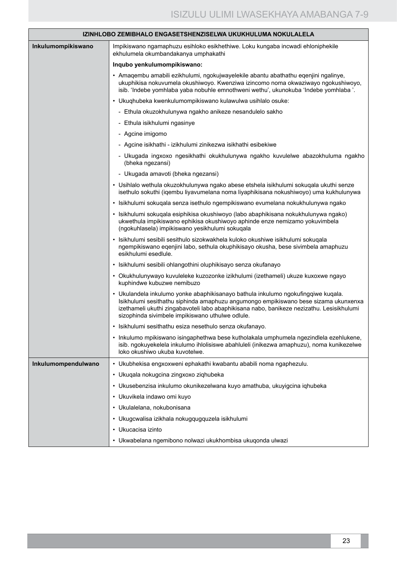| <u>IZINHLOBO ZEMIBHALO ENGASETSHENZISELWA UKUKHULUMA NOKULALELA</u> |                                                                                                                                                                                                                                                                                                                           |  |
|---------------------------------------------------------------------|---------------------------------------------------------------------------------------------------------------------------------------------------------------------------------------------------------------------------------------------------------------------------------------------------------------------------|--|
| Inkulumompikiswano                                                  | Impikiswano ngamaphuzu esihloko esikhethiwe. Loku kungaba incwadi ehloniphekile<br>ekhulumela okumbandakanya umphakathi                                                                                                                                                                                                   |  |
|                                                                     | Inqubo yenkulumompikiswano:                                                                                                                                                                                                                                                                                               |  |
|                                                                     | · Amaqembu amabili ezikhulumi, ngokujwayelekile abantu abathathu eqenjini ngalinye,<br>ukuphikisa nokuvumela okushiwoyo. Kwenziwa izincomo noma okwaziwayo ngokushiwoyo,<br>isib. 'Indebe yomhlaba yaba nobuhle emnothweni wethu', ukunokuba 'Indebe yomhlaba'.                                                           |  |
|                                                                     | · Ukuqhubeka kwenkulumompikiswano kulawulwa usihlalo osuke:                                                                                                                                                                                                                                                               |  |
|                                                                     | - Ethula okuzokhulunywa ngakho anikeze nesandulelo sakho                                                                                                                                                                                                                                                                  |  |
|                                                                     | - Ethula isikhulumi ngasinye                                                                                                                                                                                                                                                                                              |  |
|                                                                     | - Agcine imigomo                                                                                                                                                                                                                                                                                                          |  |
|                                                                     | - Agcine isikhathi - izikhulumi zinikezwa isikhathi esibekiwe                                                                                                                                                                                                                                                             |  |
|                                                                     | - Ukugada ingxoxo ngesikhathi okukhulunywa ngakho kuvulelwe abazokhuluma ngakho<br>(bheka ngezansi)                                                                                                                                                                                                                       |  |
|                                                                     | - Ukugada amavoti (bheka ngezansi)                                                                                                                                                                                                                                                                                        |  |
|                                                                     | • Usihlalo wethula okuzokhulunywa ngako abese etshela isikhulumi sokuqala ukuthi senze<br>isethulo sokuthi (igembu liyavumelana noma liyaphikisana nokushiwoyo) uma kukhulunywa                                                                                                                                           |  |
|                                                                     | · Isikhulumi sokuqala senza isethulo ngempikiswano evumelana nokukhulunywa ngako                                                                                                                                                                                                                                          |  |
|                                                                     | · Isikhulumi sokuqala esiphikisa okushiwoyo (labo abaphikisana nokukhulunywa ngako)<br>ukwethula impikiswano ephikisa okushiwoyo aphinde enze nemizamo yokuvimbela<br>(ngokuhlasela) impikiswano yesikhulumi sokuqala                                                                                                     |  |
|                                                                     | · Isikhulumi sesibili sesithulo sizokwakhela kuloko okushiwe isikhulumi sokuqala<br>ngempikiswano eqenjini labo, sethula okuphikisayo okusha, bese sivimbela amaphuzu<br>esikhulumi esedlule.                                                                                                                             |  |
|                                                                     | · Isikhulumi sesibili ohlangothini oluphikisayo senza okufanayo                                                                                                                                                                                                                                                           |  |
|                                                                     | · Okukhulunywayo kuvuleleke kuzozonke izikhulumi (izethameli) ukuze kuxoxwe ngayo<br>kuphindwe kubuzwe nemibuzo                                                                                                                                                                                                           |  |
|                                                                     | · Ukulandela inkulumo yonke abaphikisanayo bathula inkulumo ngokufingqiwe kuqala.<br>Isikhulumi sesithathu siphinda amaphuzu angumongo empikiswano bese sizama ukunxenxa<br>izethameli ukuthi zingabavoteli labo abaphikisana nabo, banikeze nezizathu. Lesisikhulumi<br>sizophinda sivimbele impikiswano uthulwe odlule. |  |
|                                                                     | · Isikhulumi sesithathu esiza nesethulo senza okufanayo.                                                                                                                                                                                                                                                                  |  |
|                                                                     | · Inkulumo mpikiswano isingaphethwa bese kutholakala umphumela ngezindlela ezehlukene,<br>isib. ngokuyekelela inkulumo ihlolisiswe abahluleli (inikezwa amaphuzu), noma kunikezelwe<br>loko okushiwo ukuba kuvotelwe.                                                                                                     |  |
| Inkulumompendulwano                                                 | · Ukubhekisa engxoxweni ephakathi kwabantu ababili noma ngaphezulu.                                                                                                                                                                                                                                                       |  |
|                                                                     | · Ukuqala nokugcina zingxoxo ziqhubeka                                                                                                                                                                                                                                                                                    |  |
|                                                                     | · Ukusebenzisa inkulumo okunikezelwana kuyo amathuba, ukuyigcina iqhubeka                                                                                                                                                                                                                                                 |  |
|                                                                     | · Ukuvikela indawo omi kuyo                                                                                                                                                                                                                                                                                               |  |
|                                                                     | · Ukulalelana, nokubonisana                                                                                                                                                                                                                                                                                               |  |
|                                                                     | • Ukugcwalisa izikhala nokugqugquzela isikhulumi                                                                                                                                                                                                                                                                          |  |
|                                                                     | • Ukucacisa izinto                                                                                                                                                                                                                                                                                                        |  |
|                                                                     | · Ukwabelana ngemibono nolwazi ukukhombisa ukuqonda ulwazi                                                                                                                                                                                                                                                                |  |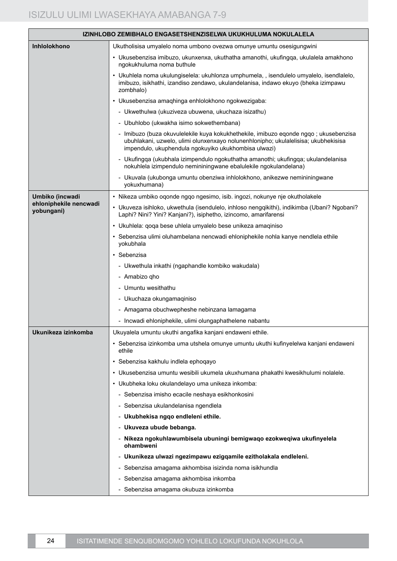| IZINHLOBO ZEMIBHALO ENGASETSHENZISELWA UKUKHULUMA NOKULALELA |                                                                                                                                                                                                                                    |  |
|--------------------------------------------------------------|------------------------------------------------------------------------------------------------------------------------------------------------------------------------------------------------------------------------------------|--|
| <b>Inhiolokhono</b>                                          | Ukutholisisa umyalelo noma umbono ovezwa omunye umuntu osesigungwini                                                                                                                                                               |  |
|                                                              | • Ukusebenzisa imibuzo, ukunxenxa, ukuthatha amanothi, ukufingqa, ukulalela amakhono<br>ngokukhuluma noma buthule                                                                                                                  |  |
|                                                              | · Ukuhlela noma ukulungiselela: ukuhlonza umphumela, , isendulelo umyalelo, isendlalelo,<br>imibuzo, isikhathi, izandiso zendawo, ukulandelanisa, indawo ekuyo (bheka izimpawu<br>zombhalo)                                        |  |
|                                                              | · Ukusebenzisa amaqhinga enhlolokhono ngokwezigaba:                                                                                                                                                                                |  |
|                                                              | - Ukwethulwa (ukuziveza ubuwena, ukuchaza isizathu)                                                                                                                                                                                |  |
|                                                              | - Ubuhlobo (ukwakha isimo sokwethembana)                                                                                                                                                                                           |  |
|                                                              | - Imibuzo (buza okuvulelekile kuya kokukhethekile, imibuzo eqonde ngqo; ukusebenzisa<br>ubuhlakani, uzwelo, ulimi olunxenxayo nolunenhlonipho; ukulalelisisa; ukubhekisisa<br>impendulo, ukuphendula ngokuyiko ukukhombisa ulwazi) |  |
|                                                              | - Ukufingqa (ukubhala izimpendulo ngokuthatha amanothi; ukufingqa; ukulandelanisa<br>nokuhlela izimpendulo nemininingwane ebalulekile ngokulandelana)                                                                              |  |
|                                                              | - Ukuvala (ukubonga umuntu obenziwa inhlolokhono, anikezwe nemininingwane<br>yokuxhumana)                                                                                                                                          |  |
| Umbiko (incwadi                                              | · Nikeza umbiko ogonde nggo ngesimo, isib. ingozi, nokunye nje okutholakele                                                                                                                                                        |  |
| ehloniphekile nencwadi<br>yobungani)                         | • Ukuveza isihloko, ukwethula (isendulelo, inhloso nengqikithi), indikimba (Ubani? Ngobani?<br>Laphi? Nini? Yini? Kanjani?), isiphetho, izincomo, amarifarensi                                                                     |  |
|                                                              | · Ukuhlela: qoqa bese uhlela umyalelo bese unikeza amaqiniso                                                                                                                                                                       |  |
|                                                              | • Sebenzisa ulimi oluhambelana nencwadi ehloniphekile nohla kanye nendlela ethile<br>yokubhala                                                                                                                                     |  |
|                                                              | • Sebenzisa                                                                                                                                                                                                                        |  |
|                                                              | - Ukwethula inkathi (ngaphandle kombiko wakudala)                                                                                                                                                                                  |  |
|                                                              | - Amabizo qho                                                                                                                                                                                                                      |  |
|                                                              | - Umuntu wesithathu                                                                                                                                                                                                                |  |
|                                                              | - Ukuchaza okungamaqiniso                                                                                                                                                                                                          |  |
|                                                              | - Amagama obuchwepheshe nebinzana lamagama                                                                                                                                                                                         |  |
|                                                              | - Incwadi ehloniphekile, ulimi olungaphathelene nabantu                                                                                                                                                                            |  |
| Ukunikeza izinkomba                                          | Ukuyalela umuntu ukuthi angafika kanjani endaweni ethile.                                                                                                                                                                          |  |
|                                                              | • Sebenzisa izinkomba uma utshela omunye umuntu ukuthi kufinyelelwa kanjani endaweni<br>ethile                                                                                                                                     |  |
|                                                              | · Sebenzisa kakhulu indlela ephoqayo                                                                                                                                                                                               |  |
|                                                              | • Ukusebenzisa umuntu wesibili ukumela ukuxhumana phakathi kwesikhulumi nolalele.                                                                                                                                                  |  |
|                                                              | · Ukubheka loku okulandelayo uma unikeza inkomba:                                                                                                                                                                                  |  |
|                                                              | - Sebenzisa imisho ecacile neshaya esikhonkosini                                                                                                                                                                                   |  |
|                                                              | - Sebenzisa ukulandelanisa ngendlela                                                                                                                                                                                               |  |
|                                                              | - Ukubhekisa ngqo endleleni ethile.                                                                                                                                                                                                |  |
|                                                              | - Ukuveza ubude bebanga.                                                                                                                                                                                                           |  |
|                                                              | - Nikeza ngokuhlawumbisela ubuningi bemigwaqo ezokweqiwa ukufinyelela<br>ohambweni                                                                                                                                                 |  |
|                                                              | - Ukunikeza ulwazi ngezimpawu ezigqamile ezitholakala endleleni.                                                                                                                                                                   |  |
|                                                              | - Sebenzisa amagama akhombisa isizinda noma isikhundla                                                                                                                                                                             |  |
|                                                              | - Sebenzisa amagama akhombisa inkomba                                                                                                                                                                                              |  |
|                                                              | - Sebenzisa amagama okubuza izinkomba                                                                                                                                                                                              |  |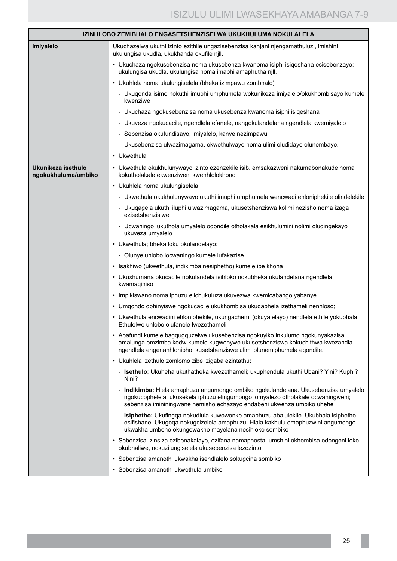| IZINHLOBO ZEMIBHALO ENGASETSHENZISELWA UKUKHULUMA NOKULALELA |                                                                                                                                                                                                                                                 |  |
|--------------------------------------------------------------|-------------------------------------------------------------------------------------------------------------------------------------------------------------------------------------------------------------------------------------------------|--|
| Imiyalelo                                                    | Ukuchazelwa ukuthi izinto ezithile ungazisebenzisa kanjani njengamathuluzi, imishini<br>ukulungisa ukudla, ukukhanda okufile njll.                                                                                                              |  |
|                                                              | · Ukuchaza ngokusebenzisa noma ukusebenza kwanoma isiphi isiqeshana esisebenzayo;<br>ukulungisa ukudla, ukulungisa noma imaphi amaphutha njll.                                                                                                  |  |
|                                                              | • Ukuhlela noma ukulungiselela (bheka izimpawu zombhalo)                                                                                                                                                                                        |  |
|                                                              | - Ukuqonda isimo nokuthi imuphi umphumela wokunikeza imiyalelo/okukhombisayo kumele<br>kwenziwe                                                                                                                                                 |  |
|                                                              | - Ukuchaza ngokusebenzisa noma ukusebenza kwanoma isiphi isiqeshana                                                                                                                                                                             |  |
|                                                              | - Ukuveza ngokucacile, ngendlela efanele, nangokulandelana ngendlela kwemiyalelo                                                                                                                                                                |  |
|                                                              | - Sebenzisa okufundisayo, imiyalelo, kanye nezimpawu                                                                                                                                                                                            |  |
|                                                              | - Ukusebenzisa ulwazimagama, okwethulwayo noma ulimi oludidayo olunembayo.                                                                                                                                                                      |  |
|                                                              | • Ukwethula                                                                                                                                                                                                                                     |  |
| Ukunikeza isethulo<br>ngokukhuluma/umbiko                    | · Ukwethula okukhulunywayo izinto ezenzekile isib. emsakazweni nakumabonakude noma<br>kokutholakale ekwenziweni kwenhlolokhono                                                                                                                  |  |
|                                                              | • Ukuhlela noma ukulungiselela                                                                                                                                                                                                                  |  |
|                                                              | - Ukwethula okukhulunywayo ukuthi imuphi umphumela wencwadi ehloniphekile olindelekile                                                                                                                                                          |  |
|                                                              | - Ukuqagela ukuthi iluphi ulwazimagama, ukusetshenziswa kolimi nezisho noma izaga<br>ezisetshenzisiwe                                                                                                                                           |  |
|                                                              | - Ucwaningo lukuthola umyalelo oqondile otholakala esikhulumini nolimi oludingekayo<br>ukuveza umyalelo                                                                                                                                         |  |
|                                                              | · Ukwethula; bheka loku okulandelayo:                                                                                                                                                                                                           |  |
|                                                              | - Olunye uhlobo locwaningo kumele lufakazise                                                                                                                                                                                                    |  |
|                                                              | · Isakhiwo (ukwethula, indikimba nesiphetho) kumele ibe khona                                                                                                                                                                                   |  |
|                                                              | • Ukuxhumana okucacile nokulandela isihloko nokubheka ukulandelana ngendlela<br>kwamaqiniso                                                                                                                                                     |  |
|                                                              | · Impikiswano noma iphuzu elichukuluza ukuvezwa kwemicabango yabanye                                                                                                                                                                            |  |
|                                                              | · Umqondo ophinyiswe ngokucacile ukukhombisa ukuqaphela izethameli nenhloso;                                                                                                                                                                    |  |
|                                                              | · Ukwethula encwadini ehloniphekile, ukungachemi (okuyalelayo) nendlela ethile yokubhala,<br>Ethulelwe uhlobo olufanele lwezethameli                                                                                                            |  |
|                                                              | • Abafundi kumele bagqugquzelwe ukusebenzisa ngokuyiko inkulumo ngokunyakazisa<br>amalunga omzimba kodw kumele kugwenywe ukusetshenziswa kokuchithwa kwezandla<br>ngendlela engenanhlonipho. kusetshenziswe ulimi olunemiphumela eqondile.      |  |
|                                                              | · Ukuhlela izethulo zomlomo zibe izigaba ezintathu:                                                                                                                                                                                             |  |
|                                                              | - Isethulo: Ukuheha ukuthatheka kwezethameli; ukuphendula ukuthi Ubani? Yini? Kuphi?<br>Nini?                                                                                                                                                   |  |
|                                                              | - Indikimba: Hlela amaphuzu angumongo ombiko ngokulandelana. Ukusebenzisa umyalelo<br>ngokucophelela; ukusekela iphuzu elingumongo lomyalezo otholakale ocwaningweni;<br>sebenzisa imininingwane nemisho echazayo endabeni ukwenza umbiko uhehe |  |
|                                                              | Isiphetho: Ukufingqa nokudlula kuwowonke amaphuzu abalulekile. Ukubhala isiphetho<br>esifishane. Ukugoqa nokugcizelela amaphuzu. Hlala kakhulu emaphuzwini angumongo<br>ukwakha umbono okungowakho mayelana nesihloko sombiko                   |  |
|                                                              | · Sebenzisa izinsiza ezibonakalayo, ezifana namaphosta, umshini okhombisa odongeni loko<br>okubhaliwe, nokuzilungiselela ukusebenzisa lezozinto                                                                                                 |  |
|                                                              | · Sebenzisa amanothi ukwakha isendlalelo sokugcina sombiko                                                                                                                                                                                      |  |
|                                                              | · Sebenzisa amanothi ukwethula umbiko                                                                                                                                                                                                           |  |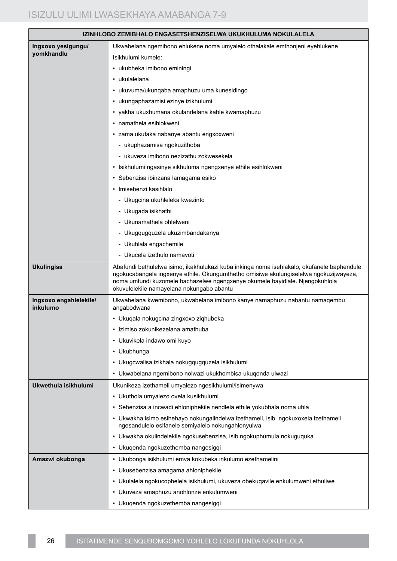| IZINHLOBO ZEMIBHALO ENGASETSHENZISELWA UKUKHULUMA NOKULALELA |                                                                                                                                                                                                                                                                                                                  |  |
|--------------------------------------------------------------|------------------------------------------------------------------------------------------------------------------------------------------------------------------------------------------------------------------------------------------------------------------------------------------------------------------|--|
| Ingxoxo yesigungu/                                           | Ukwabelana ngemibono ehlukene noma umyalelo othalakale emthonjeni eyehlukene                                                                                                                                                                                                                                     |  |
| yomkhandlu                                                   | Isikhulumi kumele:                                                                                                                                                                                                                                                                                               |  |
|                                                              | • ukubheka imibono eminingi                                                                                                                                                                                                                                                                                      |  |
|                                                              | • ukulalelana                                                                                                                                                                                                                                                                                                    |  |
|                                                              | • ukuvuma/ukunqaba amaphuzu uma kunesidingo                                                                                                                                                                                                                                                                      |  |
|                                                              | • ukungaphazamisi ezinye izikhulumi                                                                                                                                                                                                                                                                              |  |
|                                                              | • yakha ukuxhumana okulandelana kahle kwamaphuzu                                                                                                                                                                                                                                                                 |  |
|                                                              | • namathela esihlokweni                                                                                                                                                                                                                                                                                          |  |
|                                                              | · zama ukufaka nabanye abantu engxoxweni                                                                                                                                                                                                                                                                         |  |
|                                                              | - ukuphazamisa ngokuzithoba                                                                                                                                                                                                                                                                                      |  |
|                                                              | - ukuveza imibono nezizathu zokwesekela                                                                                                                                                                                                                                                                          |  |
|                                                              | · Isikhulumi ngasinye sikhuluma ngengxenye ethile esihlokweni                                                                                                                                                                                                                                                    |  |
|                                                              | · Sebenzisa ibinzana lamagama esiko                                                                                                                                                                                                                                                                              |  |
|                                                              | • Imisebenzi kasihlalo                                                                                                                                                                                                                                                                                           |  |
|                                                              | - Ukugcina ukuhleleka kwezinto                                                                                                                                                                                                                                                                                   |  |
|                                                              | - Ukugada isikhathi                                                                                                                                                                                                                                                                                              |  |
|                                                              | - Ukunamathela ohlelweni                                                                                                                                                                                                                                                                                         |  |
|                                                              | - Ukugqugquzela ukuzimbandakanya                                                                                                                                                                                                                                                                                 |  |
|                                                              | - Ukuhlala engachemile                                                                                                                                                                                                                                                                                           |  |
|                                                              | - Ukucela izethulo namavoti                                                                                                                                                                                                                                                                                      |  |
| <b>Ukulingisa</b>                                            | Abafundi bethulelwa isimo, ikakhulukazi kuba inkinga noma isehlakalo, okufanele baphendule<br>ngokucabangela ingxenye ethile. Okungumthetho omisiwe akulungiselelwa ngokuzijwayeza,<br>noma umfundi kuzomele bachazelwe ngengxenye okumele bayidlale. Njengokuhlola<br>okuvulelekile namayelana nokungabo abantu |  |
| Ingxoxo engahlelekile/<br>inkulumo                           | Ukwabelana kwemibono, ukwabelana imibono kanye namaphuzu nabantu namaqembu<br>angabodwana                                                                                                                                                                                                                        |  |
|                                                              | · Ukuqala nokugcina zingxoxo ziqhubeka                                                                                                                                                                                                                                                                           |  |
|                                                              | · Izimiso zokunikezelana amathuba                                                                                                                                                                                                                                                                                |  |
|                                                              | · Ukuvikela indawo omi kuyo                                                                                                                                                                                                                                                                                      |  |
|                                                              | • Ukubhunga                                                                                                                                                                                                                                                                                                      |  |
|                                                              | • Ukugcwalisa izikhala nokugqugquzela isikhulumi                                                                                                                                                                                                                                                                 |  |
|                                                              | • Ukwabelana ngemibono nolwazi ukukhombisa ukuqonda ulwazi                                                                                                                                                                                                                                                       |  |
| Ukwethula isikhulumi                                         | Ukunikeza izethameli umyalezo ngesikhulumi/isimenywa                                                                                                                                                                                                                                                             |  |
|                                                              | · Ukuthola umyalezo ovela kusikhulumi                                                                                                                                                                                                                                                                            |  |
|                                                              | · Sebenzisa a incwadi ehloniphekile nendlela ethile yokubhala noma uhla                                                                                                                                                                                                                                          |  |
|                                                              | · Ukwakha isimo esihehayo nokungalindelwa izethameli, isib. ngokuxoxela izethameli<br>ngesandulelo esifanele semiyalelo nokungahlonyulwa                                                                                                                                                                         |  |
|                                                              | • Ukwakha okulindelekile ngokusebenzisa, isib.ngokuphumula nokuguquka                                                                                                                                                                                                                                            |  |
|                                                              | • Ukuqenda ngokuzethemba nangesigqi                                                                                                                                                                                                                                                                              |  |
| Amazwi okubonga                                              | • Ukubonga isikhulumi emva kokubeka inkulumo ezethamelini                                                                                                                                                                                                                                                        |  |
|                                                              | • Ukusebenzisa amagama ahloniphekile                                                                                                                                                                                                                                                                             |  |
|                                                              | · Ukulalela ngokucophelela isikhulumi, ukuveza obekuqavile enkulumweni ethuliwe                                                                                                                                                                                                                                  |  |
|                                                              | • Ukuveza amaphuzu anohlonze enkulumweni                                                                                                                                                                                                                                                                         |  |
|                                                              | • Ukuqenda ngokuzethemba nangesigqi                                                                                                                                                                                                                                                                              |  |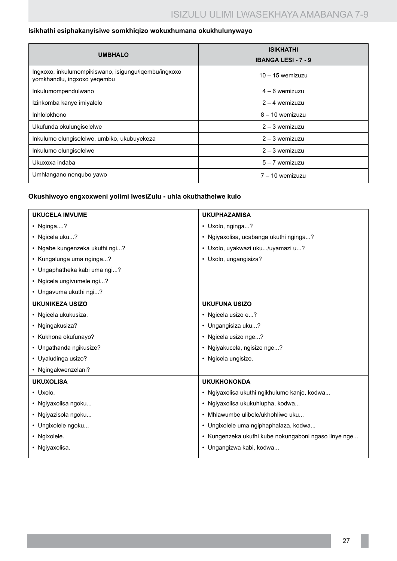#### **Isikhathi esiphakanyisiwe somkhiqizo wokuxhumana okukhulunywayo**

| <b>UMBHALO</b>                                                                      | <b>ISIKHATHI</b><br><b>IBANGA LESI - 7 - 9</b> |
|-------------------------------------------------------------------------------------|------------------------------------------------|
| Ingxoxo, inkulumompikiswano, isigungu/iqembu/ingxoxo<br>yomkhandlu, ingxoxo yeqembu | $10 - 15$ wemizuzu                             |
| Inkulumompendulwano                                                                 | $4 - 6$ wemizuzu                               |
| Izinkomba kanye imiyalelo                                                           | $2 - 4$ wemizuzu                               |
| Inhlolokhono                                                                        | $8 - 10$ wemizuzu                              |
| Ukufunda okulungiselelwe                                                            | $2 - 3$ wemizuzu                               |
| Inkulumo elungiselelwe, umbiko, ukubuyekeza                                         | $2 - 3$ wemizuzu                               |
| Inkulumo elungiselelwe                                                              | $2 - 3$ wemizuzu                               |
| Ukuxoxa indaba                                                                      | $5 - 7$ wemizuzu                               |
| Umhlangano nenqubo yawo                                                             | 7 – 10 wemizuzu                                |

#### **Okushiwoyo engxoxweni yolimi lwesiZulu - uhla okuthathelwe kulo**

| <b>UKUCELA IMVUME</b>          | <b>UKUPHAZAMISA</b>                                  |
|--------------------------------|------------------------------------------------------|
|                                |                                                      |
| • Nginga?                      | • Uxolo, nginga?                                     |
| · Ngicela uku?                 | · Ngiyaxolisa, ucabanga ukuthi nginga?               |
| · Ngabe kungenzeka ukuthi ngi? | · Uxolo, uyakwazi uku/uyamazi u?                     |
| • Kungalunga uma nginga?       | • Uxolo, ungangisiza?                                |
| • Ungaphatheka kabi uma ngi?   |                                                      |
| · Ngicela ungivumele ngi?      |                                                      |
| • Ungavuma ukuthi ngi?         |                                                      |
| <b>UKUNIKEZA USIZO</b>         | <b>UKUFUNA USIZO</b>                                 |
| · Ngicela ukukusiza.           | · Ngicela usizo e?                                   |
| • Ngingakusiza?                | · Ungangisiza uku?                                   |
| • Kukhona okufunayo?           | · Ngicela usizo nge?                                 |
| • Ungathanda ngikusize?        | · Ngiyakucela, ngisize nge?                          |
| • Uyaludinga usizo?            | • Ngicela ungisize.                                  |
| • Ngingakwenzelani?            |                                                      |
| <b>UKUXOLISA</b>               | <b>UKUKHONONDA</b>                                   |
| • Uxolo.                       | • Ngiyaxolisa ukuthi ngikhulume kanje, kodwa         |
| • Ngiyaxolisa ngoku            | · Ngiyaxolisa ukukuhlupha, kodwa                     |
| · Ngiyazisola ngoku            | • Mhlawumbe ulibele/ukhohliwe uku                    |
| • Ungixolele ngoku             | · Ungixolele uma ngiphaphalaza, kodwa                |
| • Ngixolele.                   | • Kungenzeka ukuthi kube nokungaboni ngaso linye nge |
| • Ngiyaxolisa.                 | • Ungangizwa kabi, kodwa                             |
|                                |                                                      |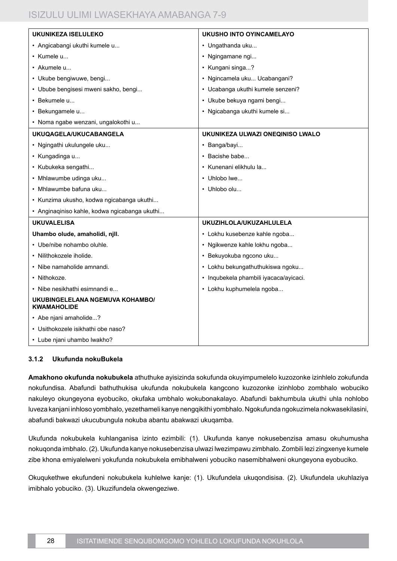| UKUNIKEZA ISELULEKO                                   | UKUSHO INTO OYINCAMELAYO               |
|-------------------------------------------------------|----------------------------------------|
| · Angicabangi ukuthi kumele u                         | • Ungathanda uku                       |
| • Kumele u                                            | • Ngingamane ngi                       |
| $\cdot$ Akumele u                                     | • Kungani singa?                       |
| • Ukube bengiwuwe, bengi                              | · Ngincamela uku Ucabangani?           |
| · Ubube bengisesi mweni sakho, bengi                  | • Ucabanga ukuthi kumele senzeni?      |
| $\cdot$ Bekumele u                                    | · Ukube bekuya ngami bengi             |
| • Bekungamele u                                       | · Ngicabanga ukuthi kumele si          |
| · Noma ngabe wenzani, ungalokothi u                   |                                        |
| UKUQAGELA/UKUCABANGELA                                | UKUNIKEZA ULWAZI ONEQINISO LWALO       |
| · Ngingathi ukulungele uku                            | · Banga/bayi                           |
| • Kungadinga u                                        | • Bacishe babe                         |
| • Kubukeka sengathi                                   | · Kunenani elikhulu la                 |
| • Mhlawumbe udinga uku                                | • Uhlobo lwe                           |
| • Mhlawumbe bafuna uku                                | • Uhlobo olu                           |
| · Kunzima ukusho, kodwa ngicabanga ukuthi             |                                        |
| · Anginaqiniso kahle, kodwa ngicabanga ukuthi         |                                        |
| <b>UKUVALELISA</b>                                    | UKUZIHLOLA/UKUZAHLULELA                |
| Uhambo olude, amaholidi, njll.                        | • Lokhu kusebenze kahle ngoba          |
| • Ube/nibe nohambo oluhle.                            | · Ngikwenze kahle lokhu ngoba          |
| • Nilithokozele iholide.                              | · Bekuyokuba ngcono uku                |
| • Nibe namaholide amnandi.                            | • Lokhu bekungathuthukiswa ngoku       |
| • Nithokoze.                                          | · Inqubekela phambili iyacaca/ayicaci. |
| • Nibe nesikhathi esimnandi e                         | · Lokhu kuphumelela ngoba              |
| UKUBINGELELANA NGEMUVA KOHAMBO/<br><b>KWAMAHOLIDE</b> |                                        |
| • Abe njani amaholide?                                |                                        |
| • Usithokozele isikhathi obe naso?                    |                                        |
| • Lube njani uhambo lwakho?                           |                                        |

#### **3.1.2 Ukufunda nokuBukela**

**Amakhono okufunda nokubukela** athuthuke ayisizinda sokufunda okuyimpumelelo kuzozonke izinhlelo zokufunda nokufundisa. Abafundi bathuthukisa ukufunda nokubukela kangcono kuzozonke izinhlobo zombhalo wobuciko nakuleyo okungeyona eyobuciko, okufaka umbhalo wokubonakalayo. Abafundi bakhumbula ukuthi uhla nohlobo luveza kanjani inhloso yombhalo, yezethameli kanye nengqikithi yombhalo. Ngokufunda ngokuzimela nokwasekilasini, abafundi bakwazi ukucubungula nokuba abantu abakwazi ukuqamba.

Ukufunda nokubukela kuhlanganisa izinto ezimbili: (1). Ukufunda kanye nokusebenzisa amasu okuhumusha nokuqonda imbhalo. (2). Ukufunda kanye nokusebenzisa ulwazi lwezimpawu zimbhalo. Zombili lezi zingxenye kumele zibe khona emiyalelweni yokufunda nokubukela emibhalweni yobuciko nasemibhalweni okungeyona eyobuciko.

Okuqukethwe ekufundeni nokubukela kuhlelwe kanje: (1). Ukufundela ukuqondisisa. (2). Ukufundela ukuhlaziya imibhalo yobuciko. (3). Ukuzifundela okwengeziwe.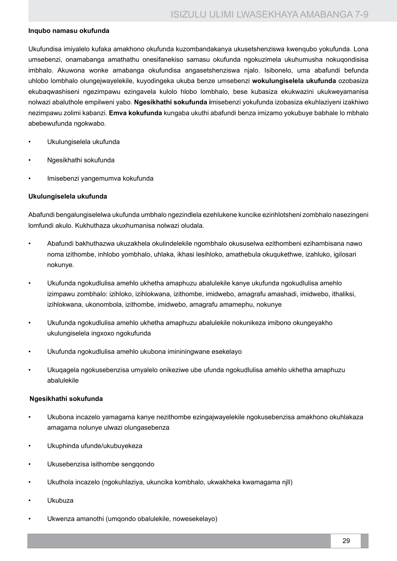#### **Inqubo namasu okufunda**

Ukufundisa imiyalelo kufaka amakhono okufunda kuzombandakanya ukusetshenziswa kwenqubo yokufunda. Lona umsebenzi, onamabanga amathathu onesifanekiso samasu okufunda ngokuzimela ukuhumusha nokuqondisisa imbhalo. Akuwona wonke amabanga okufundisa angasetshenziswa njalo. Isibonelo, uma abafundi befunda uhlobo lombhalo olungejwayelekile, kuyodingeka ukuba benze umsebenzi **wokulungiselela ukufunda** ozobasiza ekubaqwashiseni ngezimpawu ezingavela kulolo hlobo lombhalo, bese kubasiza ekukwazini ukukweyamanisa nolwazi abaluthole empilweni yabo. **Ngesikhathi sokufunda i**misebenzi yokufunda izobasiza ekuhlaziyeni izakhiwo nezimpawu zolimi kabanzi. **Emva kokufunda** kungaba ukuthi abafundi benza imizamo yokubuye babhale lo mbhalo abebewufunda ngokwabo.

- Ukulungiselela ukufunda
- Ngesikhathi sokufunda
- Imisebenzi yangemumva kokufunda

#### **Ukulungiselela ukufunda**

Abafundi bengalungiselelwa ukufunda umbhalo ngezindlela ezehlukene kuncike ezinhlotsheni zombhalo nasezingeni lomfundi akulo. Kukhuthaza ukuxhumanisa nolwazi oludala.

- Abafundi bakhuthazwa ukuzakhela okulindelekile ngombhalo okususelwa ezithombeni ezihambisana nawo noma izithombe, inhlobo yombhalo, uhlaka, ikhasi lesihloko, amathebula okuqukethwe, izahluko, igilosari nokunye.
- Ukufunda ngokudlulisa amehlo ukhetha amaphuzu abalulekile kanye ukufunda ngokudlulisa amehlo izimpawu zombhalo: izihloko, izihlokwana, izithombe, imidwebo, amagrafu amashadi, imidwebo, ithaliksi, izihlokwana, ukonombola, izithombe, imidwebo, amagrafu amamephu, nokunye
- Ukufunda ngokudlulisa amehlo ukhetha amaphuzu abalulekile nokunikeza imibono okungeyakho ukulungiselela ingxoxo ngokufunda
- Ukufunda ngokudlulisa amehlo ukubona imininingwane esekelayo
- Ukuqagela ngokusebenzisa umyalelo onikeziwe ube ufunda ngokudlulisa amehlo ukhetha amaphuzu abalulekile

#### **Ngesikhathi sokufunda**

- Ukubona incazelo yamagama kanye nezithombe ezingajwayelekile ngokusebenzisa amakhono okuhlakaza amagama nolunye ulwazi olungasebenza
- Ukuphinda ufunde/ukubuyekeza
- Ukusebenzisa isithombe sengqondo
- Ukuthola incazelo (ngokuhlaziya, ukuncika kombhalo, ukwakheka kwamagama njll)
- Ukubuza
- Ukwenza amanothi (umqondo obalulekile, nowesekelayo)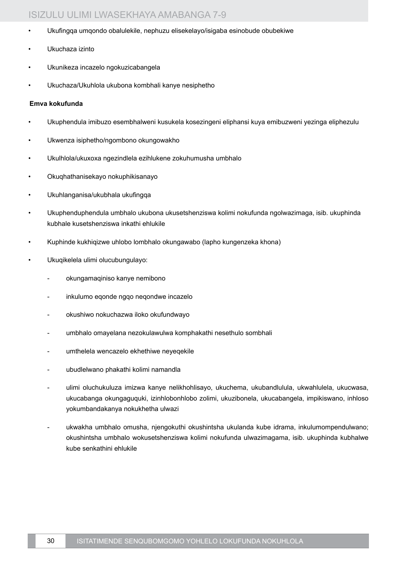- Ukufingqa umqondo obalulekile, nephuzu elisekelayo/isigaba esinobude obubekiwe
- Ukuchaza izinto
- Ukunikeza incazelo ngokuzicabangela
- Ukuchaza/Ukuhlola ukubona kombhali kanye nesiphetho

#### **Emva kokufunda**

- Ukuphendula imibuzo esembhalweni kusukela kosezingeni eliphansi kuya emibuzweni yezinga eliphezulu
- Ukwenza isiphetho/ngombono okungowakho
- Ukulhlola/ukuxoxa ngezindlela ezihlukene zokuhumusha umbhalo
- Okuqhathanisekayo nokuphikisanayo
- Ukuhlanganisa/ukubhala ukufingqa
- Ukuphenduphendula umbhalo ukubona ukusetshenziswa kolimi nokufunda ngolwazimaga, isib. ukuphinda kubhale kusetshenziswa inkathi ehlukile
- Kuphinde kukhiqizwe uhlobo lombhalo okungawabo (lapho kungenzeka khona)
- Ukuqikelela ulimi olucubungulayo:
	- okungamaqiniso kanye nemibono
	- inkulumo eqonde ngqo neqondwe incazelo
	- okushiwo nokuchazwa iloko okufundwayo
	- umbhalo omayelana nezokulawulwa komphakathi nesethulo sombhali
	- umthelela wencazelo ekhethiwe neyeqekile
	- ubudlelwano phakathi kolimi namandla
	- ulimi oluchukuluza imizwa kanye nelikhohlisayo, ukuchema, ukubandlulula, ukwahlulela, ukucwasa, ukucabanga okungaguquki, izinhlobonhlobo zolimi, ukuzibonela, ukucabangela, impikiswano, inhloso yokumbandakanya nokukhetha ulwazi
	- ukwakha umbhalo omusha, njengokuthi okushintsha ukulanda kube idrama, inkulumompendulwano; okushintsha umbhalo wokusetshenziswa kolimi nokufunda ulwazimagama, isib. ukuphinda kubhalwe kube senkathini ehlukile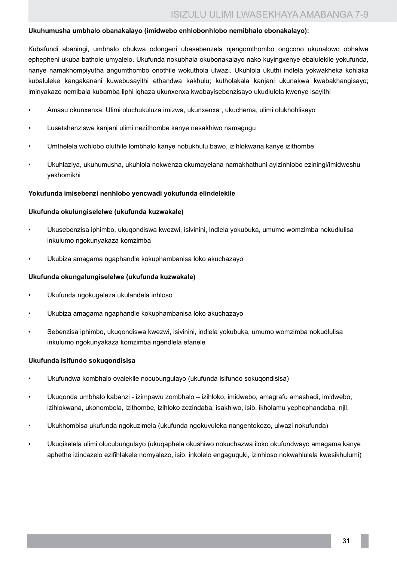#### **Ukuhumusha umbhalo obanakalayo (imidwebo enhlobonhlobo nemibhalo ebonakalayo):**

Kubafundi abaningi, umbhalo obukwa odongeni ubasebenzela njengomthombo ongcono ukunalowo obhalwe ephepheni ukuba bathole umyalelo. Ukufunda nokubhala okubonakalayo nako kuyingxenye ebalulekile yokufunda, nanye namakhompiyutha angumthombo onothile wokuthola ulwazi. Ukuhlola ukuthi indlela yokwakheka kohlaka kubaluleke kangakanani kuwebusayithi ethandwa kakhulu; kutholakala kanjani ukunakwa kwabakhangisayo; iminyakazo nemibala kubamba liphi iqhaza ukunxenxa kwabayisebenzisayo ukudlulela kwenye isayithi

- Amasu okunxenxa: Ulimi oluchukuluza imizwa, ukunxenxa , ukuchema, ulimi olukhohlisayo
- Lusetshenziswe kanjani ulimi nezithombe kanye nesakhiwo namagugu
- Umthelela wohlobo oluthile lombhalo kanye nobukhulu bawo, izihlokwana kanye izithombe
- Ukuhlaziya, ukuhumusha, ukuhlola nokwenza okumayelana namakhathuni ayizinhlobo eziningi/imidweshu yekhomikhi

#### **Yokufunda imisebenzi nenhlobo yencwadi yokufunda elindelekile**

#### **Ukufunda okulungiselelwe (ukufunda kuzwakale)**

- Ukusebenzisa iphimbo, ukuqondiswa kwezwi, isivinini, indlela yokubuka, umumo womzimba nokudlulisa inkulumo ngokunyakaza komzimba
- Ukubiza amagama ngaphandle kokuphambanisa loko akuchazayo

#### **Ukufunda okungalungiselelwe (ukufunda kuzwakale)**

- Ukufunda ngokugeleza ukulandela inhloso
- Ukubiza amagama ngaphandle kokuphambanisa loko akuchazayo
- Sebenzisa iphimbo, ukuqondiswa kwezwi, isivinini, indlela yokubuka, umumo womzimba nokudlulisa inkulumo ngokunyakaza komzimba ngendlela efanele

#### **Ukufunda isifundo sokuqondisisa**

- Ukufundwa kombhalo ovalekile nocubungulayo (ukufunda isifundo sokuqondisisa)
- Ukuqonda umbhalo kabanzi izimpawu zombhalo izihloko, imidwebo, amagrafu amashadi, imidwebo, izihlokwana, ukonombola, izithombe, izihloko zezindaba, isakhiwo, isib. ikholamu yephephandaba, njll.
- Ukukhombisa ukufunda ngokuzimela (ukufunda ngokuvuleka nangentokozo, ulwazi nokufunda)
- Ukuqikelela ulimi olucubungulayo (ukuqaphela okushiwo nokuchazwa iloko okufundwayo amagama kanye aphethe izincazelo ezifihlakele nomyalezo, isib. inkolelo engaguquki, izinhloso nokwahlulela kwesikhulumi)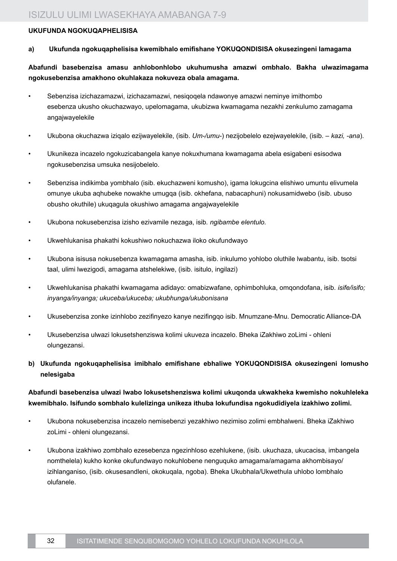## **UKUFUNDA NGOKUQAPHELISISA**

## **a) Ukufunda ngokuqaphelisisa kwemibhalo emifishane YOKUQONDISISA okusezingeni lamagama**

**Abafundi basebenzisa amasu anhlobonhlobo ukuhumusha amazwi ombhalo. Bakha ulwazimagama ngokusebenzisa amakhono okuhlakaza nokuveza obala amagama.**

- Sebenzisa izichazamazwi, izichazamazwi, nesiqoqela ndawonye amazwi neminye imithombo esebenza ukusho okuchazwayo, upelomagama, ukubizwa kwamagama nezakhi zenkulumo zamagama angajwayelekile
- Ukubona okuchazwa iziqalo ezijwayelekile, (isib. *Um-/umu-*) nezijobelelo ezejwayelekile, (isib.  *kazi, -ana*).
- Ukunikeza incazelo ngokuzicabangela kanye nokuxhumana kwamagama abela esigabeni esisodwa ngokusebenzisa umsuka nesijobelelo.
- Sebenzisa indikimba yombhalo (isib. ekuchazweni komusho), igama lokugcina elishiwo umuntu elivumela omunye ukuba aqhubeke nowakhe umugqa (isib. okhefana, nabacaphuni) nokusamidwebo (isib. ubuso obusho okuthile) ukuqagula okushiwo amagama angajwayelekile
- Ukubona nokusebenzisa izisho ezivamile nezaga, isib*. ngibambe elentulo.*
- Ukwehlukanisa phakathi kokushiwo nokuchazwa iloko okufundwayo
- Ukubona isisusa nokusebenza kwamagama amasha, isib. inkulumo yohlobo oluthile lwabantu, isib. tsotsi taal, ulimi lwezigodi, amagama atshelekiwe, (isib. isitulo, ingilazi)
- Ukwehlukanisa phakathi kwamagama adidayo: omabizwafane, ophimbohluka, omqondofana, isib. *isife/isifo; inyanga/inyanga; ukuceba/ukuceba; ukubhunga/ukubonisana*
- Ukusebenzisa zonke izinhlobo zezifinyezo kanye nezifingqo isib. Mnumzane-Mnu. Democratic Alliance-DA
- Ukusebenzisa ulwazi lokusetshenziswa kolimi ukuveza incazelo. Bheka iZakhiwo zoLimi ohleni olungezansi.
- **b) Ukufunda ngokuqaphelisisa imibhalo emifishane ebhaliwe YOKUQONDISISA okusezingeni lomusho nelesigaba**

# **Abafundi basebenzisa ulwazi lwabo lokusetshenziswa kolimi ukuqonda ukwakheka kwemisho nokuhleleka kwemibhalo. Isifundo sombhalo kulelizinga unikeza ithuba lokufundisa ngokudidiyela izakhiwo zolimi.**

- Ukubona nokusebenzisa incazelo nemisebenzi yezakhiwo nezimiso zolimi embhalweni. Bheka iZakhiwo zoLimi - ohleni olungezansi.
- Ukubona izakhiwo zombhalo ezesebenza ngezinhloso ezehlukene, (isib. ukuchaza, ukucacisa, imbangela nomthelela) kukho konke okufundwayo nokuhlobene nenguquko amagama/amagama akhombisayo/ izihlanganiso, (isib. okusesandleni, okokuqala, ngoba). Bheka Ukubhala/Ukwethula uhlobo lombhalo olufanele.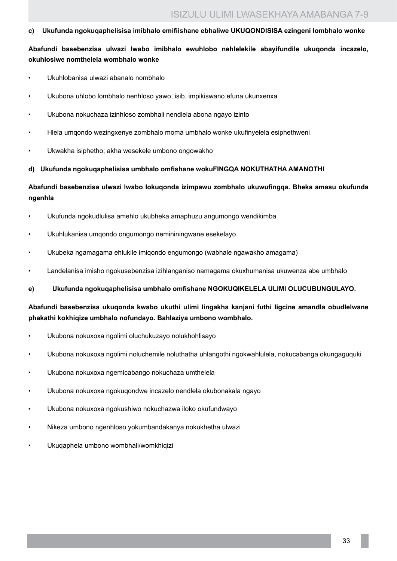**c) Ukufunda ngokuqaphelisisa imibhalo emifiishane ebhaliwe UKUQONDISISA ezingeni lombhalo wonke** 

# **Abafundi basebenzisa ulwazi lwabo imibhalo ewuhlobo nehlelekile abayifundile ukuqonda incazelo, okuhlosiwe nomthelela wombhalo wonke**

- Ukuhlobanisa ulwazi abanalo nombhalo
- Ukubona uhlobo lombhalo nenhloso yawo, isib. impikiswano efuna ukunxenxa
- Ukubona nokuchaza izinhloso zombhali nendlela abona ngayo izinto
- Hlela umqondo wezingxenye zombhalo moma umbhalo wonke ukufinyelela esiphethweni
- Ukwakha isiphetho; akha wesekele umbono ongowakho
- **d) Ukufunda ngokuqaphelisisa umbhalo omfishane wokuFINGQA NOKUTHATHA AMANOTHI**

# **Abafundi basebenzisa ulwazi lwabo lokuqonda izimpawu zombhalo ukuwufingqa. Bheka amasu okufunda ngenhla**

- Ukufunda ngokudlulisa amehlo ukubheka amaphuzu angumongo wendikimba
- Ukuhlukanisa umqondo ongumongo nemininingwane esekelayo
- Ukubeka ngamagama ehlukile imiqondo engumongo (wabhale ngawakho amagama)
- Landelanisa imisho ngokusebenzisa izihlanganiso namagama okuxhumanisa ukuwenza abe umbhalo

# **e) Ukufunda ngokuqaphelisisa umbhalo omfishane NGOKUQIKELELA ULIMI OLUCUBUNGULAYO.**

# **Abafundi basebenzisa ukuqonda kwabo ukuthi ulimi lingakha kanjani futhi ligcine amandla obudlelwane phakathi kokhiqize umbhalo nofundayo. Bahlaziya umbono wombhalo.**

- Ukubona nokuxoxa ngolimi oluchukuzayo nolukhohlisayo
- Ukubona nokuxoxa ngolimi noluchemile noluthatha uhlangothi ngokwahlulela, nokucabanga okungaguquki
- Ukubona nokuxoxa ngemicabango nokuchaza umthelela
- Ukubona nokuxoxa ngokuqondwe incazelo nendlela okubonakala ngayo
- Ukubona nokuxoxa ngokushiwo nokuchazwa iloko okufundwayo
- Nikeza umbono ngenhloso yokumbandakanya nokukhetha ulwazi
- Ukuqaphela umbono wombhali/womkhiqizi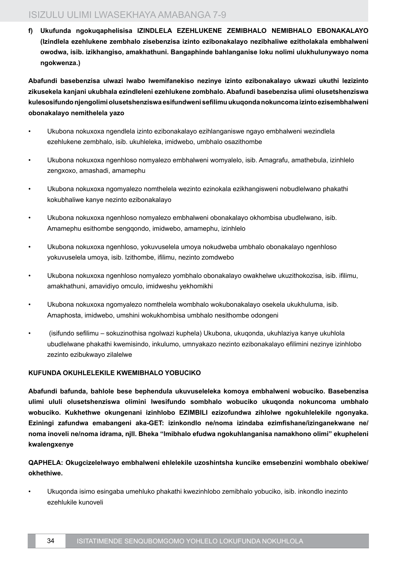**f) Ukufunda ngokuqaphelisisa IZINDLELA EZEHLUKENE ZEMIBHALO NEMIBHALO EBONAKALAYO (Izindlela ezehlukene zembhalo zisebenzisa izinto ezibonakalayo nezibhaliwe ezitholakala embhalweni owodwa, isib. izikhangiso, amakhathuni. Bangaphinde bahlanganise loku nolimi ulukhulunywayo noma ngokwenza.)** 

**Abafundi basebenzisa ulwazi lwabo lwemifanekiso nezinye izinto ezibonakalayo ukwazi ukuthi lezizinto zikusekela kanjani ukubhala ezindleleni ezehlukene zombhalo. Abafundi basebenzisa ulimi olusetshenziswa kulesosifundo njengolimi olusetshenziswa esifundweni sefilimu ukuqonda nokuncoma izinto ezisembhalweni obonakalayo nemithelela yazo** 

- Ukubona nokuxoxa ngendlela izinto ezibonakalayo ezihlanganiswe ngayo embhalweni wezindlela ezehlukene zembhalo, isib. ukuhleleka, imidwebo, umbhalo osazithombe
- Ukubona nokuxoxa ngenhloso nomyalezo embhalweni womyalelo, isib. Amagrafu, amathebula, izinhlelo zengxoxo, amashadi, amamephu
- Ukubona nokuxoxa ngomyalezo nomthelela wezinto ezinokala ezikhangisweni nobudlelwano phakathi kokubhaliwe kanye nezinto ezibonakalayo
- Ukubona nokuxoxa ngenhloso nomyalezo embhalweni obonakalayo okhombisa ubudlelwano, isib. Amamephu esithombe sengqondo, imidwebo, amamephu, izinhlelo
- Ukubona nokuxoxa ngenhloso, yokuvuselela umoya nokudweba umbhalo obonakalayo ngenhloso yokuvuselela umoya, isib. Izithombe, ifilimu, nezinto zomdwebo
- Ukubona nokuxoxa ngenhloso nomyalezo yombhalo obonakalayo owakhelwe ukuzithokozisa, isib. ifilimu, amakhathuni, amavidiyo omculo, imidweshu yekhomikhi
- Ukubona nokuxoxa ngomyalezo nomthelela wombhalo wokubonakalayo osekela ukukhuluma, isib. Amaphosta, imidwebo, umshini wokukhombisa umbhalo nesithombe odongeni
- (isifundo sefilimu sokuzinothisa ngolwazi kuphela) Ukubona, ukuqonda, ukuhlaziya kanye ukuhlola ubudlelwane phakathi kwemisindo, inkulumo, umnyakazo nezinto ezibonakalayo efilimini nezinye izinhlobo zezinto ezibukwayo zilalelwe

# **KUFUNDA OKUHLELEKILE KWEMIBHALO YOBUCIKO**

**Abafundi bafunda, bahlole bese bephendula ukuvuseleleka komoya embhalweni wobuciko. Basebenzisa ulimi ululi olusetshenziswa olimini lwesifundo sombhalo wobuciko ukuqonda nokuncoma umbhalo wobuciko. Kukhethwe okungenani izinhlobo EZIMBILI ezizofundwa zihlolwe ngokuhlelekile ngonyaka. Eziningi zafundwa emabangeni aka-GET: izinkondlo ne/noma izindaba ezimfishane/izinganekwane ne/ noma inoveli ne/noma idrama, njll. Bheka "Imibhalo efudwa ngokuhlanganisa namakhono olimi" ekupheleni kwalengxenye**

**QAPHELA: Okugcizelelwayo embhalweni ehlelekile uzoshintsha kuncike emsebenzini wombhalo obekiwe/ okhethiwe.**

• Ukuqonda isimo esingaba umehluko phakathi kwezinhlobo zemibhalo yobuciko, isib. inkondlo inezinto ezehlukile kunoveli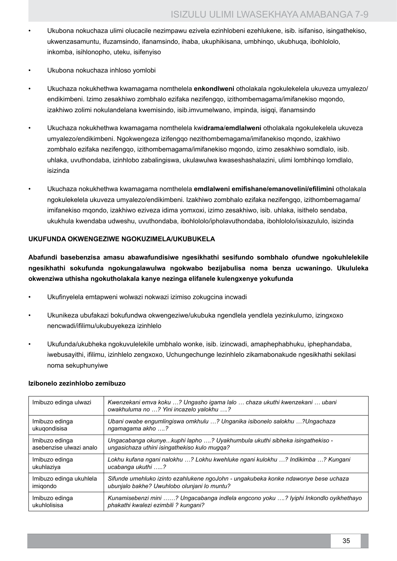- Ukubona nokuchaza ulimi olucacile nezimpawu ezivela ezinhlobeni ezehlukene, isib. isifaniso, isingathekiso, ukwenzasamuntu, ifuzamsindo, ifanamsindo, ihaba, ukuphikisana, umbhinqo, ukubhuqa, ibohlololo, inkomba, isihlonopho, uteku, isifenyiso
- Ukubona nokuchaza inhloso yomlobi
- Ukuchaza nokukhethwa kwamagama nomthelela **enkondlweni** otholakala ngokulekelela ukuveza umyalezo/ endikimbeni. Izimo zesakhiwo zombhalo ezifaka nezifenggo, izithombemagama/imifanekiso mgondo, izakhiwo zolimi nokulandelana kwemisindo, isib.imvumelwano, impinda, isigqi, ifanamsindo
- Ukuchaza nokukhethwa kwamagama nomthelela kwi**drama**/**emdlalweni** otholakala ngokulekelela ukuveza umyalezo/endikimbeni. Ngokwengeza izifengqo nezithombemagama/imifanekiso mqondo, izakhiwo zombhalo ezifaka nezifengqo, izithombemagama/imifanekiso mqondo, izimo zesakhiwo somdlalo, isib. uhlaka, uvuthondaba, izinhlobo zabalingiswa, ukulawulwa kwaseshashalazini, ulimi lombhinqo lomdlalo, isizinda
- Ukuchaza nokukhethwa kwamagama nomthelela **emdlalweni emifishane/emanovelini/efilimini** otholakala ngokulekelela ukuveza umyalezo/endikimbeni. Izakhiwo zombhalo ezifaka nezifengqo, izithombemagama/ imifanekiso mqondo, izakhiwo eziveza idima yomxoxi, izimo zesakhiwo, isib. uhlaka, isithelo sendaba, ukukhula kwendaba udweshu, uvuthondaba, ibohlololo/ipholavuthondaba, ibohlololo/isixazululo, isizinda

# **UKUFUNDA OKWENGEZIWE NGOKUZIMELA/UKUBUKELA**

**Abafundi basebenzisa amasu abawafundisiwe ngesikhathi sesifundo sombhalo ofundwe ngokuhlelekile ngesikhathi sokufunda ngokungalawulwa ngokwabo bezijabulisa noma benza ucwaningo. Ukululeka okwenziwa uthisha ngokutholakala kanye nezinga elifanele kulengxenye yokufunda** 

- Ukufinyelela emtapweni wolwazi nokwazi izimiso zokugcina incwadi
- Ukunikeza ubufakazi bokufundwa okwengeziwe/ukubuka ngendlela yendlela yezinkulumo, izingxoxo nencwadi/ifilimu/ukubuyekeza izinhlelo
- Ukufunda/ukubheka ngokuvulelekile umbhalo wonke, isib. izincwadi, amaphephabhuku, iphephandaba, iwebusayithi, ifilimu, izinhlelo zengxoxo, Uchungechunge lezinhlelo zikamabonakude ngesikhathi sekilasi noma sekuphunyiwe

#### **Izibonelo zezinhlobo zemibuzo**

| Imibuzo edinga ulwazi   | Kwenzekani emva koku ? Ungasho igama lalo  chaza ukuthi kwenzekani  ubani<br>owakhuluma no ? Yini incazelo yalokhu ? |
|-------------------------|----------------------------------------------------------------------------------------------------------------------|
| Imibuzo edinga          | Ubani owabe engumlingiswa omkhulu ? Unganika isibonelo salokhu ?Ungachaza                                            |
| ukuqondisisa            | ngamagama akho ?                                                                                                     |
| Imibuzo edinga          | Ungacabanga okunyekuphi lapho ? Uyakhumbula ukuthi sibheka isingathekiso -                                           |
| asebenzise ulwazi analo | ungasichaza uthini isingathekiso kulo mugqa?                                                                         |
| Imibuzo edinga          | Lokhu kufana ngani nalokhu ? Lokhu kwehluke ngani kulokhu ? Indikimba ? Kungani                                      |
| ukuhlaziya              | ucabanga ukuthi ?                                                                                                    |
| Imibuzo edinga ukuhlela | Sifunde umehluko izinto ezahlukene ngoJohn - ungakubeka konke ndawonye bese uchaza                                   |
| imigondo                | ubunjalo bakhe? Uwuhlobo olunjani lo muntu?                                                                          |
| Imibuzo edinga          | Kunamisebenzi mini ? Ungacabanga indlela engcono yoku ? Iyiphi Inkondlo oyikhethayo                                  |
| ukuhlolisisa            | phakathi kwalezi ezimbili ? kungani?                                                                                 |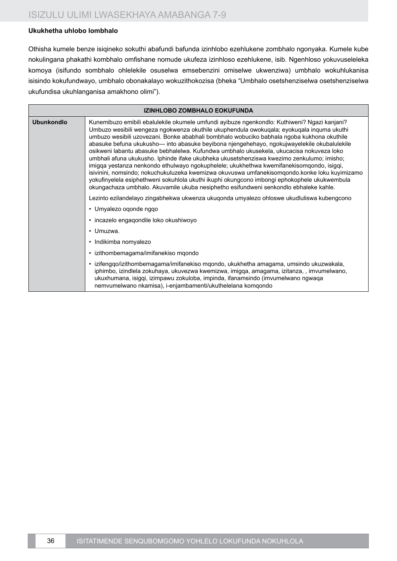## **Ukukhetha uhlobo lombhalo**

Othisha kumele benze isiqineko sokuthi abafundi bafunda izinhlobo ezehlukene zombhalo ngonyaka. Kumele kube nokulingana phakathi kombhalo omfishane nomude ukufeza izinhloso ezehlukene, isib. Ngenhloso yokuvuseleleka komoya (isifundo sombhalo ohlelekile osuselwa emsebenzini omiselwe ukwenziwa) umbhalo wokuhlukanisa isisindo kokufundwayo, umbhalo obonakalayo wokuzithokozisa (bheka "Umbhalo osetshenziselwa osetshenziselwa ukufundisa ukuhlanganisa amakhono olimi").

|            | IZINHLOBO ZOMBHALO EOKUFUNDA                                                                                                                                                                                                                                                                                                                                                                                                                                                                                                                                                                                                                                                                                                                                                                                                                                                                                                                                          |
|------------|-----------------------------------------------------------------------------------------------------------------------------------------------------------------------------------------------------------------------------------------------------------------------------------------------------------------------------------------------------------------------------------------------------------------------------------------------------------------------------------------------------------------------------------------------------------------------------------------------------------------------------------------------------------------------------------------------------------------------------------------------------------------------------------------------------------------------------------------------------------------------------------------------------------------------------------------------------------------------|
| Ubunkondlo | Kunemibuzo emibili ebalulekile okumele umfundi ayibuze ngenkondlo: Kuthiweni? Ngazi kanjani?<br>Umbuzo wesibili wengeza ngokwenza okuthile ukuphendula owokuqala; eyokuqala inquma ukuthi<br>umbuzo wesibili uzovezani. Bonke ababhali bombhalo wobuciko babhala ngoba kukhona okuthile<br>abasuke befuna ukukusho- into abasuke beyibona njengehehayo, ngokujwayelekile okubalulekile<br>osikweni labantu abasuke bebhalelwa. Kufundwa umbhalo ukusekela, ukucacisa nokuveza loko<br>umbhali afuna ukukusho. Iphinde ifake ukubheka ukusetshenziswa kwezimo zenkulumo; imisho;<br>imigqa yestanza nenkondo ethulwayo ngokuphelele; ukukhethwa kwemifanekisomqondo, isigqi,<br>isivinini, nomsindo; nokuchukuluzeka kwemizwa okuvuswa umfanekisomqondo.konke loku kuyimizamo<br>yokufinyelela esiphethweni sokuhlola ukuthi ikuphi okungcono imbongi ephokophele ukukwembula<br>okungachaza umbhalo. Akuvamile ukuba nesiphetho esifundweni senkondlo ebhaleke kahle. |
|            | Lezinto ezilandelayo zingabhekwa ukwenza ukuqonda umyalezo ohloswe ukudluliswa kubengcono                                                                                                                                                                                                                                                                                                                                                                                                                                                                                                                                                                                                                                                                                                                                                                                                                                                                             |
|            | • Umyalezo ogonde ngqo                                                                                                                                                                                                                                                                                                                                                                                                                                                                                                                                                                                                                                                                                                                                                                                                                                                                                                                                                |
|            | · incazelo engaqondile loko okushiwoyo                                                                                                                                                                                                                                                                                                                                                                                                                                                                                                                                                                                                                                                                                                                                                                                                                                                                                                                                |
|            | $\cdot$ Umuzwa.                                                                                                                                                                                                                                                                                                                                                                                                                                                                                                                                                                                                                                                                                                                                                                                                                                                                                                                                                       |
|            | Indikimba nomyalezo<br>٠                                                                                                                                                                                                                                                                                                                                                                                                                                                                                                                                                                                                                                                                                                                                                                                                                                                                                                                                              |
|            | • izithombemagama/imifanekiso mqondo                                                                                                                                                                                                                                                                                                                                                                                                                                                                                                                                                                                                                                                                                                                                                                                                                                                                                                                                  |
|            | izifengqo/izithombemagama/imifanekiso mqondo, ukukhetha amagama, umsindo ukuzwakala,<br>$\bullet$<br>iphimbo, izindlela zokuhaya, ukuvezwa kwemizwa, imigqa, amagama, izitanza, , imvumelwano,<br>ukuxhumana, isigqi, izimpawu zokuloba, impinda, ifanamsindo (imvumelwano ngwaqa<br>nemvumelwano nkamisa), i-enjambamenti/ukuthelelana komqondo                                                                                                                                                                                                                                                                                                                                                                                                                                                                                                                                                                                                                      |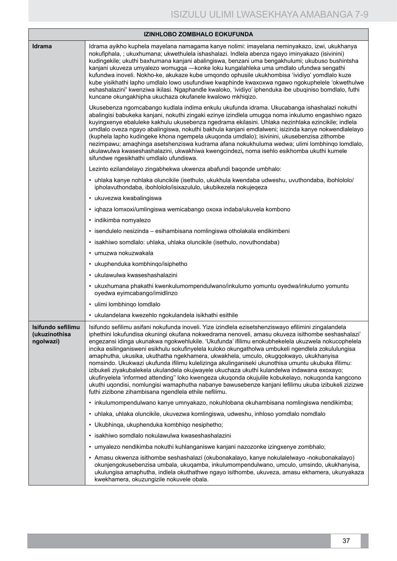| IZINHLOBO ZOMBHALO EOKUFUNDA                    |                                                                                                                                                                                                                                                                                                                                                                                                                                                                                                                                                                                                                                                                                                                                                                                                                                                                                                                                                                                        |  |
|-------------------------------------------------|----------------------------------------------------------------------------------------------------------------------------------------------------------------------------------------------------------------------------------------------------------------------------------------------------------------------------------------------------------------------------------------------------------------------------------------------------------------------------------------------------------------------------------------------------------------------------------------------------------------------------------------------------------------------------------------------------------------------------------------------------------------------------------------------------------------------------------------------------------------------------------------------------------------------------------------------------------------------------------------|--|
| <b>Idrama</b>                                   | Idrama ayikho kuphela mayelana namagama kanye nolimi: imayelana neminyakazo, izwi, ukukhanya<br>nokufiphala, ; ukuxhumana; ukwethulela ishashalazi. Indlela abenza ngayo iminyakazo (isivinini)<br>kudingekile; ukuthi baxhumana kanjani abalingiswa, benzani uma bengakhulumi; ukubuso bushintsha<br>kanjani ukuveza umyalezo womugqa -konke loku kungalahleka uma umdlalo ufundwa sengathi<br>kufundwa inoveli. Nokho-ke, akukaze kube umqondo ophusile ukukhombisa 'ividiyo' yomdlalo kuze<br>kube yisikhathi lapho umdlalo lowo usufundiwe kwaphinde kwaxoxwa ngawo ngokuphelele 'okwethulwe<br>eshashalazini' kwenziwa ikilasi. Ngaphandle kwaloko, 'ividiyo' iphenduka ibe ubuqiniso bomdlalo, futhi<br>kuncane okungakhipha ukuchaza okufanele kwalowo mkhiqizo.                                                                                                                                                                                                                |  |
|                                                 | Ukusebenza ngomcabango kudlala indima enkulu ukufunda idrama. Ukucabanga ishashalazi nokuthi<br>abalingisi babukeka kanjani, nokuthi zingaki ezinye izindlela umugqa noma inkulumo engashiwo ngazo<br>kuyingxenye ebaluleke kakhulu ukusebenza ngedrama ekilasini. Uhlaka nezinhlaka ezincikile; indlela<br>umdlalo oveza ngayo abalingiswa, nokuthi bakhula kanjani emdlalweni; isizinda kanye nokwendlalelayo<br>(kuphela lapho kudingeke khona ngempela ukuqonda umdlalo); isivinini, ukusebenzisa zithombe<br>nezimpawu; amaqhinga asetshenziswa kudrama afana nokukhuluma wedwa; ulimi lombhinqo lomdlalo,<br>ukulawulwa kwaseshashalazini, ukwakhiwa kwengcindezi, noma isehlo esikhomba ukuthi kumele<br>sifundwe ngesikhathi umdlalo ufundiswa.                                                                                                                                                                                                                                |  |
|                                                 | Lezinto ezilandelayo zingabhekwa ukwenza abafundi baqonde umbhalo:                                                                                                                                                                                                                                                                                                                                                                                                                                                                                                                                                                                                                                                                                                                                                                                                                                                                                                                     |  |
|                                                 | · uhlaka kanye nohlaka oluncikile (isethulo, ukukhula kwendaba udweshu, uvuthondaba, ibohlololo/<br>ipholavuthondaba, ibohlololo/isixazululo, ukubikezela nokujeqeza                                                                                                                                                                                                                                                                                                                                                                                                                                                                                                                                                                                                                                                                                                                                                                                                                   |  |
|                                                 | • ukuvezwa kwabalingiswa                                                                                                                                                                                                                                                                                                                                                                                                                                                                                                                                                                                                                                                                                                                                                                                                                                                                                                                                                               |  |
|                                                 | · iqhaza lomxoxi/umlingiswa wemicabango oxoxa indaba/ukuvela kombono                                                                                                                                                                                                                                                                                                                                                                                                                                                                                                                                                                                                                                                                                                                                                                                                                                                                                                                   |  |
|                                                 | · indikimba nomyalezo                                                                                                                                                                                                                                                                                                                                                                                                                                                                                                                                                                                                                                                                                                                                                                                                                                                                                                                                                                  |  |
|                                                 | · isendulelo nesizinda - esihambisana nomlingiswa otholakala endikimbeni                                                                                                                                                                                                                                                                                                                                                                                                                                                                                                                                                                                                                                                                                                                                                                                                                                                                                                               |  |
|                                                 | · isakhiwo somdlalo: uhlaka, uhlaka oluncikile (isethulo, novuthondaba)                                                                                                                                                                                                                                                                                                                                                                                                                                                                                                                                                                                                                                                                                                                                                                                                                                                                                                                |  |
|                                                 | • umuzwa nokuzwakala                                                                                                                                                                                                                                                                                                                                                                                                                                                                                                                                                                                                                                                                                                                                                                                                                                                                                                                                                                   |  |
|                                                 | • ukuphenduka kombhinqo/isiphetho                                                                                                                                                                                                                                                                                                                                                                                                                                                                                                                                                                                                                                                                                                                                                                                                                                                                                                                                                      |  |
|                                                 | • ukulawulwa kwaseshashalazini                                                                                                                                                                                                                                                                                                                                                                                                                                                                                                                                                                                                                                                                                                                                                                                                                                                                                                                                                         |  |
|                                                 | • ukuxhumana phakathi kwenkulumompendulwano/inkulumo yomuntu oyedwa/inkulumo yomuntu<br>oyedwa eyimcabango/imidlinzo                                                                                                                                                                                                                                                                                                                                                                                                                                                                                                                                                                                                                                                                                                                                                                                                                                                                   |  |
|                                                 | • ulimi lombhingo lomdlalo                                                                                                                                                                                                                                                                                                                                                                                                                                                                                                                                                                                                                                                                                                                                                                                                                                                                                                                                                             |  |
|                                                 | • ukulandelana kwezehlo ngokulandela isikhathi esithile                                                                                                                                                                                                                                                                                                                                                                                                                                                                                                                                                                                                                                                                                                                                                                                                                                                                                                                                |  |
| Isifundo sefilimu<br>(ukuzinothisa<br>ngolwazi) | Isifundo sefilimu asifani nokufunda inoveli. Yize izindlela ezisetshenziswayo efilimini zingalandela<br>iphethini lokufundisa okuningi okufana nokwedrama nenoveli, amasu okuveza isithombe seshashalazi'<br>engezansi idinga ukunakwa ngokwehlukile. 'Ukufunda' ifilimu enokubhekelela ukuzwela nokucophelela<br>incika esilinganisweni esikhulu sokufinyelela kuloko okungatholwa umbukeli ngendlela zokululungisa<br>amaphutha, ukusika, ukuthatha ngekhamera, ukwakhela, umculo, okuggokwayo, ukukhanyisa<br>nomsindo. Ukukwazi ukufunda ifilimu kulelizinga akulinganiseki ukunothisa umuntu ukubuka ifilimu:<br>izibukeli ziyakubalekela ukulandela okujwayele ukuchaza ukuthi kulandelwa indawana exoxayo;<br>ukufinyelela 'informed attending" loko kwengeza ukuqonda okujulile kobukelayo, nokuqonda kangcono<br>ukuthi uqondisi, nomlungisi wamaphutha nabanye bawusebenze kanjani lefilimu ukuba izibukeli zizizwe<br>futhi zizibone zihambisana ngendlela ethile nefilimu. |  |
|                                                 | · inkulumompendulwano kanye umnyakazo, nokuhlobana okuhambisana nomlingiswa nendikimba;                                                                                                                                                                                                                                                                                                                                                                                                                                                                                                                                                                                                                                                                                                                                                                                                                                                                                                |  |
|                                                 | • uhlaka, uhlaka oluncikile, ukuvezwa komlingiswa, udweshu, inhloso yomdlalo nomdlalo                                                                                                                                                                                                                                                                                                                                                                                                                                                                                                                                                                                                                                                                                                                                                                                                                                                                                                  |  |
|                                                 | · Ukubhinga, ukuphenduka kombhigo nesiphetho;                                                                                                                                                                                                                                                                                                                                                                                                                                                                                                                                                                                                                                                                                                                                                                                                                                                                                                                                          |  |
|                                                 | · isakhiwo somdlalo nokulawulwa kwaseshashalazini                                                                                                                                                                                                                                                                                                                                                                                                                                                                                                                                                                                                                                                                                                                                                                                                                                                                                                                                      |  |
|                                                 | • umyalezo nendikimba nokuthi kuhlanganiswe kanjani nazozonke izingxenye zombhalo;                                                                                                                                                                                                                                                                                                                                                                                                                                                                                                                                                                                                                                                                                                                                                                                                                                                                                                     |  |
|                                                 | · Amasu okwenza isithombe seshashalazi (okubonakalayo, kanye nokulalelwayo -nokubonakalayo)<br>okunjengokusebenzisa umbala, ukuqamba, inkulumompendulwano, umculo, umsindo, ukukhanyisa,<br>ukulungisa amaphutha, indlela okuthathwe ngayo isithombe, ukuveza, amasu ekhamera, ukunyakaza<br>kwekhamera, okuzungizile nokuvele obala.                                                                                                                                                                                                                                                                                                                                                                                                                                                                                                                                                                                                                                                  |  |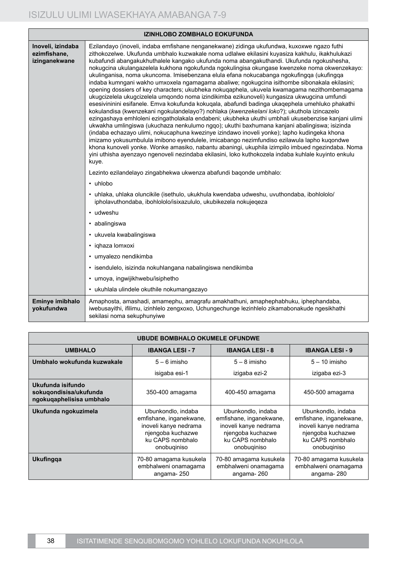| Inoveli, izindaba<br>ezimfishane,<br>izinganekwane | Ezilandayo (inoveli, indaba emfishane nenganekwane) zidinga ukufundwa, kuxoxwe ngazo futhi<br>zithokozelwe. Ukufunda umbhalo kuzwakale noma udlalwe ekilasini kuyasiza kakhulu, ikakhulukazi<br>kubafundi abangakukhuthalele kangako ukufunda noma abangakuthandi. Ukufunda ngokushesha,<br>nokugcina ukulangazelela kukhona ngokufunda ngokulingisa okungase kwenzeke noma okwenzekayo:<br>ukulinganisa, noma ukuncoma. Imisebenzana elula efana nokucabanga ngokufingqa (ukufingqa<br>indaba kumngani wakho umxoxela ngamagama abaliwe; ngokugcina isithombe sibonakala ekilasini;<br>opening dossiers of key characters; ukubheka nokuqaphela, ukuvela kwamagama nezithombemagama<br>ukugcizelela ukugcizelela umqondo noma izindikimba ezikunoveli) kungasiza ukwugcina umfundi<br>esesivininini esifanele. Emva kokufunda kokuqala, abafundi badinga ukaqephela umehluko phakathi<br>kokulandisa (kwenzekani ngokulandelayo?) nohlaka (kwenzekelani loko?); ukuthola izincazelo<br>ezingashaya emhloleni ezingatholakala endabeni; ukubheka ukuthi umbhali ukusebenzise kanjani ulimi<br>ukwakha umlingiswa (ukuchaza nenkulumo ngqo); ukuthi baxhumana kanjani abalingiswa; isizinda<br>(indaba echazayo ulimi, nokucaphuna kwezinye izindawo inoveli yonke); lapho kudingeka khona<br>imizamo yokusumbulula imibono eyendulele, imicabango nezimfundiso ezilawula lapho kuqondwe<br>khona kunoveli yonke. Wonke amasiko, nabantu abaningi, ukuphila izimpilo imbued ngezindaba. Noma<br>yini uthisha ayenzayo ngenoveli nezindaba ekilasini, loko kuthokozela indaba kuhlale kuyinto enkulu<br>kuye. |
|----------------------------------------------------|-------------------------------------------------------------------------------------------------------------------------------------------------------------------------------------------------------------------------------------------------------------------------------------------------------------------------------------------------------------------------------------------------------------------------------------------------------------------------------------------------------------------------------------------------------------------------------------------------------------------------------------------------------------------------------------------------------------------------------------------------------------------------------------------------------------------------------------------------------------------------------------------------------------------------------------------------------------------------------------------------------------------------------------------------------------------------------------------------------------------------------------------------------------------------------------------------------------------------------------------------------------------------------------------------------------------------------------------------------------------------------------------------------------------------------------------------------------------------------------------------------------------------------------------------------------------------------------------------------------|
|                                                    | Lezinto ezilandelayo zingabhekwa ukwenza abafundi baqonde umbhalo:                                                                                                                                                                                                                                                                                                                                                                                                                                                                                                                                                                                                                                                                                                                                                                                                                                                                                                                                                                                                                                                                                                                                                                                                                                                                                                                                                                                                                                                                                                                                          |
|                                                    | • uhlobo                                                                                                                                                                                                                                                                                                                                                                                                                                                                                                                                                                                                                                                                                                                                                                                                                                                                                                                                                                                                                                                                                                                                                                                                                                                                                                                                                                                                                                                                                                                                                                                                    |
|                                                    | · uhlaka, uhlaka oluncikile (isethulo, ukukhula kwendaba udweshu, uvuthondaba, ibohlololo/<br>ipholavuthondaba, ibohlololo/isixazululo, ukubikezela nokujeqeza                                                                                                                                                                                                                                                                                                                                                                                                                                                                                                                                                                                                                                                                                                                                                                                                                                                                                                                                                                                                                                                                                                                                                                                                                                                                                                                                                                                                                                              |
|                                                    | • udweshu                                                                                                                                                                                                                                                                                                                                                                                                                                                                                                                                                                                                                                                                                                                                                                                                                                                                                                                                                                                                                                                                                                                                                                                                                                                                                                                                                                                                                                                                                                                                                                                                   |
|                                                    | • abalingiswa                                                                                                                                                                                                                                                                                                                                                                                                                                                                                                                                                                                                                                                                                                                                                                                                                                                                                                                                                                                                                                                                                                                                                                                                                                                                                                                                                                                                                                                                                                                                                                                               |
|                                                    | • ukuvela kwabalingiswa                                                                                                                                                                                                                                                                                                                                                                                                                                                                                                                                                                                                                                                                                                                                                                                                                                                                                                                                                                                                                                                                                                                                                                                                                                                                                                                                                                                                                                                                                                                                                                                     |
|                                                    | · iqhaza lomxoxi                                                                                                                                                                                                                                                                                                                                                                                                                                                                                                                                                                                                                                                                                                                                                                                                                                                                                                                                                                                                                                                                                                                                                                                                                                                                                                                                                                                                                                                                                                                                                                                            |
|                                                    | • umyalezo nendikimba                                                                                                                                                                                                                                                                                                                                                                                                                                                                                                                                                                                                                                                                                                                                                                                                                                                                                                                                                                                                                                                                                                                                                                                                                                                                                                                                                                                                                                                                                                                                                                                       |
|                                                    | · isendulelo, isizinda nokuhlangana nabalingiswa nendikimba                                                                                                                                                                                                                                                                                                                                                                                                                                                                                                                                                                                                                                                                                                                                                                                                                                                                                                                                                                                                                                                                                                                                                                                                                                                                                                                                                                                                                                                                                                                                                 |
|                                                    | • umoya, ingwijikhwebu/isiphetho                                                                                                                                                                                                                                                                                                                                                                                                                                                                                                                                                                                                                                                                                                                                                                                                                                                                                                                                                                                                                                                                                                                                                                                                                                                                                                                                                                                                                                                                                                                                                                            |
|                                                    | • ukuhlala ulindele okuthile nokumangazayo                                                                                                                                                                                                                                                                                                                                                                                                                                                                                                                                                                                                                                                                                                                                                                                                                                                                                                                                                                                                                                                                                                                                                                                                                                                                                                                                                                                                                                                                                                                                                                  |
| Eminye imibhalo<br>yokufundwa                      | Amaphosta, amashadi, amamephu, amagrafu amakhathuni, amaphephabhuku, iphephandaba,<br>iwebusayithi, ifilimu, izinhlelo zengxoxo, Uchungechunge lezinhlelo zikamabonakude ngesikhathi<br>sekilasi noma sekuphunyiwe                                                                                                                                                                                                                                                                                                                                                                                                                                                                                                                                                                                                                                                                                                                                                                                                                                                                                                                                                                                                                                                                                                                                                                                                                                                                                                                                                                                          |

| UBUDE BOMBHALO OKUMELE OFUNDWE |  |
|--------------------------------|--|
|                                |  |

| <b>UMBHALO</b>                                                          | <b>IBANGA LESI - 7</b>                                                                                                         | <b>IBANGA LESI - 8</b>                                                                                                         | <b>IBANGA LESI - 9</b>                                                                                                         |
|-------------------------------------------------------------------------|--------------------------------------------------------------------------------------------------------------------------------|--------------------------------------------------------------------------------------------------------------------------------|--------------------------------------------------------------------------------------------------------------------------------|
| Umbhalo wokufunda kuzwakale                                             | $5 - 6$ imisho                                                                                                                 | $5 - 8$ imisho                                                                                                                 | $5 - 10$ imisho                                                                                                                |
|                                                                         | isigaba esi-1                                                                                                                  | izigaba ezi-2                                                                                                                  | izigaba ezi-3                                                                                                                  |
| Ukufunda isifundo<br>sokuqondisisa/ukufunda<br>ngokuqaphelisisa umbhalo | 350-400 amagama                                                                                                                | 400-450 amagama                                                                                                                | 450-500 amagama                                                                                                                |
| Ukufunda ngokuzimela                                                    | Ubunkondlo, indaba<br>emfishane, inganekwane,<br>inoveli kanye nedrama<br>njengoba kuchazwe<br>ku CAPS nombhalo<br>onobuginiso | Ubunkondlo, indaba<br>emfishane, inganekwane,<br>inoveli kanye nedrama<br>njengoba kuchazwe<br>ku CAPS nombhalo<br>onobuginiso | Ubunkondlo, indaba<br>emfishane, inganekwane,<br>inoveli kanye nedrama<br>njengoba kuchazwe<br>ku CAPS nombhalo<br>onobuginiso |
| Ukufingqa                                                               | 70-80 amagama kusukela<br>embhalweni onamagama<br>angama-250                                                                   | 70-80 amagama kusukela<br>embhalweni onamagama<br>angama-260                                                                   | 70-80 amagama kusukela<br>embhalweni onamagama<br>angama-280                                                                   |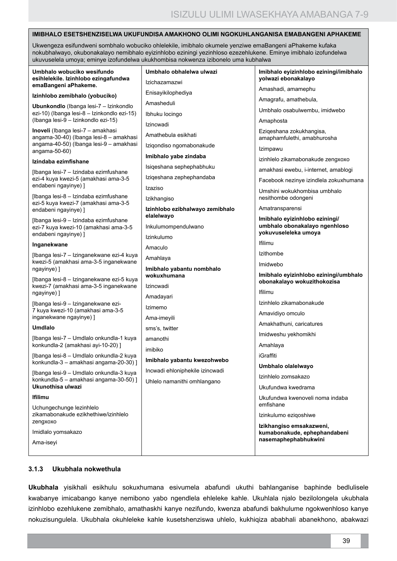#### **IMIBHALO ESETSHENZISELWA UKUFUNDISA AMAKHONO OLIMI NGOKUHLANGANISA EMABANGENI APHAKEME**

Ukwengeza esifundweni sombhalo wobuciko ohlelekile, imibhalo okumele yenziwe emaBangeni aPhakeme kufaka nokubhalwayo, okubonakalayo nemibhalo eyizinhlobo eziningi yezinhloso ezezehlukene. Eminye imibhalo izofundelwa ukuvuselela umoya; eminye izofundelwa ukukhombisa nokwenza izibonelo uma kubhalwa

| Umbhalo wobuciko wesifundo<br>esihlelekile. Izinhlobo ezingafundwa                 | Umbhalo obhalelwa ulwazi        | Imibhalo eyizinhlobo eziningi/imibhalo<br>yolwazi ebonakalayo        |
|------------------------------------------------------------------------------------|---------------------------------|----------------------------------------------------------------------|
| emaBangeni aPhakeme.                                                               | Izichazamazwi                   | Amashadi, amamephu                                                   |
| Izinhlobo zemibhalo (yobuciko)                                                     | Enisayikilophediya              | Amagrafu, amathebula,                                                |
| Ubunkondlo (Ibanga lesi-7 - Izinkondlo                                             | Amasheduli                      | Umbhalo osabulwembu, imidwebo                                        |
| ezi-10) (Ibanga lesi-8 - Izinkondlo ezi-15)<br>(Ibanga lesi-9 - Izinkondlo ezi-15) | Ibhuku locingo                  | Amaphosta                                                            |
| Inoveli (Ibanga lesi-7 - amakhasi                                                  | Izincwadi                       | Eziqeshana zokukhangisa,                                             |
| angama-30-40) (Ibanga lesi-8 - amakhasi                                            | Amathebula esikhati             | amaphamfulethi, amabhurosha                                          |
| angama-40-50) (Ibanga lesi-9 - amakhasi<br>angama-50-60)                           | Izigondiso ngomabonakude        | Izimpawu                                                             |
| Izindaba ezimfishane                                                               | Imibhalo yabe zindaba           | izinhlelo zikamabonakude zengxoxo                                    |
| [Ibanga lesi-7 - Izindaba ezimfushane                                              | Isiqeshana sephephabhuku        | amakhasi ewebu, i-internet, amablogi                                 |
| ezi-4 kuya kwezi-5 (amakhasi ama-3-5                                               | Iziqeshana zephephandaba        | Facebook nezinye izindlela zokuxhumana                               |
| endabeni ngayinye) ]                                                               | Izaziso                         | Umshini wokukhombisa umbhalo                                         |
| [Ibanga lesi-8 - Izindaba ezimfushane                                              | Izikhangiso                     | nesithombe odongeni                                                  |
| ezi-5 kuya kwezi-7 (amakhasi ama-3-5<br>endabeni ngayinye) ]                       | Izinhlobo ezibhalwayo zemibhalo | Amatransparensi                                                      |
| [Ibanga lesi-9 - Izindaba ezimfushane                                              | elalelwayo                      | Imibhalo eyizinhlobo eziningi/                                       |
| ezi-7 kuya kwezi-10 (amakhasi ama-3-5<br>endabeni ngayinye) ]                      | Inkulumompendulwano             | umbhalo obonakalayo ngenhloso<br>yokuvuseleleka umoya                |
| Inganekwane                                                                        | Izinkulumo                      | Ifilimu                                                              |
|                                                                                    | Amaculo                         | Izithombe                                                            |
| [Ibanga lesi-7 - Izinganekwane ezi-4 kuya<br>kwezi-5 (amakhasi ama-3-5 inganekwane | Amahlaya                        | Imidwebo                                                             |
| ngayinye) ]                                                                        | Imibhalo yabantu nombhalo       |                                                                      |
| [Ibanga lesi-8 – Izinganekwane ezi-5 kuya                                          | wokuxhumana                     | Imibhalo eyizinhlobo eziningi/umbhalo<br>obonakalayo wokuzithokozisa |
| kwezi-7 (amakhasi ama-3-5 inganekwane<br>ngayinye) ]                               | Izincwadi                       | Ifilimu                                                              |
| [Ibanga lesi-9 - Izinganekwane ezi-                                                | Amadayari                       | Izinhlelo zikamabonakude                                             |
| 7 kuya kwezi-10 (amakhasi ama-3-5                                                  | Izimemo                         | Amavidiyo omculo                                                     |
| inganekwane ngayinye) ]                                                            | Ama-imeyili                     | Amakhathuni, caricatures                                             |
| <b>Umdialo</b>                                                                     | sms's, twitter                  | Imidweshu yekhomikhi                                                 |
| [Ibanga lesi-7 - Umdlalo onkundla-1 kuya<br>konkundla-2 (amakhasi ayi-10-20)]      | amanothi                        | Amahlaya                                                             |
| [Ibanga lesi-8 - Umdlalo onkundla-2 kuya                                           | imibiko                         | iGraffiti                                                            |
| konkundla-3 – amakhasi angama-20-30) ]                                             | Imibhalo yabantu kwezohwebo     | Umbhalo olalelwayo                                                   |
| [Ibanga lesi-9 - Umdlalo onkundla-3 kuya                                           | Incwadi ehloniphekile izincwadi | Izinhlelo zomsakazo                                                  |
| konkundla-5 - amakhasi angama-30-50) ]<br>Ukunothisa ulwazi                        | Uhlelo namanithi omhlangano     | Ukufundwa kwedrama                                                   |
| <b>Ifilimu</b>                                                                     |                                 |                                                                      |
|                                                                                    |                                 | Ukufundwa kwenoveli noma indaba<br>emfishane                         |
| Uchungechunge lezinhlelo<br>zikamabonakude ezikhethiwe/izinhlelo                   |                                 | Izinkulumo ezigoshiwe                                                |
| zengxoxo                                                                           |                                 | Izikhangiso emsakazweni,                                             |
| Imidlalo yomsakazo                                                                 |                                 | kumabonakude, ephephandabeni                                         |
| Ama-iseyi                                                                          |                                 | nasemaphephabhukwini                                                 |

#### **3.1.3 Ukubhala nokwethula**

**Ukubhala** yisikhali esikhulu sokuxhumana esivumela abafundi ukuthi bahlanganise baphinde bedlulisele kwabanye imicabango kanye nemibono yabo ngendlela ehleleke kahle. Ukuhlala njalo bezilolongela ukubhala izinhlobo ezehlukene zemibhalo, amathaskhi kanye nezifundo, kwenza abafundi bakhulume ngokwenhloso kanye nokuzisungulela. Ukubhala okuhleleke kahle kusetshenziswa uhlelo, kukhiqiza ababhali abanekhono, abakwazi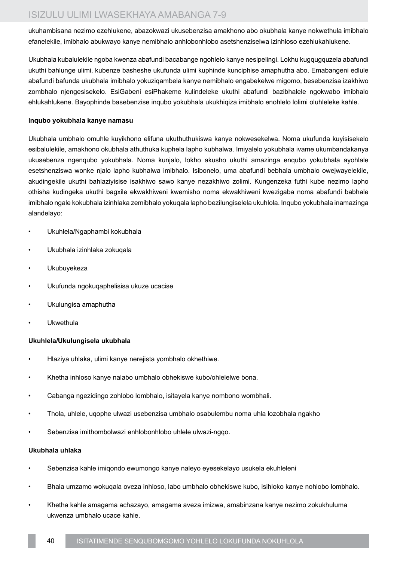ukuhambisana nezimo ezehlukene, abazokwazi ukusebenzisa amakhono abo okubhala kanye nokwethula imibhalo efanelekile, imibhalo abukwayo kanye nemibhalo anhlobonhlobo asetshenziselwa izinhloso ezehlukahlukene.

Ukubhala kubalulekile ngoba kwenza abafundi bacabange ngohlelo kanye nesipelingi. Lokhu kugqugquzela abafundi ukuthi bahlunge ulimi, kubenze basheshe ukufunda ulimi kuphinde kunciphise amaphutha abo. Emabangeni edlule abafundi bafunda ukubhala imibhalo yokuziqambela kanye nemibhalo engabekelwe migomo, besebenzisa izakhiwo zombhalo njengesisekelo. EsiGabeni esiPhakeme kulindeleke ukuthi abafundi bazibhalele ngokwabo imibhalo ehlukahlukene. Bayophinde basebenzise inqubo yokubhala ukukhiqiza imibhalo enohlelo lolimi oluhleleke kahle.

#### **Inqubo yokubhala kanye namasu**

Ukubhala umbhalo omuhle kuyikhono elifuna ukuthuthukiswa kanye nokwesekelwa. Noma ukufunda kuyisisekelo esibalulekile, amakhono okubhala athuthuka kuphela lapho kubhalwa. Imiyalelo yokubhala ivame ukumbandakanya ukusebenza ngenqubo yokubhala. Noma kunjalo, lokho akusho ukuthi amazinga enqubo yokubhala ayohlale esetshenziswa wonke njalo lapho kubhalwa imibhalo. Isibonelo, uma abafundi bebhala umbhalo owejwayelekile, akudingekile ukuthi bahlaziyisise isakhiwo sawo kanye nezakhiwo zolimi. Kungenzeka futhi kube nezimo lapho othisha kudingeka ukuthi bagxile ekwakhiweni kwemisho noma ekwakhiweni kwezigaba noma abafundi babhale imibhalo ngale kokubhala izinhlaka zemibhalo yokuqala lapho bezilungiselela ukuhlola. Inqubo yokubhala inamazinga alandelayo:

- Ukuhlela/Ngaphambi kokubhala
- Ukubhala izinhlaka zokuqala
- Ukubuyekeza
- Ukufunda ngokuqaphelisisa ukuze ucacise
- Ukulungisa amaphutha
- **Ukwethula**

#### **Ukuhlela/Ukulungisela ukubhala**

- Hlaziya uhlaka, ulimi kanye nerejista yombhalo okhethiwe.
- Khetha inhloso kanye nalabo umbhalo obhekiswe kubo/ohlelelwe bona.
- Cabanga ngezidingo zohlobo lombhalo, isitayela kanye nombono wombhali.
- Thola, uhlele, uqophe ulwazi usebenzisa umbhalo osabulembu noma uhla lozobhala ngakho
- Sebenzisa imithombolwazi enhlobonhlobo uhlele ulwazi-ngqo.

#### **Ukubhala uhlaka**

- Sebenzisa kahle imiqondo ewumongo kanye naleyo eyesekelayo usukela ekuhleleni
- Bhala umzamo wokuqala oveza inhloso, labo umbhalo obhekiswe kubo, isihloko kanye nohlobo lombhalo.
- Khetha kahle amagama achazayo, amagama aveza imizwa, amabinzana kanye nezimo zokukhuluma ukwenza umbhalo ucace kahle.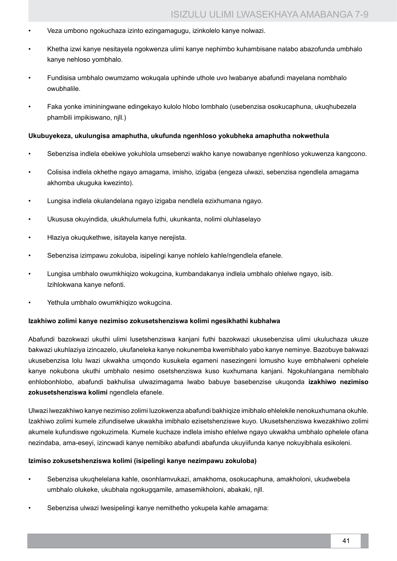- Veza umbono ngokuchaza izinto ezingamagugu, izinkolelo kanye nolwazi.
- Khetha izwi kanye nesitayela ngokwenza ulimi kanye nephimbo kuhambisane nalabo abazofunda umbhalo kanye nehloso yombhalo.
- Fundisisa umbhalo owumzamo wokuqala uphinde uthole uvo lwabanye abafundi mayelana nombhalo owubhalile.
- Faka yonke imininingwane edingekayo kulolo hlobo lombhalo (usebenzisa osokucaphuna, ukuqhubezela phambili impikiswano, njll.)

## **Ukubuyekeza, ukulungisa amaphutha, ukufunda ngenhloso yokubheka amaphutha nokwethula**

- Sebenzisa indlela ebekiwe yokuhlola umsebenzi wakho kanye nowabanye ngenhloso yokuwenza kangcono.
- Colisisa indlela okhethe ngayo amagama, imisho, izigaba (engeza ulwazi, sebenzisa ngendlela amagama akhomba ukuguka kwezinto).
- Lungisa indlela okulandelana ngayo izigaba nendlela ezixhumana ngayo.
- Ukususa okuyindida, ukukhulumela futhi, ukunkanta, nolimi oluhlaselayo
- Hlaziya okuqukethwe, isitayela kanye nerejista.
- Sebenzisa izimpawu zokuloba, isipelingi kanye nohlelo kahle/ngendlela efanele.
- Lungisa umbhalo owumkhiqizo wokugcina, kumbandakanya indlela umbhalo ohlelwe ngayo, isib. Izihlokwana kanye nefonti.
- Yethula umbhalo owumkhiqizo wokugcina.

#### **Izakhiwo zolimi kanye nezimiso zokusetshenziswa kolimi ngesikhathi kubhalwa**

Abafundi bazokwazi ukuthi ulimi lusetshenziswa kanjani futhi bazokwazi ukusebenzisa ulimi ukuluchaza ukuze bakwazi ukuhlaziya izincazelo, ukufaneleka kanye nokunemba kwemibhalo yabo kanye neminye. Bazobuye bakwazi ukusebenzisa lolu lwazi ukwakha umqondo kusukela egameni nasezingeni lomusho kuye embhalweni ophelele kanye nokubona ukuthi umbhalo nesimo osetshenziswa kuso kuxhumana kanjani. Ngokuhlangana nemibhalo enhlobonhlobo, abafundi bakhulisa ulwazimagama lwabo babuye basebenzise ukuqonda **izakhiwo nezimiso zokusetshenziswa kolimi** ngendlela efanele.

Ulwazi lwezakhiwo kanye nezimiso zolimi luzokwenza abafundi bakhiqize imibhalo ehlelekile nenokuxhumana okuhle. Izakhiwo zolimi kumele zifundiselwe ukwakha imibhalo ezisetshenziswe kuyo. Ukusetshenziswa kwezakhiwo zolimi akumele kufundiswe ngokuzimela. Kumele kuchaze indlela imisho ehlelwe ngayo ukwakha umbhalo ophelele ofana nezindaba, ama-eseyi, izincwadi kanye nemibiko abafundi abafunda ukuyiifunda kanye nokuyibhala esikoleni.

#### **Izimiso zokusetshenziswa kolimi (isipelingi kanye nezimpawu zokuloba)**

- Sebenzisa ukuqhelelana kahle, osonhlamvukazi, amakhoma, osokucaphuna, amakholoni, ukudwebela umbhalo olukeke, ukubhala ngokugqamile, amasemikholoni, abakaki, njll.
- Sebenzisa ulwazi lwesipelingi kanye nemithetho yokupela kahle amagama: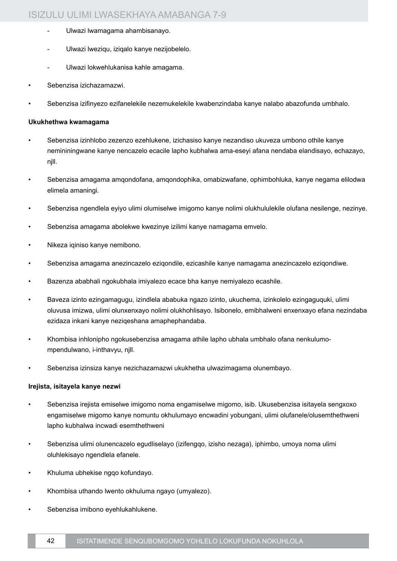- Ulwazi lwamagama ahambisanayo.
- Ulwazi lweziqu, iziqalo kanye nezijobelelo.
- Ulwazi lokwehlukanisa kahle amagama.
- Sebenzisa izichazamazwi.
- Sebenzisa izifinyezo ezifanelekile nezemukelekile kwabenzindaba kanye nalabo abazofunda umbhalo.

## **Ukukhethwa kwamagama**

- Sebenzisa izinhlobo zezenzo ezehlukene, izichasiso kanye nezandiso ukuveza umbono othile kanye nemininingwane kanye nencazelo ecacile lapho kubhalwa ama-eseyi afana nendaba elandisayo, echazayo, njll.
- Sebenzisa amagama amqondofana, amqondophika, omabizwafane, ophimbohluka, kanye negama elilodwa elimela amaningi.
- Sebenzisa ngendlela eyiyo ulimi olumiselwe imigomo kanye nolimi olukhululekile olufana nesilenge, nezinye.
- Sebenzisa amagama abolekwe kwezinye izilimi kanye namagama emvelo.
- Nikeza iqiniso kanye nemibono.
- Sebenzisa amagama anezincazelo eziqondile, ezicashile kanye namagama anezincazelo eziqondiwe.
- Bazenza ababhali ngokubhala imiyalezo ecace bha kanye nemiyalezo ecashile.
- Baveza izinto ezingamagugu, izindlela ababuka ngazo izinto, ukuchema, izinkolelo ezingaguquki, ulimi oluvusa imizwa, ulimi olunxenxayo nolimi olukhohlisayo. Isibonelo, emibhalweni enxenxayo efana nezindaba ezidaza inkani kanye neziqeshana amaphephandaba.
- Khombisa inhlonipho ngokusebenzisa amagama athile lapho ubhala umbhalo ofana nenkulumompendulwano, i-inthavyu, njll.
- Sebenzisa izinsiza kanye nezichazamazwi ukukhetha ulwazimagama olunembayo.

# **Irejista, isitayela kanye nezwi**

- Sebenzisa irejista emiselwe imigomo noma engamiselwe migomo, isib. Ukusebenzisa isitayela sengxoxo engamiselwe migomo kanye nomuntu okhulumayo encwadini yobungani, ulimi olufanele/olusemthethweni lapho kubhalwa incwadi esemthethweni
- Sebenzisa ulimi olunencazelo egudliselayo (izifengqo, izisho nezaga), iphimbo, umoya noma ulimi oluhlekisayo ngendlela efanele.
- Khuluma ubhekise ngqo kofundayo.
- Khombisa uthando lwento okhuluma ngayo (umyalezo).
- Sebenzisa imibono eyehlukahlukene.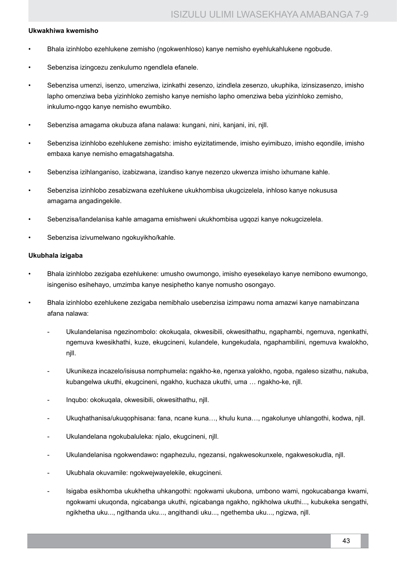## **Ukwakhiwa kwemisho**

- Bhala izinhlobo ezehlukene zemisho (ngokwenhloso) kanye nemisho eyehlukahlukene ngobude.
- Sebenzisa izingcezu zenkulumo ngendlela efanele.
- Sebenzisa umenzi, isenzo, umenziwa, izinkathi zesenzo, izindlela zesenzo, ukuphika, izinsizasenzo, imisho lapho omenziwa beba yizinhloko zemisho kanye nemisho lapho omenziwa beba yizinhloko zemisho, inkulumo-ngqo kanye nemisho ewumbiko.
- Sebenzisa amagama okubuza afana nalawa: kungani, nini, kanjani, ini, njll.
- Sebenzisa izinhlobo ezehlukene zemisho: imisho eyizitatimende, imisho eyimibuzo, imisho eqondile, imisho embaxa kanye nemisho emagatshagatsha.
- Sebenzisa izihlanganiso, izabizwana, izandiso kanye nezenzo ukwenza imisho ixhumane kahle.
- Sebenzisa izinhlobo zesabizwana ezehlukene ukukhombisa ukugcizelela, inhloso kanye nokususa amagama angadingekile.
- Sebenzisa/landelanisa kahle amagama emishweni ukukhombisa ugqozi kanye nokugcizelela.
- Sebenzisa izivumelwano ngokuyikho/kahle.

#### **Ukubhala izigaba**

- Bhala izinhlobo zezigaba ezehlukene: umusho owumongo, imisho eyesekelayo kanye nemibono ewumongo, isingeniso esihehayo, umzimba kanye nesiphetho kanye nomusho osongayo.
- Bhala izinhlobo ezehlukene zezigaba nemibhalo usebenzisa izimpawu noma amazwi kanye namabinzana afana nalawa:
	- Ukulandelanisa ngezinombolo: okokuqala, okwesibili, okwesithathu, ngaphambi, ngemuva, ngenkathi, ngemuva kwesikhathi, kuze, ekugcineni, kulandele, kungekudala, ngaphambilini, ngemuva kwalokho, njll.
	- Ukunikeza incazelo/isisusa nomphumela**:** ngakho-ke, ngenxa yalokho, ngoba, ngaleso sizathu, nakuba, kubangelwa ukuthi, ekugcineni, ngakho, kuchaza ukuthi, uma … ngakho-ke, njll.
	- Inqubo: okokuqala, okwesibili, okwesithathu, njll.
	- Ukuqhathanisa/ukuqophisana: fana, ncane kuna…, khulu kuna…, ngakolunye uhlangothi, kodwa, njll.
	- Ukulandelana ngokubaluleka: njalo, ekugcineni, njll.
	- Ukulandelanisa ngokwendawo**:** ngaphezulu, ngezansi, ngakwesokunxele, ngakwesokudla, njll.
	- Ukubhala okuvamile: ngokwejwayelekile, ekugcineni.
	- Isigaba esikhomba ukukhetha uhkangothi: ngokwami ukubona, umbono wami, ngokucabanga kwami, ngokwami ukuqonda, ngicabanga ukuthi, ngicabanga ngakho, ngikholwa ukuthi..., kubukeka sengathi, ngikhetha uku..., ngithanda uku..., angithandi uku..., ngethemba uku..., ngizwa, njll.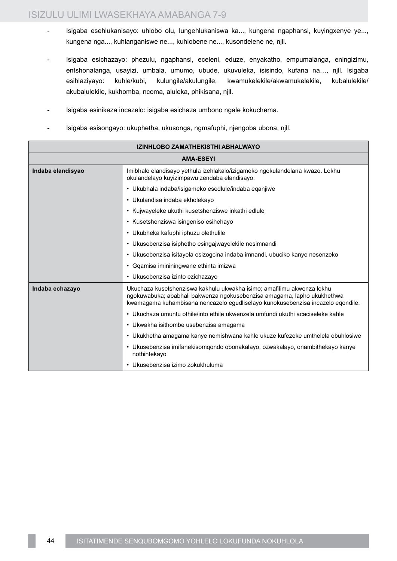- Isigaba esehlukanisayo: uhlobo olu, lungehlukaniswa ka..., kungena ngaphansi, kuyingxenye ye..., kungena nga..., kuhlanganiswe ne..., kuhlobene ne..., kusondelene ne, njll**.**
- Isigaba esichazayo: phezulu, ngaphansi, eceleni, eduze, enyakatho, empumalanga, eningizimu, entshonalanga, usayizi, umbala, umumo, ubude, ukuvuleka, isisindo, kufana na…, njll. Isigaba esihlaziyayo: kuhle/kubi, kulungile/akulungile, kwamukelekile/akwamukelekile, kubalulekile/ akubalulekile, kukhomba, ncoma, aluleka, phikisana, njll.
- Isigaba esinikeza incazelo: isigaba esichaza umbono ngale kokuchema.
- Isigaba esisongayo: ukuphetha, ukusonga, ngmafuphi, njengoba ubona, njll.

| IZINHLOBO ZAMATHEKISTHI ABHALWAYO |                                                                                                                                                                                                                                      |
|-----------------------------------|--------------------------------------------------------------------------------------------------------------------------------------------------------------------------------------------------------------------------------------|
| <b>AMA-ESEYI</b>                  |                                                                                                                                                                                                                                      |
| Indaba elandisyao                 | Imibhalo elandisayo yethula izehlakalo/izigameko ngokulandelana kwazo. Lokhu<br>okulandelayo kuyizimpawu zendaba elandisayo:                                                                                                         |
|                                   | • Ukubhala indaba/isigameko esedlule/indaba eqanjiwe                                                                                                                                                                                 |
|                                   | · Ukulandisa indaba ekholekayo                                                                                                                                                                                                       |
|                                   | • Kujwayeleke ukuthi kusetshenziswe inkathi edlule                                                                                                                                                                                   |
|                                   | • Kusetshenziswa isingeniso esihehayo                                                                                                                                                                                                |
|                                   | • Ukubheka kafuphi iphuzu olethulile                                                                                                                                                                                                 |
|                                   | • Ukusebenzisa isiphetho esingajwayelekile nesimnandi                                                                                                                                                                                |
|                                   | • Ukusebenzisa isitayela esizogcina indaba imnandi, ubuciko kanye nesenzeko                                                                                                                                                          |
|                                   | • Gqamisa imininingwane ethinta imizwa                                                                                                                                                                                               |
|                                   | • Ukusebenzisa izinto ezichazayo                                                                                                                                                                                                     |
| Indaba echazayo                   | Ukuchaza kusetshenziswa kakhulu ukwakha isimo; amafilimu akwenza lokhu<br>ngokuwabuka; ababhali bakwenza ngokusebenzisa amagama, lapho ukukhethwa<br>kwamagama kuhambisana nencazelo egudliselayo kunokusebenzisa incazelo eqondile. |
|                                   | • Ukuchaza umuntu othile/into ethile ukwenzela umfundi ukuthi acaciseleke kahle                                                                                                                                                      |
|                                   | • Ukwakha isithombe usebenzisa amagama                                                                                                                                                                                               |
|                                   | • Ukukhetha amagama kanye nemishwana kahle ukuze kufezeke umthelela obuhlosiwe                                                                                                                                                       |
|                                   | • Ukusebenzisa imifanekisomgondo obonakalayo, ozwakalayo, onambithekayo kanye<br>nothintekayo                                                                                                                                        |
|                                   | • Ukusebenzisa izimo zokukhuluma                                                                                                                                                                                                     |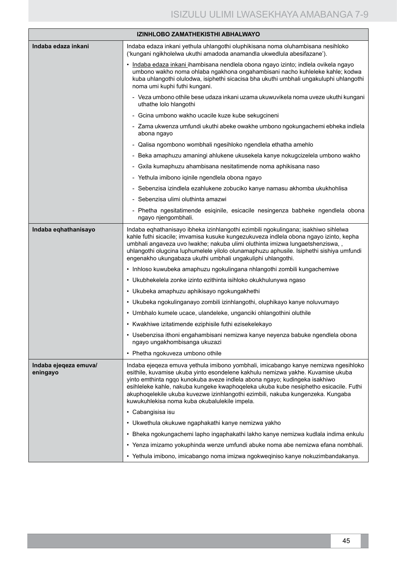| IZINHLOBO ZAMATHEKISTHI ABHALWAYO |                                                                                                                                                                                                                                                                                                                                                                                                                                                                                 |  |
|-----------------------------------|---------------------------------------------------------------------------------------------------------------------------------------------------------------------------------------------------------------------------------------------------------------------------------------------------------------------------------------------------------------------------------------------------------------------------------------------------------------------------------|--|
| Indaba edaza inkani               | Indaba edaza inkani yethula uhlangothi oluphikisana noma oluhambisana nesihloko<br>('kungani ngikholelwa ukuthi amadoda anamandla ukwedlula abesifazane').                                                                                                                                                                                                                                                                                                                      |  |
|                                   | · Indaba edaza inkani ihambisana nendlela obona ngayo izinto; indlela ovikela ngayo<br>umbono wakho noma ohlaba ngakhona ongahambisani nacho kuhleleke kahle; kodwa<br>kuba uhlangothi olulodwa, isiphethi sicacisa bha ukuthi umbhali ungakuluphi uhlangothi<br>noma umi kuphi futhi kungani.                                                                                                                                                                                  |  |
|                                   | - Veza umbono othile bese udaza inkani uzama ukuwuvikela noma uveze ukuthi kungani<br>uthathe lolo hlangothi                                                                                                                                                                                                                                                                                                                                                                    |  |
|                                   | - Gcina umbono wakho ucacile kuze kube sekugcineni                                                                                                                                                                                                                                                                                                                                                                                                                              |  |
|                                   | - Zama ukwenza umfundi ukuthi abeke owakhe umbono ngokungachemi ebheka indlela<br>abona ngayo                                                                                                                                                                                                                                                                                                                                                                                   |  |
|                                   | - Qalisa ngombono wombhali ngesihloko ngendlela ethatha amehlo                                                                                                                                                                                                                                                                                                                                                                                                                  |  |
|                                   | - Beka amaphuzu amaningi ahlukene ukusekela kanye nokugcizelela umbono wakho                                                                                                                                                                                                                                                                                                                                                                                                    |  |
|                                   | - Gxila kumaphuzu ahambisana nesitatimende noma aphikisana naso                                                                                                                                                                                                                                                                                                                                                                                                                 |  |
|                                   | - Yethula imibono iqinile ngendlela obona ngayo                                                                                                                                                                                                                                                                                                                                                                                                                                 |  |
|                                   | - Sebenzisa izindlela ezahlukene zobuciko kanye namasu akhomba ukukhohlisa                                                                                                                                                                                                                                                                                                                                                                                                      |  |
|                                   | - Sebenzisa ulimi oluthinta amazwi                                                                                                                                                                                                                                                                                                                                                                                                                                              |  |
|                                   | - Phetha ngesitatimende esiqinile, esicacile nesingenza babheke ngendlela obona<br>ngayo njengombhali.                                                                                                                                                                                                                                                                                                                                                                          |  |
| Indaba eqhathanisayo              | Indaba eqhathanisayo ibheka izinhlangothi ezimbili ngokulingana; isakhiwo sihlelwa<br>kahle futhi sicacile; imvamisa kusuke kungezukuveza indlela obona ngayo izinto, kepha<br>umbhali angaveza uvo lwakhe; nakuba ulimi oluthinta imizwa lungaetshenziswa,,<br>uhlangothi olugcina luphumelele yilolo olunamaphuzu aphusile. Isiphethi sishiya umfundi<br>engenakho ukungabaza ukuthi umbhali ungakuliphi uhlangothi.                                                          |  |
|                                   | · Inhloso kuwubeka amaphuzu ngokulingana nhlangothi zombili kungachemiwe                                                                                                                                                                                                                                                                                                                                                                                                        |  |
|                                   | · Ukubhekelela zonke izinto ezithinta isihloko okukhulunywa ngaso                                                                                                                                                                                                                                                                                                                                                                                                               |  |
|                                   | · Ukubeka amaphuzu aphikisayo ngokungakhethi                                                                                                                                                                                                                                                                                                                                                                                                                                    |  |
|                                   | • Ukubeka ngokulinganayo zombili izinhlangothi, oluphikayo kanye noluvumayo                                                                                                                                                                                                                                                                                                                                                                                                     |  |
|                                   | · Umbhalo kumele ucace, ulandeleke, unganciki ohlangothini oluthile                                                                                                                                                                                                                                                                                                                                                                                                             |  |
|                                   | • Kwakhiwe izitatimende eziphisile futhi ezisekelekayo                                                                                                                                                                                                                                                                                                                                                                                                                          |  |
|                                   | • Usebenzisa ithoni engahambisani nemizwa kanye neyenza babuke ngendlela obona<br>ngayo ungakhombisanga ukuzazi                                                                                                                                                                                                                                                                                                                                                                 |  |
|                                   | • Phetha ngokuveza umbono othile                                                                                                                                                                                                                                                                                                                                                                                                                                                |  |
| Indaba ejeqeza emuva/<br>eningayo | Indaba ejeqeza emuva yethula imibono yombhali, imicabango kanye nemizwa ngesihloko<br>esithile, kuvamise ukuba yinto esondelene kakhulu nemizwa yakhe. Kuvamise ukuba<br>yinto emthinta ngqo kunokuba aveze indlela abona ngayo; kudingeka isakhiwo<br>esihleleke kahle, nakuba kungeke kwaphoqeleka ukuba kube nesiphetho esicacile. Futhi<br>akuphoqelekile ukuba kuvezwe izinhlangothi ezimbili, nakuba kungenzeka. Kungaba<br>kuwukuhlekisa noma kuba okubalulekile impela. |  |
|                                   | • Cabangisisa isu                                                                                                                                                                                                                                                                                                                                                                                                                                                               |  |
|                                   | • Ukwethula okukuwe ngaphakathi kanye nemizwa yakho                                                                                                                                                                                                                                                                                                                                                                                                                             |  |
|                                   | · Bheka ngokungachemi lapho ingaphakathi lakho kanye nemizwa kudlala indima enkulu                                                                                                                                                                                                                                                                                                                                                                                              |  |
|                                   | · Yenza imizamo yokuphinda wenze umfundi abuke noma abe nemizwa efana nombhali.                                                                                                                                                                                                                                                                                                                                                                                                 |  |
|                                   | · Yethula imibono, imicabango noma imizwa ngokweqiniso kanye nokuzimbandakanya.                                                                                                                                                                                                                                                                                                                                                                                                 |  |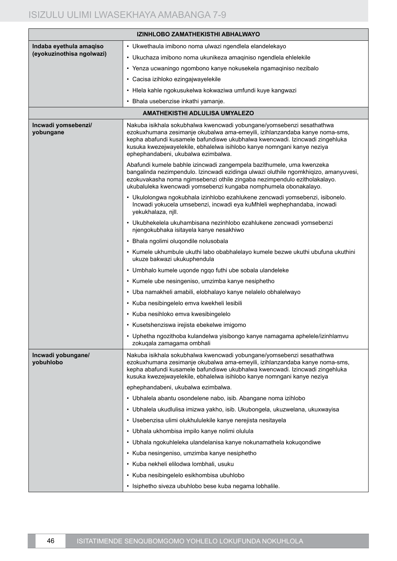| IZINHLOBO ZAMATHEKISTHI ABHALWAYO                    |                                                                                                                                                                                                                                                                                                                                                        |  |
|------------------------------------------------------|--------------------------------------------------------------------------------------------------------------------------------------------------------------------------------------------------------------------------------------------------------------------------------------------------------------------------------------------------------|--|
| Indaba eyethula amaqiso<br>(eyokuzinothisa ngolwazi) | • Ukwethaula imibono noma ulwazi ngendlela elandelekayo                                                                                                                                                                                                                                                                                                |  |
|                                                      | · Ukuchaza imibono noma ukunikeza amaqiniso ngendlela ehlelekile                                                                                                                                                                                                                                                                                       |  |
|                                                      | • Yenza ucwaningo ngombono kanye nokusekela ngamaqiniso nezibalo                                                                                                                                                                                                                                                                                       |  |
|                                                      | · Cacisa izihloko ezingajwayelekile                                                                                                                                                                                                                                                                                                                    |  |
|                                                      | · Hlela kahle ngokusukelwa kokwaziwa umfundi kuye kangwazi                                                                                                                                                                                                                                                                                             |  |
|                                                      | · Bhala usebenzise inkathi yamanje.                                                                                                                                                                                                                                                                                                                    |  |
|                                                      | <b>AMATHEKISTHI ADLULISA UMYALEZO</b>                                                                                                                                                                                                                                                                                                                  |  |
| Incwadi yomsebenzi/<br>yobungane                     | Nakuba isikhala sokubhalwa kwencwadi yobungane/yomsebenzi sesathathwa<br>ezokuxhumana zesimanje okubalwa ama-emeyili, izihlanzandaba kanye noma-sms,<br>kepha abafundi kusamele bafundiswe ukubhalwa kwencwadi. Izincwadi zingehluka<br>kusuka kwezejwayelekile, ebhalelwa isihlobo kanye nomngani kanye neziya<br>ephephandabeni, ukubalwa ezimbalwa. |  |
|                                                      | Abafundi kumele babhle izincwadi zangempela bazithumele, uma kwenzeka<br>bangalinda nezimpendulo. Izincwadi ezidinga ulwazi oluthile ngomkhiqizo, amanyuvesi,<br>ezokuvakasha noma ngimsebenzi othile zingaba nezimpendulo ezitholakalayo.<br>ukubaluleka kwencwadi yomsebenzi kungaba nomphumela obonakalayo.                                         |  |
|                                                      | · Ukulolongwa ngokubhala izinhlobo ezahlukene zencwadi yomsebenzi, isibonelo.<br>Incwadi yokucela umsebenzi, incwadi eya kuMhleli wephephandaba, incwadi<br>yekukhalaza, njll.                                                                                                                                                                         |  |
|                                                      | · Ukubhekelela ukuhambisana nezinhlobo ezahlukene zencwadi yomsebenzi<br>njengokubhaka isitayela kanye nesakhiwo                                                                                                                                                                                                                                       |  |
|                                                      | · Bhala ngolimi oluqondile nolusobala                                                                                                                                                                                                                                                                                                                  |  |
|                                                      | • Kumele ukhumbule ukuthi labo obabhalelayo kumele bezwe ukuthi ubufuna ukuthini<br>ukuze bakwazi ukukuphendula                                                                                                                                                                                                                                        |  |
|                                                      | • Umbhalo kumele uqonde ngqo futhi ube sobala ulandeleke                                                                                                                                                                                                                                                                                               |  |
|                                                      | • Kumele ube nesingeniso, umzimba kanye nesiphetho                                                                                                                                                                                                                                                                                                     |  |
|                                                      | · Uba namakheli amabili, elobhalayo kanye nelalelo obhalelwayo                                                                                                                                                                                                                                                                                         |  |
|                                                      | • Kuba nesibingelelo emva kwekheli lesibili                                                                                                                                                                                                                                                                                                            |  |
|                                                      | • Kuba nesihloko emva kwesibingelelo                                                                                                                                                                                                                                                                                                                   |  |
|                                                      | · Kusetshenziswa irejista ebekelwe imigomo                                                                                                                                                                                                                                                                                                             |  |
|                                                      | • Uphetha ngozithoba kulandelwa yisibongo kanye namagama aphelele/izinhlamvu<br>zokuqala zamagama ombhali                                                                                                                                                                                                                                              |  |
| Incwadi yobungane/<br>yobuhlobo                      | Nakuba isikhala sokubhalwa kwencwadi yobungane/yomsebenzi sesathathwa<br>ezokuxhumana zesimanje okubalwa ama-emeyili, izihlanzandaba kanye noma-sms,<br>kepha abafundi kusamele bafundiswe ukubhalwa kwencwadi. Izincwadi zingehluka<br>kusuka kwezejwayelekile, ebhalelwa isihlobo kanye nomngani kanye neziya                                        |  |
|                                                      | ephephandabeni, ukubalwa ezimbalwa.                                                                                                                                                                                                                                                                                                                    |  |
|                                                      | • Ubhalela abantu osondelene nabo, isib. Abangane noma izihlobo                                                                                                                                                                                                                                                                                        |  |
|                                                      | • Ubhalela ukudlulisa imizwa yakho, isib. Ukubongela, ukuzwelana, ukuxwayisa                                                                                                                                                                                                                                                                           |  |
|                                                      | · Usebenzisa ulimi olukhululekile kanye nerejista nesitayela                                                                                                                                                                                                                                                                                           |  |
|                                                      | • Ubhala ukhombisa impilo kanye nolimi olulula                                                                                                                                                                                                                                                                                                         |  |
|                                                      | • Ubhala ngokuhleleka ulandelanisa kanye nokunamathela kokuqondiwe                                                                                                                                                                                                                                                                                     |  |
|                                                      | • Kuba nesingeniso, umzimba kanye nesiphetho                                                                                                                                                                                                                                                                                                           |  |
|                                                      | • Kuba nekheli elilodwa lombhali, usuku                                                                                                                                                                                                                                                                                                                |  |
|                                                      | • Kuba nesibingelelo esikhombisa ubuhlobo                                                                                                                                                                                                                                                                                                              |  |
|                                                      | · Isiphetho siveza ubuhlobo bese kuba negama lobhalile.                                                                                                                                                                                                                                                                                                |  |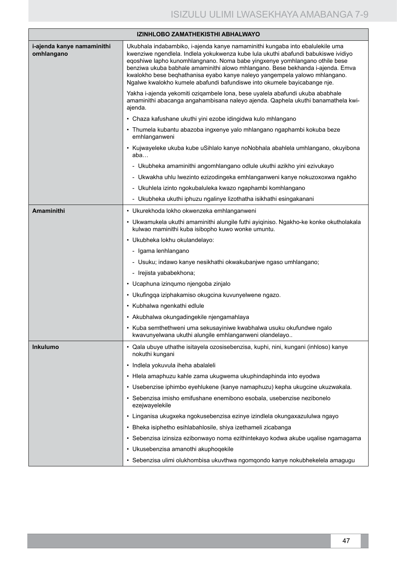| IZINHLOBO ZAMATHEKISTHI ABHALWAYO        |                                                                                                                                                                                                                                                                                                                                                                                                                                                                                               |
|------------------------------------------|-----------------------------------------------------------------------------------------------------------------------------------------------------------------------------------------------------------------------------------------------------------------------------------------------------------------------------------------------------------------------------------------------------------------------------------------------------------------------------------------------|
| i-ajenda kanye namaminithi<br>omhlangano | Ukubhala indabambiko, i-ajenda kanye namaminithi kungaba into ebalulekile uma<br>kwenziwe ngendlela. Indlela yokukwenza kube lula ukuthi abafundi babukiswe ividiyo<br>eqoshiwe lapho kunomhlangnano. Noma babe yingxenye yomhlangano othile bese<br>benziwa ukuba babhale amaminithi alowo mhlangano. Bese bekhanda i-ajenda. Emva<br>kwalokho bese beqhathanisa eyabo kanye naleyo yangempela yalowo mhlangano.<br>Ngalwe kwalokho kumele abafundi bafundiswe into okumele bayicabange nje. |
|                                          | Yakha i-ajenda yekomiti oziqambele lona, bese uyalela abafundi ukuba ababhale<br>amaminithi abacanga angahambisana naleyo ajenda. Qaphela ukuthi banamathela kwi-<br>ajenda.                                                                                                                                                                                                                                                                                                                  |
|                                          | • Chaza kafushane ukuthi yini ezobe idingidwa kulo mhlangano                                                                                                                                                                                                                                                                                                                                                                                                                                  |
|                                          | · Thumela kubantu abazoba ingxenye yalo mhlangano ngaphambi kokuba beze<br>emhlanganweni                                                                                                                                                                                                                                                                                                                                                                                                      |
|                                          | • Kujwayeleke ukuba kube uSihlalo kanye noNobhala abahlela umhlangano, okuyibona<br>aba                                                                                                                                                                                                                                                                                                                                                                                                       |
|                                          | - Ukubheka amaminithi angomhlangano odlule ukuthi azikho yini ezivukayo                                                                                                                                                                                                                                                                                                                                                                                                                       |
|                                          | - Ukwakha uhlu lwezinto ezizodingeka emhlanganweni kanye nokuzoxoxwa ngakho                                                                                                                                                                                                                                                                                                                                                                                                                   |
|                                          | - Ukuhlela izinto ngokubaluleka kwazo ngaphambi komhlangano                                                                                                                                                                                                                                                                                                                                                                                                                                   |
|                                          | - Ukubheka ukuthi iphuzu ngalinye lizothatha isikhathi esingakanani                                                                                                                                                                                                                                                                                                                                                                                                                           |
| Amaminithi                               | · Ukurekhoda lokho okwenzeka emhlanganweni                                                                                                                                                                                                                                                                                                                                                                                                                                                    |
|                                          | • Ukwamukela ukuthi amaminithi alungile futhi ayiqiniso. Ngakho-ke konke okutholakala<br>kulwao maminithi kuba isibopho kuwo wonke umuntu.                                                                                                                                                                                                                                                                                                                                                    |
|                                          | • Ukubheka lokhu okulandelayo:                                                                                                                                                                                                                                                                                                                                                                                                                                                                |
|                                          | - Igama lenhlangano                                                                                                                                                                                                                                                                                                                                                                                                                                                                           |
|                                          | - Usuku; indawo kanye nesikhathi okwakubanjwe ngaso umhlangano;                                                                                                                                                                                                                                                                                                                                                                                                                               |
|                                          | - Irejista yababekhona;                                                                                                                                                                                                                                                                                                                                                                                                                                                                       |
|                                          | • Ucaphuna izinqumo njengoba zinjalo                                                                                                                                                                                                                                                                                                                                                                                                                                                          |
|                                          | • Ukufingqa iziphakamiso okugcina kuvunyelwene ngazo.                                                                                                                                                                                                                                                                                                                                                                                                                                         |
|                                          | • Kubhalwa ngenkathi edlule                                                                                                                                                                                                                                                                                                                                                                                                                                                                   |
|                                          | • Akubhalwa okungadingekile njengamahlaya                                                                                                                                                                                                                                                                                                                                                                                                                                                     |
|                                          | · Kuba semthethweni uma sekusayiniwe kwabhalwa usuku okufundwe ngalo<br>kwavunyelwana ukuthi alungile emhlanganweni olandelayo                                                                                                                                                                                                                                                                                                                                                                |
| <b>Inkulumo</b>                          | · Qala ubuye uthathe isitayela ozosisebenzisa, kuphi, nini, kungani (inhloso) kanye<br>nokuthi kungani                                                                                                                                                                                                                                                                                                                                                                                        |
|                                          | · Indlela yokuvula iheha abalaleli                                                                                                                                                                                                                                                                                                                                                                                                                                                            |
|                                          | · Hlela amaphuzu kahle zama ukugwema ukuphindaphinda into eyodwa                                                                                                                                                                                                                                                                                                                                                                                                                              |
|                                          | · Usebenzise iphimbo eyehlukene (kanye namaphuzu) kepha ukugcine ukuzwakala.                                                                                                                                                                                                                                                                                                                                                                                                                  |
|                                          | · Sebenzisa imisho emifushane enemibono esobala, usebenzise nezibonelo<br>ezejwayelekile                                                                                                                                                                                                                                                                                                                                                                                                      |
|                                          | • Linganisa ukugxeka ngokusebenzisa ezinye izindlela okungaxazululwa ngayo                                                                                                                                                                                                                                                                                                                                                                                                                    |
|                                          | • Bheka isiphetho esihlabahlosile, shiya izethameli zicabanga                                                                                                                                                                                                                                                                                                                                                                                                                                 |
|                                          | · Sebenzisa izinsiza ezibonwayo noma ezithintekayo kodwa akube uqalise ngamagama                                                                                                                                                                                                                                                                                                                                                                                                              |
|                                          | • Ukusebenzisa amanothi akuphoqekile                                                                                                                                                                                                                                                                                                                                                                                                                                                          |
|                                          | · Sebenzisa ulimi olukhombisa ukuvthwa ngomqondo kanye nokubhekelela amagugu                                                                                                                                                                                                                                                                                                                                                                                                                  |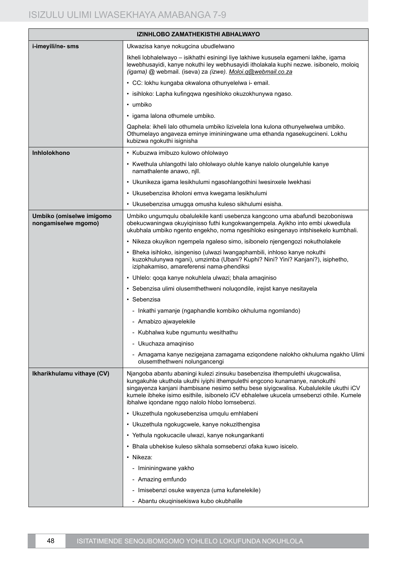| IZINHLOBO ZAMATHEKISTHI ABHALWAYO               |                                                                                                                                                                                                                                                                                                                                                                                                   |  |
|-------------------------------------------------|---------------------------------------------------------------------------------------------------------------------------------------------------------------------------------------------------------------------------------------------------------------------------------------------------------------------------------------------------------------------------------------------------|--|
| i-imeyili/ne- sms                               | Ukwazisa kanye nokugcina ubudlelwano                                                                                                                                                                                                                                                                                                                                                              |  |
|                                                 | Ikheli lobhalelwayo - isikhathi esiningi liye lakhiwe kususela egameni lakhe, igama<br>lewebhusayidi, kanye nokuthi ley webhusayidi itholakala kuphi nezwe. isibonelo, moloiq<br>(igama) @ webmail. (iseva) za (izwe). Moloi.g@webmail.co.za                                                                                                                                                      |  |
|                                                 | • CC: lokhu kungaba okwalona othunyelelwa i- email.                                                                                                                                                                                                                                                                                                                                               |  |
|                                                 | · isihloko: Lapha kufingqwa ngesihloko okuzokhunywa ngaso.                                                                                                                                                                                                                                                                                                                                        |  |
|                                                 | • umbiko                                                                                                                                                                                                                                                                                                                                                                                          |  |
|                                                 | · igama lalona othumele umbiko.                                                                                                                                                                                                                                                                                                                                                                   |  |
|                                                 | Qaphela: ikheli lalo othumela umbiko lizivelela lona kulona othunyelwelwa umbiko.<br>Othumelayo angaveza eminye imininingwane uma ethanda ngasekugcineni. Lokhu<br>kubizwa ngokuthi isignisha                                                                                                                                                                                                     |  |
| <b>Inhiolokhono</b>                             | · Kubuzwa imibuzo kulowo ohlolwayo                                                                                                                                                                                                                                                                                                                                                                |  |
|                                                 | • Kwethula uhlangothi lalo ohlolwayo oluhle kanye nalolo olungeluhle kanye<br>namathalente anawo, njll.                                                                                                                                                                                                                                                                                           |  |
|                                                 | • Ukunikeza igama lesikhulumi ngasohlangothini lwesinxele lwekhasi                                                                                                                                                                                                                                                                                                                                |  |
|                                                 | · Ukusebenzisa ikholoni emva kwegama lesikhulumi                                                                                                                                                                                                                                                                                                                                                  |  |
|                                                 | · Ukusebenzisa umugqa omusha kuleso sikhulumi esisha.                                                                                                                                                                                                                                                                                                                                             |  |
| Umbiko (omiselwe imigomo<br>nongamiselwe mgomo) | Umbiko ungumqulu obalulekile kanti usebenza kangcono uma abafundi bezoboniswa<br>obekucwaningwa okuyiqinisso futhi kungokwangempela. Ayikho into embi ukwedlula<br>ukubhala umbiko ngento engekho, noma ngesihloko esingenayo intshisekelo kumbhali.                                                                                                                                              |  |
|                                                 | · Nikeza okuyikon ngempela ngaleso simo, isibonelo njengengozi nokutholakele                                                                                                                                                                                                                                                                                                                      |  |
|                                                 | • Bheka isihloko, isingeniso (ulwazi lwangaphambili, inhloso kanye nokuthi<br>kuzokhulunywa ngani), umzimba (Ubani? Kuphi? Nini? Yini? Kanjani?), isiphetho,<br>iziphakamiso, amareferensi nama-phendiksi                                                                                                                                                                                         |  |
|                                                 | · Uhlelo: qoqa kanye nokuhlela ulwazi; bhala amaqiniso                                                                                                                                                                                                                                                                                                                                            |  |
|                                                 | · Sebenzisa ulimi olusemthethweni noluqondile, irejist kanye nesitayela                                                                                                                                                                                                                                                                                                                           |  |
|                                                 | • Sebenzisa                                                                                                                                                                                                                                                                                                                                                                                       |  |
|                                                 | - Inkathi yamanje (ngaphandle kombiko okhuluma ngomlando)                                                                                                                                                                                                                                                                                                                                         |  |
|                                                 | - Amabizo ajwayelekile                                                                                                                                                                                                                                                                                                                                                                            |  |
|                                                 | - Kubhalwa kube ngumuntu wesithathu                                                                                                                                                                                                                                                                                                                                                               |  |
|                                                 | - Ukuchaza amaqiniso                                                                                                                                                                                                                                                                                                                                                                              |  |
|                                                 | - Amagama kanye nezigejana zamagama eziqondene nalokho okhuluma ngakho Ulimi<br>olusemthethweni nolungancengi                                                                                                                                                                                                                                                                                     |  |
| Ikharikhulamu vithaye (CV)                      | Njangoba abantu abaningi kulezi zinsuku basebenzisa ithempulethi ukugcwalisa,<br>kungakuhle ukuthola ukuthi iyiphi ithempulethi engcono kunamanye, nanokuthi<br>singayenza kanjani ihambisane nesimo sethu bese siyigcwalisa. Kubalulekile ukuthi iCV<br>kumele ibheke isimo esithile, isibonelo iCV ebhalelwe ukucela umsebenzi othile. Kumele<br>ibhalwe iqondane ngqo nalolo hlobo lomsebenzi. |  |
|                                                 | • Ukuzethula ngokusebenzisa umqulu emhlabeni                                                                                                                                                                                                                                                                                                                                                      |  |
|                                                 | • Ukuzethula ngokugcwele, kanye nokuzithengisa                                                                                                                                                                                                                                                                                                                                                    |  |
|                                                 | • Yethula ngokucacile ulwazi, kanye nokungankanti                                                                                                                                                                                                                                                                                                                                                 |  |
|                                                 | · Bhala ubhekise kuleso sikhala somsebenzi ofaka kuwo isicelo.                                                                                                                                                                                                                                                                                                                                    |  |
|                                                 | • Nikeza:                                                                                                                                                                                                                                                                                                                                                                                         |  |
|                                                 | - Imininingwane yakho                                                                                                                                                                                                                                                                                                                                                                             |  |
|                                                 | - Amazing emfundo                                                                                                                                                                                                                                                                                                                                                                                 |  |
|                                                 | - Imisebenzi osuke wayenza (uma kufanelekile)                                                                                                                                                                                                                                                                                                                                                     |  |
|                                                 | - Abantu okuqinisekiswa kubo okubhalile                                                                                                                                                                                                                                                                                                                                                           |  |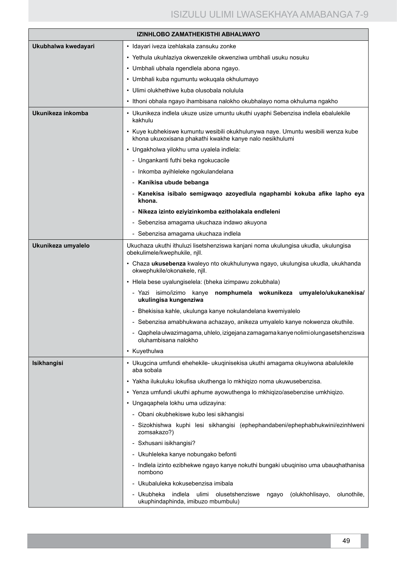| IZINHLOBO ZAMATHEKISTHI ABHALWAYO |                                                                                                                                              |  |  |  |
|-----------------------------------|----------------------------------------------------------------------------------------------------------------------------------------------|--|--|--|
| Ukubhalwa kwedayari               | · Idayari iveza izehlakala zansuku zonke                                                                                                     |  |  |  |
|                                   | • Yethula ukuhlaziya okwenzekile okwenziwa umbhali usuku nosuku                                                                              |  |  |  |
|                                   | · Umbhali ubhala ngendlela abona ngayo.                                                                                                      |  |  |  |
|                                   | • Umbhali kuba ngumuntu wokuqala okhulumayo                                                                                                  |  |  |  |
|                                   | · Ulimi olukhethiwe kuba olusobala nolulula                                                                                                  |  |  |  |
|                                   | · Ithoni obhala ngayo ihambisana nalokho okubhalayo noma okhuluma ngakho                                                                     |  |  |  |
| Ukunikeza inkomba                 | • Ukunikeza indlela ukuze usize umuntu ukuthi uyaphi Sebenzisa indlela ebalulekile<br>kakhulu                                                |  |  |  |
|                                   | • Kuye kubhekiswe kumuntu wesibili okukhulunywa naye. Umuntu wesibili wenza kube<br>khona ukuxoxisana phakathi kwakhe kanye nalo nesikhulumi |  |  |  |
|                                   | · Ungakholwa yilokhu uma uyalela indlela:                                                                                                    |  |  |  |
|                                   | - Ungankanti futhi beka ngokucacile                                                                                                          |  |  |  |
|                                   | - Inkomba ayihleleke ngokulandelana                                                                                                          |  |  |  |
|                                   | - Kanikisa ubude bebanga                                                                                                                     |  |  |  |
|                                   | - Kanekisa isibalo semigwaqo azoyedlula ngaphambi kokuba afike lapho eya<br>khona.                                                           |  |  |  |
|                                   | - Nikeza izinto eziyizinkomba ezitholakala endleleni                                                                                         |  |  |  |
|                                   | - Sebenzisa amagama ukuchaza indawo akuyona                                                                                                  |  |  |  |
|                                   | - Sebenzisa amagama ukuchaza indlela                                                                                                         |  |  |  |
| Ukunikeza umyalelo                | Ukuchaza ukuthi ithuluzi lisetshenziswa kanjani noma ukulungisa ukudla, ukulungisa<br>obekulimele/kwephukile, njll.                          |  |  |  |
|                                   | · Chaza ukusebenza kwaleyo nto okukhulunywa ngayo, ukulungisa ukudla, ukukhanda<br>okwephukile/okonakele, njll.                              |  |  |  |
|                                   | · Hlela bese uyalungiselela: (bheka izimpawu zokubhala)                                                                                      |  |  |  |
|                                   | - Yazi isimo/izimo kanye nomphumela wokunikeza umyalelo/ukukanekisa/<br>ukulingisa kungenziwa                                                |  |  |  |
|                                   | - Bhekisisa kahle, ukulunga kanye nokulandelana kwemiyalelo                                                                                  |  |  |  |
|                                   | - Sebenzisa amabhukwana achazayo, anikeza umyalelo kanye nokwenza okuthile.                                                                  |  |  |  |
|                                   | - Qaphela ulwazimagama, uhlelo, izigejana zamagama kanye nolimi olungasetshenziswa<br>oluhambisana nalokho                                   |  |  |  |
|                                   | • Kuyethulwa                                                                                                                                 |  |  |  |
| <b>Isikhangisi</b>                | · Ukugcina umfundi ehehekile- ukuqinisekisa ukuthi amagama okuyiwona abalulekile<br>aba sobala                                               |  |  |  |
|                                   | · Yakha ilukuluku lokufisa ukuthenga lo mkhiqizo noma ukuwusebenzisa.                                                                        |  |  |  |
|                                   | • Yenza umfundi ukuthi aphume ayowuthenga lo mkhiqizo/asebenzise umkhiqizo.                                                                  |  |  |  |
|                                   | · Ungaqaphela lokhu uma udizayina:                                                                                                           |  |  |  |
|                                   | - Obani okubhekiswe kubo lesi sikhangisi                                                                                                     |  |  |  |
|                                   | - Sizokhishwa kuphi lesi sikhangisi (ephephandabeni/ephephabhukwini/ezinhlweni<br>zomsakazo?)                                                |  |  |  |
|                                   | - Sxhusani isikhangisi?                                                                                                                      |  |  |  |
|                                   | - Ukuhleleka kanye nobungako befonti                                                                                                         |  |  |  |
|                                   | - Indlela izinto ezibhekwe ngayo kanye nokuthi bungaki ubuqiniso uma ubauqhathanisa<br>nombono                                               |  |  |  |
|                                   | - Ukubaluleka kokusebenzisa imibala                                                                                                          |  |  |  |
|                                   | - Ukubheka indlela ulimi<br>olusetshenziswe<br>(olukhohlisayo,<br>ngayo<br>olunothile,<br>ukuphindaphinda, imibuzo mbumbulu)                 |  |  |  |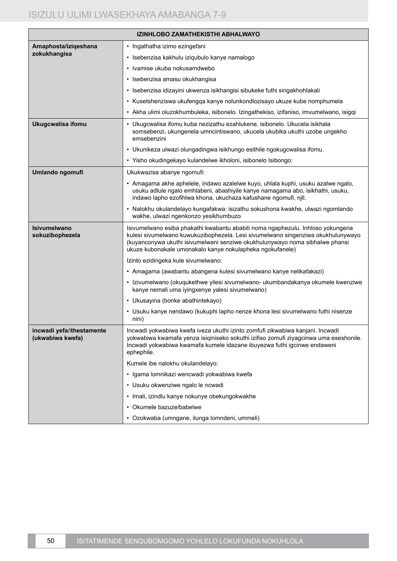| IZINHLOBO ZAMATHEKISTHI ABHALWAYO             |                                                                                                                                                                                                                                                                                                                  |  |  |
|-----------------------------------------------|------------------------------------------------------------------------------------------------------------------------------------------------------------------------------------------------------------------------------------------------------------------------------------------------------------------|--|--|
| Amaphosta/iziqeshana                          | · Ingathatha izimo ezingefani                                                                                                                                                                                                                                                                                    |  |  |
| zokukhangisa                                  | · Isebenzisa kakhulu iziqubulo kanye namalogo                                                                                                                                                                                                                                                                    |  |  |
|                                               | · Ivamise ukuba nokusamdwebo                                                                                                                                                                                                                                                                                     |  |  |
|                                               | · Isebenzisa amasu okukhangisa                                                                                                                                                                                                                                                                                   |  |  |
|                                               | · Isebenzisa idizayini ukwenza isikhangisi sibukeke futhi singakhohlakali                                                                                                                                                                                                                                        |  |  |
|                                               | • Kusetshenziswa ukufengga kanye nolunkondlozisayo ukuze kube nomphumela                                                                                                                                                                                                                                         |  |  |
|                                               | · Akha ulimi oluzokhumbuleka, isibonelo. Izingathekiso, izifaniso, imvumelwano, isigqi                                                                                                                                                                                                                           |  |  |
| Ukugcwalisa ifomu                             | · Ukugcwalisa ifomu kuba nezizathu ezahlukene, isibonelo. Ukucela isikhala<br>somsebenzi, ukungenela umncintiswano, ukucela ukubika ukuthi uzobe ungekho<br>emsebenzini                                                                                                                                          |  |  |
|                                               | · Ukunikeza ulwazi olungadingwa isikhungo esithile ngokugcwalisa ifomu.                                                                                                                                                                                                                                          |  |  |
|                                               | · Yisho okudingekayo kulandelwe ikholoni, isibonelo Isibongo:                                                                                                                                                                                                                                                    |  |  |
| Umlando ngomufi                               | Ukukwazisa abanye ngomufi:                                                                                                                                                                                                                                                                                       |  |  |
|                                               | • Amagama akhe aphelele, indawo azalelwe kuyo, uhlala kuphi, usuku azalwe ngalo,<br>usuku adlule ngalo emhlabeni, abashiyile kanye namagama abo, isikhathi, usuku,<br>indawo lapho ezofihlwa khona, ukuchaza kafushane ngomufi, njll.                                                                            |  |  |
|                                               | · Nalokhu okulandelayo kungafakwa: isizathu sokushona kwakhe, ulwazi ngomlando<br>wakhe, ulwazi ngenkonzo yesikhumbuzo                                                                                                                                                                                           |  |  |
| Isivumelwano<br>sokuzibophezela               | Isivumelwano esiba phakathi kwabantu ababili noma ngaphezulu. Inhloso yokungena<br>kulesi sivumelwano kuwukuzibophezela. Lesi sivumelwano singenziwa okukhulunywayo<br>(kuyanconywa ukuthi isivumelwani senziwe okukhulunywayo noma sibhalwe phansi<br>ukuze kubonakale umonakalo kanye nokulapheka ngokufanele) |  |  |
|                                               | Izinto ezidingeka kule sivumelwano:                                                                                                                                                                                                                                                                              |  |  |
|                                               | · Amagama (awabantu abangena kulesi sivumelwano kanye nelikafakazi)                                                                                                                                                                                                                                              |  |  |
|                                               | · Izivumelwano (okuqukethwe yilesi sivumelwano- ukumbandakanya okumele kwenziwe<br>kanye nemali uma iyingxenye yalesi sivumelwano)                                                                                                                                                                               |  |  |
|                                               | • Ukusayina (bonke abathintekayo)                                                                                                                                                                                                                                                                                |  |  |
|                                               | • Usuku kanye nendawo (kukuphi lapho nenze khona lesi sivumelwano futhi nisenze<br>nini)                                                                                                                                                                                                                         |  |  |
| incwadi yefa/ithestamente<br>(ukwabiwa kwefa) | Incwadi yokwabiwa kwefa iveza ukuthi izinto zomfufi zikwabiwa kanjani. Incwadi<br>yokwabiwa kwamafa yenza isiqiniseko sokuthi izifiso zomufi ziyagcinwa uma eseshonile.<br>Incwadi yokwabiwa kwamafa kumele idazane ibuyezwa futhi igcinwe endaweni<br>ephephile.                                                |  |  |
|                                               | Kumele ibe nalokhu okulandelayo:                                                                                                                                                                                                                                                                                 |  |  |
|                                               | · Igama lomnikazi wencwadi yokwabiwa kwefa                                                                                                                                                                                                                                                                       |  |  |
|                                               | · Usuku okwenziwe ngalo le ncwadi                                                                                                                                                                                                                                                                                |  |  |
|                                               | · Imali, izindlu kanye nokunye obekungokwakhe                                                                                                                                                                                                                                                                    |  |  |
|                                               | • Okumele bazuze/babelwe                                                                                                                                                                                                                                                                                         |  |  |
|                                               | · Ozokwaba (umngane, ilunga lomndeni, ummeli)                                                                                                                                                                                                                                                                    |  |  |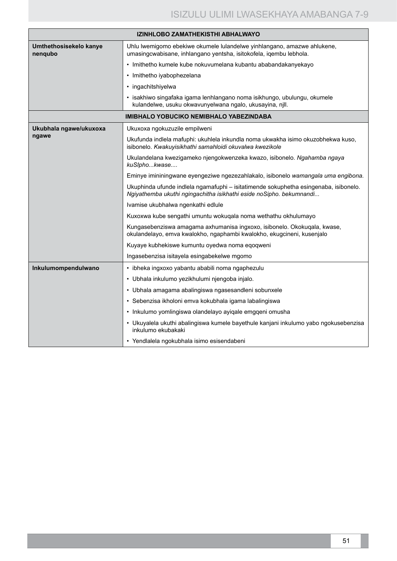| IZINHLOBO ZAMATHEKISTHI ABHALWAYO |                                                                                                                                                             |  |  |  |
|-----------------------------------|-------------------------------------------------------------------------------------------------------------------------------------------------------------|--|--|--|
| Umthethosisekelo kanye<br>nenqubo | Uhlu lwemigomo ebekiwe okumele lulandelwe yinhlangano, amazwe ahlukene,<br>umasingcwabisane, inhlangano yentsha, isitokofela, iqembu lebhola.               |  |  |  |
|                                   | · Imithetho kumele kube nokuvumelana kubantu ababandakanyekayo                                                                                              |  |  |  |
|                                   | • Imithetho iyabophezelana                                                                                                                                  |  |  |  |
|                                   | · ingachitshiyelwa                                                                                                                                          |  |  |  |
|                                   | · isakhiwo singafaka igama lenhlangano noma isikhungo, ubulungu, okumele<br>kulandelwe, usuku okwavunyelwana ngalo, ukusayina, njll.                        |  |  |  |
|                                   | IMIBHALO YOBUCIKO NEMIBHALO YABEZINDABA                                                                                                                     |  |  |  |
| Ukubhala ngawe/ukuxoxa            | Ukuxoxa ngokuzuzile empilweni                                                                                                                               |  |  |  |
| ngawe                             | Ukufunda indlela mafuphi: ukuhlela inkundla noma ukwakha isimo okuzobhekwa kuso,<br>isibonelo. Kwakuyisikhathi samahloidi okuvalwa kwezikole                |  |  |  |
|                                   | Ukulandelana kwezigameko njengokwenzeka kwazo, isibonelo. Ngahamba ngaya<br>kuSlphokwase                                                                    |  |  |  |
|                                   | Eminye imininingwane eyengeziwe ngezezahlakalo, isibonelo wamangala uma engibona.                                                                           |  |  |  |
|                                   | Ukuphinda ufunde indlela ngamafuphi - isitatimende sokuphetha esingenaba, isibonelo.<br>Ngiyathemba ukuthi ngingachitha isikhathi eside noSipho. bekumnandi |  |  |  |
|                                   | Ivamise ukubhalwa ngenkathi edlule                                                                                                                          |  |  |  |
|                                   | Kuxoxwa kube sengathi umuntu wokuqala noma wethathu okhulumayo                                                                                              |  |  |  |
|                                   | Kungasebenziswa amagama axhumanisa ingxoxo, isibonelo. Okokuqala, kwase,<br>okulandelayo, emva kwalokho, ngaphambi kwalokho, ekugcineni, kusenjalo          |  |  |  |
|                                   | Kuyaye kubhekiswe kumuntu oyedwa noma eqoqweni                                                                                                              |  |  |  |
|                                   | Ingasebenzisa isitayela esingabekelwe mgomo                                                                                                                 |  |  |  |
| Inkulumompendulwano               | • ibheka ingxoxo yabantu ababili noma ngaphezulu                                                                                                            |  |  |  |
|                                   | · Ubhala inkulumo yezikhulumi njengoba injalo.                                                                                                              |  |  |  |
|                                   | • Ubhala amagama abalingiswa ngasesandleni sobunxele                                                                                                        |  |  |  |
|                                   | · Sebenzisa ikholoni emva kokubhala igama labalingiswa                                                                                                      |  |  |  |
|                                   | · Inkulumo yomlingiswa olandelayo ayiqale emgqeni omusha                                                                                                    |  |  |  |
|                                   | · Ukuyalela ukuthi abalingiswa kumele bayethule kanjani inkulumo yabo ngokusebenzisa<br>inkulumo ekubakaki                                                  |  |  |  |
|                                   | · Yendlalela ngokubhala isimo esisendabeni                                                                                                                  |  |  |  |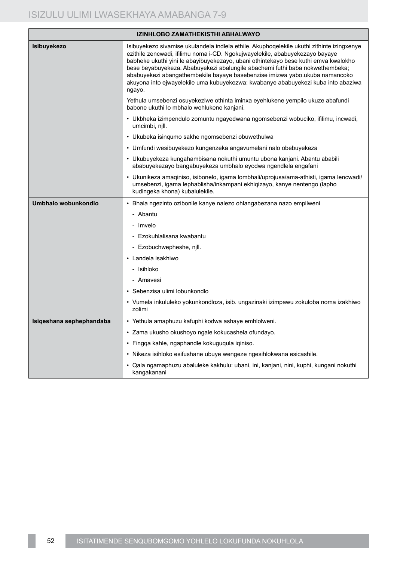| IZINHLOBO ZAMATHEKISTHI ABHALWAYO |                                                                                                                                                                                                                                                                                                                                                                                                                                                                                                                               |  |  |  |
|-----------------------------------|-------------------------------------------------------------------------------------------------------------------------------------------------------------------------------------------------------------------------------------------------------------------------------------------------------------------------------------------------------------------------------------------------------------------------------------------------------------------------------------------------------------------------------|--|--|--|
| Isibuyekezo                       | Isibuyekezo sivamise ukulandela indlela ethile. Akuphogelekile ukuthi zithinte izingxenye<br>ezithile zencwadi, ifilimu noma i-CD. Ngokujwayelekile, ababuyekezayo bayaye<br>babheke ukuthi yini le abayibuyekezayo, ubani othintekayo bese kuthi emva kwalokho<br>bese beyabuyekeza. Ababuyekezi abalungile abachemi futhi baba nokwethembeka;<br>ababuyekezi abangathembekile bayaye basebenzise imizwa yabo.ukuba namancoko<br>akuyona into ejwayelekile uma kubuyekezwa: kwabanye ababuyekezi kuba into abaziwa<br>ngayo. |  |  |  |
|                                   | Yethula umsebenzi osuyekeziwe othinta iminxa eyehlukene yempilo ukuze abafundi<br>babone ukuthi lo mbhalo wehlukene kanjani.                                                                                                                                                                                                                                                                                                                                                                                                  |  |  |  |
|                                   | • Ukbheka izimpendulo zomuntu ngayedwana ngomsebenzi wobuciko, ifilimu, incwadi,<br>umcimbi, nill.                                                                                                                                                                                                                                                                                                                                                                                                                            |  |  |  |
|                                   | • Ukubeka isingumo sakhe ngomsebenzi obuwethulwa                                                                                                                                                                                                                                                                                                                                                                                                                                                                              |  |  |  |
|                                   | · Umfundi wesibuyekezo kungenzeka angavumelani nalo obebuyekeza                                                                                                                                                                                                                                                                                                                                                                                                                                                               |  |  |  |
|                                   | • Ukubuyekeza kungahambisana nokuthi umuntu ubona kanjani. Abantu ababili<br>ababuyekezayo bangabuyekeza umbhalo eyodwa ngendlela engafani                                                                                                                                                                                                                                                                                                                                                                                    |  |  |  |
|                                   | · Ukunikeza amaqiniso, isibonelo, igama lombhali/uprojusa/ama-athisti, igama lencwadi/<br>umsebenzi, igama lephablisha/inkampani ekhiqizayo, kanye nentengo (lapho<br>kudingeka khona) kubalulekile.                                                                                                                                                                                                                                                                                                                          |  |  |  |
| Umbhalo wobunkondlo               | · Bhala ngezinto ozibonile kanye nalezo ohlangabezana nazo empilweni                                                                                                                                                                                                                                                                                                                                                                                                                                                          |  |  |  |
|                                   | - Abantu                                                                                                                                                                                                                                                                                                                                                                                                                                                                                                                      |  |  |  |
|                                   | - Imvelo                                                                                                                                                                                                                                                                                                                                                                                                                                                                                                                      |  |  |  |
|                                   | - Ezokuhlalisana kwabantu                                                                                                                                                                                                                                                                                                                                                                                                                                                                                                     |  |  |  |
|                                   | - Ezobuchwepheshe, njll.                                                                                                                                                                                                                                                                                                                                                                                                                                                                                                      |  |  |  |
|                                   | • Landela isakhiwo                                                                                                                                                                                                                                                                                                                                                                                                                                                                                                            |  |  |  |
|                                   | - Isihloko                                                                                                                                                                                                                                                                                                                                                                                                                                                                                                                    |  |  |  |
|                                   | - Amavesi                                                                                                                                                                                                                                                                                                                                                                                                                                                                                                                     |  |  |  |
|                                   | • Sebenzisa ulimi lobunkondlo                                                                                                                                                                                                                                                                                                                                                                                                                                                                                                 |  |  |  |
|                                   | · Vumela inkululeko yokunkondloza, isib. ungazinaki izimpawu zokuloba noma izakhiwo<br>zolimi                                                                                                                                                                                                                                                                                                                                                                                                                                 |  |  |  |
| Isiqeshana sephephandaba          | · Yethula amaphuzu kafuphi kodwa ashaye emhlolweni.                                                                                                                                                                                                                                                                                                                                                                                                                                                                           |  |  |  |
|                                   | · Zama ukusho okushoyo ngale kokucashela ofundayo.                                                                                                                                                                                                                                                                                                                                                                                                                                                                            |  |  |  |
|                                   | • Fingqa kahle, ngaphandle kokuguqula iqiniso.                                                                                                                                                                                                                                                                                                                                                                                                                                                                                |  |  |  |
|                                   | · Nikeza isihloko esifushane ubuye wengeze ngesihlokwana esicashile.                                                                                                                                                                                                                                                                                                                                                                                                                                                          |  |  |  |
|                                   | · Qala ngamaphuzu abaluleke kakhulu: ubani, ini, kanjani, nini, kuphi, kungani nokuthi<br>kangakanani                                                                                                                                                                                                                                                                                                                                                                                                                         |  |  |  |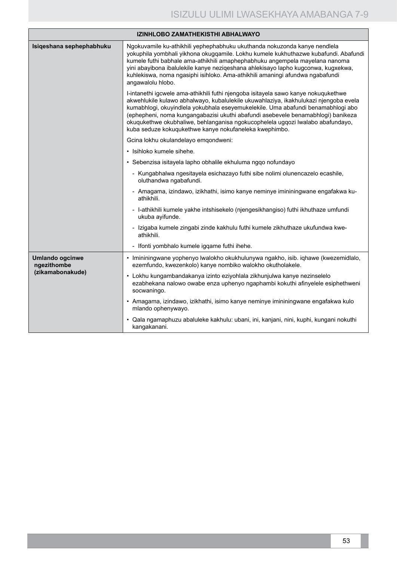| Isiqeshana sephephabhuku<br>Ngokuvamile ku-athikhili yephephabhuku ukuthanda nokuzonda kanye nendlela<br>kumele futhi babhale ama-athikhili amaphephabhuku angempela mayelana nanoma                                                                                                                                                                                                                                                                                                           |                                                                                                                                                                          |  |
|------------------------------------------------------------------------------------------------------------------------------------------------------------------------------------------------------------------------------------------------------------------------------------------------------------------------------------------------------------------------------------------------------------------------------------------------------------------------------------------------|--------------------------------------------------------------------------------------------------------------------------------------------------------------------------|--|
| kuhlekiswa, noma ngasiphi isihloko. Ama-athikhili amaningi afundwa ngabafundi<br>angawalolu hlobo.                                                                                                                                                                                                                                                                                                                                                                                             | yokuphila yombhali yikhona okugqamile. Lokhu kumele kukhuthazwe kubafundi. Abafundi<br>yini abayibona ibalulekile kanye neziqeshana ahlekisayo lapho kugconwa, kugxekwa, |  |
| I-intanethi igcwele ama-athikhili futhi njengoba isitayela sawo kanye nokuqukethwe<br>akwehlukile kulawo abhalwayo, kubalulekile ukuwahlaziya, ikakhulukazi njengoba evela<br>kumabhlogi, okuyindlela yokubhala eseyemukelekile. Uma abafundi benamabhlogi abo<br>(ephepheni, noma kungangabazisi ukuthi abafundi asebevele benamabhlogi) banikeza<br>okuqukethwe okubhaliwe, behlanganisa ngokucophelela ugqozi lwalabo abafundayo,<br>kuba seduze kokuqukethwe kanye nokufaneleka kwephimbo. |                                                                                                                                                                          |  |
| Gcina lokhu okulandelayo emqondweni:                                                                                                                                                                                                                                                                                                                                                                                                                                                           |                                                                                                                                                                          |  |
| · Isihloko kumele sihehe.                                                                                                                                                                                                                                                                                                                                                                                                                                                                      |                                                                                                                                                                          |  |
| · Sebenzisa isitayela lapho obhalile ekhuluma ngqo nofundayo                                                                                                                                                                                                                                                                                                                                                                                                                                   |                                                                                                                                                                          |  |
| - Kungabhalwa ngesitayela esichazayo futhi sibe nolimi olunencazelo ecashile,<br>oluthandwa ngabafundi.                                                                                                                                                                                                                                                                                                                                                                                        |                                                                                                                                                                          |  |
| - Amagama, izindawo, izikhathi, isimo kanye neminye imininingwane engafakwa ku-<br>athikhili.                                                                                                                                                                                                                                                                                                                                                                                                  |                                                                                                                                                                          |  |
| - I-athikhili kumele yakhe intshisekelo (njengesikhangiso) futhi ikhuthaze umfundi<br>ukuba ayifunde.                                                                                                                                                                                                                                                                                                                                                                                          |                                                                                                                                                                          |  |
| - Izigaba kumele zingabi zinde kakhulu futhi kumele zikhuthaze ukufundwa kwe-<br>athikhili.                                                                                                                                                                                                                                                                                                                                                                                                    |                                                                                                                                                                          |  |
| - Ifonti yombhalo kumele igqame futhi ihehe.                                                                                                                                                                                                                                                                                                                                                                                                                                                   |                                                                                                                                                                          |  |
| <b>Umlando ogcinwe</b><br>· Imininingwane yophenyo lwalokho okukhulunywa ngakho, isib. iqhawe (kwezemidlalo,<br>ngezithombe<br>ezemfundo, kwezenkolo) kanye nombiko walokho okutholakele.                                                                                                                                                                                                                                                                                                      |                                                                                                                                                                          |  |
| (zikamabonakude)<br>• Lokhu kungambandakanya izinto eziyohlala zikhunjulwa kanye nezinselelo<br>ezabhekana nalowo owabe enza uphenyo ngaphambi kokuthi afinyelele esiphethweni<br>socwaningo.                                                                                                                                                                                                                                                                                                  |                                                                                                                                                                          |  |
| · Amagama, izindawo, izikhathi, isimo kanye neminye imininingwane engafakwa kulo<br>mlando ophenywayo.                                                                                                                                                                                                                                                                                                                                                                                         |                                                                                                                                                                          |  |
| Qala ngamaphuzu abaluleke kakhulu: ubani, ini, kanjani, nini, kuphi, kungani nokuthi<br>kangakanani.                                                                                                                                                                                                                                                                                                                                                                                           |                                                                                                                                                                          |  |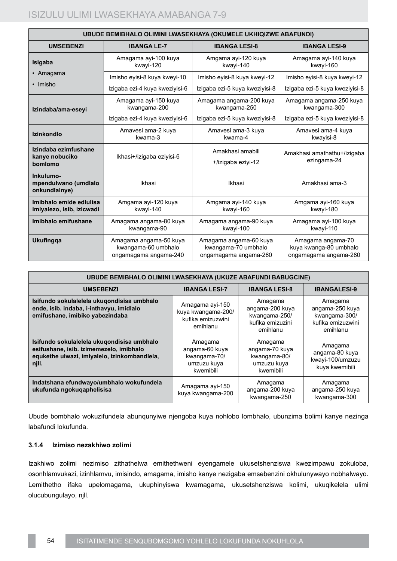| UBUDE BEMIBHALO OLIMINI LWASEKHAYA (OKUMELE UKHIQIZWE ABAFUNDI) |                                                                        |                                                                        |                                                                      |  |
|-----------------------------------------------------------------|------------------------------------------------------------------------|------------------------------------------------------------------------|----------------------------------------------------------------------|--|
| <b>UMSEBENZI</b>                                                | <b>IBANGA LE-7</b>                                                     | <b>IBANGA LESI-8</b>                                                   | <b>IBANGA LESI-9</b>                                                 |  |
| <b>Isigaba</b>                                                  | Amagama ayi-100 kuya<br>kwayi-120                                      | Amgama ayi-120 kuya<br>kwayi-140                                       | Amagama ayi-140 kuya<br>kwayi-160                                    |  |
| • Amagama                                                       | Imisho eyisi-8 kuya kweyi-10                                           | Imisho eyisi-8 kuya kweyi-12                                           | Imisho eyisi-8 kuya kweyi-12                                         |  |
| • Imisho                                                        | Izigaba ezi-4 kuya kweziyisi-6                                         | Izigaba ezi-5 kuya kweziyisi-8                                         | Izigaba ezi-5 kuya kweziyisi-8                                       |  |
| Izindaba/ama-eseyi                                              | Amagama ayi-150 kuya<br>kwangama-200                                   | Amagama angama-200 kuya<br>kwangama-250                                | Amagama angama-250 kuya<br>kwangama-300                              |  |
|                                                                 | Izigaba ezi-4 kuya kweziyisi-6                                         | Izigaba ezi-5 kuya kweziyisi-8                                         | Izigaba ezi-5 kuya kweziyisi-8                                       |  |
| <b>Izinkondlo</b>                                               | Amavesi ama-2 kuya<br>kwama-3                                          | Amavesi ama-3 kuya<br>kwama-4                                          | Amavesi ama-4 kuya<br>kwayisi-8                                      |  |
| Izindaba ezimfushane<br>kanye nobuciko<br>bomlomo               | Ikhasi+/izigaba eziyisi-6                                              | Amakhasi amabili<br>+/izigaba eziyi-12                                 | Amakhasi amathathu+/izigaba<br>ezingama-24                           |  |
| Inkulumo-<br>mpendulwano (umdlalo<br>onkundlalnye)              | Ikhasi                                                                 | Ikhasi                                                                 | Amakhasi ama-3                                                       |  |
| Imibhalo emide edlulisa<br>imiyalezo, isib, izicwadi            | Amgama ayi-120 kuya<br>kwayi-140                                       | Amgama ayi-140 kuya<br>kwayi-160                                       | Amgama ayi-160 kuya<br>kwayi-180                                     |  |
| Imibhalo emifushane                                             | Amagama angama-80 kuya<br>kwangama-90                                  | Amagama angama-90 kuya<br>kwayi-100                                    | Amagama ayi-100 kuya<br>kwayi-110                                    |  |
| Ukufingqa                                                       | Amagama angama-50 kuya<br>kwangama-60 umbhalo<br>ongamagama angama-240 | Amagama angama-60 kuya<br>kwangama-70 umbhalo<br>ongamagama angama-260 | Amagama angama-70<br>kuya kwanga-80 umbhalo<br>ongamagama angama-280 |  |

| UBUDE BEMIBHALO OLIMINI LWASEKHAYA (UKUZE ABAFUNDI BABUGCINE)                                                                                  |                                                                        |                                                                                                                                          |                                                                              |  |
|------------------------------------------------------------------------------------------------------------------------------------------------|------------------------------------------------------------------------|------------------------------------------------------------------------------------------------------------------------------------------|------------------------------------------------------------------------------|--|
| <b>UMSEBENZI</b>                                                                                                                               | <b>IBANGA LESI-7</b>                                                   | <b>IBANGA LESI-8</b>                                                                                                                     | <b>IBANGALESI-9</b>                                                          |  |
| Isifundo sokulalelela ukuqondisisa umbhalo<br>ende, isib. indaba, i-inthavyu, imidlalo<br>emifushane, imibiko yabezindaba                      | Amagama ayi-150<br>kuya kwangama-200/<br>kufika emizuzwini<br>emihlanu | Amagama<br>angama-200 kuya<br>kwangama-250/<br>kufika emizuzini<br>emihlanu                                                              | Amagama<br>angama-250 kuya<br>kwangama-300/<br>kufika emizuzwini<br>emihlanu |  |
| Isifundo sokulalelela ukuqondisisa umbhalo<br>esifushane, isib. izimemezelo, imibhalo<br>equkethe ulwazi, imiyalelo, izinkombandlela,<br>njll. | Amagama<br>angama-60 kuya<br>kwangama-70/<br>umzuzu kuya<br>kwemibili  | Amagama<br>Amagama<br>angama-70 kuya<br>angama-80 kuya<br>kwangama-80/<br>kwayi-100/umzuzu<br>umzuzu kuya<br>kuya kwemibili<br>kwemibili |                                                                              |  |
| Indatshana efundwayo/umbhalo wokufundela<br>ukufunda ngokuqaphelisisa                                                                          | Amagama ayi-150<br>kuya kwangama-200                                   | Amagama<br>angama-200 kuya<br>kwangama-250                                                                                               | Amagama<br>angama-250 kuya<br>kwangama-300                                   |  |

Ubude bombhalo wokuzifundela abunqunyiwe njengoba kuya nohlobo lombhalo, ubunzima bolimi kanye nezinga labafundi lokufunda.

#### **3.1.4 Izimiso nezakhiwo zolimi**

Izakhiwo zolimi nezimiso zithathelwa emithethweni eyengamele ukusetshenziswa kwezimpawu zokuloba, osonhlamvukazi, izinhlamvu, imisindo, amagama, imisho kanye nezigaba emsebenzini okhulunywayo nobhalwayo. Lemithetho ifaka upelomagama, ukuphinyiswa kwamagama, ukusetshenziswa kolimi, ukuqikelela ulimi olucubungulayo, njll.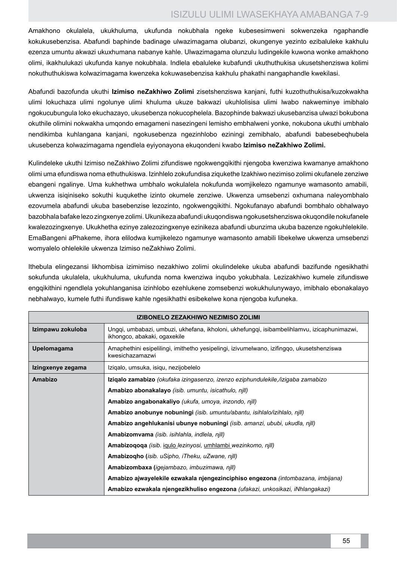Amakhono okulalela, ukukhuluma, ukufunda nokubhala ngeke kubesesimweni sokwenzeka ngaphandle kokukusebenzisa. Abafundi baphinde badinage ulwazimagama olubanzi, okungenye yezinto ezibaluleke kakhulu ezenza umuntu akwazi ukuxhumana nabanye kahle. Ulwazimagama olunzulu ludingekile kuwona wonke amakhono olimi, ikakhulukazi ukufunda kanye nokubhala. Indlela ebaluleke kubafundi ukuthuthukisa ukusetshenziswa kolimi nokuthuthukiswa kolwazimagama kwenzeka kokuwasebenzisa kakhulu phakathi nangaphandle kwekilasi.

Abafundi bazofunda ukuthi **Izimiso neZakhiwo Zolimi** zisetshenziswa kanjani, futhi kuzothuthukisa/kuzokwakha ulimi lokuchaza ulimi ngolunye ulimi khuluma ukuze bakwazi ukuhlolisisa ulimi lwabo nakweminye imibhalo ngokucubungula loko ekuchazayo, ukusebenza nokucophelela. Bazophinde bakwazi ukusebanzisa ulwazi bokubona okuthile olimini nokwakha umqondo emagameni nasezingeni lemisho embhalweni yonke, nokubona ukuthi umbhalo nendikimba kuhlangana kanjani, ngokusebenza ngezinhlobo eziningi zemibhalo, abafundi babesebeqhubela ukusebenza kolwazimagama ngendlela eyiyonayona ekuqondeni kwabo **Izimiso neZakhiwo Zolimi.**

Kulindeleke ukuthi Izimiso neZakhiwo Zolimi zifundiswe ngokwengqikithi njengoba kwenziwa kwamanye amakhono olimi uma efundiswa noma ethuthukiswa. Izinhlelo zokufundisa ziqukethe Izakhiwo nezimiso zolimi okufanele zenziwe ebangeni ngalinye. Uma kukhethwa umbhalo wokulalela nokufunda womjikelezo ngamunye wamasonto amabili, ukwenza isiqiniseko sokuthi kuqukethe izinto okumele zenziwe. Ukwenza umsebenzi oxhumana naleyombhalo ezovumela abafundi ukuba basebenzise lezozinto, ngokwengqikithi. Ngokufanayo abafundi bombhalo obhalwayo bazobhala bafake lezo zingxenye zolimi. Ukunikeza abafundi ukuqondiswa ngokusetshenziswa okuqondile nokufanele kwalezozingxenye. Ukukhetha ezinye zalezozingxenye ezinikeza abafundi ubunzima ukuba bazenze ngokuhlelekile. EmaBangeni aPhakeme, ihora elilodwa kumjikelezo ngamunye wamasonto amabili libekelwe ukwenza umsebenzi womyalelo ohlelekile ukwenza Izimiso neZakhiwo Zolimi.

Ithebula elingezansi likhombisa izimimiso nezakhiwo zolimi okulindeleke ukuba abafundi bazifunde ngesikhathi sokufunda ukulalela, ukukhuluma, ukufunda noma kwenziwa inqubo yokubhala. Lezizakhiwo kumele zifundiswe engqikithini ngendlela yokuhlanganisa izinhlobo ezehlukene zomsebenzi wokukhulunywayo, imibhalo ebonakalayo nebhalwayo, kumele futhi ifundiswe kahle ngesikhathi esibekelwe kona njengoba kufuneka.

| IZIBONELO ZEZAKHIWO NEZIMISO ZOLIMI |                                                                                                                             |  |  |  |
|-------------------------------------|-----------------------------------------------------------------------------------------------------------------------------|--|--|--|
| Izimpawu zokuloba                   | Ungqi, umbabazi, umbuzi, ukhefana, ikholoni, ukhefungqi, isibambelihlamvu, izicaphunimazwi,<br>ikhongco, abakaki, ogaxekile |  |  |  |
| Upelomagama                         | Amaphethini esipelilingi, imithetho yesipelingi, izivumelwano, izifingqo, ukusetshenziswa<br>kwesichazamazwi                |  |  |  |
| Izingxenye zegama                   | Iziqalo, umsuka, isiqu, nezijobelelo                                                                                        |  |  |  |
| Amabizo                             | Iziqalo zamabizo (okufaka izingasenzo, izenzo eziphundulekile,/izigaba zamabizo                                             |  |  |  |
|                                     | Amabizo abonakalayo (isib. umuntu, isicathulo, njll)                                                                        |  |  |  |
|                                     | Amabizo angabonakaliyo (ukufa, umoya, inzondo, njll)                                                                        |  |  |  |
|                                     | Amabizo anobunye nobuningi <i>(isib. umuntu/abantu, isihlalo/izihlalo, njll)</i>                                            |  |  |  |
|                                     | Amabizo angehlukanisi ubunye nobuningi (isib. amanzi, ububi, ukudla, njll)                                                  |  |  |  |
|                                     | Amabizomvama (isib. isihlahla, indlela, njll)                                                                               |  |  |  |
|                                     | Amabizoqoqa (isib. iqulo lezinyosi, umhlambi wezinkomo, njll)                                                               |  |  |  |
|                                     | <b>Amabizogho</b> ( <i>isib. uSipho, iTheku, uZwane, nill</i> )                                                             |  |  |  |
|                                     | Amabizombaxa (igejambazo, imbuzimawa, njll)                                                                                 |  |  |  |
|                                     | Amabizo ajwayelekile ezwakala njengezinciphiso engezona (intombazana, imbijana)                                             |  |  |  |
|                                     | Amabizo ezwakala njengezikhuliso engezona (ufakazi, unkosikazi, iNhlangakazi)                                               |  |  |  |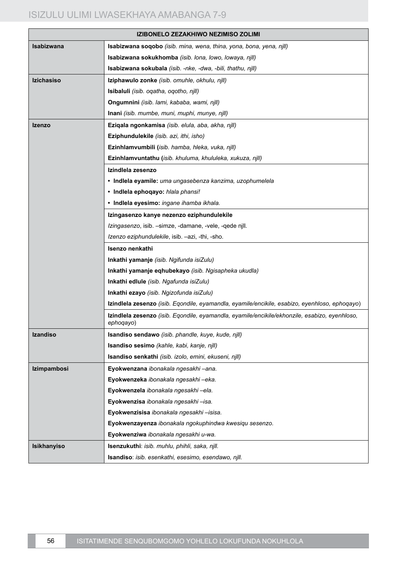| IZIBONELO ZEZAKHIWO NEZIMISO ZOLIMI |                                                                                                            |  |  |  |
|-------------------------------------|------------------------------------------------------------------------------------------------------------|--|--|--|
| <b>Isabizwana</b>                   | Isabizwana soqobo (isib. mina, wena, thina, yona, bona, yena, njll)                                        |  |  |  |
|                                     | Isabizwana sokukhomba (isib. lona, lowo, lowaya, njll)                                                     |  |  |  |
|                                     | Isabizwana sokubala (isib. -nke, -dwa, -bili, thathu, njll)                                                |  |  |  |
| <b>Izichasiso</b>                   | Iziphawulo zonke (isib. omuhle, okhulu, njll)                                                              |  |  |  |
|                                     | Isibaluli (isib. oqatha, oqotho, njll)                                                                     |  |  |  |
|                                     | Ongumnini (isib. lami, kababa, wami, njll)                                                                 |  |  |  |
|                                     | Inani (isib. mumbe, muni, muphi, munye, njll)                                                              |  |  |  |
| <b>Izenzo</b>                       | Eziqala ngonkamisa (isib. elula, aba, akha, njll)                                                          |  |  |  |
|                                     | Eziphundulekile (isib. azi, ithi, isho)                                                                    |  |  |  |
|                                     | Ezinhlamvumbili (isib. hamba, hleka, vuka, njll)                                                           |  |  |  |
|                                     | Ezinhlamvuntathu (isib. khuluma, khululeka, xukuza, njll)                                                  |  |  |  |
|                                     | Izindlela zesenzo                                                                                          |  |  |  |
|                                     | · Indlela eyamile: uma ungasebenza kanzima, uzophumelela                                                   |  |  |  |
|                                     | · Indlela ephoqayo: hlala phansi!                                                                          |  |  |  |
|                                     | · Indlela eyesimo: ingane ihamba ikhala.                                                                   |  |  |  |
|                                     | Izingasenzo kanye nezenzo eziphundulekile                                                                  |  |  |  |
|                                     | Izingasenzo, isib. - simze, - damane, - vele, - qede njll.                                                 |  |  |  |
|                                     | Izenzo eziphundulekile, isib. - azi, - thi, - sho.                                                         |  |  |  |
|                                     | Isenzo nenkathi                                                                                            |  |  |  |
|                                     | Inkathi yamanje (isib. Ngifunda isiZulu)                                                                   |  |  |  |
|                                     | Inkathi yamanje eqhubekayo (isib. Ngisapheka ukudla)                                                       |  |  |  |
|                                     | Inkathi edlule (isib. Ngafunda isiZulu)                                                                    |  |  |  |
|                                     | Inkathi ezayo (isib. Ngizofunda isiZulu)                                                                   |  |  |  |
|                                     | Izindlela zesenzo (isib. Eqondile, eyamandla, eyamile/encikile, esabizo, eyenhloso, ephoqayo)              |  |  |  |
|                                     | Izindlela zesenzo (isib. Eqondile, eyamandla, eyamile/encikile/ekhonzile, esabizo, eyenhloso,<br>ephoqayo) |  |  |  |
| <b>Izandiso</b>                     | Isandiso sendawo (isib. phandle, kuye, kude, njll)                                                         |  |  |  |
|                                     | Isandiso sesimo (kahle, kabi, kanje, njll)                                                                 |  |  |  |
|                                     | Isandiso senkathi (isib. izolo, emini, ekuseni, njll)                                                      |  |  |  |
| Izimpambosi                         | Eyokwenzana ibonakala ngesakhi -ana.                                                                       |  |  |  |
|                                     | Eyokwenzeka ibonakala ngesakhi -eka.                                                                       |  |  |  |
|                                     | Eyokwenzela ibonakala ngesakhi -ela.                                                                       |  |  |  |
|                                     | Eyokwenzisa ibonakala ngesakhi -isa.                                                                       |  |  |  |
|                                     | Eyokwenzisisa ibonakala ngesakhi -isisa.                                                                   |  |  |  |
|                                     | Eyokwenzayenza ibonakala ngokuphindwa kwesiqu sesenzo.                                                     |  |  |  |
|                                     | Eyokwenziwa ibonakala ngesakhi u-wa.                                                                       |  |  |  |
| Isikhanyiso                         | Isenzukuthi: isib. muhlu, phihli, saka, njll.                                                              |  |  |  |
|                                     | Isandiso: isib. esenkathi, esesimo, esendawo, njll.                                                        |  |  |  |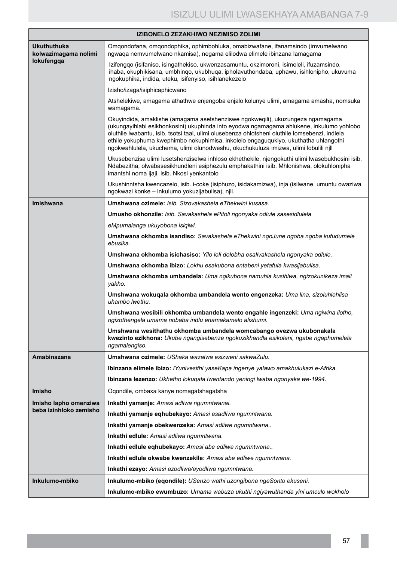| IZIBONELO ZEZAKHIWO NEZIMISO ZOLIMI        |                                                                                                                                                                                                                                                                                                                                                                                                                                                             |  |  |  |  |
|--------------------------------------------|-------------------------------------------------------------------------------------------------------------------------------------------------------------------------------------------------------------------------------------------------------------------------------------------------------------------------------------------------------------------------------------------------------------------------------------------------------------|--|--|--|--|
| <b>Ukuthuthuka</b><br>kolwazimagama nolimi | Omgondofana, omgondophika, ophimbohluka, omabizwafane, ifanamsindo (imvumelwano<br>ngwaqa nemvumelwano nkamisa), negama elilodwa elimele ibinzana lamagama                                                                                                                                                                                                                                                                                                  |  |  |  |  |
| lokufengqa                                 | Izifengqo (isifaniso, isingathekiso, ukwenzasamuntu, okzimoroni, isimeleli, ifuzamsindo,<br>ihaba, okuphikisana, umbhinqo, ukubhuqa, ipholavuthondaba, uphawu, isihlonipho, ukuvuma<br>ngokuphika, indida, uteku, isifenyiso, isihlanekezelo                                                                                                                                                                                                                |  |  |  |  |
|                                            | Izisho/izaga/isiphicaphicwano                                                                                                                                                                                                                                                                                                                                                                                                                               |  |  |  |  |
|                                            | Atshelekiwe, amagama athathwe enjengoba enjalo kolunye ulimi, amagama amasha, nomsuka<br>wamagama.                                                                                                                                                                                                                                                                                                                                                          |  |  |  |  |
|                                            | Okuyindida, amaklishe (amagama asetshenziswe ngokweqili), ukuzungeza ngamagama<br>(ukungayihlabi esikhonkosini) ukuphinda into eyodwa ngamagama ahlukene, inkulumo yohlobo<br>oluthile lwabantu, isib. tsotsi taal, ulimi olusebenza ohlotsheni oluthile lomsebenzi, indlela<br>ethile yokuphuma kwephimbo nokuphimisa, inkolelo engaguqukiyo, ukuthatha uhlangothi<br>ngokwahlulela, ukuchema, ulimi olunodweshu, okuchukuluza imizwa, ulimi lobulili njll |  |  |  |  |
|                                            | Ukusebenzisa ulimi lusetshenziselwa inhloso ekhethekile, njengokuthi ulimi lwasebukhosini isib.<br>Ndabezitha, olwabasesikhundleni esiphezulu emphakathini isib. Mhlonishwa, olokuhlonipha<br>imantshi noma ijaji, isib. Nkosi yenkantolo                                                                                                                                                                                                                   |  |  |  |  |
|                                            | Ukushinntsha kwencazelo, isib. i-coke (isiphuzo, isidakamizwa), inja (isilwane, umuntu owaziwa<br>ngokwazi konke - inkulumo yokuzijabulisa), njll.                                                                                                                                                                                                                                                                                                          |  |  |  |  |
| <b>Imishwana</b>                           | Umshwana ozimele: Isib. Sizovakashela eThekwini kusasa.                                                                                                                                                                                                                                                                                                                                                                                                     |  |  |  |  |
|                                            | Umusho okhonzile: Isib. Savakashela ePitoli ngonyaka odlule sasesidlulela                                                                                                                                                                                                                                                                                                                                                                                   |  |  |  |  |
|                                            | eMpumalanga ukuyobona isiqiwi.                                                                                                                                                                                                                                                                                                                                                                                                                              |  |  |  |  |
|                                            | Umshwana okhomba isandiso: Savakashela eThekwini ngoJune ngoba ngoba kufudumele<br>ebusika.                                                                                                                                                                                                                                                                                                                                                                 |  |  |  |  |
|                                            | Umshwana okhomba isichasiso: Yilo leli dolobha esalivakashela ngonyaka odlule.                                                                                                                                                                                                                                                                                                                                                                              |  |  |  |  |
|                                            | Umshwana okhomba ibizo: Lokhu esakubona entabeni yetafula kwasijabulisa.                                                                                                                                                                                                                                                                                                                                                                                    |  |  |  |  |
|                                            | Umshwana okhomba umbandela: Uma ngikubona namuhla kusihlwa, ngizokunikeza imali<br>yakho.                                                                                                                                                                                                                                                                                                                                                                   |  |  |  |  |
|                                            | Umshwana wokuqala okhomba umbandela wento engenzeka: Uma lina, sizoluhlehlisa<br>uhambo lwethu.                                                                                                                                                                                                                                                                                                                                                             |  |  |  |  |
|                                            | Umshwana wesibili okhomba umbandela wento engahle ingenzeki: Uma ngiwina ilotho,<br>ngizothengela umama nobaba indlu enamakamelo alishumi.                                                                                                                                                                                                                                                                                                                  |  |  |  |  |
|                                            | Umshwana wesithathu okhomba umbandela womcabango ovezwa ukubonakala<br>kwezinto ezikhona: Ukube ngangisebenze ngokuzikhandla esikoleni, ngabe ngaphumelela<br>ngamalengiso.                                                                                                                                                                                                                                                                                 |  |  |  |  |
| <b>Amabinazana</b>                         | Umshwana ozimele: UShaka wazalwa esizweni sakwaZulu.                                                                                                                                                                                                                                                                                                                                                                                                        |  |  |  |  |
|                                            | Ibinzana elimele ibizo: /Yunivesithi yaseKapa ingenye yalawo amakhulukazi e-Afrika.                                                                                                                                                                                                                                                                                                                                                                         |  |  |  |  |
|                                            | Ibinzana lezenzo: Ukhetho lokuqala lwentando yeningi lwaba ngonyaka we-1994.                                                                                                                                                                                                                                                                                                                                                                                |  |  |  |  |
| <b>Imisho</b>                              | Oqondile, ombaxa kanye nomagatshagatsha                                                                                                                                                                                                                                                                                                                                                                                                                     |  |  |  |  |
| Imisho lapho omenziwa                      | Inkathi yamanje: Amasi adliwa ngumntwanai.                                                                                                                                                                                                                                                                                                                                                                                                                  |  |  |  |  |
| beba izinhloko zemisho                     | Inkathi yamanje eqhubekayo: Amasi asadliwa ngumntwana.                                                                                                                                                                                                                                                                                                                                                                                                      |  |  |  |  |
|                                            | Inkathi yamanje obekwenzeka: Amasi adliwe ngumntwana                                                                                                                                                                                                                                                                                                                                                                                                        |  |  |  |  |
|                                            | Inkathi edlule: Amasi adliwa ngumntwana.                                                                                                                                                                                                                                                                                                                                                                                                                    |  |  |  |  |
|                                            | Inkathi edlule eqhubekayo: Amasi abe edliwa ngumntwana                                                                                                                                                                                                                                                                                                                                                                                                      |  |  |  |  |
|                                            | Inkathi edlule okwabe kwenzekile: Amasi abe edliwe ngumntwana.                                                                                                                                                                                                                                                                                                                                                                                              |  |  |  |  |
|                                            | Inkathi ezayo: Amasi azodliwa/ayodliwa ngumntwana.                                                                                                                                                                                                                                                                                                                                                                                                          |  |  |  |  |
| Inkulumo-mbiko                             | Inkulumo-mbiko (eqondile): USenzo wathi uzongibona ngeSonto ekuseni.                                                                                                                                                                                                                                                                                                                                                                                        |  |  |  |  |
|                                            | Inkulumo-mbiko ewumbuzo: Umama wabuza ukuthi ngiyawuthanda yini umculo wokholo                                                                                                                                                                                                                                                                                                                                                                              |  |  |  |  |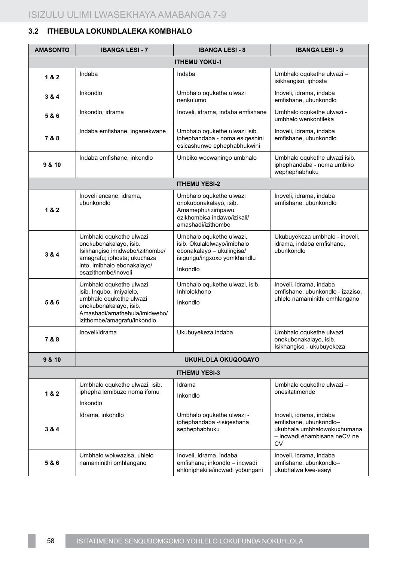# **3.2 Ithebula lokundlaleka kombhalo**

| <b>AMASONTO</b>      | <b>IBANGA LESI - 7</b>                                                                                                                                                    | <b>IBANGA LESI - 8</b>                                                                                                          | <b>IBANGA LESI - 9</b>                                                                                                        |  |
|----------------------|---------------------------------------------------------------------------------------------------------------------------------------------------------------------------|---------------------------------------------------------------------------------------------------------------------------------|-------------------------------------------------------------------------------------------------------------------------------|--|
| <b>ITHEMU YOKU-1</b> |                                                                                                                                                                           |                                                                                                                                 |                                                                                                                               |  |
| 1&2                  | Indaba                                                                                                                                                                    | Indaba                                                                                                                          | Umbhalo oqukethe ulwazi -<br>isikhangiso, iphosta                                                                             |  |
| 3 & 4                | Inkondlo                                                                                                                                                                  | Umbhalo oqukethe ulwazi<br>nenkulumo                                                                                            | Inoveli, idrama, indaba<br>emfishane, ubunkondlo                                                                              |  |
| 5&6                  | Inkondlo, idrama                                                                                                                                                          | Inoveli, idrama, indaba emfishane                                                                                               | Umbhalo oqukethe ulwazi -<br>umbhalo wenkontileka                                                                             |  |
| 7 & 8                | Indaba emfishane, inganekwane                                                                                                                                             | Umbhalo oqukethe ulwazi isib.<br>iphephandaba - noma esiqeshini<br>esicashunwe ephephabhukwini                                  | Inoveli, idrama, indaba<br>emfishane, ubunkondlo                                                                              |  |
| 9 & 10               | Indaba emfishane, inkondlo                                                                                                                                                | Umbiko wocwaningo umbhalo                                                                                                       | Umbhalo oqukethe ulwazi isib.<br>iphephandaba - noma umbiko<br>wephephabhuku                                                  |  |
|                      |                                                                                                                                                                           | <b>ITHEMU YESI-2</b>                                                                                                            |                                                                                                                               |  |
| 1&2                  | Inoveli encane, idrama,<br>ubunkondlo                                                                                                                                     | Umbhalo oqukethe ulwazi<br>onokubonakalayo, isib.<br>Amamephu/izimpawu<br>ezikhombisa indawo/izikali/<br>amashadi/izithombe     | Inoveli, idrama, indaba<br>emfishane, ubunkondlo                                                                              |  |
| 3 & 4                | Umbhalo oqukethe ulwazi<br>onokubonakalayo, isib.<br>Isikhangiso imidwebo/izithombe/<br>amagrafu; iphosta; ukuchaza<br>into, imibhalo ebonakalayo/<br>esazithombe/inoveli | Umbhalo oqukethe ulwazi,<br>isib. Okulalelwayo/imibhalo<br>ebonakalayo - ukulingisa/<br>isigungu/ingxoxo yomkhandlu<br>Inkondlo | Ukubuyekeza umbhalo - inoveli,<br>idrama, indaba emfishane,<br>ubunkondlo                                                     |  |
| 5&6                  | Umbhalo oqukethe ulwazi<br>isib. Inqubo, imiyalelo,<br>umbhalo oqukethe ulwazi<br>onokubonakalayo, isib.<br>Amashadi/amathebula/imidwebo/<br>izithombe/amagrafu/inkondlo  | Umbhalo oqukethe ulwazi, isib.<br>Inhlolokhono<br>Inkondlo                                                                      | Inoveli, idrama, indaba<br>emfishane, ubunkondlo - izaziso,<br>uhlelo namaminithi omhlangano                                  |  |
| 7&8                  | Inoveli/idrama                                                                                                                                                            | Ukubuyekeza indaba                                                                                                              | Umbhalo oqukethe ulwazi<br>onokubonakalayo, isib.<br>Isikhangiso - ukubuyekeza                                                |  |
| 9 & 10               |                                                                                                                                                                           | UKUHLOLA OKUQOQAYO                                                                                                              |                                                                                                                               |  |
| <b>ITHEMU YESI-3</b> |                                                                                                                                                                           |                                                                                                                                 |                                                                                                                               |  |
| 1&2                  | Umbhalo oqukethe ulwazi, isib.<br>iphepha lemibuzo noma ifomu<br>Inkondlo                                                                                                 | Idrama<br>Inkondlo                                                                                                              | Umbhalo oqukethe ulwazi -<br>onesitatimende                                                                                   |  |
| 3 & 4                | Idrama, inkondlo                                                                                                                                                          | Umbhalo oqukethe ulwazi -<br>iphephandaba -/isiqeshana<br>sephephabhuku                                                         | Inoveli, idrama, indaba<br>emfishane, ubunkondlo-<br>ukubhala umbhalowokuxhumana<br>- incwadi ehambisana neCV ne<br><b>CV</b> |  |
| 5&6                  | Umbhalo wokwazisa, uhlelo<br>namaminithi omhlangano                                                                                                                       | Inoveli, idrama, indaba<br>emfishane; inkondlo - incwadi<br>ehloniphekile/incwadi yobungani                                     | Inoveli, idrama, indaba<br>emfishane, ubunkondlo-<br>ukubhalwa kwe-eseyi                                                      |  |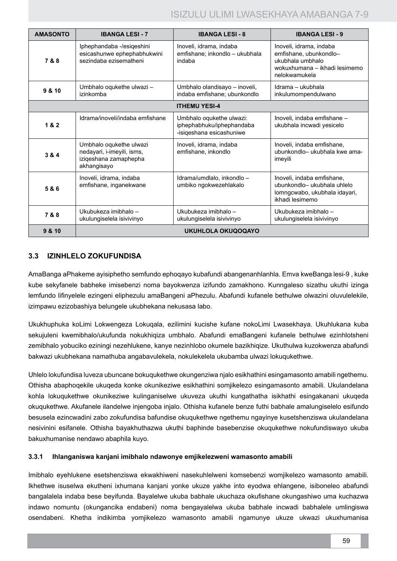| <b>AMASONTO</b> | <b>IBANGA LESI - 7</b>                                                                        | <b>IBANGA LESI - 8</b>                                                            | <b>IBANGA LESI - 9</b>                                                                                                  |
|-----------------|-----------------------------------------------------------------------------------------------|-----------------------------------------------------------------------------------|-------------------------------------------------------------------------------------------------------------------------|
| 7&8             | Iphephandaba -/esiqeshini<br>esicashunwe ephephabhukwini<br>sezindaba ezisematheni            | Inoveli, idrama, indaba<br>emfishane; inkondlo - ukubhala<br>indaba               | Inoveli, idrama, indaba<br>emfishane, ubunkondlo-<br>ukubhala umbhalo<br>wokuxhumana – ikhadi lesimemo<br>nelokwamukela |
| 9 & 10          | Umbhalo oqukethe ulwazi -<br>izinkomba                                                        | Umbhalo olandisayo - inoveli,<br>indaba emfishane; ubunkondlo                     | Idrama – ukubhala<br>inkulumompendulwano                                                                                |
|                 |                                                                                               | <b>ITHEMU YESI-4</b>                                                              |                                                                                                                         |
| 1 & 2           | Idrama/inoveli/indaba emfishane                                                               | Umbhalo oqukethe ulwazi:<br>iphephabhuku/iphephandaba<br>-isiqeshana esicashuniwe | Inoveli, indaba emfishane -<br>ukubhala incwadi yesicelo                                                                |
| 3 & 4           | Umbhalo oqukethe ulwazi<br>nedayari, i-imeyili, isms,<br>iziqeshana zamaphepha<br>akhangisayo | Inoveli, idrama, indaba<br>emfishane, inkondlo                                    | Inoveli, indaba emfishane,<br>ubunkondlo- ukubhala kwe ama-<br>imeyili                                                  |
| 5&6             | Inoveli, idrama, indaba<br>emfishane, inganekwane                                             | Idrama/umdlalo, inkondlo -<br>umbiko ngokwezehlakalo                              | Inoveli, indaba emfishane,<br>ubunkondlo- ukubhala uhlelo<br>lomngcwabo, ukubhala idayari,<br>ikhadi lesimemo           |
| 7&8             | Ukubukeza imibhalo -<br>ukulungiselela isivivinyo                                             | Ukubukeza imibhalo -<br>ukulungiselela isivivinyo                                 | Ukubukeza imibhalo -<br>ukulungiselela isivivinyo                                                                       |
| 9 & 10          |                                                                                               | UKUHLOLA OKUQOQAYO                                                                |                                                                                                                         |

# **3.3 Izinhlelo zokufundisa**

AmaBanga aPhakeme ayisiphetho semfundo ephoqayo kubafundi abangenanhlanhla. Emva kweBanga lesi-9 , kuke kube sekyfanele babheke imisebenzi noma bayokwenza izifundo zamakhono. Kunngaleso sizathu ukuthi izinga lemfundo lifinyelele ezingeni eliphezulu amaBangeni aPhezulu. Abafundi kufanele bethulwe olwazini oluvulelekile, izimpawu ezizobashiya belungele ukubhekana nekusasa labo.

Ukukhuphuka koLimi Lokwengeza Lokuqala, ezilimini kucishe kufane nokoLimi Lwasekhaya. Ukuhlukana kuba sekujuleni kwemibhalo/ukufunda nokukhiqiza umbhalo. Abafundi emaBangeni kufanele bethulwe ezinhlotsheni zemibhalo yobuciko eziningi nezehlukene, kanye nezinhlobo okumele bazikhiqize. Ukuthulwa kuzokwenza abafundi bakwazi ukubhekana namathuba angabavulekela, nokulekelela ukubamba ulwazi lokuqukethwe.

Uhlelo lokufundisa luveza ubuncane bokuqukethwe okungenziwa njalo esikhathini esingamasonto amabili ngethemu. Othisha abaphoqekile ukuqeda konke okunikeziwe esikhathini somjikelezo esingamasonto amabili. Ukulandelana kohla lokuqukethwe okunikeziwe kulinganiselwe ukuveza ukuthi kungathatha isikhathi esingakanani ukuqeda okuqukethwe. Akufanele ilandelwe injengoba injalo. Othisha kufanele benze futhi babhale amalungiselelo esifundo besusela ezincwadini zabo zokufundisa bafundise okuqukethwe ngethemu ngayinye kusetshenziswa ukulandelana nesivinini esifanele. Othisha bayakhuthazwa ukuthi baphinde basebenzise okuqukethwe nokufundiswayo ukuba bakuxhumanise nendawo abaphila kuyo.

## **3.3.1 Ihlanganiswa kanjani imibhalo ndawonye emjikelezweni wamasonto amabili**

Imibhalo eyehlukene esetshenziswa ekwakhiweni nasekuhlelweni komsebenzi womjikelezo wamasonto amabili. Ikhethwe isuselwa ekutheni ixhumana kanjani yonke ukuze yakhe into eyodwa ehlangene, isiboneleo abafundi bangalalela indaba bese beyifunda. Bayalelwe ukuba babhale ukuchaza okufishane okungashiwo uma kuchazwa indawo nomuntu (okungancika endabeni) noma bengayalelwa ukuba babhale incwadi babhalele umlingiswa osendabeni. Khetha indikimba yomjikelezo wamasonto amabili ngamunye ukuze ukwazi ukuxhumanisa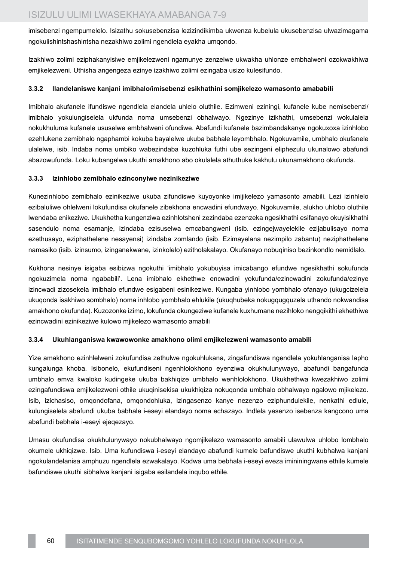imisebenzi ngempumelelo. Isizathu sokusebenzisa lezizindikimba ukwenza kubelula ukusebenzisa ulwazimagama ngokulishintshashintsha nezakhiwo zolimi ngendlela eyakha umqondo.

Izakhiwo zolimi eziphakanyisiwe emjikelezweni ngamunye zenzelwe ukwakha uhlonze embhalweni ozokwakhiwa emjikelezweni. Uthisha angengeza ezinye izakhiwo zolimi ezingaba usizo kulesifundo.

## **3.3.2 Ilandelaniswe kanjani imibhalo/imisebenzi esikhathini somjikelezo wamasonto amababili**

Imibhalo akufanele ifundiswe ngendlela elandela uhlelo oluthile. Ezimweni eziningi, kufanele kube nemisebenzi/ imibhalo yokulungiselela ukfunda noma umsebenzi obhalwayo. Ngezinye izikhathi, umsebenzi wokulalela nokukhuluma kufanele ususelwe embhalweni ofundiwe. Abafundi kufanele bazimbandakanye ngokuxoxa izinhlobo ezehlukene zemibhalo ngaphambi kokuba bayalelwe ukuba babhale leyombhalo. Ngokuvamile, umbhalo okufanele ulalelwe, isib. Indaba noma umbiko wabezindaba kuzohluka futhi ube sezingeni eliphezulu ukunalowo abafundi abazowufunda. Loku kubangelwa ukuthi amakhono abo okulalela athuthuke kakhulu ukunamakhono okufunda.

#### **3.3.3 Izinhlobo zemibhalo ezinconyiwe nezinikeziwe**

Kunezinhlobo zemibhalo ezinikeziwe ukuba zifundiswe kuyoyonke imijikelezo yamasonto amabili. Lezi izinhlelo ezibaluliwe ohlelweni lokufundisa okufanele zibekhona encwadini efundwayo. Ngokuvamile, alukho uhlobo oluthile lwendaba enikeziwe. Ukukhetha kungenziwa ezinhlotsheni zezindaba ezenzeka ngesikhathi esifanayo okuyisikhathi sasendulo noma esamanje, izindaba ezisuselwa emcabangweni (isib. ezingejwayelekile ezijabulisayo noma ezethusayo, eziphathelene nesayensi) izindaba zomlando (isib. Ezimayelana nezimpilo zabantu) neziphathelene namasiko (isib. izinsumo, izinganekwane, izinkolelo) ezitholakalayo. Okufanayo nobuqiniso bezinkondlo nemidlalo.

Kukhona nesinye isigaba esibizwa ngokuthi 'imibhalo yokubuyisa imicabango efundwe ngesikhathi sokufunda ngokuzimela noma ngababili'. Lena imibhalo ekhethwe encwadini yokufunda/ezincwadini zokufunda/ezinye izincwadi zizosekela imibhalo efundwe esigabeni esinikeziwe. Kungaba yinhlobo yombhalo ofanayo (ukugcizelela ukuqonda isakhiwo sombhalo) noma inhlobo yombhalo ehlukile (ukuqhubeka nokugqugquzela uthando nokwandisa amakhono okufunda). Kuzozonke izimo, lokufunda okungeziwe kufanele kuxhumane nezihloko nengqikithi ekhethiwe ezincwadini ezinikeziwe kulowo mjikelezo wamasonto amabili

# **3.3.4 Ukuhlanganiswa kwawowonke amakhono olimi emjikelezweni wamasonto amabili**

Yize amakhono ezinhlelweni zokufundisa zethulwe ngokuhlukana, zingafundiswa ngendlela yokuhlanganisa lapho kungalunga khoba. Isibonelo, ekufundiseni ngenhlolokhono eyenziwa okukhulunywayo, abafundi bangafunda umbhalo emva kwaloko kudingeke ukuba bakhiqize umbhalo wenhlolokhono. Ukukhethwa kwezakhiwo zolimi ezingafundiswa emjikelezweni othile ukuqinisekisa ukukhiqiza nokuqonda umbhalo obhalwayo ngalowo mjikelezo. Isib, izichasiso, omqondofana, omqondohluka, izingasenzo kanye nezenzo eziphundulekile, nenkathi edlule, kulungiselela abafundi ukuba babhale i-eseyi elandayo noma echazayo. Indlela yesenzo isebenza kangcono uma abafundi bebhala i-eseyi ejeqezayo.

Umasu okufundisa okukhulunywayo nokubhalwayo ngomjikelezo wamasonto amabili ulawulwa uhlobo lombhalo okumele ukhiqizwe. Isib. Uma kufundiswa i-eseyi elandayo abafundi kumele bafundiswe ukuthi kubhalwa kanjani ngokulandelanisa amphuzu ngendlela ezwakalayo. Kodwa uma bebhala i-eseyi eveza imininingwane ethile kumele bafundiswe ukuthi sibhalwa kanjani isigaba esilandela inqubo ethile.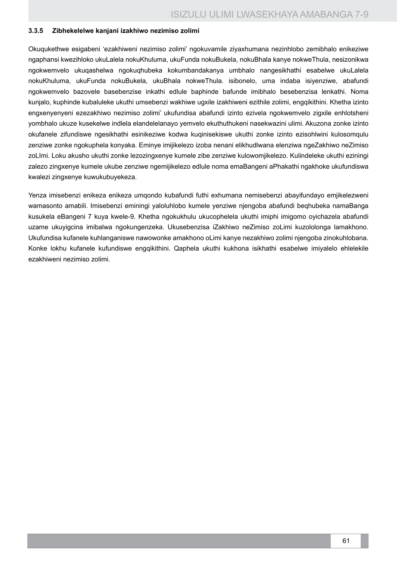#### **3.3.5 Zibhekelelwe kanjani izakhiwo nezimiso zolimi**

Okuqukethwe esigabeni 'ezakhiweni nezimiso zolimi' ngokuvamile ziyaxhumana nezinhlobo zemibhalo enikeziwe ngaphansi kwezihloko ukuLalela nokuKhuluma, ukuFunda nokuBukela, nokuBhala kanye nokweThula, nesizonikwa ngokwemvelo ukuqashelwa ngokuqhubeka kokumbandakanya umbhalo nangesikhathi esabelwe ukuLalela nokuKhuluma, ukuFunda nokuBukela, ukuBhala nokweThula. isibonelo, uma indaba isiyenziwe, abafundi ngokwemvelo bazovele basebenzise inkathi edlule baphinde bafunde imibhalo besebenzisa lenkathi. Noma kunjalo, kuphinde kubaluleke ukuthi umsebenzi wakhiwe ugxile izakhiweni ezithile zolimi, engqikithini. Khetha izinto engxenyenyeni ezezakhiwo nezimiso zolimi' ukufundisa abafundi izinto ezivela ngokwemvelo zigxile enhlotsheni yombhalo ukuze kusekelwe indlela elandelelanayo yemvelo ekuthuthukeni nasekwazini ulimi. Akuzona zonke izinto okufanele zifundiswe ngesikhathi esinikeziwe kodwa kuqinisekiswe ukuthi zonke izinto ezisohlwini kulosomqulu zenziwe zonke ngokuphela konyaka. Eminye imijikelezo izoba nenani elikhudlwana elenziwa ngeZakhiwo neZimiso zoLImi. Loku akusho ukuthi zonke lezozingxenye kumele zibe zenziwe kulowomjikelezo. Kulindeleke ukuthi eziningi zalezo zingxenye kumele ukube zenziwe ngemijikelezo edlule noma emaBangeni aPhakathi ngakhoke ukufundiswa kwalezi zingxenye kuwukubuyekeza.

Yenza imisebenzi enikeza enikeza umqondo kubafundi futhi exhumana nemisebenzi abayifundayo emjikelezweni wamasonto amabili. Imisebenzi eminingi yaloluhlobo kumele yenziwe njengoba abafundi beqhubeka namaBanga kusukela eBangeni 7 kuya kwele-9. Khetha ngokukhulu ukucophelela ukuthi imiphi imigomo oyichazela abafundi uzame ukuyigcina imibalwa ngokungenzeka. Ukusebenzisa iZakhiwo neZimiso zoLimi kuzololonga lamakhono. Ukufundisa kufanele kuhlanganiswe nawowonke amakhono oLimi kanye nezakhiwo zolimi njengoba zinokuhlobana. Konke lokhu kufanele kufundiswe engqikithini. Qaphela ukuthi kukhona isikhathi esabelwe imiyalelo ehlelekile ezakhiweni nezimiso zolimi.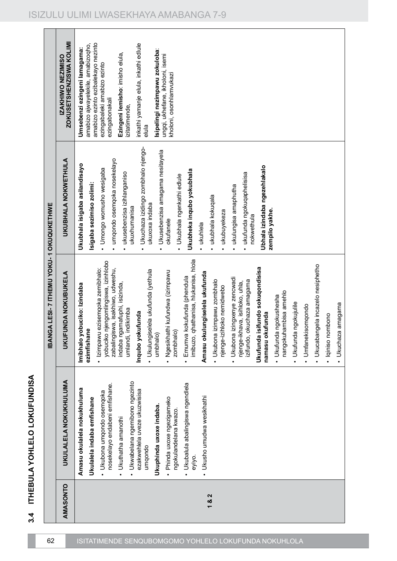|          |                                                                               | IBANGA LESI-7 ITHEMU YOKU-1 OKUQUKETHWE                                 |                                                          |                                                                   |
|----------|-------------------------------------------------------------------------------|-------------------------------------------------------------------------|----------------------------------------------------------|-------------------------------------------------------------------|
| AMASONTO | <b>UKULALELA NOKUKHULUMA</b>                                                  | <b>NDA NOKUBUKELA</b><br><b>UKUFU</b>                                   | <b>UKUBHALA NOKWETHULA</b>                               | ZOKUSETSHENZISWA KOLIMI<br>IZAKHIVO NEZIMISO                      |
|          | Amasu okulalela nokukhuluma<br>Ukulalela indaba emfishane                     | Imibhalo yobuciko: Izindaba<br>ezimfishane                              | Ukubhala isigaba asilandisayo<br>sigaba sezimiso zolimi: | amabizo ajwayelekile, amabizoqho,<br>Umsebenzi ezingeni lamagama: |
|          | · Ukubona umqondo osemqoka                                                    | yobuciko njengomlingiswa, izinhlobo<br>· Izimpawu ezisemqoka zemibhalo: | · Umongo womusho wesigaba                                | amabizo ezinto ezibalekayo nezinto<br>ezingabaleki amabizo ezinto |
|          | nosekelayo endabeni emfishane.                                                | zabalingiswa, isakhiwo, udweshu,                                        | umqondo osemqoka nosekelayo                              | ezingabonakali                                                    |
|          | Ukwabelana ngemibono ngezinto<br>• Ukuthatha amanothi<br>$\ddot{\phantom{0}}$ | indaba ngamafuphi, isizinda,<br>umlandi, indikimba                      | ukusebenzisa izihlanganiso<br>ukuxhumanisa               | Ezingeni lemisho: imisho elula,<br>izitatimende,                  |
|          | ezakwehlela uveze ukuzwisisa<br>umqondo                                       | Inqubo yokufunda                                                        | Ukuchaza izidingo zombhalo njengo-<br>$\bullet$          | inkathi yamanje elula, inkathi edlule<br>elula                    |
|          | Ukuphinda uxoxe indaba.                                                       | • Ukulungiselela ukufunda (yethula<br>umbhalo)                          | ukuxoxa indaba                                           | Isipelingi nezimpawu zokuloba:                                    |
|          | · Phinda uxoxe ngezigameko                                                    | Ngesikhathi kufundwa (izimpawu                                          | Ukusebenzisa amagama nesitayela<br>okufanele             | ungqi, ukhefane, ikholoni, isemi<br>kholoni, osonhlamvukazi       |
|          | ngokulandelana kwazo.                                                         | zombhalo)                                                               | · Ukubhala ngenkathi edlule                              |                                                                   |
|          | Ukubalula abalingiswa ngendlela<br>еуіуо.<br>$\ddot{\phantom{0}}$             | imibuzo, qhathanisa, hlukanisa, hlola<br>· Emumva kokufunda (phendula   | Ukubheka inqubo yokubhala                                |                                                                   |
|          | Ukusho umudwa wesikhathi<br>$\bullet$                                         | Amasu okulungiselela ukufunda                                           | · ukuhlela                                               |                                                                   |
| 1 & 2    |                                                                               | · Ukubona izimpawu zombhalo                                             | · ukubhala kokuqala                                      |                                                                   |
|          |                                                                               | njenge-izihloko nemidwebo                                               | · ukubuyekeza                                            |                                                                   |
|          |                                                                               | · Ukubona izingxenye zencwadi                                           | · ukulungisa amaphutha                                   |                                                                   |
|          |                                                                               | izifundo, okuchaza amagama<br>njenge-ikhava, isihloko, uhla,            | • ukufunda ngokuqaphelisisa<br>nokwethula                |                                                                   |
|          |                                                                               | Ukufunda isifundo sokuqondisisa<br>namasu okufunda                      | Ubhala izindaba ngezehlakalo<br>zempilo yakhe            |                                                                   |
|          |                                                                               | nangokuhambisa amehlo<br>· Ukufunda ngokushesha                         |                                                          |                                                                   |
|          |                                                                               | · Ukufunda ngokujulile                                                  |                                                          |                                                                   |
|          |                                                                               | · Umfanekisomqondo                                                      |                                                          |                                                                   |
|          |                                                                               | ela incazelo nesiphetho<br>· Ukucabang                                  |                                                          |                                                                   |
|          |                                                                               | · Iqiniso nombono                                                       |                                                          |                                                                   |
|          |                                                                               | · Ukuchaza amagama                                                      |                                                          |                                                                   |

**3.4 Ithebula Yohlelo Lokufundisa**

3.4 ITHEBULA YOHLELO LOKUFUNDISA

62 ISITATIMENDE SENQUBOMGOMO YOHLELO LOKUFUNDA NOKUHLOLA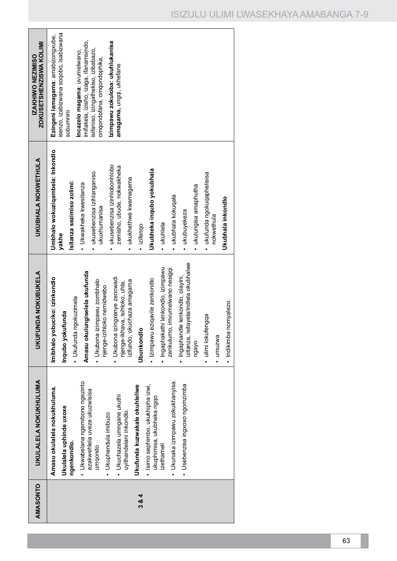| ZOKUSETSHENZISWA KOLIMI<br>IZAKHIWO NEZIMISO | isenzo, izabizwana soqobo, isabizwana<br>Ezingeni lamagama: amabizongxube,<br>imifakela, izisho, izaga, ifanamsindo,<br>Izimpawu zokuloba: ukuhlukanisa<br>isifaniso, izingathekiso, izibabazo,<br>Incazelo magama: uvumelwano,<br>omqondofana, omqondophika,<br>amagama, ungqi, ukhefane<br>sobumnini                                                                                                                                                                                                                                                      |
|----------------------------------------------|-------------------------------------------------------------------------------------------------------------------------------------------------------------------------------------------------------------------------------------------------------------------------------------------------------------------------------------------------------------------------------------------------------------------------------------------------------------------------------------------------------------------------------------------------------------|
| <b>UKUBHALA NOKWETHULA</b>                   | Umbhalo wokuziqambela: Inkondlo<br>· ukusebenzisa izinhlobonhlobo<br>zemisho, ubude, nokwakheka<br>Ukubheka inqubo yokubhala<br>· ukusebenzisa izihlanganiso<br>· ukufunda ngokuqaphelisisa<br>· ukukhethwa kwamagama<br>Isitanza sezimiso zolimi:<br>· Ukwakheka kwesitanza<br>• ukulungisa amaphutha<br>· ukubhala kokuqala<br>Ukubhala inkondlo<br>ukuxhumanisa<br>· ukubuyekeza<br>nokwethula<br>· ukuhlela<br>· izifenqo<br>yakhe                                                                                                                      |
| UKUFUNDA NOKUBUKELA                          | izitanza, isitayela/indlela okubhalwe<br>· Ingaphakathi lenkondlo, izimpawu<br>zenkulumo, imvumelwano nesigqi<br>Amasu okulungiselela ukufunda<br>le lenkondlo, olayini,<br>Imibhalo yobuciko: izinkondlo<br>Ukubona izingxenye zencwadi<br>· Izimpawu eziqavile zenkondlo<br>Ukubona izimpawu zombhalo<br>izifundo, okuchaza amagama<br>njenge-ikhava, isihloko, uhla,<br>njenge-izihloko nemidwebo<br>ngokuzimela<br>nomyalezo.<br>Inqubo yokufunda<br>· ulimi lokufengqa<br>Ubunkondlo<br>· Ingaphandl<br>· Ukufunda<br>· Indikimba<br>· unuzwa<br>ovebu |
| <b>UKULALELA NOKUKHULUMA</b>                 | · Ukunaka izimpawu zokukhanyisa.<br>· Ukwabelana ngemibono ngezinto<br>· Usebenzisa ingxoxo ngomzimba<br>Ukufunda kuzwakale okuhleliwe<br>· Isimo sephimbo, ukukhipha izwi,<br>Amasu okulalela nokukhuluma.<br>ezakwehlela uveze ukuzwisisa<br>• Ukuchazela umngane ukuthi<br>ukuphimisa, ukubheka ngqo<br>Ukulalela uphinde uxoxe<br>uyithandelani inkondlo.<br>· Ukuphendula imibuzo<br>ngenkondlo.<br>izethameli<br>umqondo                                                                                                                              |
| AMASONTO                                     | 3 & 4                                                                                                                                                                                                                                                                                                                                                                                                                                                                                                                                                       |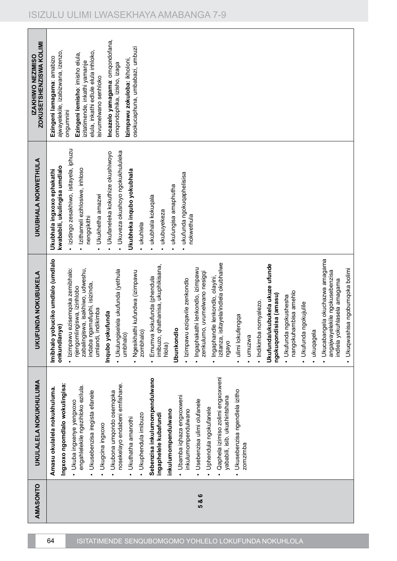| ZOKUSETSHENZISWA KOLIMI<br>IZAKHIWO NEZIMISO | Incazelo yamagama: omqondofana,<br>osokucaphuna, umbabazi, umbuzi<br>elula, inkathi edlule elula inhloko,<br>ajwayelekile, izabizwana, izenzo<br>Ezingeni lemisho: imisho elula,<br>Ezingeni lamagama: amabizo<br>Izimpawu zokuloba: ikholoni,<br>izitatimende, inkathi yamanje<br>omqondophika, izisho, izaga<br>isivumelwano senhloko<br>ongumnini                                                                                                                                                                                                                                                                                                                                                                                                                                                                                                                                                                                                                                                                                                       |
|----------------------------------------------|------------------------------------------------------------------------------------------------------------------------------------------------------------------------------------------------------------------------------------------------------------------------------------------------------------------------------------------------------------------------------------------------------------------------------------------------------------------------------------------------------------------------------------------------------------------------------------------------------------------------------------------------------------------------------------------------------------------------------------------------------------------------------------------------------------------------------------------------------------------------------------------------------------------------------------------------------------------------------------------------------------------------------------------------------------|
| <b>UKUBHALA NOKWETHULA</b>                   | · izidingo zesakhiwo, isitayela, iphuzu<br>• Ukuveza okushoyo ngokukhululeka<br>• Ukufaneleka kokuthize okushiwoyo<br>kwababili, ukulingisa umdlalo<br>Izithameli ezihlosiwe, inhloso<br>Ukubheka inqubo yokubhala<br>Ukubhala ingxoxo ephakathi<br>ukufunda ngokuqaphelisisa<br>ukulungisa amaphutha<br>Ukukhetha amazwi<br>· ukubhala kokuqala<br>ukubuyekeza<br>nokwethula<br>nengqikithi<br>· ukuhlela<br>$\bullet$<br>$\bullet$                                                                                                                                                                                                                                                                                                                                                                                                                                                                                                                                                                                                                       |
| <b>DA NOKUBUKELA</b><br>UKUFUNI              | Ukucabangela okuchazwa amagama<br>ciko umdlalo (umdlalo<br>izitanza, isitayela/indlela okubhalwe<br>Ukufunda/ukubukela ukuze ufunde<br>imibuzo, qhathanisa, ukuphikisana,<br>· Ingaphakathi lenkondlo, izimpawu<br>· Izimpawu ezisemqoka zemibhalo:<br>zabalingiswa, isakhiwo, udweshu,<br>Ukuqwashisa ngobumqoka bolimi<br>la ukufunda (yethula<br>angajwayelekile ngokusebenzisa<br>kufundwa (izimpawu<br>zenkulumo, uvumelwano nesigqi<br>Ingaphandle lenkondlo, olayini,<br>Emumva kokufunda (phendula<br>· Izimpawu eziqavile zenkondlo<br>indlela yokuhlasela amagama<br>indaba ngamafuphi, isizinda,<br>njengomlingiswa, izinhlobo<br>nangokuhambisa amehlo<br>ngokuqondisisa (amasu)<br>· Ukufunda ngokushesha<br>· Indikimba nomyalezo.<br>Ukufunda ngokujulile<br>umlandi, indikimba<br>Inqubo yokufunda<br>· ulimi lokufengqa<br>Imibhalo yobu<br>· Ukulungisele<br>onkundlanye)<br>Ngesikhathi<br>Ubunkondlo<br>ukuqagela<br>zombhalo)<br>umbhalo)<br>umuzwa<br>ngayo<br>hlola)<br>$\ddot{\phantom{0}}$<br>$\bullet$<br>$\bullet$<br>$\bullet$ |
| <b>UKULALELA NOKUKHULUMA</b>                 | Qaphela izimiso zolimi engxoxweni<br>Sebenzisa inkulumompendulwano<br>Ingxoxo ngomdlalo wokulingisa:<br>nosekelayo endabeni emfishane.<br>engahlelekile ngezihloko ezilula.<br>Amasu okulalela nokukhuluma.<br>Ukusebenzisa ngendlela izitho<br>Ukusebenzisa iregista efanele<br>· Ukubona umqondo osemqoka<br>· Ubamba iqhaza engxoxweni<br>yababili, isib. ukushintshana<br>Usebenzisa ulimi olufanele<br>· Ukuba ingxenye yengxoxo<br>Uphendula ngokufanele<br>inkulumompendulwano<br>inkulumompendulwano<br>· Ukuphendula imibuzo<br>ingaphelele kubafundi<br>Ukuthatha amanothi<br>Ukugcina ingxoxo<br>zomzimba<br>$\ddot{\phantom{0}}$                                                                                                                                                                                                                                                                                                                                                                                                               |
| AMASONTO                                     | 5 & 6                                                                                                                                                                                                                                                                                                                                                                                                                                                                                                                                                                                                                                                                                                                                                                                                                                                                                                                                                                                                                                                      |

64 ISITATIMENDE SENQUBOMGOMO YOHLELO LOKUFUNDA NOKUHLOLA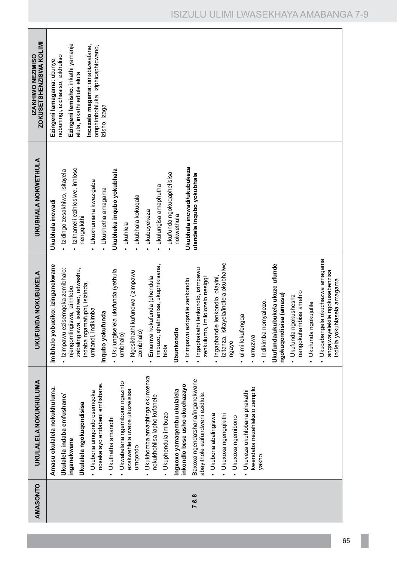| ZOKUSETSHENZISWA KOLIMI<br>IZAKHIWO NEZIMISO | Ezingeni lemisho: inkathi yamanje<br>Incazelo magama: omabizwafane,<br>omphimbohluka, iziphicaphicwano,<br>nobuningi, izichasiso, izikhuliso<br>Ezingeni lamagama: ubunye<br>elula, inkathi edlule elula<br>izisho, izaga                                                                                                                                                                                                                                                                                                                                                                                                                                                                                                                                                                                                                                                                                                                 |
|----------------------------------------------|-------------------------------------------------------------------------------------------------------------------------------------------------------------------------------------------------------------------------------------------------------------------------------------------------------------------------------------------------------------------------------------------------------------------------------------------------------------------------------------------------------------------------------------------------------------------------------------------------------------------------------------------------------------------------------------------------------------------------------------------------------------------------------------------------------------------------------------------------------------------------------------------------------------------------------------------|
| <b>UKUBHALA NOKWETHULA</b>                   | Ukubhala incwadi/ukubukeza<br>· Izithameli ezihlosiwe, inhloso<br>Ukubheka inqubo yokubhala<br>· Izidingo zesakhiwo, isitayela<br>• ukufunda ngokuqaphelisisa<br>ulandela inqubo yokubhala<br>Ukuxhumana kwezigaba<br>ukulungisa amaphutha<br>· Ukukhetha amagama<br>• ukubhala kokuqala<br>Ukubhala incwadi<br>ukubuyekeza<br>nokwethula<br>nengqikithi<br>· ukuhlela                                                                                                                                                                                                                                                                                                                                                                                                                                                                                                                                                                    |
| <b>UKUFUNDA NOKUBUKELA</b>                   | Ukucabangela okuchazwa amagama<br>izitanza, isitayela/indlela okubhalwe<br>Ukufunda/ukubukela ukuze ufunde<br>Imibhalo yobuciko: izinganekwane<br>imibuzo, qhathanisa, ukuphikisana,<br>· Ingaphakathi lenkondlo, izimpawu<br>· Izimpawu ezisemqoka zemibhalo:<br>zabalingiswa, isakhiwo, udweshu,<br>• Ukulungiselela ukufunda (yethula<br>kufundwa (izimpawu<br>angajwayelekile ngokusebenzisa<br>Emumva kokufunda (phendula<br>Ingaphandle lenkondlo, olayini,<br>imilolozelo nesigqi<br>· Izimpawu eziqavile zenkondlo<br>indlela yokuhlasela amagama<br>indaba ngamafuphi, isizinda,<br>njengomlingiswa, izinhlobo<br>nangokuhambisa amehlo<br>ngokuqondisisa (amasu)<br>· Ukufunda ngokushesha<br>· Indikimba nomyalezo.<br>Ukufunda ngokujulile<br>umlandi, indikimba<br>Inqubo yokufunda<br>gga<br>· ulimi lokufen<br>zenkulumo,<br>Ngesikhathi<br>Ubunkondlo<br>zombhalo)<br>umbhalo)<br>· umuzwa<br>ovepn<br>hlola<br>$\bullet$ |
| <b>UKULALELA NOKUKHULUMA</b>                 | Ukukhomba amaqhinga okunxenxa<br>Baxoxa ngendatshana/inganekwane<br>Ukwabelana ngemibono ngezinto<br>nosekelayo endabeni emfishane.<br>inkondlo bese usho ekuchazayo<br>kwendaba nezehlakalo zempilo<br>Amasu okulalela nokukhuluma.<br>Ingxoxo yamaqembu ukulalela<br>ezakwehlela uveze ukuzwisisa<br>Ukuveza ukuhlobana phakathi<br>· Ukubona umqondo osemqoka<br>abayithole ezifundweni ezidlule<br>Ukulalela indaba emfushane/<br>nokukhohlisa lapho kufanele<br>Ukulalela ngokuqondisisa<br>· Ukuphendula imibuzo<br>· Ukubona abalingiswa<br>· Ukuxoxa ngengqikithi<br>Ukuxoxa ngemibono<br>Ukuthatha amanothi<br>inganekwane<br>umqondo<br>yakho.<br>$\bullet$<br>$\bullet$<br>$\bullet$                                                                                                                                                                                                                                           |
| AMASONTO                                     | 7 & 8                                                                                                                                                                                                                                                                                                                                                                                                                                                                                                                                                                                                                                                                                                                                                                                                                                                                                                                                     |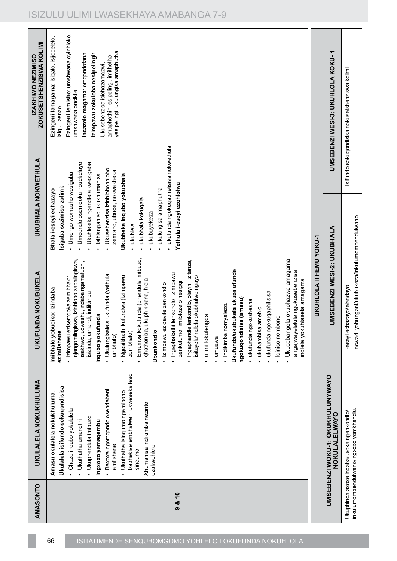| AMASONTO | <b>UKULALELA NOKUKHULUMA</b>                                                                                                                                                                                                                                                                                                                | <b>A NOKUBUKELA</b><br><b>UKUFUND</b>                                                                                                                                                                                                                                                                                                                                                                                                                                                                                                                                                                                                                                                                                                                                                                                                                                                                                                                            | <b>UKUBHALA NOKWETHULA</b>                                                                                                                                                                                                                                                                                                                                                                                                   | ZOKUSETSHENZISWA KOLIMI<br>IZAKHIWO NEZIMISO                                                                                                                                                                                                                                                     |  |
|----------|---------------------------------------------------------------------------------------------------------------------------------------------------------------------------------------------------------------------------------------------------------------------------------------------------------------------------------------------|------------------------------------------------------------------------------------------------------------------------------------------------------------------------------------------------------------------------------------------------------------------------------------------------------------------------------------------------------------------------------------------------------------------------------------------------------------------------------------------------------------------------------------------------------------------------------------------------------------------------------------------------------------------------------------------------------------------------------------------------------------------------------------------------------------------------------------------------------------------------------------------------------------------------------------------------------------------|------------------------------------------------------------------------------------------------------------------------------------------------------------------------------------------------------------------------------------------------------------------------------------------------------------------------------------------------------------------------------------------------------------------------------|--------------------------------------------------------------------------------------------------------------------------------------------------------------------------------------------------------------------------------------------------------------------------------------------------|--|
| 9 & 10   | babhekise embhalweni ukweseka leso<br>Ukulalela isifundo sokuqondisisa<br>Baxoxa ngomqondo osendabeni<br>Ukuthatha isinqumo ngemibono<br>Amasu okulalela nokukhuluma<br>Xhumanisa indikimba nezinto<br>Chaza inqubo yokulalela<br>· Ukuphendula imibuzo<br>· Ukuthatha amanothi<br>Ingxoxo yamaqembu<br>emfishane<br>ezakwehlela<br>sinqumo | Emumva kokufunda (phendula imibuzo,<br>Ukucabangela okuchazwa amagama<br>njengomlingiswa, izinhlobo zabalingiswa,<br>Ingaphandle lenkondlo, olayini, izitanza,<br>isakhiwo, udweshu, indaba ngamafuphi,<br>Ukufunda/ukubukela ukuze ufunde<br>le ngokusebenzisa<br>· Ingaphakathi lenkondlo, izimpawu<br>• Ukulungiselela ukufunda (yethula<br>Ngesikhathi kufundwa (izimpawu<br>okubhalwe ngayo<br>Izimpawu ezisemqoka zemibhalo:<br>qhathanisa, ukuphikisana, hlola<br>asela amagama<br>zenkulumo, imilolozelo nesigqi<br>· Izimpawu eziqavile zenkondlo<br>iko: Izindaba<br>ukufunda ngokuqaphilisisa<br>isizinda, umlandi, indikimba<br>ngokuqondisisa (amasu)<br>· ukufunda ngokushesha<br>· Indikimba nomyalezo.<br>· ukuhambisa amehlo<br>Inqubo yokufunda<br>ulimi lokufengqa<br>Iqiniso nombono<br>isitayela/indlela<br>angajwayeleki<br>Imibhalo yobuci<br>indlela yokuhl<br>Ubunkondlo<br>ezimfishane<br>zombhalo)<br>umbhalo)<br>umuzwa<br>$\bullet$ | · ukufunda ngokuqaphelisisa nokwethula<br>Umqondo osemqoka nosekelayo<br>Ukuhleleka ngendlela kwezigaba<br>· Ukusebenzisa izinhlobonhlobo<br>zemisho, ubude, nokwakheka<br>· Umongo womusho wesigaba<br>Ukubheka inqubo yokubhala<br>Isihlanganiso ukuxhumanisa<br>Yethula i-eseyi ezohlolwa<br>Isigaba sezimiso zolimi:<br>ukulungisa amaphutha<br>Bhala i-eseyi echazayo<br>ukubhala kokuqala<br>ukubuyekeza<br>· ukuhlela | Ezingeni lemisho: umshwana oyinhloko,<br>Ezingeni lamagama: isiqalo, isijobelelo,<br>yesipelingi, ukulungisa amaphutha<br>Incazelo magama: omqondofana<br>Izimpawu zokuloba nesipelingi:<br>amaphethini esipelingi, imithetho<br>Ukusebenzisa isichazamazwi<br>umshwana oncikile<br>siqu, izenzo |  |
|          |                                                                                                                                                                                                                                                                                                                                             | <b>UKUHLOLA ITHEMU YOKU-1</b>                                                                                                                                                                                                                                                                                                                                                                                                                                                                                                                                                                                                                                                                                                                                                                                                                                                                                                                                    |                                                                                                                                                                                                                                                                                                                                                                                                                              |                                                                                                                                                                                                                                                                                                  |  |
|          | UMSEBENZI WOKU-1: OKUKHULUNYWAYO<br>NOKULALELWAYO                                                                                                                                                                                                                                                                                           | UMSEBENZI WESI-2: UKUBHALA                                                                                                                                                                                                                                                                                                                                                                                                                                                                                                                                                                                                                                                                                                                                                                                                                                                                                                                                       |                                                                                                                                                                                                                                                                                                                                                                                                                              | ᠇<br>UMSEBENZI WESI-3: UKUHLOLA KOKU-                                                                                                                                                                                                                                                            |  |
|          | inkulumompendulwano/ingxoxo yomkhandlu.<br>Ukuphinda axoxe indaba/uxoxa ngenkondlo/                                                                                                                                                                                                                                                         | Incwadi yobungani/ukubukeza/inkulumompendulwano<br>l-eseyi echazayo/elandayo                                                                                                                                                                                                                                                                                                                                                                                                                                                                                                                                                                                                                                                                                                                                                                                                                                                                                     |                                                                                                                                                                                                                                                                                                                                                                                                                              | Isifundo sokuqondisisa nokusetshenziswa kolimi                                                                                                                                                                                                                                                   |  |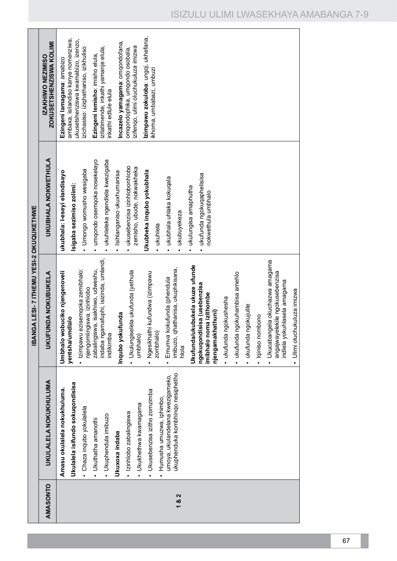|          |                                                                  | IBANGA LESI- 7 ITHEMU YESI-2 OKUQUKETHWE                                                                     |                                                              |                                                                                                         |
|----------|------------------------------------------------------------------|--------------------------------------------------------------------------------------------------------------|--------------------------------------------------------------|---------------------------------------------------------------------------------------------------------|
| AMASONTO | <b>UKULALELA NOKUKHULUMA</b>                                     | <b>UKUFUNDA NOKUBUKELA</b>                                                                                   | <b>UKUBHALA NOKWETHULA</b>                                   | ZOKUSETSHENZISWA KOLIMI<br>IZAKHIVO NEZIMISO                                                            |
|          | Ukulalela isifundo sokuqondisisa<br>Amasu okulalela nokukhuluma. | Umbhalo wobuciko njengenoveli<br>yentsha/umdlalo                                                             | ukubhala: I-eseyi elandisayo<br>Isigaba sezimiso zolimi:     | ambaxa, isilandiso kanye nomenziwa,<br>ukusetshenziswa kwamabizo, izenzo,<br>Ezingeni lamagama: amabizo |
|          | Chaza inqubo yokulalela                                          | · Izimpawu ezisemqoka zemibhalo:<br>njengomlingiswa, izinhlobo                                               | Umongo womusho wesigaba                                      | izichasiso: iziqhathaniso, izikhuliso                                                                   |
|          | • Ukuthatha amanothi                                             | zabalingiswa, isakhiwo, udweshu,                                                                             | · umqondo osemqoka nosekelayo                                | Ezingeni lemisho: imisho elula,                                                                         |
|          | · Ukuphendula imibuzo                                            | indaba ngamafuphi, isizinda, umlandi,<br>indikimba                                                           | • ukuhleleka ngendlela kwezigaba                             | izitatimende, inkathi yamanje elula,<br>inkathi edlule elula                                            |
|          | Ukuxoxa indaba                                                   | Inqubo yokufunda                                                                                             | · Isihlanganiso ukuxhumanisa                                 | Incazelo yamagama: omqondofana,                                                                         |
|          | · Ukukhethwa kwamagama<br>· Izinhlobo zabalingiswa               | la ukufunda (yethula<br>· Ukulungisele<br>umbhalo)                                                           | · ukusebenzisa izinhlobonhlobo<br>zemisho, ubude, nokwakheka | izifenqo, ulimi oluchukuluza imizwa<br>omqondophika, umqondo osobala,                                   |
|          | · Ukusebenzisa izitho zomzimba                                   | kufundwa (izimpawu<br>Ngesikhathi                                                                            | Ukubheka inqubo yokubhala                                    | Izimpawu zokuloba: ungqi, ukhefana,                                                                     |
|          | Humusha umuzwa, iphimbo,<br>$\bullet$                            | zombhalo)                                                                                                    | · ukuhlela                                                   | ikhoma, umbabazi, umbuzi                                                                                |
|          | umoya, ukulandelana kwezigameko,                                 | Emumva kokufunda (phendula<br>$\bullet$                                                                      | · ukubhala uhlaka kokuqala                                   |                                                                                                         |
| 1 & 2    | ukuphenduka kombhinqo nesiphetho                                 | imibuzo, qhathanisa, ukuphikisana,<br>hlola                                                                  | ukubuyekeza                                                  |                                                                                                         |
|          |                                                                  | Ukufunda/ukubukela ukuze ufunde                                                                              | · ukulungisa amaphutha                                       |                                                                                                         |
|          |                                                                  | ngokuqondisisa (usebenzisa<br>imibhalo noma izithombe<br>njengamakhathuni)                                   | ukufunda ngokuqaphelisisa<br>nokwethula umbhalo              |                                                                                                         |
|          |                                                                  | • ukufunda ngokushesha                                                                                       |                                                              |                                                                                                         |
|          |                                                                  | • ukufunda ngokuhambisa amehlo                                                                               |                                                              |                                                                                                         |
|          |                                                                  | · ukufunda ngokujulile                                                                                       |                                                              |                                                                                                         |
|          |                                                                  | · Iqiniso nombono                                                                                            |                                                              |                                                                                                         |
|          |                                                                  | Ukucabangela okuchazwa amagama<br>angajwayelekile ngokusebenzisa<br>indlela yokuhlasela amagama<br>$\bullet$ |                                                              |                                                                                                         |
|          |                                                                  | · Ulimi oluchukuluza imizwa                                                                                  |                                                              |                                                                                                         |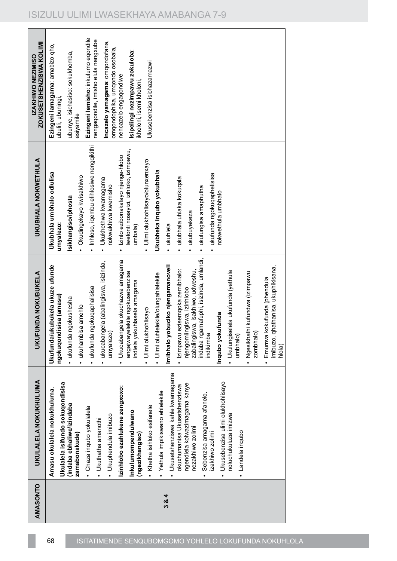| ZOKUSETSHENZISWA KOLIMI<br>IZAKHIWO NEZIMISO | Ezingeni lamagama: amabizo qho,<br>ubulili, ubuningi,            | ubunye, isichasiso: sokukhomba,<br>esiyamile     | Ezingeni lemisho: inkulumo eqondile<br>nengaqondile, imisho elula nengxube | Incazelo yamagama: omqondofana,<br>omqondophika, umqondo osobala, | Isipelingi nezimpawu zokuloba:<br>nencazelo engaqondiwe<br>kholoni, isemi kholoni,                   | Ukusebenzisa isichazamazwi        |                                      |                                              |                                                                                                    |                                                    |                                                       |                                                |                                             |                                                                                              |
|----------------------------------------------|------------------------------------------------------------------|--------------------------------------------------|----------------------------------------------------------------------------|-------------------------------------------------------------------|------------------------------------------------------------------------------------------------------|-----------------------------------|--------------------------------------|----------------------------------------------|----------------------------------------------------------------------------------------------------|----------------------------------------------------|-------------------------------------------------------|------------------------------------------------|---------------------------------------------|----------------------------------------------------------------------------------------------|
| <b>UKUBHALA NOKWETHULA</b>                   | Ukubhala umbhalo odlulisa<br>umyalezo:                           | - Okudingekayo kwisakhiwo<br>Isikhangiso/iphosta | · Inhloso, iqembu elihlosiwe nengqikithi                                   | · Ukukhethwa kwamagama<br>nokwakhiwa kwemisho                     | Iwefonti nosayizi, izihloko, izimpawu,<br>· Izinto ezibonakalayo njenge-hlobo<br>umbala)             | · Ulimi olukhohlisayo/olunxenxayo | Ukubheka inqubo yokubhala            | · ukuhlela                                   | • ukubhala uhlaka kokuqala<br>· ukubuyekeza                                                        | • ukulungisa amaphutha                             | · ukufunda ngokuqaphelisisa<br>nokwethula umbhalo     |                                                |                                             |                                                                                              |
| <b>UKUFUNDA NOKUBUKELA</b>                   | Ukufunda/ukubukela ukuze ufunde<br>ngokuqondisisa (amasu)        | · ukufunda ngokushesha<br>· ukuhambisa amehlo    | gokuqaphalisisa<br>· ukufunda n                                            | ukucabangela (abalingiswa, isizinda,<br>umyalezo)                 | jela okuchazwa amagama<br>angajwayelekile ngokusebenzisa<br>indlela yokuhlasela amagama<br>Ukucabang | Ulimi olukhohlisayo               | · Ulimi oluhlelekile/olungahlelekile | Imibhalo yobuciko njengamanoveli             | · Izimpawu ezisemqoka zemibhalo:<br>zabalingiswa, isakhiwo, udweshu,<br>njengomlingiswa, izinhlobo | indaba ngamafuphi, isizinda, umlandi,<br>indikimba | Inqubo yokufunda                                      | · Ukulungiselela ukufunda (yethula<br>umbhalo) | Ngesikhathi kufundwa (izimpawu<br>zombhalo) | nathanisa, ukuphikisana,<br>Emumva kokufunda (phendula<br>imibuzo, qr<br>hlola)<br>$\bullet$ |
| UKULALELA NOKUKHULUMA                        | Ukulalela isifundo sokuqondisisa<br>Amasu okulalela nokukhuluma. | (indaba ebhaliwe/izindaba<br>zamabonakude)       | Chaza inqubo yokulalela<br>• Ukuthatha amanothi                            | · Ukuphendula imibuzo                                             | Izinhlobo ezahlukene zengxoxo:<br>Inkulumompendulwano<br>(ngezikhangiso)                             | • Khetha isihloko esifanele       | · Yethula impikiswano ehlelekile     | Ukusetshenziswa kahle kwamagama<br>$\bullet$ | ngendlela kolwazimagama kanye<br>okuxhumanisa Ukusetshenziswa<br>nezakhiwo zolimi                  | Sebenzisa amagama afanele,<br>$\bullet$            | · Ukusebenzisa ulimi olukhohlisayo<br>izakhiwo zolimi | noluchukuluza imizwa<br>· Landela inqubo       |                                             |                                                                                              |
| <b>AMASONTO</b>                              |                                                                  |                                                  |                                                                            |                                                                   |                                                                                                      |                                   |                                      | 3 & 4                                        |                                                                                                    |                                                    |                                                       |                                                |                                             |                                                                                              |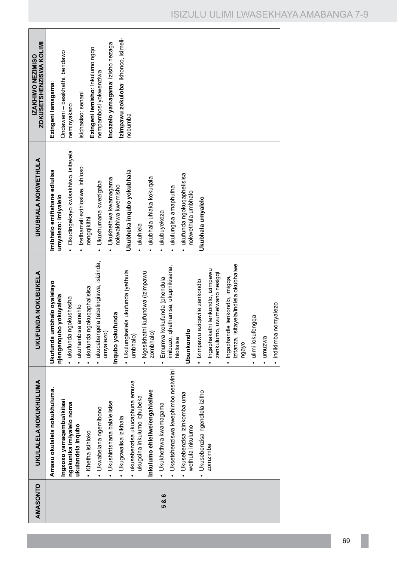| <b>UKUFUNDA NOKUBUKELA</b><br>UKULALELA NOKUKHULUMA                                                                                                                                                                                                                                                                                                                                                                                                                                                                                                                                                                                                                                                                                                                                                                                                                                                                                                     | <b>UKUBHALA NOKWETHULA</b>                                                                                                                                                                                                                                                                                                                                                                                              | ZOKUSETSHENZISWA KOLIMI<br>IZAKHIVO NEZIMISO                                                                                                                                                                                                 |
|---------------------------------------------------------------------------------------------------------------------------------------------------------------------------------------------------------------------------------------------------------------------------------------------------------------------------------------------------------------------------------------------------------------------------------------------------------------------------------------------------------------------------------------------------------------------------------------------------------------------------------------------------------------------------------------------------------------------------------------------------------------------------------------------------------------------------------------------------------------------------------------------------------------------------------------------------------|-------------------------------------------------------------------------------------------------------------------------------------------------------------------------------------------------------------------------------------------------------------------------------------------------------------------------------------------------------------------------------------------------------------------------|----------------------------------------------------------------------------------------------------------------------------------------------------------------------------------------------------------------------------------------------|
| · ukucabangela (abalingiswa, isizinda,<br>izitanza, isitayela/indlela okubhalwe<br>imibuzo, qhathanisa, ukuphikisana,<br>· Ingaphakathi lenkondlo, izimpawu<br>· Ukulungiselela ukufunda (yethula<br>kufundwa (izimpawu<br>uvumelwano nesigqi<br>Ingaphandle lenkondlo, imigqa,<br>Emumva kokufunda (phendula<br>· Izimpawu eziqavile zenkondlo<br>Ukufunda umbhalo oyalelayo<br>• ukufunda ngokuqaphalisisa<br>njengenqubo yokuyalela<br>· ukufunda ngokushesha<br>· indikimba nomyalezo<br>· ukuhambisa amehlo<br>Inqubo yokufunda<br>· ulimi lokufengqa<br>· Ngesikhathi<br>Ubunkondlo<br>zenkulumo,<br>umyalezo)<br>zombhalo)<br>umbhalo)<br>· umuzwa<br>hlolisisa<br>ngayo<br>$\bullet$<br>$\bullet$<br>· Uksetshenziswa kwephimbo nesivinini<br>· ukusebenzisa ukucaphuna emuva<br>Amasu okulalela nokukhuluma.<br>Inkulumo ehleliwe/engahleliwe<br>· Ukusebenzisa ngendlela izitho<br>· Ukusebenzisa izinkomba uma<br>ukugcina inkulumo iqhubeka | · Okudingekayo kwisakhiwo, isitayela<br>· Izethameli ezihlosiwe, inhloso<br>Imibhalo emifishane edlulisa<br>Ukubheka inqubo yokubhala<br>• ukufunda ngokuqaphelisisa<br>• ukubhala uhlaka kokuqala<br>· Ukukhethwa kwamagama<br>· Ukuxhumana kwezigaba<br>nokwakhiwa kwemisho<br>· ukulungisa amaphutha<br>nokwethula umbhalo<br>umyalezo: imiyalelo<br>Ukubhala umyalelo<br>· ukubuyekeza<br>nengqikithi<br>· ukuhlela | Izimpawu zokuloba: ikhonco, isimeli-<br>Incazelo yamagama: izisho nezaga<br>Ezingeni lemisho: Inkulumo ngqo<br>Ondaweni - besikhathi, bendawo<br>nempambosi yokwenziwa<br>Ezingeni lamagama:<br>isichasiso: senani<br>neminyakazo<br>nobumba |
|                                                                                                                                                                                                                                                                                                                                                                                                                                                                                                                                                                                                                                                                                                                                                                                                                                                                                                                                                         |                                                                                                                                                                                                                                                                                                                                                                                                                         |                                                                                                                                                                                                                                              |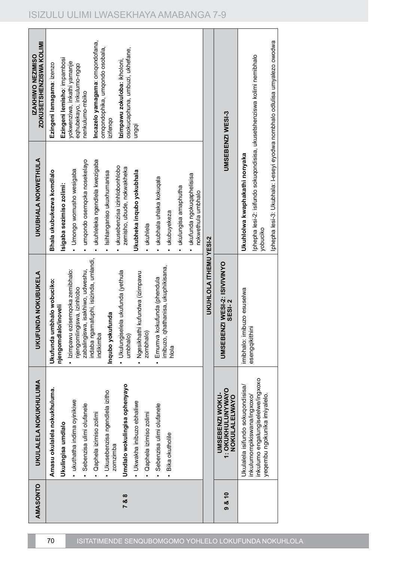| ZOKUSETSHENZISWA KOLIMI<br><b>ZAKHIVO NEZIMISO</b> | Incazelo yamagama: omqondofana,<br>omqondophika, umqondo osobala,<br>osokucaphuna, umbuzi, ukhefane,<br>Ezingeni lemisho: impambosi<br>Izimpawu zokuloba: ikholoni,<br>yokwenziwa, inkathi yamanje<br>Ezingeni lamagama: izenzo<br>eqhubekayo, inkulumo-ngqo<br>nenkulumo-mbiko<br>izifenqo<br>ungqi                                                                                                                             |                               | <b>UMSEBENZI WESI-3</b>                               |                                                                                                                                                                                                     |
|----------------------------------------------------|----------------------------------------------------------------------------------------------------------------------------------------------------------------------------------------------------------------------------------------------------------------------------------------------------------------------------------------------------------------------------------------------------------------------------------|-------------------------------|-------------------------------------------------------|-----------------------------------------------------------------------------------------------------------------------------------------------------------------------------------------------------|
| <b>UKUBHALA NOKWETHULA</b>                         | · umqondo osemqoka nosekelayo<br>• ukuhleleka ngendlela kwezigaba<br>· ukusebenzisa izinhlobonhlobo<br>zemisho, ubude, nokwakheka<br>· Umongo womusho wesigaba<br>Bhala ukubukezwa komdlalo<br>Ukubheka inqubo yokubhala<br>· Isihlanganiso ukuxhumanisa<br>· ukufunda ngokuqaphelisisa<br>• ukubhala uhlaka kokuqala<br>Isigaba sezimiso zolimi:<br>· ukulungisa amaphutha<br>nokwethula umbhalo<br>· ukubuyekeza<br>· ukuhlela |                               |                                                       | Iphepha lesi-3: Ukubhala: I-eseyi eyodwa nombhalo odlulisa umyalezo owodwa<br>lphepha lesi-2: isifundo sokuqondisisa, ukusetshenziswa kolimi nemibhalo<br>Ukuhlolwa kwaphakathi nonyaka<br>yobuciko |
| <b>UKUFUNDA NOKUBUKELA</b>                         | indaba ngamafuphi, isizinda, umlandi,<br>imibuzo, qhathanisa, ukuphikisana,<br>ezisemqoka zemibhalo:<br>zabalingiswa, isakhiwo, udweshu,<br>· Ukulungiselela ukufunda (yethula<br>· Ngesikhathi kufundwa (izimpawu<br>Emumva kokufunda (phendula<br>Ukufunda umbhalo wobuciko:<br>njengomlingiswa, izinhlobo<br>njengomdlalo/inoveli<br>Inqubo yokufunda<br>zombhalo)<br>Izimpawu<br>indikimba<br>umbhalo)<br>hlola<br>$\bullet$ | <b>UKUHLOLA ITHEMU YESI-2</b> | UMSEBENZI WESI-2: ISIVIVINYO<br><b>SESI-2</b>         | imibhalo: imibuzo esuselwa<br>esengqikithini                                                                                                                                                        |
| <b>UKULALELA NOKUKHULUMA</b>                       | Umdlalo wokulingisa ophenyayo<br>Amasu okulalela nokukhuluma.<br>· Ukusebenzisa ngendlela izitho<br>· ukuthatha indima oyinikiwe<br>· Ukwakha inibuzo ebhaliwe<br>Sebenzisa ulimi olufanele<br>Sebenzisa ulimi olufanele<br>Qaphela izimiso zolimi<br>· Qaphela izimiso zolimi<br>Ukulingisa umdlalo<br>Bika okutholile<br>zomzimba<br>$\bullet$                                                                                 |                               | 1: OKUKHULUNYWAYO<br>UMSEBENZI WOKU-<br>NOKULALELWAYO | inkulumo engalungiselelwe/ingxoxo<br>Ukulalela isifundo sokuqondisisa/<br>yeqembu ngokunika imiyalelo.<br>inkulumompikiswana/ingxoxo/                                                               |
| <b>AMASONTO</b>                                    | 7 & 8                                                                                                                                                                                                                                                                                                                                                                                                                            |                               | 9810                                                  |                                                                                                                                                                                                     |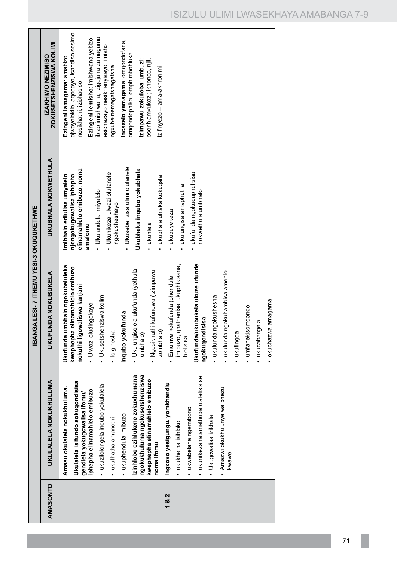|                 |                                                                                                                                                                                                                                                                                                                                                                                                                                                                                                                                              | LESI- 7 ITHEMU YESI-3 OKUQUKETHWE<br><b>IBANGA</b>                                                                                                                                                                                                                                                                                                                                                                                                                                                                                                                         |                                                                                                                                                                                                                                                                                                                                                                                       |                                                                                                                                                                                                                                                                                                                                                                                                              |
|-----------------|----------------------------------------------------------------------------------------------------------------------------------------------------------------------------------------------------------------------------------------------------------------------------------------------------------------------------------------------------------------------------------------------------------------------------------------------------------------------------------------------------------------------------------------------|----------------------------------------------------------------------------------------------------------------------------------------------------------------------------------------------------------------------------------------------------------------------------------------------------------------------------------------------------------------------------------------------------------------------------------------------------------------------------------------------------------------------------------------------------------------------------|---------------------------------------------------------------------------------------------------------------------------------------------------------------------------------------------------------------------------------------------------------------------------------------------------------------------------------------------------------------------------------------|--------------------------------------------------------------------------------------------------------------------------------------------------------------------------------------------------------------------------------------------------------------------------------------------------------------------------------------------------------------------------------------------------------------|
| <b>AMASONTO</b> | <b>UKULALELA NOKUKHULUMA</b>                                                                                                                                                                                                                                                                                                                                                                                                                                                                                                                 | UKUFUNDA NOKUBUKELA                                                                                                                                                                                                                                                                                                                                                                                                                                                                                                                                                        | <b>UKUBHALA NOKWETHULA</b>                                                                                                                                                                                                                                                                                                                                                            | ZOKUSETSHENZISWA KOLIMI<br>IZAKHIWO NEZIMISO                                                                                                                                                                                                                                                                                                                                                                 |
| 1 & 2           | ngokukhuluma ngokusetshenziswa<br>Izinhlobo ezihlukene zokuxhumana<br>· ukunikezana amathuba ulalelisisise<br>kwephepha elinamahlelo emibuzo<br>Ukulalela isifundo sokuqondisisa<br>Ingxoxo yesigungu, yomkhandlu<br>· ukuzilolongela inqubo yokulalela<br>Amasu okulalela nokukhuluma.<br>· Amazwi okukhulunyelwa phezu<br>iphepha elinamahlelo emibuzo<br>gendlela yokugcwalisa ifomu/<br>· ukwabelana ngemibono<br>· ukuphendula imibuzo<br>· Ukugcwalisa izikhala<br>· ukuthatha amanothi<br>· ukukhetha isihloko<br>noma ifomu<br>kwawo | Ukufunda/ukubukela ukuze ufunde<br>imibuzo, qhathanisa, ukuphikisana,<br>Ukufunda umbhalo ngokubaluleka<br>kwephepha elinamahlelo emibuzo<br>• Ukulungiselela ukufunda (yethula<br>· Ngesikhathi kufundwa (izimpawu<br>• ukufunda ngokuhambisa amehlo<br>· Emumva kokufunda (phendula<br>nokuthi ligcwaliswa kanjani<br>· Ukusetshenziswa kolimi<br>· ukufunda ngokushesha<br>· okuchazwa amagama<br>· Ulwazi oludingekayo<br>· umfanekisomqondo<br>Inqubo yokufunda<br>ngokuqondisisa<br>· ukucabangela<br>zombhalo)<br>siginesha<br>· ukufingqa<br>umbhalo)<br>hlolisisa | · Ukusebenzisa ulimi olufanele<br>Ukubheka inqubo yokubhala<br>elinamahlelo emibuzo, noma<br>· Ukunikeza ulwazi olufanele<br>· ukufunda ngokuqaphelisisa<br>Imibhalo edlulisa umyalelo<br>njengokugcwalisa iphepha<br>• ukubhala uhlaka kokuqala<br>· ukulungisa amaphutha<br>· Ukulandela imiyalelo<br>nokwethula umbhalo<br>ngokusheshayo<br>· ukubuyekeza<br>· ukuhlela<br>amafomu | ajwayelekile, aqoqayo, isandiso sesimo<br>Ezingeni lemisho: imishwana yebizo,<br>ibizo imishwana; izigejana zamagama<br>Incazelo yamagama: omqondofana,<br>esichazayo nesikhanyisayo, imisho<br>omqondophika, omphimbohluka<br>Ezingeni lamagama: amabizo<br>Izimpawu zokuloba: umbuzi;<br>osonhlamvukazi; ikhonco, njll.<br>ngxube nemagatshagatsha<br>Izifinyezo – ama-akhronimi<br>nesikhathi, izichasiso |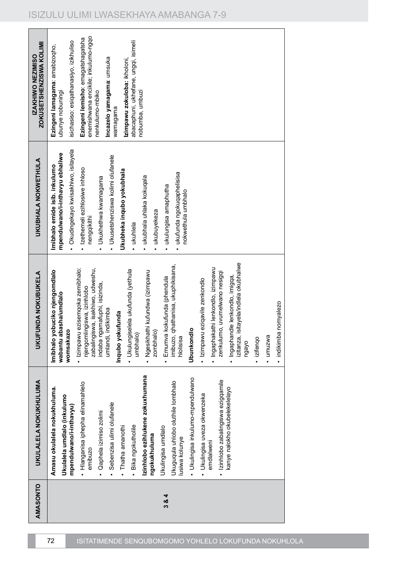| ZOKUSETSHENZISWA KOLIMI<br>IZAKHIWO NEZIMISO | enemishwana encikile; inkulumo-ngqo<br>Ezingeni lemisho: emagatshagatsha<br>abacaphuni, ukhefane, ungqi, isimeli<br>isichasiso: esiqathanasiyo, izikhuliso<br>Ezingeni lamagama: amabizoqho,<br>Incazelo yamagama: umsuka<br>Izimpawu zokuloba: ikholoni.<br>nenkulumo-mbiko<br>ubunye nobuningi<br>nobumba, umbuzi<br>wamagama                                                                                                                                                                                                                                                                                                                                                                                                      |
|----------------------------------------------|--------------------------------------------------------------------------------------------------------------------------------------------------------------------------------------------------------------------------------------------------------------------------------------------------------------------------------------------------------------------------------------------------------------------------------------------------------------------------------------------------------------------------------------------------------------------------------------------------------------------------------------------------------------------------------------------------------------------------------------|
| <b>UKUBHALA NOKWETHULA</b>                   | · Okudingekayo kwisakhiwo, isitayela<br>mpendulwano/i-inthavyu ebhaliwe<br>· Ukusetshenziswa kolimi olufanele<br>Imibhalo emide isib. inkulumo<br>Izethemeli ezihlosiwe inhloso<br>Ukubheka inqubo yokubhala<br>ukufunda ngokuqaphelisisa<br>• ukubhala uhlaka kokuqala<br>· Ukukhethwa kwamagama<br>• ukulungisa amaphutha<br>nokwethula umbhalo<br>· ukubuyekeza<br>nengqikithi<br>· ukuhlela                                                                                                                                                                                                                                                                                                                                      |
| <b>UKUFUNDA NOKUBUKELA</b>                   | izitanza, isitayela/indlela okubhalwe<br>imibuzo, qhathanisa, ukuphikisana,<br>· Izimpawu ezisemqoka zemibhalo:<br>· Ingaphakathi lenkondlo, izimpawu<br>zabalingiswa, isakhiwo, udweshu,<br>• Ukulungiselela ukufunda (yethula<br>Imibhalo yobuciko njengomdlalo<br>kufundwa (izimpawu<br>zenkulumo, uvumelwano nesigqi<br>· Ingaphandle lenkondlo, imigqa,<br>Emumva kokufunda (phendula<br>· Izimpawu eziqavile zenkondlo<br>indaba ngamafuphi, isizinda,<br>njengomlingiswa, izinhlobo<br>wabantu abasha/umdlalo<br>· indikimba nomyalezo<br>umlandi, indikimba<br>Inqubo yokufunda<br>· Ngesikhathi<br>Ubunkondlo<br>womsakazo<br>zombhalo)<br>umbhalo)<br>· unuzwa<br>hlolisisa<br>· izifenqo<br>ovebu<br>$\ddot{\phantom{0}}$ |
| <b>UKULALELA NOKUKHULUMA</b>                 | Izinhlobo ezihlukene zokuxhumana<br>- Ukulingisa inkulumo-mpendulwano<br>· Izinhlobo zabalingiswa ezigqamile<br>Ukuguqula uhlobo oluthile lombhalo<br>Hlanganisa iphepha elinamahlelo<br>kanye nalokho okubelekelelayo<br>Amasu okulalela nokukhuluma.<br>· Ukulingisa uveza okwenzeka<br>Ukulalela umdlalo (inkulumo<br>· Sebenzisa ulimi olufanele<br>mpendulwano/i-inthavyu)<br>Qaphela izimiso zolimi<br>· Bika ngokutholile<br>· Thatha amanothi<br>Ukulingisa umdlalo<br>ngokukhuluma<br>lusiwa kolunye<br>emdlalweni<br>emibuzo                                                                                                                                                                                               |
| AMASONTO                                     | 3 & 4                                                                                                                                                                                                                                                                                                                                                                                                                                                                                                                                                                                                                                                                                                                                |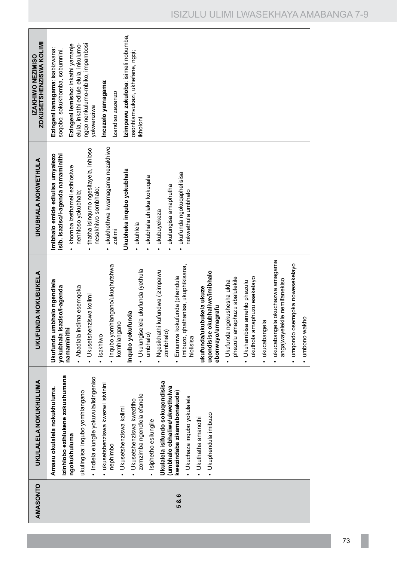| AMASONTO | <b>UKULALELA NOKUKHULUMA</b>                                                                                                                                                                                                                                                                                                                                                                                                                                                                                        | UKUFUNDA NOKUBUKELA                                                                                                                                                                                                                                                                                                                                                                                                                                                                                                                                                                                                                                                                                                                                                        | <b>UKUBHALA NOKWETHULA</b>                                                                                                                                                                                                                                                                                                                                                                                                   | ZOKUSETSHENZISWA KOLIMI<br>IZAKHIWO NEZIMISO                                                                                                                                                                                                                                                                                          |
|----------|---------------------------------------------------------------------------------------------------------------------------------------------------------------------------------------------------------------------------------------------------------------------------------------------------------------------------------------------------------------------------------------------------------------------------------------------------------------------------------------------------------------------|----------------------------------------------------------------------------------------------------------------------------------------------------------------------------------------------------------------------------------------------------------------------------------------------------------------------------------------------------------------------------------------------------------------------------------------------------------------------------------------------------------------------------------------------------------------------------------------------------------------------------------------------------------------------------------------------------------------------------------------------------------------------------|------------------------------------------------------------------------------------------------------------------------------------------------------------------------------------------------------------------------------------------------------------------------------------------------------------------------------------------------------------------------------------------------------------------------------|---------------------------------------------------------------------------------------------------------------------------------------------------------------------------------------------------------------------------------------------------------------------------------------------------------------------------------------|
| 5&6      | izinhlobo ezihlukene zokuxhumana<br>· indlela elungile yokuvula/isingeniso<br>Ukulalela isifundo sokuqondisisa<br>· ukusetshenziswa kwezwi isivinini<br>(umbhalo obhaliwe/ukwethulwa<br>Amasu okulalela nokukhuluma.<br>ukulingisa: inqubo yomhlangano<br>kwezindaba zikamabonakude)<br>zomzimba ngendlela efanele<br>· Ukuchaza inqubo yokulalela<br>· Ukusetshenziswa kwezitho<br>· Ukusetshenziswa kolimi<br>· Ukuphendula imibuzo<br>• Ukuthatha amanothi<br>· Isiphetho esilungile<br>ngokukhuluma<br>nephimbo | la okuchazwa amagama<br>· umqondo osemqoka nowesekelayo<br>· Inqubo yomhlangano/ukuqhutshwa<br>imibuzo, qhathanisa, ukuphikisana,<br>• Ukulungiselela ukufunda (yethula<br>kufundwa (izimpawu<br>uqondisise okubhaliwe/imibhalo<br>Emumva kokufunda (phendula<br>phezulu amaphuzu abalulekile<br>ukuthola amaphuzu esekelayo<br>angajwayelekile nemifanekiso<br>Ukufunda umbhalo ngendlela<br>• Ukufunda ngokushesha ukha<br>· Ukuhambisa amehlo phezulu<br>yokubhala isaziso/i-agenda<br>Abadlala indima esemqoka<br>ukufunda/ukubukela ukuze<br>· Ukusetshenziswa kolimi<br>ebonwayo/amagrafu<br>Inqubo yokufunda<br>· umbono wakho<br>· ukucabangela<br>komhlangano<br>namaminithi<br>• Ngesikhathi<br>· ukucabange<br>zombhalo)<br>umbhalo)<br>· isakhiwo<br>hlolisisa | • ukukhethwa kwamagama nezakhiwo<br>thatha isinqumo ngesitayela, inhloso<br>Imibhalo emide edlulisa umyalezo<br>isib. isaziso/i-agenda namaminithi<br>khomba izethameli ezihlosiwe<br>Ukubheka inqubo yokubhala<br>ukufunda ngokuqaphelisisa<br>• ukubhala uhlaka kokuqala<br>ukulungisa amaphutha<br>nesakhiwo sombhalo;<br>nokwethula umbhalo<br>nenhloso yokubhala;<br>· ukubuyekeza<br>· ukuhlela<br>zolimi<br>$\bullet$ | Izimpawu zokuloba: isimeli nobumba,<br>elula, inkathi edlule elula, inkulumo-<br>ngqo nenkulumo-mbiko, impambosi<br>Ezingeni lemisho: inkathi yamanje<br>Ezingeni lamagama: isabizwana:<br>soqobo, sokukhomba, sobumnini<br>osonhlamvukazi, ukhefane, ngqi;<br>Incazelo yamagama:<br>Izandiso zezenzo<br>yokwenziwa<br><b>kholoni</b> |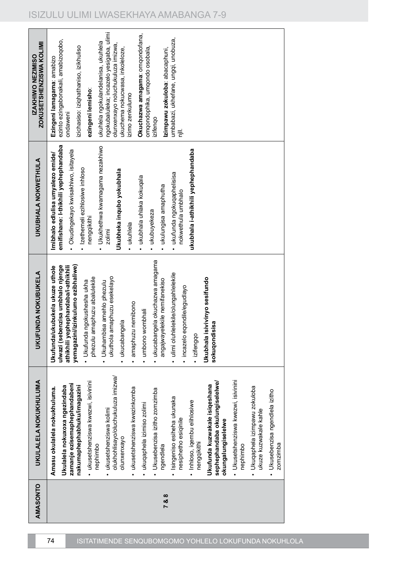| • ukucabangela okuchazwa amagama<br>yemagazini/izinkulumo ezibhaliwe)<br>ulwazi (sebenzisa umbhalo njenge<br>athikhili yephephandaba/i-athikhili<br>Ukufunda/ukubukela ukuze uthole<br><b>UKUFUNDA NOKUBUKELA</b><br>· ulimi oluhlelekile/olungahlelekile<br>phezulu amaphuzu abalulekile<br>ukuthola amaphuzu esekelayo<br>vivinyo sesifundo<br>angajwayelekile nemifanekiso<br>• Ukufunda ngokushesha ukha<br>Ukuhambisa amehlo phezulu<br>· incazelo eqondile/egudlayo<br>amaphuzu nemibono<br>· umbono wombhali<br>· ukucabangela<br>အ<br>sokuqondisi<br>Ukubhala isi<br>· izifengqo<br>$\bullet$<br>olukhohlisayo/oluchukuluza imizwa/<br>· Ukusetshenziswa kwezwi, isivinini<br><b>UKULALELA NOKUKHULUMA</b><br>· ukusetshenziswa kwezwi, isivinini<br>sephephandaba okulungiselelwe/<br>zamanje ezisemaphephandabeni<br>Ukufunda kuzwakale isiqeshana<br>nakumaphephabhuku/imagazini<br>Ukulalela nokuxoxa ngezindaba<br>Ukuqaphela izimpawu zokuloba<br>· ukusetshenziswa kwezinkomba<br>Amasu okulalela nokukhuluma.<br>· Ukusebenzisa izitho zomzimba<br>· Ukusebenzisa ngendlela izitho<br>· Isingeniso esiheha ukunaka<br>· Inhloso, iqembu elihlosiwe<br>· ukuqaphela izimiso zolimi<br>ukusetshenziswa kolimi<br>ukuze kuzwakale kahle<br>nesiphetho esiqinile<br>okungalungiselelwe<br>olunxenxayo<br>nengqikithi<br>nephimbo<br>nephimbo<br>ngendlela<br>$\ddot{\phantom{0}}$<br>$\bullet$ |
|------------------------------------------------------------------------------------------------------------------------------------------------------------------------------------------------------------------------------------------------------------------------------------------------------------------------------------------------------------------------------------------------------------------------------------------------------------------------------------------------------------------------------------------------------------------------------------------------------------------------------------------------------------------------------------------------------------------------------------------------------------------------------------------------------------------------------------------------------------------------------------------------------------------------------------------------------------------------------------------------------------------------------------------------------------------------------------------------------------------------------------------------------------------------------------------------------------------------------------------------------------------------------------------------------------------------------------------------------------------------------------------------------------|
| AMASONTO                                                                                                                                                                                                                                                                                                                                                                                                                                                                                                                                                                                                                                                                                                                                                                                                                                                                                                                                                                                                                                                                                                                                                                                                                                                                                                                                                                                                   |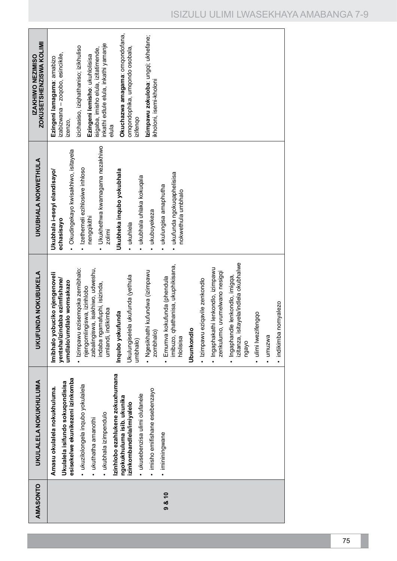| <b>AMASONTO</b> | <b>UKULALELA NOKUKHULUMA</b>                                                                         | <b>UKUFUNDA NOKUBUKELA</b>                                                                       | <b>UKUBHALA NOKWETHULA</b>                                                         | ZOKUSETSHENZISWA KOLIMI<br>IZAKHIWO NEZIMISO                                           |
|-----------------|------------------------------------------------------------------------------------------------------|--------------------------------------------------------------------------------------------------|------------------------------------------------------------------------------------|----------------------------------------------------------------------------------------|
|                 | esisekelwe ekunikezeni izinkomba<br>Ukulalela isifundo sokuqondisisa<br>Amasu okulalela nokukhuluma. | Imibhalo yobuciko njengenoveli<br>yentsha/izindaba ezimfishane/<br>umdlalo/umdlalo womsakazo     | · Okudingekayo kwisakhiwo, isitayela<br>Ukubhala i-eseyi elandisayo/<br>echasisayo | izabizwana – zoqobo, esincikile,<br>Ezingeni lamagama: amabizo<br>izenzo,              |
|                 | • ukuzilolongela inqubo yokulalela<br>• ukuthatha amanothi                                           | Izimpawu ezisemqoka zemibhalo:<br>zabalingiswa, isakhiwo, udweshu,<br>njengomlingiswa, izinhlobo | Izethemeli ezihlosiwe inhloso<br>nengqikithi                                       | izichasiso, iziqhathaniso; izikhuliso<br>Ezingeni lemisho: ukuhlolisisa                |
|                 | · ukubhala izimpendulo                                                                               | indaba ngamafuphi, isizinda,<br>umlandi, indikimba                                               | • Ukukhethwa kwamagama nezakhiwo<br>zolimi                                         | inkathi edlule elula, inkathi yamanje<br>isigaba, imisho elula, izitatimende,<br>elula |
|                 | Izinhlobo ezahlukene zokuxhumana<br>ngokukhuluma isib. ukunika                                       | Inqubo yokufunda                                                                                 | Ukubheka inqubo yokubhala                                                          | Okuchazwa amagama: omqondofana,                                                        |
|                 | · ukusebenzisa ulimi olufanele<br>izinkombandlela/imiyalelo                                          | Ukulungiselela ukufunda (yethula<br>umbhalo)                                                     | • ukubhala uhlaka kokuqala<br>· ukuhlela                                           | omqondophika, umqondo osobala,<br>izifenqo                                             |
|                 | · imisho emifishane esebenzayo                                                                       | kufundwa (izimpawu<br>· Ngesikhathi<br>zombhalo)                                                 | · ukubuyekeza                                                                      | Izimpawu zokuloba: ungqi; ukhefane;<br>ikholoni, isemi-kholoni                         |
| 9810            | · imininingwane                                                                                      | imibuzo, qhathanisa, ukuphikisana,<br>Emumva kokufunda (phendula<br>hlolisisa<br>$\bullet$       | · ukufunda ngokuqaphelisisa<br>ukulungisa amaphutha<br>nokwethula umbhalo          |                                                                                        |
|                 |                                                                                                      | Ubunkondlo                                                                                       |                                                                                    |                                                                                        |
|                 |                                                                                                      | · Izimpawu eziqavile zenkondlo                                                                   |                                                                                    |                                                                                        |
|                 |                                                                                                      | · Ingaphakathi lenkondlo, izimpawu<br>zenkulumo, uvumelwano nesigqi                              |                                                                                    |                                                                                        |
|                 |                                                                                                      | izitanza, isitayela/indlela okubhalwe<br>· Ingaphandle lenkondlo, imigqa,<br>ngayo               |                                                                                    |                                                                                        |
|                 |                                                                                                      | · ulimi lwezifengqo                                                                              |                                                                                    |                                                                                        |
|                 |                                                                                                      | · umuzwa                                                                                         |                                                                                    |                                                                                        |
|                 |                                                                                                      | · indikimba nomyalezo                                                                            |                                                                                    |                                                                                        |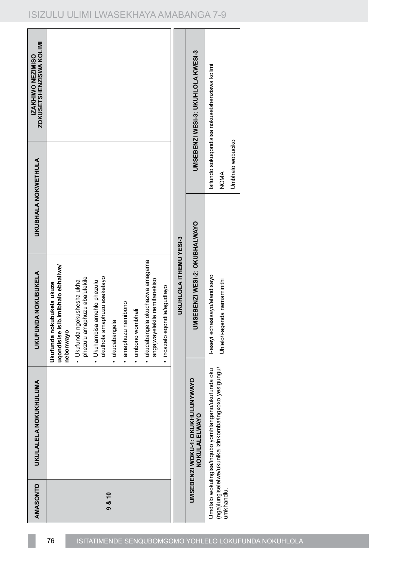| ZOKUSETSHENZISWA KOLIMI<br>IZAKHIVO NEZIMISO |                                                                                                                                                                                                                                                                                                                                                                                     |                               | UMSEBENZI WESI-3: UKUHLOLA KWESI-3                | Isifundo sokuqondisisa nokusetshenziswa kolimi                                                                |
|----------------------------------------------|-------------------------------------------------------------------------------------------------------------------------------------------------------------------------------------------------------------------------------------------------------------------------------------------------------------------------------------------------------------------------------------|-------------------------------|---------------------------------------------------|---------------------------------------------------------------------------------------------------------------|
| <b>UKUBHALA NOKWETHULA</b>                   |                                                                                                                                                                                                                                                                                                                                                                                     |                               |                                                   | <b>NOMA</b>                                                                                                   |
| <b>UKUFUNDA NOKUBUKELA</b>                   | jela okuchazwa amagama<br>uqondisise isib.imibhalo ebhaliwe/<br>phezulu amaphuzu abalulekile<br>ukuthola amaphuzu esekelayo<br>angajwayelekile nemifanekiso<br>• Ukufunda ngokushesha ukha<br>· Ukuhambisa amehlo phezulu<br>Ukufunda nokubukela ukuze<br>incazelo eqondile/egudlayo<br>· amaphuzu nemibono<br>· umbono wombhali<br>pela<br>nebonwayo<br>· ukucabang<br>· ukucabang | <b>UKUHLOLA ITHEMU YESI-3</b> | UMSEBENZI WESI-2: OKUBHALWAYO                     | I-eseyi echasisayo/elandisayo<br>Uhlelo/i-agenda namaminithi                                                  |
| <b>UKULALELA NOKUKHULUMA</b>                 |                                                                                                                                                                                                                                                                                                                                                                                     |                               | UMSEBENZI WOKU-1: OKUKHULUNYWAYO<br>NOKULALELWAYO | (nga)lungiselelwe/ukunika izinkomba/ingxoxo yesigungu/<br>Umdlalo wokulingisa/inqubo yomhlangano/ukufunda oku |
| AMASONTO                                     | 9840                                                                                                                                                                                                                                                                                                                                                                                |                               |                                                   | umkhandlu.                                                                                                    |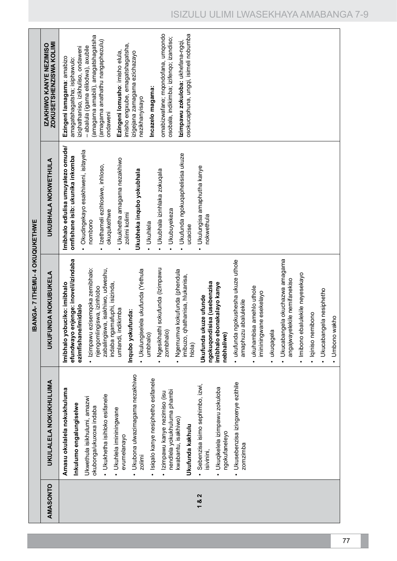|          |                                                                                                                                                                                                                                                                                                                                                                                                                                                                                                                                                                                 | IBANGA-7 ITHEMU-4 OKUQUKETHWE                                                                                                                                                                                                                                                                                                                                                                                                                                                                                                                                                                                                                                                                                                                                                                                                                                                                                                   |                                                                                                                                                                                                                                                                                                                                                                                                                                         |                                                                                                                                                                                                                                                                                                                                                                                                                                                                                                                                           |
|----------|---------------------------------------------------------------------------------------------------------------------------------------------------------------------------------------------------------------------------------------------------------------------------------------------------------------------------------------------------------------------------------------------------------------------------------------------------------------------------------------------------------------------------------------------------------------------------------|---------------------------------------------------------------------------------------------------------------------------------------------------------------------------------------------------------------------------------------------------------------------------------------------------------------------------------------------------------------------------------------------------------------------------------------------------------------------------------------------------------------------------------------------------------------------------------------------------------------------------------------------------------------------------------------------------------------------------------------------------------------------------------------------------------------------------------------------------------------------------------------------------------------------------------|-----------------------------------------------------------------------------------------------------------------------------------------------------------------------------------------------------------------------------------------------------------------------------------------------------------------------------------------------------------------------------------------------------------------------------------------|-------------------------------------------------------------------------------------------------------------------------------------------------------------------------------------------------------------------------------------------------------------------------------------------------------------------------------------------------------------------------------------------------------------------------------------------------------------------------------------------------------------------------------------------|
| AMASONTO | <b>UKULALELA NOKUKHULUMA</b>                                                                                                                                                                                                                                                                                                                                                                                                                                                                                                                                                    | <b>UKUFUNDA NOKUBUKELA</b>                                                                                                                                                                                                                                                                                                                                                                                                                                                                                                                                                                                                                                                                                                                                                                                                                                                                                                      | <b>UKUBHALA NOKWETHULA</b>                                                                                                                                                                                                                                                                                                                                                                                                              | ZOKUSETSHENZISWA KOLIMI<br>IZAKHIWO KANYE NEZIMISO                                                                                                                                                                                                                                                                                                                                                                                                                                                                                        |
| 1 & 2    | • Ukubona ulwazimagama nezakhiwo<br>· Isiqalo kanye nesiphetho esifanele<br>Ukusebenzisa izingxenye ezithile<br>Sebenzisa isimo sephimbo, izwi,<br>· Ukuqikelela izimpawu zokuloba<br>Amasu okulalela nokukhuluma<br>nendlela yokukhuluma phambi<br>· Izimpawu kanye nezimiso (isu<br>· Ukukhetha isihloko esifanele<br>Ukwethula isikhulumi, amazwi<br>Inkulumo engalungiselwe<br>okubonga/ukuxoxa indaba<br>· Ukuhlela imininingwane<br>kwabantu, isakhiwo)<br>Ukufunda kakhulu<br>ngokufaneleyo<br>evumelanayo<br>zomzimba<br>isivinini,<br>zolimi<br>$\bullet$<br>$\bullet$ | · Ukucabangela okuchazwa amagama<br>efundwayo enjenge: inoveli/izindaba<br>· ukufunda ngokushesha ukuze uthole<br>· Izimpawu ezisemqoka zemibhalo:<br>Ngesikhathi sokufunda (Izimpawu<br>zabalingiswa, isakhiwo, udweshu,<br>la ukufunda (Yethula<br>Ngemumva kokufunda (phendula<br>· Imibono ebalulekile neyesekayo<br>imibuzo, qhathanisa, hlukanisa,<br>angajwayelekile nemifanekiso<br>ngokuqondisisa (usebenzisa<br>indaba ngamafuphi, isizinda,<br>imibhalo ebonakalayo kanye<br>Imibhalo yobuciko: imibhalo<br>amehlo uthole<br>njengomlingiswa, izinhlobo<br>a nesiphetho<br>imininingwane esekelayo<br>Ukufunda ukuze ufunde<br>amaphuzu abalulekile<br>ezimfishane/imidlalo<br>umlandi, indikimba<br>Inqubo yokufunda:<br>· Iqiniso nemibono<br>Umbono wakho<br>· Ukulungisele<br>· Ukucabangel<br>• ukuhambisa<br>· ukuqagela<br>zombhalo)<br>nebhaliwe)<br>umbhalo)<br>hlola)<br>$\ddot{\phantom{0}}$<br>$\bullet$ | Imibhalo edlulisa umuyalezo omude/<br>Okudingekayo esakhiweni, isitayela<br>Ukufunda ngokuqaphelisisa ukuze<br>omfishane isib: ukunika inkomba<br>Ukukhetha amagama nezakhiwo<br>Izethameli ezihlosiwe, inhloso,<br>Ukulungisa amaphutha kanye<br>Ukubheka inqubo yokubhala<br>· Ukubhala izinhlaka zokuqala<br>Ukubuyekeza<br>okuqukethwe<br>zolimi kolimi<br>nokwethula<br>nombono<br>· Ukuhlela<br>ucacise<br>$\bullet$<br>$\bullet$ | omabizwafane; mqondofana, umqondo<br>osokucaphuna, ungqi, isimeli nobumba<br>(amagama amabili), amagatshagatsha<br>osobala, indikimba; izifenqo; izandiso;<br>(amagama anathathu nangaphezulu)<br>Izimpawu zokuloba: ukhefana-ngqi,<br>imisho engxube, emagatshagatsha,<br>- abalula (igama elilodwa), axubile<br>iziqhathaniso, izikhuliso, ondaweni<br>Ezingeni lomusho: imisho elula,<br>izigejana zamagama ezichazayo<br>Ezingeni lamagama: amabizo<br>amagatshagatsha; isiphawulo:<br>Incazelo magama:<br>nezikhanyisayo<br>ondaweni |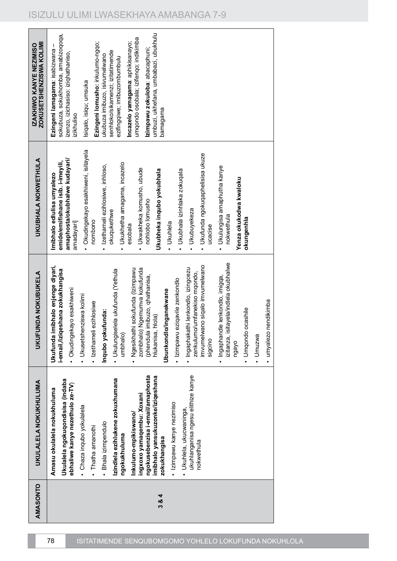| Ukufunda imibhalo enjenge diyari,<br>i-email,/iziqeshana zokukhangisa                                                                                                                                                                                                                                                                                                                                                                                                                                                                                                                                                                                                                                                                          |                                                                                                                                                                                                                                                                                                                                                                                                                                                                                                                                                       |                                                                                                                                                                                                                                                                                                                                                                                                                                                              |
|------------------------------------------------------------------------------------------------------------------------------------------------------------------------------------------------------------------------------------------------------------------------------------------------------------------------------------------------------------------------------------------------------------------------------------------------------------------------------------------------------------------------------------------------------------------------------------------------------------------------------------------------------------------------------------------------------------------------------------------------|-------------------------------------------------------------------------------------------------------------------------------------------------------------------------------------------------------------------------------------------------------------------------------------------------------------------------------------------------------------------------------------------------------------------------------------------------------------------------------------------------------------------------------------------------------|--------------------------------------------------------------------------------------------------------------------------------------------------------------------------------------------------------------------------------------------------------------------------------------------------------------------------------------------------------------------------------------------------------------------------------------------------------------|
| izitanza, isitayela/indlela okubhalwe<br>imvumelwano siqalo imvumelwano<br>zombhalo) Ngemumva kokufunda<br>· Ingaphakathi lenkondlo, izingcezu<br>sokufunda (Izimpawu<br>· Ukulungiselela ukufunda (Yethula<br>zenkulumo/umfanekiso mqondo,<br>(phendula imibuzo, qhathanisa,<br>Ingaphandle lenkondlo, imigqa,<br>· Izimpawu eziqavile zenkondlo<br>· Okudingekayo esakhiweni<br>Ubunkondlo/inganekwane<br>· Ukusetshenziswa kolimi<br>· umyalezo nendikimba<br>· Izethameli ezihlosiwe<br>· Umqondo ocashile<br>Inqubo yokufunda:<br>hlukanisa, hlola)<br>Ngesikhathi<br>umbhalo)<br>· Umuzwa<br>sigcino<br>ngayo<br>$\bullet$<br>ngokusebenzisa i-email/amaphosta<br>ukuhlanganisa ngesu elithize kanye<br>imibhalo yansukuzonke/iziqeshana | · Okudingekayo esakhiweni, isitayela<br>· Ukufunda ngokuqaphelisisa ukuze<br>amaphosta/okubhalwe kudayari/<br>emide/emifishane isib. i-imeyili,<br>· Ukukhetha amagama, incazelo<br>· Izethameli ezihlosiwe, inhloso,<br>- Ukulungisa amaphutha kanye<br>· Ukwakheka komusho, ubude<br>Ukubheka inqubo yokubhala<br>• Ukubhala izinhlaka zokuqala<br>Imibhalo edlulisa umyalezo<br>Yenza okukodwa kwaloku<br>nohlobo lomusho<br>· Ukubuyekeza<br>okuqukethwe<br>nokwethula<br>okungenhla<br>nombono<br>amadayari]<br>· Ukuhlela<br>esobala<br>ucacise | umbuzi, ukhefana, umbabazi, ubukhulu<br>sokubuza, sokukhomba, amabizoqoqa,<br>umqondo osobala; izifenqo; indikimba<br>Incazelo yamagama: aphikisanayo;<br>Ezingeni lomusho: inkulumo-ngqo;<br>Ezingeni lamagama: isabizwana –<br>impawu zokuloba: abacaphuni;<br>senhloko/sikamenzi; izitatimende<br>izenzo, izichasiso: iziqhathaniso,<br>ukubuza imibuzo, isivumelwano<br>ezifingqiwe; imibuzombumbulu<br>Isiqalo, isiqu; umsuka<br>bamagama<br>izikhuliso |
|                                                                                                                                                                                                                                                                                                                                                                                                                                                                                                                                                                                                                                                                                                                                                |                                                                                                                                                                                                                                                                                                                                                                                                                                                                                                                                                       |                                                                                                                                                                                                                                                                                                                                                                                                                                                              |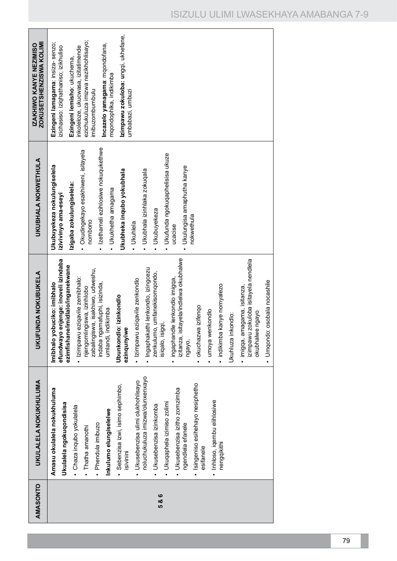| AMASONTO | <b>UKULALELA NOKUKHULUMA</b>                                                                                                                                                                                                                                                                                                                                                                                                                                                                         | <b>IDA NOKUBUKELA</b><br><b>UKUFUN</b>                                                                                                                                                                                                                                                                                                                                                                                                                                                                                                                                                                                                                                                                                             | <b>UKUBHALA NOKWETHULA</b>                                                                                                                                                                                                                                                                                                                                                                 | ZOKUSETSHENZISWA KOLIMI<br>IZAKHIWO KANYE NEZIMISO                                                                                                                                                                                                                                                                               |
|----------|------------------------------------------------------------------------------------------------------------------------------------------------------------------------------------------------------------------------------------------------------------------------------------------------------------------------------------------------------------------------------------------------------------------------------------------------------------------------------------------------------|------------------------------------------------------------------------------------------------------------------------------------------------------------------------------------------------------------------------------------------------------------------------------------------------------------------------------------------------------------------------------------------------------------------------------------------------------------------------------------------------------------------------------------------------------------------------------------------------------------------------------------------------------------------------------------------------------------------------------------|--------------------------------------------------------------------------------------------------------------------------------------------------------------------------------------------------------------------------------------------------------------------------------------------------------------------------------------------------------------------------------------------|----------------------------------------------------------------------------------------------------------------------------------------------------------------------------------------------------------------------------------------------------------------------------------------------------------------------------------|
| 5 & 6    | noluchukuluza imizwa/olunxenxayo<br>Ukusebenzisa ulimi olukhohlisayo<br>· Isingeniso esihehayo nesiphetho<br>· Sebenzisa izwi, isimo sephimbo,<br>Ukusebenzisa izitho zomzimba<br>Amasu okulalela nokukhuluma<br>· Inhloso, igembu elihlosiwe<br>· Ukuqaphela izimiso zolimi<br>Ukulalela ngokuqondisisa<br>· Ukusebenzisa izinkomba<br>· Chaza inqubo yokulalela<br>Inkulumo elungiselelwe<br>ngendlela efanele<br>· Phendula imibuzo<br>• Thatha amanothi<br>nengqikithi<br>esifanele<br>isivinini | izitanza, isitayela/indlelwa okubhalwe<br>izimpawu zokuloba isitayela nendlela<br>efundwayo enjenge: inoveli izindaba<br>ezimfishane/imidlalo/inganekwane<br>· Ingaphakathi lenkondlo, izingcezu<br>zabalingiswa, isakhiwo, udweshu,<br>umfanekisomqondo,<br>ingaphandle lenkondlo imigqa,<br>· Izimpawu eziqavile zemibhalo:<br>· Izimpawu eziqavile zenkondlo<br>indaba ngamafuphi, isizinda,<br>Imibhalo yobuciko: imibhalo<br>· indikimba kanye nomyalezo<br>· imigqa, amagama, isitanza,<br>njengomlingiswa, izinhlobo<br>izinkondlo<br>· okuchazwa izifenqo<br>umlandi, indikimba<br>· umoya wenkondlo<br>ovepr<br>Ukuhluza inkondlo:<br>Ubunkondlo:<br>isiqalo, isigq<br>okubhalwe r<br>ezinqunyiwe<br>zenkulumo,<br>ngayo, | · Izethameli ezihlosiwe nokuqukethwe<br>· Okudingekayo esakhiweni, isitayela<br>• Ukufunda ngokuqaphelisisa ukuze<br>Ukubuyekeza nokulungiselela<br>Ukulungisa amaphutha kanye<br>Ukubheka inqubo yokubhala<br>• Ukubhala izinhlaka zokuqala<br>Izigaba zokulungiselela:<br>• Ukukhetha amagama<br>izivivinyo ama-eseyi<br>· Ukubuyekeza<br>nokwethula<br>nombono<br>· Ukuhlela<br>ucacise | Izimpawu zokuloba: ungqi, ukhefane,<br>ezichukuluza imizwa nezikhohlisayo;<br>Ezingeni lamagama: insiza- senzo;<br>Incazelo yamagama: mqondofana,<br>izichasiso: iziqhathaniso; izikhuliso<br>inkoleloze, ukucwasa, izitatimende<br>Ezingeni lemisho: ukuchema,<br>mqondophika, indikimba<br>imibuzombumbulu<br>umbabazi, umbuzi |
|          |                                                                                                                                                                                                                                                                                                                                                                                                                                                                                                      | · Umqondo: osobala nocashile                                                                                                                                                                                                                                                                                                                                                                                                                                                                                                                                                                                                                                                                                                       |                                                                                                                                                                                                                                                                                                                                                                                            |                                                                                                                                                                                                                                                                                                                                  |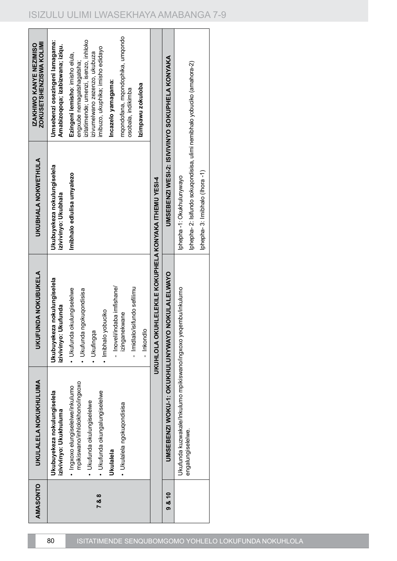| AMASONTO | <b>UKULALELA NOKUKHULUMA</b>                                                                                                                                                  | <b>UKUFUNDA NOKUBUKELA</b>                                                                                                                                                                  | <b>UKUBHALA NOKWETHULA</b>                                                                            | ZOKUSETSHENZISWA KOLIMI<br>IZAKHIWO KANYE NEZIMISO                                                                                                                                                                                                                               |
|----------|-------------------------------------------------------------------------------------------------------------------------------------------------------------------------------|---------------------------------------------------------------------------------------------------------------------------------------------------------------------------------------------|-------------------------------------------------------------------------------------------------------|----------------------------------------------------------------------------------------------------------------------------------------------------------------------------------------------------------------------------------------------------------------------------------|
|          | Ukubuyekeza nokulungiselela<br>izivivinyo: Ukukhuluma                                                                                                                         | Ukubuyekeza nokulungiselela<br>izivivinyo: Ukufunda                                                                                                                                         | Ukubuyekeza nokulungiselela<br>izivivinyo: Ukubhala                                                   | Umsebenzi osezingeni lamagama:<br>Amabizoqoqa; izabizwana; iziqu.                                                                                                                                                                                                                |
| 7 & 8    | mpikiswano/inhlolokhono/ingxoxo<br>· Ingxoxo elungiselelwe/inkulumo<br>- Ukufunda okungalungiselelwe<br>- Ukufunda okulungiselelwe<br>· Ukulalela ngokuqondisisa<br>Ukulalela | - Inoveli/indaba imfishane/<br>- Imidlalo/isifundo sefilimu<br>· Ukufunda okulungiselelwe<br>· Ukufunda ngokuqondisisa<br>· Imibhalo yobuciko<br>izinganekwane<br>- Inkondlo<br>· Ukufingqa | Imibhalo edlulisa umyalezo                                                                            | mqondofana, mqondophika, umqondo<br>izitatimende; umenzi, isenzo, inhloko<br>imibuzo, ukuphika; imisho edidayo<br>izivumelwano zezenzo, ukubuza<br>Ezingeni lemisho: imisho elula,<br>engxube nemagatshagatsha;<br>Incazelo yamagama:<br>Izimpawu zokuloba<br>osobala, indikimba |
|          |                                                                                                                                                                               | <b>UKUHLOLA OKUHLELEKILE KOKUPHELA KONYAKA ITHEMU YESI-4</b>                                                                                                                                |                                                                                                       |                                                                                                                                                                                                                                                                                  |
| 9810     |                                                                                                                                                                               | UMSEBENZI WOKU-1: OKUKHULUNYWAYO NOKULALELWAYO                                                                                                                                              |                                                                                                       | UMSEBENZI WESI-2: ISIVIVNYO SOKUPHELA KONYAKA                                                                                                                                                                                                                                    |
|          | Ukufunda kuzwakale/Inkulumo mpikiswano/ingxoxo yeqembu/inkulumo<br>engalungiselelwe.                                                                                          |                                                                                                                                                                                             | lphepha- 2: Isifundo sokuqondisisa, ulimi nemibhalo yobuciko (amahora-2)<br>Iphepha-1: Okukhulunywayo |                                                                                                                                                                                                                                                                                  |

Iphepha- 3: Imibhalo (Ihora -1)

Iphepha- 3: Imibhalo (lhora -1)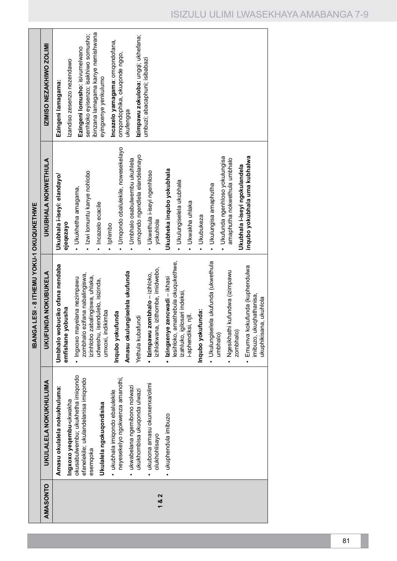|          | <b>UKULALELA NOKUKHULUMA</b>                                                                                                                                                                                                                                                                                                                                                                     | IBANGA LESI - 8 ITHEMU YOKU-1 OKUQUKETHWE                                                                                                                                                                                                                                                                                                                                                                                                                                                                                                                                                                                                                                                                                       | <b>UKUBHALA NOKWETHULA</b>                                                                                                                                                                                                                                                                                                                                                                                                                                                                                                                            |                                                                                                                                                                                                                                                                                                                                                |
|----------|--------------------------------------------------------------------------------------------------------------------------------------------------------------------------------------------------------------------------------------------------------------------------------------------------------------------------------------------------------------------------------------------------|---------------------------------------------------------------------------------------------------------------------------------------------------------------------------------------------------------------------------------------------------------------------------------------------------------------------------------------------------------------------------------------------------------------------------------------------------------------------------------------------------------------------------------------------------------------------------------------------------------------------------------------------------------------------------------------------------------------------------------|-------------------------------------------------------------------------------------------------------------------------------------------------------------------------------------------------------------------------------------------------------------------------------------------------------------------------------------------------------------------------------------------------------------------------------------------------------------------------------------------------------------------------------------------------------|------------------------------------------------------------------------------------------------------------------------------------------------------------------------------------------------------------------------------------------------------------------------------------------------------------------------------------------------|
| AMASONTO |                                                                                                                                                                                                                                                                                                                                                                                                  | <b>UKUFUNDA NOKUBUKELA</b>                                                                                                                                                                                                                                                                                                                                                                                                                                                                                                                                                                                                                                                                                                      |                                                                                                                                                                                                                                                                                                                                                                                                                                                                                                                                                       | IZIMISO NEZAKHIWO ZOLIMI                                                                                                                                                                                                                                                                                                                       |
| 1 & 2    | okusabulwembu; ukukhetha imiqondo<br>neyesekelyo ngokwenza amanothi,<br>efanelekile; ukulandelanisa imiqondo<br>· ukubona amasu okunxenxa/olimi<br>· ukwabelana ngemibono nolwazi<br>Amasu okulalela nokukhuluma:<br>ukukhombisa ukuqonda ulwazi<br>· ukubhala imiqondo ebalulekile<br>Ingxoxo yeqembu-ukwakha<br>Ukulalela ngokuqondisisa<br>· ukuphendula imibuzo<br>olukhohlisayo<br>esemqoka | lesihloko, amathebula okuqukethwe,<br>la ukufunda (ukwethula<br>Umbhalo wobuciko ofana nendaba<br>• Emumva kokufunda (kuphendulwa<br>izihlokwana, izithombe, imidwebo,<br>kufundwa (izimpawu<br>Amasu okulungiselela ukufunda<br>zombhalo ezifana nabalingiswa,<br>· Izimpawu zombhalo - izihloko,<br>izinhlobo zabalingiswa, uhlaka,<br>· Izingxenye zencwadi - ikhasi<br>· Ingxoxo mayelana nezimpawu<br>udweshu, isendulelo, isizinda,<br>izahluko, igilosari indeksi,<br>imibuzo, ukuqhathanisa,<br>ukuphikisana, ukuhlola<br>emfishane yobusha<br>umxoxi, indikimba<br>Inqubo yokufunda:<br>Inqubo yokufunda<br>$\equiv$<br>Yethula kubafundi<br>i-aphendiksi,<br>· Ukulungisele<br>· Ngesikhathi<br>zombhalo)<br>umbhalo) | Umqondo obalulekile, nowesekelayo<br>umqondo ngendlela elandelanayo<br>• Ukufunda ngenhloso yokulungisa<br>inqubo yokubhala uma kubhalwa<br>amaphutha nokwethula umbhalo<br>Umbhalo osabulwembu ukuhlela<br>Ukubhala i-iseyi ngokulandela<br>Ukubheka inqubo yokubhala<br>· Izwi Iomuntu kanye nohlobo<br>· Ukwethula i-iseyi ngenhloso<br>Ukubhala i-iseyi: elandayo/<br>· Ukulungiselela ukubhala<br>• Ukulungisa amaphutha<br>• Ukukhetha amagama,<br>· Ukwakha uhlaka<br>· Incazelo ecacile<br>· Ukubukeza<br>yokuhlola<br>ejeqezayo<br>· Iphimbo | ibinzana lamagama kanye nemishwana<br>senhloko eyisenzo; isakhiwo somusho;<br>impawu zokuloba: ungqi; ukhefana;<br>Incazelo yamagama: omqondofana,<br>Ezingeni lomusho: isivumelwano<br>omqondophika, okuqonde ngqo,<br>umbuzi; abacaphuni; isibabazi<br>Izandiso zesenzo nezendawo<br>eyingxenye yenkulumo<br>Ezingeni lamagama:<br>ukufengqa |
|          |                                                                                                                                                                                                                                                                                                                                                                                                  |                                                                                                                                                                                                                                                                                                                                                                                                                                                                                                                                                                                                                                                                                                                                 |                                                                                                                                                                                                                                                                                                                                                                                                                                                                                                                                                       |                                                                                                                                                                                                                                                                                                                                                |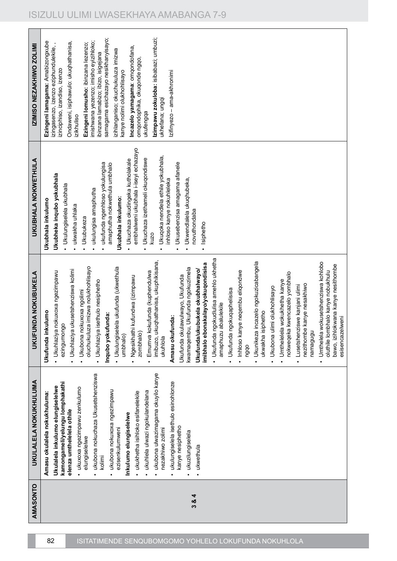| AMASONTO | <b>UKULALELA NOKUKHULUMA</b>                                                                                                                                                                                                                                                                                                                                                                                                                                                                                                                  | UKUFUNDA NOKUBUKELA                                                                                                                                                                                                                                                                                                                                                                                                                                                                                                                                                                                                                                                                                                                                                                                                                                                                                                                                                                                                                    | <b>UKUBHALA NOKWETHULA</b>                                                                                                                                                                                                                                                                                                                                                                                                                                                                                                                           | IZIMISO NEZAKHIWO ZOLIM                                                                                                                                                                                                                                                                                                                                                                                                                                                                                                                                                      |
|----------|-----------------------------------------------------------------------------------------------------------------------------------------------------------------------------------------------------------------------------------------------------------------------------------------------------------------------------------------------------------------------------------------------------------------------------------------------------------------------------------------------------------------------------------------------|----------------------------------------------------------------------------------------------------------------------------------------------------------------------------------------------------------------------------------------------------------------------------------------------------------------------------------------------------------------------------------------------------------------------------------------------------------------------------------------------------------------------------------------------------------------------------------------------------------------------------------------------------------------------------------------------------------------------------------------------------------------------------------------------------------------------------------------------------------------------------------------------------------------------------------------------------------------------------------------------------------------------------------------|------------------------------------------------------------------------------------------------------------------------------------------------------------------------------------------------------------------------------------------------------------------------------------------------------------------------------------------------------------------------------------------------------------------------------------------------------------------------------------------------------------------------------------------------------|------------------------------------------------------------------------------------------------------------------------------------------------------------------------------------------------------------------------------------------------------------------------------------------------------------------------------------------------------------------------------------------------------------------------------------------------------------------------------------------------------------------------------------------------------------------------------|
| 3 & 4    | ukubona ulwazimagama okuyilo kanye<br>ukubona nokuchaza Ukusetshenziswa<br>kamongameli/yelungu lomphakathi<br>ukulungiselela isethulo esinohlonze<br>Ukulalela inkulumo elungiselelwe<br>· ukuxoxa ngezimpawu zenkulumo<br>• ukubona nokuxoxa ngezimpawu<br>ukuhlela ulwazi ngokulandelana<br>• ukukhetha isihloko esifanelekile<br>Amasu okulalela nokukhuluma<br>elenza umthelelela othile<br>Inkulumo elungiselelwe<br>kanye nesiphetho<br>nezakhiwo zolimi<br>ezisenkulumweni<br>ukuzilungiselela<br>elungiselelwe<br>ukwethula<br>kolimi | • Ukufunda ngokudlulisa amehlo ukhetha<br>imibuzo, ukuqhathanisa, ukuphikisana,<br>Umthelela wokusetshenziswa kohlobo<br>Ukunikeza incazelo ngokuzicabangela<br>imibhalo ebonakalayo/yokuqondisisa<br>oluchukuluza imizwa nolukhohlisayo<br>Ukulungiselela ukufunda (ukwethula<br>kwamaqembu, Ukufunda ngokuzimela<br>bukela okubhalwayo/<br>Ukuhlaziya ukusetshenziswa kolimi<br>Emumva kokufunda (kuphendulwa<br>Inhloso kanye neqembu eliqondwe<br>· Ukuhlaziya nokuxoxa ngezimpawu<br>nokweqeka kwencazelo yombhalo<br>Ukufunda okulawulwayo, Ukufunda<br>Ngesikhathi kufundwa (izimpawu<br>· Ukuhlaziya isethulo nesiphetho<br>Umthelelela wokukhetha kanye<br>nezithombe kanye nesakhiwo<br>Lusetshenziswe kanjani ulimi<br>Ukubona ulimi olukhohlisayo<br>Ukufunda ngokuqaphelisisa<br>Ukubona nokuxoxa ngolimi<br>amaphuzu abalulekile<br>Ukufunda inkulumo<br>ukwakha isiphetho<br>Inqubo yokufunda:<br>Amasu okufunda:<br>ezingumongo<br>Ukufunda/ukul<br>namagugu<br>zombhalo)<br>umbhalo)<br>ukuhlola<br>ngqo<br>$\bullet$ | embhalweni ukubhala i-iseyi echazayo<br>Ukuqoka nendlela ethile yokubhala,<br>Ukuchaza izethameli okuqondiswe<br>· Ukuchaza okudingeka kutholakale<br>ukufunda ngenhloso yokulungisa<br>amaphutha nokwethula umbhalo<br>Ukusebenzisa amagama afanele<br>Ukubheka inqubo yokubhala<br>Ukwendlalela ukuqhubeka<br>inhloso kanye nokuhleleka<br>• Ukulungiselela ukubhala<br>ukulungisa amaphutha<br>Ukubhala inkulumo:<br>Ukubhala inkulumo<br>ukwakha uhlaka<br>novuthondaba<br>Ukubukeza<br>Isiphetho<br>kuzo<br>$\bullet$<br>$\bullet$<br>$\bullet$ | izimpawu zokuloba: isibabazi; umbuzi;<br>samagama esichazayo nesikhanyisayo;<br>imishwana yezenzo; imisho eyizihloko;<br>Ezingeni lamagama: Amabizongxube<br>Ondaweni, isiphawulo: ukuqhathanisa,<br>Ezingeni lomusho: ibinzana lezenzo;<br>izingasenzo, izenzo eziphundulekile, ,<br>Incazelo yamagama: omqondofana,<br>izihlanganiso; okuchukuluza imizwa<br>ibinzana lamabizo; ibizo, isigejana<br>omqondophika, okuqonde ngqo,<br>izinciphiso, izandiso, izenzo<br>kanye nolimi olukhohlisayo<br>zifinyezo – ama-akhronimi<br>ukhefana; ungqi<br>ukufengqa<br>izikhuliso |
|          |                                                                                                                                                                                                                                                                                                                                                                                                                                                                                                                                               | bawo, izihlokwana kanye nesithombe<br>oluthile lombhalo kanye nobukhulu<br>esisencazelweni                                                                                                                                                                                                                                                                                                                                                                                                                                                                                                                                                                                                                                                                                                                                                                                                                                                                                                                                             |                                                                                                                                                                                                                                                                                                                                                                                                                                                                                                                                                      |                                                                                                                                                                                                                                                                                                                                                                                                                                                                                                                                                                              |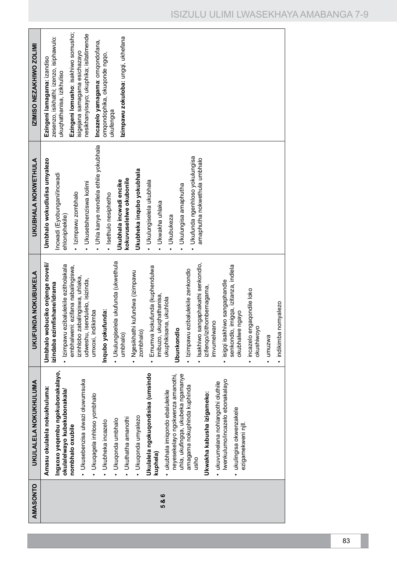| AMASONTO | <b>UKULALELA NOKUKHULUMA</b>                                                                                                                                                                                                                                                                                                                                                                                                                                                                                                                                                                                                                   | UKUFUNDA NOKUBUKELA                                                                                                                                                                                                                                                                                                                                                                                                                                                                                                                                                                                                                                                                                                                                            | <b>UKUBHALA NOKWETHULA</b>                                                                                                                                                                                                                                                                                                                                                                                                                         | IZIMISO NEZAKHIWO ZOLIMI                                                                                                                                                                                                                                                                                                                    |
|----------|------------------------------------------------------------------------------------------------------------------------------------------------------------------------------------------------------------------------------------------------------------------------------------------------------------------------------------------------------------------------------------------------------------------------------------------------------------------------------------------------------------------------------------------------------------------------------------------------------------------------------------------------|----------------------------------------------------------------------------------------------------------------------------------------------------------------------------------------------------------------------------------------------------------------------------------------------------------------------------------------------------------------------------------------------------------------------------------------------------------------------------------------------------------------------------------------------------------------------------------------------------------------------------------------------------------------------------------------------------------------------------------------------------------------|----------------------------------------------------------------------------------------------------------------------------------------------------------------------------------------------------------------------------------------------------------------------------------------------------------------------------------------------------------------------------------------------------------------------------------------------------|---------------------------------------------------------------------------------------------------------------------------------------------------------------------------------------------------------------------------------------------------------------------------------------------------------------------------------------------|
| 5 & 6    | Ingxoxo yeqembu ngokubonakalayo,<br>Ukulalela ngokuqondisisa (umsindo<br>neyesekelayo ngokwenza amanothi,<br>uhla, ukufingqa, ukubeka ngamanye<br>• Ukusebenzisa ulwazi oluwumsuka<br>Iwenkulumo/incazelo ebonakalayo<br>· ukuvumelana nohlangothi oluthile<br>amagama nokuphinda kuphinda<br>Amasu okulalela nokukhuluma:<br>okulalelwayo kubekubonakala/<br>· ukubhala imiqondo ebalulekile<br>Ukwakha kabusha izigameko:<br>Ukuqagela inhloso yombhalo<br>· ukulingisa okwenzakele<br>· Ukuqonda umyalezo<br>• Ukuthatha amanothi<br>· Ukuqonda umbhalo<br>· Ukubheka incazelo<br>ezigamekweni njll<br>nombhalo oxubile<br>kuphela)<br>usho | • Ukulungiselela ukufunda (ukwethula<br>Isakhiwo sangaphakathi senkondlo,<br>Umbhalo wobuciko onjenge noveli/<br>· Izimpawu ezibalulekile ezitholakala<br>senkondlo, imigqa, izitanza, indlela<br>embhalweni: ezifana nabalingiswa,<br>Emumva kokufunda (kuphendulwa<br>· Izimpawu ezibalulekile zenkondlo<br>kufundwa (izimpawu<br>izinhlobo zabalingiswa, uhlaka,<br>udweshu, isendulelo, isizinda,<br>isigqi isakhiwo sangaphandle<br>izindaba ezimfishane/idrama<br>izifenqo/izithombemagama,<br>incazelo engaqondile loko<br>imibuzo, ukuqhathanisa,<br>ukuphikisana, ukuhlola<br>Inqubo yokufunda:<br>umxoxi, indikimba<br>okubhalwe ngayo<br>imvumelwano<br>• Ngesikhathi<br>okushiwoyo<br>Ubunkondlo<br>zombhalo)<br>umbhalo)<br>· umuzwa<br>$\bullet$ | · Uhla kanye nendlela ethile yokubhala<br>Ukufunda ngenhloso yokulungisa<br>amaphutha nokwethula umbhalo<br>Umbhalo wokudlulisa umyalezo<br>Ukubheka inqubo yokubhala<br>Incwadi (Eyobungani/incwadi<br>kokuvuselelwe okubonile<br>Ukubhala incwadi encike<br>· Ukulungiselela ukubhala<br>· Ukusetshenziswa kolimi<br>· Ukulungisa amaphutha<br>· Izimpawu zombhalo<br>· Isethulo nesiphetho<br>· Ukwakha uhlaka<br>ehloniphekile)<br>· Ukubukeza | Ezingeni lomusho: isakhiwo somusho;<br>nesikhanyisayo; ukuphika; isitatimende<br>zesenzo, isikhathi; izenzo, isiphawulo:<br>Izimpawu zokuloba: ungqi, ukhefana<br>Incazelo yamagama: omqondofana,<br>isigejana samagama esichazayo<br>omqondophika, okuqonde ngqo,<br>Ezingeni lamagama: izandiso<br>ukuqhathanisa, izikhuliso<br>ukufengqa |
|          |                                                                                                                                                                                                                                                                                                                                                                                                                                                                                                                                                                                                                                                | · indikimba nomyalezo                                                                                                                                                                                                                                                                                                                                                                                                                                                                                                                                                                                                                                                                                                                                          |                                                                                                                                                                                                                                                                                                                                                                                                                                                    |                                                                                                                                                                                                                                                                                                                                             |

 $\overline{\phantom{a}}$ 

٦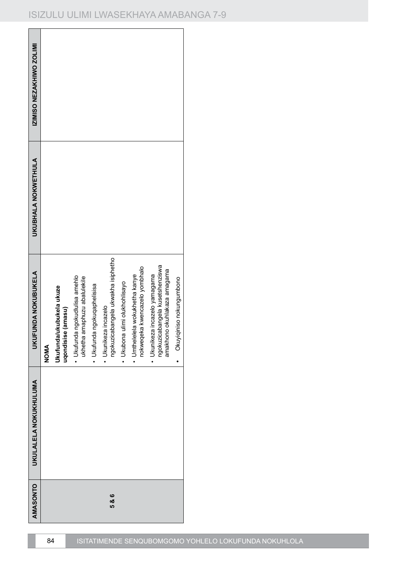| AMASONTO | <b>UKULALELA NOKUKHULUMA</b> | <b>UKUFUNDA NOKUBUKELA</b>                                                                      | <b>UKUBHALA NOKWETHULA</b> | IZIMISO NEZAKHIWO ZOLIMI |
|----------|------------------------------|-------------------------------------------------------------------------------------------------|----------------------------|--------------------------|
|          |                              | NOMA                                                                                            |                            |                          |
|          |                              | Ukufunda/ukubukela ukuze<br>uqondisise (amasu)                                                  |                            |                          |
|          |                              | · Ukufunda ngokudlulisa amehlo<br>ukhetha amaphuzu abalulekile                                  |                            |                          |
|          |                              | · Ukufunda ngokuqaphelisisa                                                                     |                            |                          |
| 5 & 6    |                              | ngokuzicabangela ukwakha isiphetho<br>· Ukunikeza incazelo                                      |                            |                          |
|          |                              | • Ukubona ulimi olukhohlisayo                                                                   |                            |                          |
|          |                              | nokweqeka kwencazelo yombhalo<br>· Umthelelela wokukhetha kanye                                 |                            |                          |
|          |                              | ngokuzicabangela kusetshenziswa<br>amakhono okuhlakaza amagama<br>· Ukunikeza incazelo yamagama |                            |                          |
|          |                              | Okuyiqiniso nokungumbono                                                                        |                            |                          |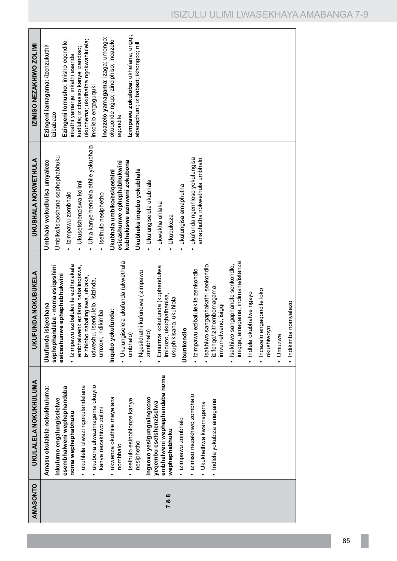| AMASONTO | <b>UKULALELA NOKUKHULUMA</b>                                                                                                                                                                                                                                                                                                                                                                                                                                                                                                   | UKUFUNDA NOKUBUKELA                                                                                                                                                                                                                                                                                                                                                                                                                                                                                                                                                                                                                                                                                                                                                                                                      | <b>UKUBHALA NOKWETHULA</b>                                                                                                                                                                                                                                                                                                                                                                                                                                                    | ZIMISO NEZAKHIWO ZOLIMI                                                                                                                                                                                                                                                                                                                                                                             |
|----------|--------------------------------------------------------------------------------------------------------------------------------------------------------------------------------------------------------------------------------------------------------------------------------------------------------------------------------------------------------------------------------------------------------------------------------------------------------------------------------------------------------------------------------|--------------------------------------------------------------------------------------------------------------------------------------------------------------------------------------------------------------------------------------------------------------------------------------------------------------------------------------------------------------------------------------------------------------------------------------------------------------------------------------------------------------------------------------------------------------------------------------------------------------------------------------------------------------------------------------------------------------------------------------------------------------------------------------------------------------------------|-------------------------------------------------------------------------------------------------------------------------------------------------------------------------------------------------------------------------------------------------------------------------------------------------------------------------------------------------------------------------------------------------------------------------------------------------------------------------------|-----------------------------------------------------------------------------------------------------------------------------------------------------------------------------------------------------------------------------------------------------------------------------------------------------------------------------------------------------------------------------------------------------|
| 7&8      | embhalweni wephephandaba noma<br>· ukubona ulwazimagama okuyilo<br>· ukuhlela ulwazi ngokulandelana<br>esembhalweni wephephandaba<br>Amasu okulalela nokukhuluma:<br>· izimiso nezakhiwo zombhalo<br>oxoxpujugungisay oxoxpul<br>· ukwenza okuthile mayelana<br>Inkulumo engalungiseleiwe<br>· isethulo esinohlonze kanye<br>· Indlela yokubiza amagama<br>yeqembu esetshenziselwa<br>· Ukukhethwa kwamagama<br>kanye nezakhiwo zolimi<br>noma wephephabhuku<br>· izimpawu zombhalo<br>wephephabhuku<br>nesiphetho<br>nombhalo | • Ukulungiselela ukufunda (ukwethula<br>imigqa, amagama, indimana/istanza<br>· Isakhiwo sangaphakathi senkondlo,<br>· Isakhiwo sangaphandle senkondlo,<br>· Izimpawu ezibalulekile ezitholakala<br>Emumva kokufunda (kuphendulwa<br>embhalweni: ezifana nabalingiswa,<br>sephephandaba - noma esiqeshini<br>· Izimpawu ezibalulekile zenkondlo<br>kufundwa (izimpawu<br>esicashunwe ephephabhukwini<br>izinhlobo zabalingiswa, uhlaka,<br>udweshu, isendulelo, isizinda,<br>izifenqo/izithombemagama,<br>· Incazelo engaqondile loko<br>· Indiela okubhalwe ngayo<br>imibuzo, ukuqhathanisa,<br>ukuphikisana, ukuhlola<br>Ukufunda isiqeshana<br>imvumelwano, isigqi<br>Inqubo yokufunda:<br>umxoxi, indikimba<br>· Ngesikhathi<br>okushiwoyo<br>Ubunkondlo<br>zombhalo)<br>umbhalo)<br>· Umuzwa<br>$\ddot{\phantom{0}}$ | • Uhla kanye nendlela ethile yokubhala<br>Umbiko/isiqeshana sephephabhuku<br>• ukufunda ngenhloso yokulungisa<br>amaphutha nokwethula umbhalo<br>Umbhalo wokudlulisa umyalezo<br>kubhekiswe ezinweni zokubona<br>esicashunwe ephephabhukwini<br>Ukubheka inqubo yokubhala<br>Ukubhala umbiko/esiqeshini<br>• Ukulungiselela ukubhala<br>· Ukusetshenziswa kolimi<br>• ukulungisa amaphutha<br>· Izimpawu zombhalo<br>· Isethulo nesiphetho<br>· ukwakha uhlaka<br>· Ukubukeza | Izimpawu zokuloba: ukhefana; ungqi;<br>Incazelo yamagama: izaga; umongo;<br>ukuchema; ukuthatha ngokwahlulela;<br>okuqonde ngqo; izinciphiso; incazelo<br>Ezingeni lomusho: imisho eqondile;<br>abacaphuni; izibabazi; ikhongco; njll<br>Ezingeni lamagama: /izenzukuthi/<br>kudlula; izichasiso kanye izandiso;<br>inkathi yamanje; inkathi esanda<br>inkolelo engaguquki<br>izibabazo<br>eqondile |
|          |                                                                                                                                                                                                                                                                                                                                                                                                                                                                                                                                | · Indikimba nomyalezo                                                                                                                                                                                                                                                                                                                                                                                                                                                                                                                                                                                                                                                                                                                                                                                                    |                                                                                                                                                                                                                                                                                                                                                                                                                                                                               |                                                                                                                                                                                                                                                                                                                                                                                                     |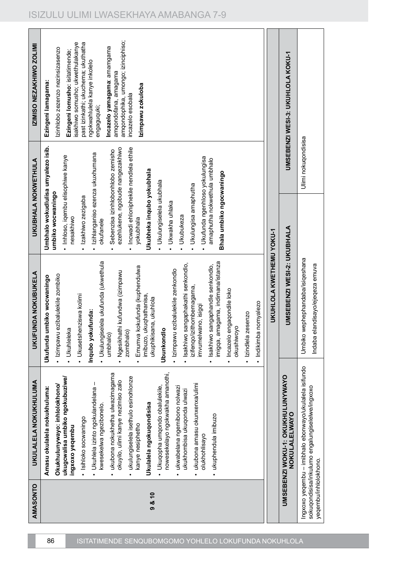| AMASONTO              | <b>UKULALELA NOKUKHULUMA</b>                                                                                                                                                                                                                                                                                                                                                                                                                                                                                                                                                                                                                                 | UKUFUNDA NOKUBUKELA                                                                                                                                                                                                                                                                                                                                                                                                                                                                                                                                                                                                                                          | <b>UKUBHALA NOKWETHULA</b>                                                                                                                                                                                                                                                                                                                                                                                                                                                                                                        |                     | IZIMISO NEZAKHIWO ZOLIMI                                                                                                                                                                                                                                                                                                                                 |
|-----------------------|--------------------------------------------------------------------------------------------------------------------------------------------------------------------------------------------------------------------------------------------------------------------------------------------------------------------------------------------------------------------------------------------------------------------------------------------------------------------------------------------------------------------------------------------------------------------------------------------------------------------------------------------------------------|--------------------------------------------------------------------------------------------------------------------------------------------------------------------------------------------------------------------------------------------------------------------------------------------------------------------------------------------------------------------------------------------------------------------------------------------------------------------------------------------------------------------------------------------------------------------------------------------------------------------------------------------------------------|-----------------------------------------------------------------------------------------------------------------------------------------------------------------------------------------------------------------------------------------------------------------------------------------------------------------------------------------------------------------------------------------------------------------------------------------------------------------------------------------------------------------------------------|---------------------|----------------------------------------------------------------------------------------------------------------------------------------------------------------------------------------------------------------------------------------------------------------------------------------------------------------------------------------------------------|
| 9 & 10                | nowesekelayo ngokwakha amanothi,<br>ukubona nokukhetha ulwazimagama<br>ukulungiselela isethulo esinohlonze<br>ukugcwalisa umbiko ngokubuziwe/<br>okuyilo, ulimi kanye nezimiso zalo<br>- Ukuhlela izinto ngokulandelana-<br>ukubona amasu okunxenxa/ulimi<br>Okukhulunywayo: inhlolokhono/<br>· Ukuqopha umqondo obalulekile,<br>Amasu okulalela nokukhuluma:<br>ukwabelana ngemibono nolwazi<br>ukukhombisa ukuqonda ulwazi<br>Ukulalela ngokuqondisisa<br>kwesekelwa ngezibonelo.<br>· ukuphendula imibuzo<br>· Isihloko socwaningo<br>kanye nesiphetho<br>ingxoxo yeqembu<br>olukhohlisayo<br>$\ddot{\phantom{0}}$<br>$\bullet$<br>$\bullet$<br>$\bullet$ | lela ukufunda (ukwethula<br>imigqa, amagama, indimana/istanza<br>Isakhiwo sangaphakathi senkondlo,<br>Isakhiwo sangaphandle senkondlo,<br>Emumva kokufunda (kuphendulwa<br>· Izimpawu ezibalulekile zenkondlo<br>Ngesikhathi kufundwa (izimpawu<br>· Izimpawu ezibalulekile zombiko<br>Ukufunda umbiko wocwaningo<br>izifenqo/izithombemagama,<br>· Incazelo engaqondile loko<br>imibuzo, ukuqhathanisa,<br>· Ukusetshenziswa kolimi<br>ukuphikisana, ukuhlola<br>· Indikimba nomyalezo<br>imvumelwano, isigqi<br>Inqubo yokufunda:<br>· Izindlela zesenzo<br>· Ukuhleleka<br>· Ukulungise<br>zombhalo)<br>Ubunkondlo<br>okushiwoyc<br>umbhalo)<br>$\bullet$ | Umbhalo wokudlulisa umyalezo isib.<br>ezehlukene, ngobude nangezakhiwo<br>Incwadi ehloniphekile nendlela ethile<br>Sebenzisa izinhlobonhlobo zemisho<br>Izihlanganiso ezenza ukuxhumana<br>· Inhloso, iqembu elisophiwe kanye<br>Ukufunda ngenhloso yokulungisa<br>amaphutha nokwethula umbhalo<br>Ukubheka inqubo yokubhala<br>Bhala umbiko ngocwaningo<br>· Ukulungiselela ukubhala<br>Ukulungisa amaphutha<br>umbiko wocwaningo<br>· Izakhiwo zezigaba<br>Ukwakha uhlaka<br>· Ukubukeza<br>nesakhiwo<br>yokubhala<br>okufanele |                     | amqondophika, umongo; izinciphiso;<br>past izinkathi; ukuchema; ukuthatha<br>isakhiwo somusho; ukwethulakanye<br>Incazelo yamagama: amamgama<br>iznhlobo zezenzo nezinsizasenzo<br>Ezingeni lomusho: isitatimende;<br>ngokwahlulela kanye inkolelo<br>amqondofana, amagama<br>Ezingeni lamagama:<br>Izimpawu zokuloba<br>incazelo esobala<br>engaguquki; |
|                       |                                                                                                                                                                                                                                                                                                                                                                                                                                                                                                                                                                                                                                                              | <b>UKUHLOLA KWETHEMU YOKU-1</b>                                                                                                                                                                                                                                                                                                                                                                                                                                                                                                                                                                                                                              |                                                                                                                                                                                                                                                                                                                                                                                                                                                                                                                                   |                     |                                                                                                                                                                                                                                                                                                                                                          |
|                       | UMSEBENZI WOKU-1: OKUKHULUNYWAYO<br>UMSEBENZI WOKU-1: OKUKHULUNYWAYO                                                                                                                                                                                                                                                                                                                                                                                                                                                                                                                                                                                         | UMSEBENZI WESI-2: UKUBHALA                                                                                                                                                                                                                                                                                                                                                                                                                                                                                                                                                                                                                                   |                                                                                                                                                                                                                                                                                                                                                                                                                                                                                                                                   |                     | <b>UMSEBENZI WESI-3: UKUHLOLA KOKU-1</b>                                                                                                                                                                                                                                                                                                                 |
| yeqembu/inhlolokhono. | Ingxoxo yeqembu -- imibhalo ebonwayo/ukulalela isifundo<br>sokuqondisisa/inkulumo engalungiselelwe/ingxoxo                                                                                                                                                                                                                                                                                                                                                                                                                                                                                                                                                   | Umbiko wephephandaba/isiqeshana<br>Indaba elandisayo/ejeqeza emuva                                                                                                                                                                                                                                                                                                                                                                                                                                                                                                                                                                                           |                                                                                                                                                                                                                                                                                                                                                                                                                                                                                                                                   | Ulimi nokuqondisisa |                                                                                                                                                                                                                                                                                                                                                          |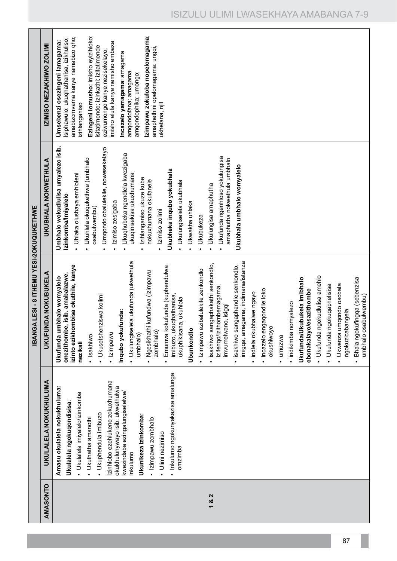|          |                                                                                                                   | LESI-8 ITHEMU YESI-2OKUQUKETHWE<br><b>IBANGA</b>                                                               |                                                                                                   |                                                                                                                               |
|----------|-------------------------------------------------------------------------------------------------------------------|----------------------------------------------------------------------------------------------------------------|---------------------------------------------------------------------------------------------------|-------------------------------------------------------------------------------------------------------------------------------|
| AMASONTO | <b>UKULALELA NOKUKHULUMA</b>                                                                                      | <b>UKUFUNDA NOKUBUKELA</b>                                                                                     | <b>UKUBHALA NOKWETHULA</b>                                                                        | IZIMISO NEZAKHIWO ZOLIMI                                                                                                      |
|          | Amasu okulalela nokukhuluma:<br>· Ukulalela imiyalelo/izinkomba<br>Ukulalela ngokuqondisisa:                      | izinto ezikhombisa okuthile, kanye<br>onezithombe, isib. amabalazwe,<br>Ukufunda umbhalo womyalelo<br>nezikali | Umbhalo wokudlulisa umyalezo isib.<br>· Uhlaka olushaya emhloleni<br>Izinkomba/Imiyalelo          | amabizomvama kanye namabizo qho;<br>Isiphawulo: ukuqhathanisa, izikhuliso;<br>Umsebenzi osezingeni lamagama:<br>izihlanganiso |
|          | · Ukuphendula imibuzo<br>• Ukuthatha amanothi                                                                     | swa kolimi<br>· Ukusetshenzi<br>· Isakhiwo                                                                     | Umqondo obalulekile, nowesekelayo<br>· Ukuhlela okuqukethwe (umbhalo<br>osabulwembu)<br>$\bullet$ | Ezingeni lomusho: imisho eyizihloko;<br>isitatimende; izinkathi; izitatimende<br>eziwumongo kanye nezisekelayo;               |
|          | Izinhlobo ezehlukene zokuxhumana<br>okukhulunywayo isib. ukwethulwa<br>kwezindaba ezingalungiselelwe/<br>inkulumo | • Ukulungiselela ukufunda (ukwethula<br>Inqubo yokufunda:<br>· Izimpawu                                        | Ukuqhubeka ngendlela kwezigaba<br>ukuqinisekisa ukuxhumana<br>Izimiso zesigaba                    | imisho elula kanye nemisho embaxa<br>Incazelo yamagama: amagama<br>amqondofana; amagama<br>amqondophika; umongo;              |
|          | Ukunikeza izinkomba:<br>· Izimpawu zombhalo<br>· Ulimi nezimiso                                                   | · Ngesikhathi kufundwa (izimpawu<br>zombhalo)<br>umbhalo)                                                      | Izihlanganiso ukuze kube<br>nokuxhumana okufanele<br>· Izimiso zolimi                             | Izimpawu zokuloba nopelomagama:<br>amaphethini opelomagama: ungqi<br>ukhefana, njil                                           |
|          | • Inkulumo ngokunyakazisa amalunga<br>omzimba                                                                     | Emumva kokufunda (kuphendulwa<br>imibuzo, ukuqhathanisa,<br>ukuphikisana, ukuhlola<br>$\bullet$                | Ukubheka inqubo yokubhala<br>· Ukulungiselela ukubhala                                            |                                                                                                                               |
|          |                                                                                                                   | · Izimpawu ezibalulekile zenkondlo<br>Ubunkondlo                                                               | · Ukwakha uhlaka<br><b>Ukubukeza</b>                                                              |                                                                                                                               |
| 1 & 2    |                                                                                                                   | · isakhiwo sangaphakathi senkondlo,<br>izifenqo/izithombemagama,<br>imvumelwano, isigqi                        | Ukufunda ngenhloso yokulungisa<br>amaphutha nokwethula umbhalo<br>Ukulungisa amaphutha            |                                                                                                                               |
|          |                                                                                                                   | imigqa, amagama, indimana/istanza<br>· isakhiwo sangaphandle senkondlo,                                        | Ukubhala umbhalo womyalelo                                                                        |                                                                                                                               |
|          |                                                                                                                   | incazelo engaqondile loko<br>· indlela okubhalwe ngayo<br>okushiwoyo                                           |                                                                                                   |                                                                                                                               |
|          |                                                                                                                   | · indikimba nomyalezo<br>· umuzwa                                                                              |                                                                                                   |                                                                                                                               |
|          |                                                                                                                   | Ukufunda/Ukubukela imibhalo<br>ebonakalayo/esazithombe                                                         |                                                                                                   |                                                                                                                               |
|          |                                                                                                                   | · Ukufunda ngokudlulisa amehlo<br>· Ukufunda ngokuqaphelisisa                                                  |                                                                                                   |                                                                                                                               |
|          |                                                                                                                   | · Ukwenza umqondo osobala<br>ngokuzicabangela                                                                  |                                                                                                   |                                                                                                                               |
|          |                                                                                                                   | Bhala ngokufingqa (sebenzisa<br>umbhalo osabulwembu)                                                           |                                                                                                   |                                                                                                                               |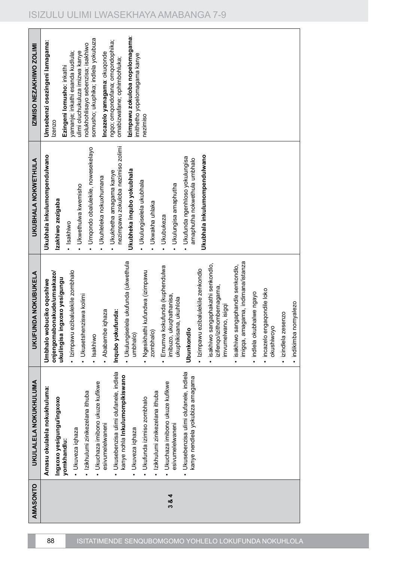| AMASONTO | <b>UKULALELA NOKUKHULUMA</b>                                                                                                                                                                                                                                                                                                                                                                                                                                                                     | UKUFUNDA NOKUBUKELA                                                                                                                                                                                                                                                                                                                                                                                                                                                                                                                                                                                                                                                                                                                                              | <b>UKUBHALA NOKWETHULA</b>                                                                                                                                                                                                                                                                                                                                                                                                                                | IZIMISO NEZAKHIWO ZOLIMI                                                                                                                                                                                                                                                                                                                                                                                   |
|----------|--------------------------------------------------------------------------------------------------------------------------------------------------------------------------------------------------------------------------------------------------------------------------------------------------------------------------------------------------------------------------------------------------------------------------------------------------------------------------------------------------|------------------------------------------------------------------------------------------------------------------------------------------------------------------------------------------------------------------------------------------------------------------------------------------------------------------------------------------------------------------------------------------------------------------------------------------------------------------------------------------------------------------------------------------------------------------------------------------------------------------------------------------------------------------------------------------------------------------------------------------------------------------|-----------------------------------------------------------------------------------------------------------------------------------------------------------------------------------------------------------------------------------------------------------------------------------------------------------------------------------------------------------------------------------------------------------------------------------------------------------|------------------------------------------------------------------------------------------------------------------------------------------------------------------------------------------------------------------------------------------------------------------------------------------------------------------------------------------------------------------------------------------------------------|
| 3 & 4    | · Ukusebenzisa ulimi olufanele, indlela<br>· Ukusebenzisa ulimi olufanele, indlela<br>kanye nohla Inkulumompikiswano<br>kanye nendlela yokubiza amagama<br>· Ukuchaza imibono ukuze kufikwe<br>· Ukuchaza imibono ukuze kufikwe<br>Amasu okulalela nokukhuluma:<br>· Izikhulumi zinikezelana ithuba<br>· Izikhulumi zinikezelana ithuba<br>· Ukufunda izimiso zombhalo<br>oxoxo yesigungulingxoxo<br>esivumelelwaneni<br>esivumelelwaneni<br>· Ukuveza iqhaza<br>· Ukuveza iqhaza<br>yomkhandlu: | · Ukulungiselela ukufunda (ukwethula<br>imigqa, amagama, indimana/istanza<br>· isakhiwo sangaphakathi senkondlo,<br>· isakhiwo sangaphandle senkondlo,<br>Emumva kokufunda (kuphendulwa<br>· Izimpawu ezibalulekile zenkondlo<br>· Izimpawu ezibalulekile zombhalo<br>kufundwa (izimpawu<br>onjengomabonakude/umsakazo/<br>ukulingisa ingxoxo yesigungu<br>Umbhalo wobuciko oqoshiwe<br>izifenqo/izithombemagama,<br>· incazelo engagondile loko<br>· indlela okubhalwe ngayo<br>imibuzo, ukuqhathanisa,<br>· Ukusetshenziswa kolimi<br>ukuphikisana, ukuhlola<br>imvumelwano, isigqi<br>Ababambe iqhaza<br>Inqubo yokufunda:<br>· izindlela zesenzo<br>· Ngesikhathi<br>Ubunkondlo<br>okushiwoyo<br>zombhalo)<br>umbhalo)<br>· Isakhiwo<br>$\ddot{\phantom{0}}$ | nezimpawu zokuloba nezimiso zolimi<br>· Umqondo obalulekile, nowesekelayo<br>Ukubhala inkulumompendulwano<br>Ukubhala inkulumompendulwano<br>• Ukufunda ngenhloso yokulungisa<br>amaphutha nokwethula umbhalo<br>Ukubheka inqubo yokubhala<br>• Ukukhetha amagama kanye<br>· Ukuhleleka nokuxhumana<br>· Ukulungiselela ukubhala<br>· Ukulungisa amaphutha<br>• Ukwethulwa kwemisho<br>Izakhiwo zezigaba<br>· Ukwakha uhlaka<br>· Ukubukeza<br>· Isakhiwo | izimpawu zokuloba nopelomagama:<br>somusho; ukuphika; indlela yokubuza<br>ngqo; omqondofana; omqondophika;<br>Umsebenzi osezingeni lamagama:<br>nolukhohlisayo sebenzisa; isakhiwo<br>yamanje; inkathi esanda kudlula;<br>ulimi oluchukuluza imizwa kanye<br>Incazelo yamagama: okuqonde<br>imithetho yopelomagama kanye<br>omabizwafane; ophimbohluka;<br>Ezingeni lomusho: inkathi<br>nezimiso<br>Izenzo |
|          |                                                                                                                                                                                                                                                                                                                                                                                                                                                                                                  | · indikimba nomyalezo                                                                                                                                                                                                                                                                                                                                                                                                                                                                                                                                                                                                                                                                                                                                            |                                                                                                                                                                                                                                                                                                                                                                                                                                                           |                                                                                                                                                                                                                                                                                                                                                                                                            |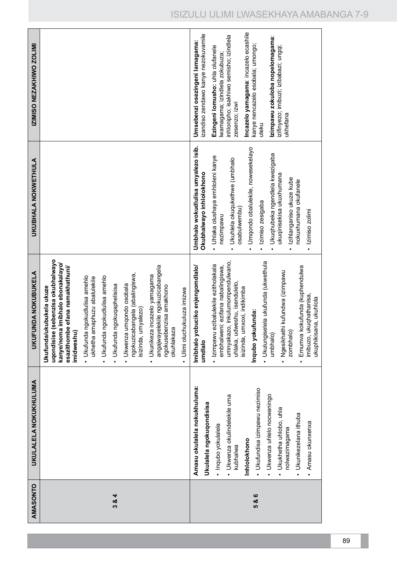| IZIMISO NEZAKHIWO ZOLIMI     |                                                                                                                                                                                                                                                                                                                                                                                                                                                                                                                                       | Incazelo yamagama: incazelo ecashile<br>zandiso zendawo kanye nezokuvamile<br>inhlonipho; isakhiwo semisho; izindlela<br>izmpawu zokuloba nopelomagama:<br>Umsebenzi osezingeni lamagama:<br>kanye nencazelo esobala; umongo;<br>Ezingeni lomusho: uhla olufanele<br>izifinyezo; imibuzi; izibabazi; ungqi;<br>Iwamagama; izindlela zokubuza;<br>zesenzo; izwi<br>ukhefana<br>uteku                                                                  |
|------------------------------|---------------------------------------------------------------------------------------------------------------------------------------------------------------------------------------------------------------------------------------------------------------------------------------------------------------------------------------------------------------------------------------------------------------------------------------------------------------------------------------------------------------------------------------|------------------------------------------------------------------------------------------------------------------------------------------------------------------------------------------------------------------------------------------------------------------------------------------------------------------------------------------------------------------------------------------------------------------------------------------------------|
| <b>UKUBHALA NOKWETHULA</b>   |                                                                                                                                                                                                                                                                                                                                                                                                                                                                                                                                       | Umbhalo wokudlulisa umyalezo isib.<br>Umqondo obalulekile, nowesekelayo<br>Ukuqhubeka ngendlela kwezigaba<br>· Uhlaka olushaya emhloleni kanye<br>Ukuhlela okuqukethwe (umbhalo<br>Okubhalwayo inhlolokhono<br>ukuqinisekisa ukuxhumana<br>Izihlanganiso ukuze kube<br>nokuxhumana okufanele<br>Izimiso zesigaba<br>osabulwembu)<br>Izimiso zolimi<br>nezimpawu<br>$\bullet$                                                                         |
| UKUFUNDA NOKUBUKELA          | sebenzisa okubhalwayo<br>kanye/noma imibhalo ebonakalayo/<br>angajwayelekile ngokuzicabangela<br>efana namakhathuni/<br>ngokuzicabangela (abalingiswa,<br>incazelo yamagama<br>· Ukufunda ngokudlulisa amehlo<br>Ukufunda ngokudlulisa amehlo<br>ukhetha amaphuzu abalulekile<br>Ukwenza umqondo osobala<br>Ukufunda ngokuqaphelisisa<br>ngokusebenzisa amakhono<br>Ukufunda/ukubukela ukuze<br>· Ulimi oluchukuluza imizwa<br>isizinda, umyalezo)<br>esazithombe<br>okuhlakaza<br>Ukunikeza<br>uqondisise<br>imidweshu)<br>$\bullet$ | umnyakazo, inkulumompendulwano,<br>lela ukufunda (ukwethula<br>· Izimpawu ezibalulekile ezitholakala<br>Imibhalo yobuciko enjengomdlalo/<br>embhalweni: ezifana nabalingiswa,<br>Emumva kokufunda (kuphendulwa<br>· Ngesikhathi kufundwa (izimpawu<br>uhlaka, udweshu, isendulelo,<br>isizinda, umxoxi, indikimba<br>imibuzo, ukuqhathanisa,<br>ia, ukuhlola<br>Inqubo yokufunda:<br>· Ukulungise<br>ukuphikisar<br>zombhalo)<br>umbhalo)<br>umdlalo |
| <b>UKULALELA NOKUKHULUMA</b> |                                                                                                                                                                                                                                                                                                                                                                                                                                                                                                                                       | Amasu okulalela nokukhuluma:<br>· Ukufundisa izimpawu nezimiso<br>Ukwenza uhlelo nocwaningo<br>· Ukwenza okulindelekile uma<br>Ukulalela ngokuqondisisa<br>Ukukhetha uhlobo, uhla<br>Ukunikezelana ithuba<br>· Amasu okunxenxa<br>· Inqubo yokulalela<br>nolwazimagama<br>Inhlolokhono<br>kubhalwa<br>$\bullet$                                                                                                                                      |
| AMASONTO                     | 3 & 4                                                                                                                                                                                                                                                                                                                                                                                                                                                                                                                                 | 5 & 6                                                                                                                                                                                                                                                                                                                                                                                                                                                |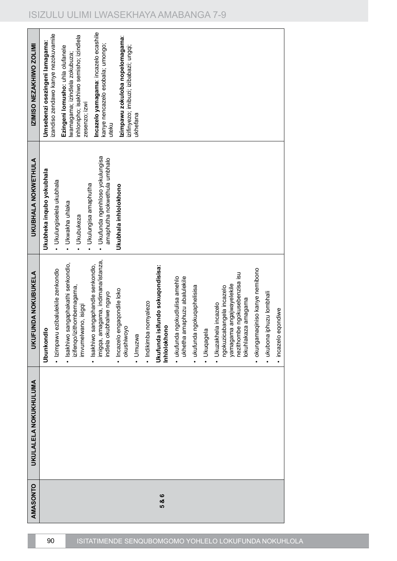| AMASONTO | UKULALELA NOKUKHULUMA | UKUFUNDA NOKUBUKELA                                                                                                                       | <b>UKUBHALA NOKWETHULA</b>                                       | IZIMISO NEZAKHIWO ZOLIMI                                                          |
|----------|-----------------------|-------------------------------------------------------------------------------------------------------------------------------------------|------------------------------------------------------------------|-----------------------------------------------------------------------------------|
|          |                       | Ubunkondlo                                                                                                                                | Ukubheka inqubo yokubhala                                        | zandiso zendawo kanye nezokuvamile<br>Umsebenzi osezingeni lamagama:              |
|          |                       | · Izimpawu ezibalulekile zenkondlo                                                                                                        | · Ukulungiselela ukubhala                                        | Ezingeni lomusho: uhla olufanele                                                  |
|          |                       | · Isakhiwo sangaphakathi senkondlo,                                                                                                       | · Ukwakha uhlaka                                                 | Iwamagama; izindlela zokubuza;                                                    |
|          |                       | izifenqo/izithombemagama,<br>imvumelwano, isigqi                                                                                          | · Ukubukeza                                                      | inhlonipho; isakhiwo semisho; izindlela<br>zesenzo; izwi                          |
|          |                       | · Isakhiwo sangaphandle senkondlo,                                                                                                        | · Ukulungisa amaphutha                                           |                                                                                   |
|          |                       | imigqa, amagama, indimana/istanza,<br>indlela okubhalwe ngayo                                                                             | • Ukufunda ngenhloso yokulungisa<br>amaphutha nokwethula umbhalo | Incazelo yamagama: incazelo ecashile<br>kanye nencazelo esobala; umongo;<br>uteku |
|          |                       | · Incazelo engaqondile loko<br>okushiwoyo                                                                                                 | Ukubhala inhlolokhono                                            | Izimpawu zokuloba nopelomagama:                                                   |
|          |                       | · Umuzwa                                                                                                                                  |                                                                  | izifinyezo; imibuzi; izibabazi; ungqi;<br>ukhefana                                |
|          |                       | · Indikimba nomyalezo                                                                                                                     |                                                                  |                                                                                   |
| 5 & 6    |                       | fundo sokuqondisisa:<br>Inhlolokhono<br>Ukufunda isi                                                                                      |                                                                  |                                                                                   |
|          |                       | · ukufunda ngokudlulisa amehlo<br>ukhetha amaphuzu abalulekile                                                                            |                                                                  |                                                                                   |
|          |                       | • ukufunda ngokuqaphelisisa                                                                                                               |                                                                  |                                                                                   |
|          |                       | · Ukuqagela                                                                                                                               |                                                                  |                                                                                   |
|          |                       | nezithombe ngokusebenzisa isu<br>yamagama angajwayelekile<br>ngokuzicabangela incazelo<br>amagama<br>· Ukuzakhela incazelo<br>lokuhlakaza |                                                                  |                                                                                   |
|          |                       | · okungamaqiniso kanye nemibono                                                                                                           |                                                                  |                                                                                   |
|          |                       | · ukubona iphuzu lombhali                                                                                                                 |                                                                  |                                                                                   |
|          |                       | · incazelo eqondiwe                                                                                                                       |                                                                  |                                                                                   |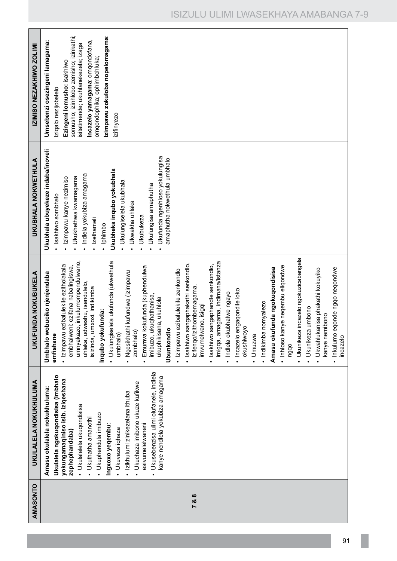| Iziqalo nezijobelelo<br>izifinyezo<br>Ukubhala ubuyekeze indaba/inoveli<br>Ukufunda ngenhloso yokulungisa<br>amaphutha nokwethula umbhalo<br>Ukubheka inqubo yokubhala<br>Indlela yokubiza amagama<br>Izimpawu kanye nezimiso<br>Ukukhethwa kwamagama<br>• Ukulungiselela ukubhala<br>Ukulungisa amaphutha<br>· Isakhiwo sombhalo<br>Ukwakha uhlaka<br>Ukubukeza<br>· Izethameli<br>· Iphimbo<br>· Ukunikeza incazelo ngokuzicabangela<br>umnyakazo, inkulumompendulwano,<br>• Ukulungiselela ukufunda (ukwethula<br>imigqa, amagama, indimana/istanza<br>Isakhiwo sangaphakathi senkondlo,<br>· Izimpawu ezibalulekile ezitholakala<br>· Isakhiwo sangaphandle senkondlo,<br>· Inhloso kanye neqembu eliqondwe<br>Emumva kokufunda (kuphendulwa<br>ezifana nabalingiswa,<br>Amasu okufunda ngokuqondisisa<br>· Izimpawu ezibalulekile zenkondlo<br>· Ngesikhathi kufundwa (izimpawu<br>Umbhalo wobuciko njenjendaba<br>uhlaka, udweshu, isendulelo,<br>izifenqo/izithombemagama,<br>isizinda, umxoxi, indikimba<br>· Incazelo engaqondile loko<br>Indlela okubhalwe ngayo<br>imibuzo, ukuqhathanisa,<br>ukuphikisana, ukuhlola<br>· Indikimba nomyalezo<br>imvumelwano, isigqi<br>Ukunikeza umbono<br>Inqubo yokufunda:<br>embhalweni:<br>okushiwoyo<br>Ubunkondlo<br>zombhalo)<br>umbhalo)<br>emfishane<br>· Umuzwa<br>ngqo<br>$\bullet$<br>$\bullet$<br>Ukusebenzisa ulimi olufanele, indlela<br>Ukulalela ngokuqondisisa (imbhalo<br>kanye nendlela yokubiza amagama<br>yokungamaqiniso isib. iziqeshana<br>Ukuchaza imibono ukuze kufikwe<br>Amasu okulalela nokukhuluma:<br>Izikhulumi zinikezelana ithuba<br>· Ukulalelela ukuqondisisa<br>· Ukuphendula imibuzo<br>• Ukuthatha amanothi<br>esivumelelwaneni<br>Ingxoxo yeqembu:<br>· Ukuveza iqhaza<br>zephephandaba)<br>$\ddot{\phantom{0}}$<br>$\bullet$<br>$\bullet$<br>7 & 8 | AMASONTO | UKULALELA NOKUKHULUMA | UKUFUNDA NOKUBUKELA               | <b>UKUBHALA NOKWETHULA</b> | IZIMISO NEZAKHIWO ZOLIMI                                                                                                                                                                                                                           |
|------------------------------------------------------------------------------------------------------------------------------------------------------------------------------------------------------------------------------------------------------------------------------------------------------------------------------------------------------------------------------------------------------------------------------------------------------------------------------------------------------------------------------------------------------------------------------------------------------------------------------------------------------------------------------------------------------------------------------------------------------------------------------------------------------------------------------------------------------------------------------------------------------------------------------------------------------------------------------------------------------------------------------------------------------------------------------------------------------------------------------------------------------------------------------------------------------------------------------------------------------------------------------------------------------------------------------------------------------------------------------------------------------------------------------------------------------------------------------------------------------------------------------------------------------------------------------------------------------------------------------------------------------------------------------------------------------------------------------------------------------------------------------------------------------------------------------------------|----------|-----------------------|-----------------------------------|----------------------------|----------------------------------------------------------------------------------------------------------------------------------------------------------------------------------------------------------------------------------------------------|
| · Inkulumo eqonde ngqo neqondwe<br>kanye nemibono<br>incazelo                                                                                                                                                                                                                                                                                                                                                                                                                                                                                                                                                                                                                                                                                                                                                                                                                                                                                                                                                                                                                                                                                                                                                                                                                                                                                                                                                                                                                                                                                                                                                                                                                                                                                                                                                                            |          |                       | · Ukwahlukanisa phakathi kokuyiko |                            | somusho; izinhlobo zemisho; izinkathi;<br>Izimpawu zokuloba nopelomagama:<br>Umsebenzi osezingeni lamagama:<br>Incazelo yamagama: omqondofana,<br>isitatimende; ukuhlanekezela; izaga<br>omqondophika; ophimbohluka;<br>Ezingeni lomusho: isakhiwo |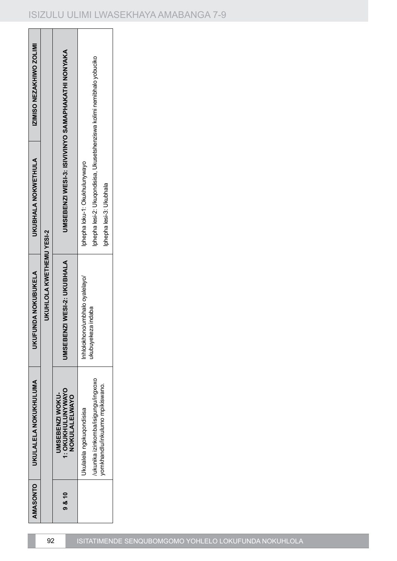| IZIMISO NEZAKHIWO ZOLIMI        |                                 | UMSEBENZI WESI-3: ISIVIVNYO SAMAPHAKATHI NONYAKA             |                                                                                                                                       |  |
|---------------------------------|---------------------------------|--------------------------------------------------------------|---------------------------------------------------------------------------------------------------------------------------------------|--|
| <b>UKUBHALA NOKWETHULA</b>      |                                 |                                                              | lphepha lesi-2: Ukuqondisisa, Ukusetshenziswa kolimi nemibhalo yobuciko<br>Iphepha loku-1: Okukhulunywayo<br>Iphepha lesi-3: Ukubhala |  |
| <b>INDA NOKUBUKELA</b><br>UKUFU | <b>UKUHLOLA KWETHEMU YESI-2</b> | IZI WESI-2: UKUBHALA<br><b>UMSEBEN</b>                       | Inhlolokhono/umbhalo oyalelayo/<br>kubuyekeza indaba                                                                                  |  |
| <b>UKULALELA NOKUKHULUMA</b>    |                                 | 1: OKUKHULUNYWAYO<br><b>UMSEBENZI WOKU-</b><br>NOKULALELWAYO | /ukunika izinkomba/isigungu/ingxoxo<br>yomkhandlu/inkulumo mpikiswano.<br>Jkulalela ngokuqondisisa                                    |  |
| AMASONTO                        |                                 | 0<br>8 & 0                                                   |                                                                                                                                       |  |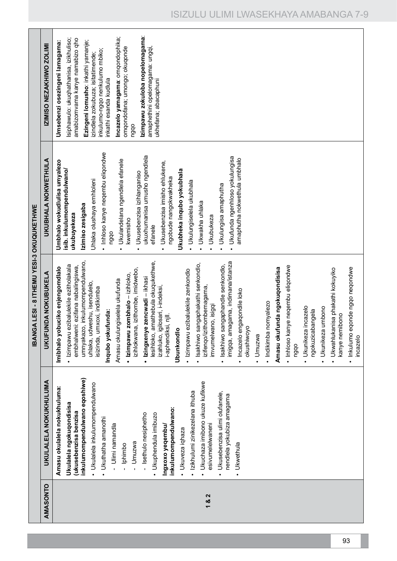|          |                                                                         | LESI-8 ITHEMU YESI-3 OKUQUKETHWE<br><b>IBANGA</b>                        |                                                                           |                                                                          |
|----------|-------------------------------------------------------------------------|--------------------------------------------------------------------------|---------------------------------------------------------------------------|--------------------------------------------------------------------------|
| AMASONTO | <b>UKULALELA NOKUKHULUMA</b>                                            | <b>DA NOKUBUKELA</b><br>UKUFUNI                                          | <b>UKUBHALA NOKWETHULA</b>                                                | IZIMISO NEZAKHIWO ZOLIMI                                                 |
|          | Amasu okulalela nokukhuluma:<br>Ukulalela ngokuqondisisa                | · Izimpawu ezibalulekile ezitholakala<br>Imibhalo yobuciko enjengomdlalo | Umbhalo wokudlulisa umyalezo<br>isib. inkulumompendulwano/<br>ukubuyekeza | Isiphawulo: ukuqhathanisa, izikhuliso;<br>Umsebenzi osezingeni lamagama: |
|          | inkulumompendulwano eqoshiwe)<br>(ukusebenzisa benzisa                  | umnyakazo, inkulumompendulwano,<br>embhalweni: ezifana nabalingiswa,     | Izimiso zesigaba                                                          | amabizomvama kanye namabizo qho<br>Ezingeni lomusho: inkathi yamanje;    |
|          | · Ukulalela inkulumompendulwano                                         | uhlaka, udweshu, isendulelo,<br>isizinda, umxoxi, indikimba              | Uhlaka olushaya emhloleni                                                 | inkulumo-ngqo nenkulumo mbiko;<br>izindlela zokubuza; isitatimende;      |
|          | · Ukuthatha amanothi<br>Ulimi namandla                                  | Inqubo yokufunda:                                                        | · Inhloso kanye neqembu eliqondwe<br>ngqo                                 | inkathi esanda kudlula                                                   |
|          | - Iphimbo                                                               | jiselela ukufunda<br>Amasu okulung                                       | Ukulandelana ngendlela efanele<br>$\bullet$                               | Incazelo yamagama: omqondophika;                                         |
|          | - Umuzwa                                                                | izithombe, imidwebo,<br>· Izimpawu zombhalo - izihloko<br>izihlokwana,   | kwemisho                                                                  | omqondofana; umongo; okuqonde<br>ngqo                                    |
|          | - Isethulo nesiphetho                                                   | · Izingxenye zencwadi - ikhasi                                           | ukuxhumanisa umusho ngendlela<br>Ukusebenzisa izihlanganiso<br>$\bullet$  | Izimpawu zokuloba nopelomagama:                                          |
|          | · Ukuphendula imibuzo                                                   | lesihloko, amathebula okuqukethwe,                                       | efanele                                                                   | amaphethini opelomagama: ungqi,<br>ukhefana; abacaphuni                  |
|          | Ingxoxo yeqembu                                                         | izahluko, igilosari, i-indeksi,<br>$\equiv$<br>i-aphendiksi,             | Ukusebenzisa imisho ehlukene,<br>ngobude nangokwakheka                    |                                                                          |
|          | inkulumompendulwano:<br>· Ukuveza iqhaza                                | Ubunkondlo                                                               | Ukubheka inqubo yokubhala                                                 |                                                                          |
|          | · Izikhulumi zinikezelana ithuba                                        | · Izimpawu ezibalulekile zenkondlo                                       | · Ukulungiselela ukubhala                                                 |                                                                          |
|          | · Ukuchaza imibono ukuze kufikwe                                        | Isakhiwo sangaphakathi senkondlo,                                        | · Ukwakha uhlaka                                                          |                                                                          |
| 1 & 2    | esivumelelwaneni                                                        | izifenqo/izithombemagama,<br>imvumelwano, isigqi                         | Ukubukeza                                                                 |                                                                          |
|          | Ukusebenzisa ulimi olufanele,<br>nendlela yokubiza amagama<br>$\bullet$ | Isakhiwo sangaphandle senkondlo,<br>$\bullet$                            | Ukulungisa amaphutha                                                      |                                                                          |
|          | Ukwethula<br>$\bullet$                                                  | imigqa, amagama, indimana/istanza                                        | Ukufunda ngenhloso yokulungisa                                            |                                                                          |
|          |                                                                         | Incazelo engaqondile loko<br>okushiwoyo<br>$\bullet$                     | amaphutha nokwethula umbhalo                                              |                                                                          |
|          |                                                                         | · Umuzwa                                                                 |                                                                           |                                                                          |
|          |                                                                         | · Indikimba nomyalezo                                                    |                                                                           |                                                                          |
|          |                                                                         | Amasu okufunda ngokuqondisisa                                            |                                                                           |                                                                          |
|          |                                                                         | · Inhloso kanye neqembu eliqondwe<br>ngqo                                |                                                                           |                                                                          |
|          |                                                                         | · Ukunikeza incazelo<br>ngokuzicabangela                                 |                                                                           |                                                                          |
|          |                                                                         | Ukunikeza umbono<br>$\bullet$                                            |                                                                           |                                                                          |
|          |                                                                         | • Ukwahlukanisa phakathi kokuyiko<br>kanye nemibono                      |                                                                           |                                                                          |
|          |                                                                         | · Inkulumo eqonde ngqo neqondwe<br>incazelo                              |                                                                           |                                                                          |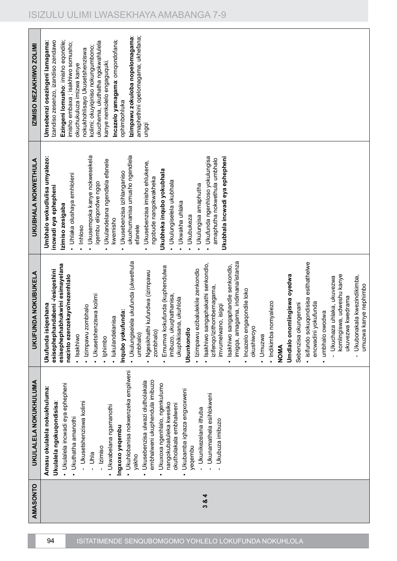| IZIMISO NEZAKHIWO ZOLIMI     | izimpawu zokuloba nopelomagama:<br>amaphethini opelomagama; ukhefana;<br>Incazelo yamagama: omqondofana;<br>Ezingeni lomusho: imisho eqondile;<br>Izandiso zesenzo, izandiso zendawo<br>Umsebenzi osezingeni lamagama:<br>ukuchema, ukuthatha ngokwahlulela<br>imisho embaxa; isakhiwo somusho;<br>kolimi; okuyiqiniso nokungumbono;<br>nokukhohlisayo Ukusetshenziswa<br>kanye nenkolelo engaguquki<br>okuchukuluza imizwa kanye<br>ophimbohluka<br>ipgun                                                                                                                                                                                                                                                                                                                                                                                                                                                                                                                                                                                                              |
|------------------------------|-------------------------------------------------------------------------------------------------------------------------------------------------------------------------------------------------------------------------------------------------------------------------------------------------------------------------------------------------------------------------------------------------------------------------------------------------------------------------------------------------------------------------------------------------------------------------------------------------------------------------------------------------------------------------------------------------------------------------------------------------------------------------------------------------------------------------------------------------------------------------------------------------------------------------------------------------------------------------------------------------------------------------------------------------------------------------|
| <b>UKUBHALA NOKWETHULA</b>   | ukuxhumanisa umusho ngendlela<br>Ukusemqoka kanye nokwesekela<br>Ukufunda ngenhloso yokulungisa<br>Ukubhala incwadi eya ephepheni<br>Umbhalo wokudlulisa umyalezo:<br>amaphutha nokwethula umbhalo<br>Ukulandelana ngendlela efanele<br>Ukusebenzisa imisho ehlukene,<br>Ukubheka inqubo yokubhala<br>Ukusebenzisa izihlanganiso<br>· Uhlaka olushaya emhloleni<br>ngobude nangokwakheka<br>• Ukulungiselela ukubhala<br>iqembu eliqondwe ngqo<br>Ukulungisa amaphutha<br>incwadi eya ephepheni<br>Ukwakha uhlaka<br>Izimiso zesigaba<br>Ukubukeza<br>kwemisho<br>efanele<br>· Inhioso<br>$\ddot{\phantom{0}}$<br>$\ddot{\phantom{0}}$<br>$\ddot{\phantom{0}}$<br>$\bullet$<br>$\ddot{\phantom{0}}$<br>$\bullet$                                                                                                                                                                                                                                                                                                                                                        |
| UKUFUNDA NOKUBUKELA          | ukufunda (ukwethula<br>imigqa, amagama, indimana/istanza<br>· isifundo sokuqondisisa esithathelwe<br>Isakhiwo sangaphakathi senkondlo,<br>esisephephabhukwini esimayelana<br>Isakhiwo sangaphandle senkondlo,<br>Emumva kokufunda (kuphendulwa<br>· Izimpawu ezibalulekile zenkondlo<br>esisephephandabeni -/esiqeshini<br>Ngesikhathi kufundwa (izimpawu<br>Umdlalo onomlingiswa oyedwa<br>udweshu kanye<br>nezinto ezenzekayo/nezenhlalo<br>kwezindikimba,<br>Ukuchaza uhlaka, ukuvezwa<br>e nephimbo<br>izifenqo/izithombemagama,<br>Incazelo engaqondile loko<br>imibuzo, ukuqhathanisa,<br>· Ukusetshenziswa kolimi<br>ukuvezwa kwedrama<br>ukuphikisana, ukuhlola<br>encwadini yokufunda<br>alezo<br>Sebenzisa okungenani<br>Ukufunda isiqeshana<br>imvumelwano, isigqi<br>· Izimpawu zombhalo<br>Inqubo yokufunda:<br>umbhalo owodwa<br>· lukulandelanisa<br>· Indikimba nomy<br>Ukubonakala<br>umuzwa kany<br>komlingiswa,<br>· Ukulungiselela<br>okushiwoyo<br>Ubunkondlo<br>zombhalo)<br>umbhalo)<br>· Isakhiwo<br>· Umuzwa<br>· Iphimbo<br>NOMA<br>$\bullet$ |
| <b>UKULALELA NOKUKHULUMA</b> | · Ukuhlobanisa nokwenzeka empilweni<br>embhalweni ukuphendula imibuzo<br>Ukusebenzisa ulwazi olutholakala<br>· Ukulalela incwadi eya ephepheni<br>Ukuxoxa ngenhlalo, ngenkulumo<br>Amasu okulalela nokukhuluma:<br>Ukubamba iqhaza engxoxweni<br>Ukunamathela esihlokweni<br>- Ukusetshenziswa kolimi<br>Ukulalela ngokuqondisisa<br>nangokubaluleka kwesiko<br>okutholakala embhalweni<br>Ukwabelana ngamanothi<br>- Ukunikezelana ithuba<br>• Ukuthatha amanothi<br>Ukubuza imibuzo<br>Ingxoxo yeqembu<br>yeqembu<br>- Izimiso<br>Jhla<br>yakho<br>$\bullet$<br>$\bullet$                                                                                                                                                                                                                                                                                                                                                                                                                                                                                             |
| AMASONTO                     | 3 & 4                                                                                                                                                                                                                                                                                                                                                                                                                                                                                                                                                                                                                                                                                                                                                                                                                                                                                                                                                                                                                                                                   |

94 ISITATIMENDE SENQUBOMGOMO YOHLELO LOKUFUNDA NOKUHLOLA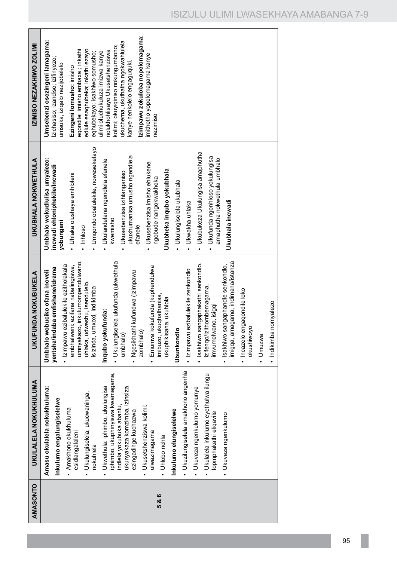|                                          | <b>UKULALELA NOKUKHULUMA</b>                                       | <b>UKUFUNDA NOKUBUKELA</b>                                                                                 | <b>UKUBHALA NOKWETHULA</b>                                                  | IZIMISO NEZAKHIWO ZOLIMI                                                                               |
|------------------------------------------|--------------------------------------------------------------------|------------------------------------------------------------------------------------------------------------|-----------------------------------------------------------------------------|--------------------------------------------------------------------------------------------------------|
| Inkulumo engalungiselelwe                | Amasu okulalela nokukhuluma:                                       | · Izimpawu ezibalulekile ezitholakala<br>yentsha/indaba emfishane/idrama<br>Umbhalo wobuciko ofana inoveli | Umbhalo wokudlulisa umyalezo:<br>incwadi ehloniphekile/Incwadi<br>yobungani | Umsebenzi osezingeni lamagama:<br>Izichasiso; izandiso; izifinyezo;<br>umsuka, iziqalo nezijobelelo    |
| · Amakhono okukhuluma<br>esidlangalaleni |                                                                    | inkulumompendulwano,<br>embhalweni: ezifana nabalingiswa,<br>umnyakazo,                                    | · Uhlaka olushaya emhloleni<br>· Inhioso                                    | eqondile; imisho embaxa ; inkathi<br>Ezingeni lomusho: imisho                                          |
| nokuhlela                                | · Ukulungiselela, ukucwaninga,                                     | uhlaka, udweshu, isendulelo,<br>isizinda, umxoxi, indikimba                                                | · Umqondo obalulekile, nowesekelayo                                         | edlule esaqhubeka; inkathi ezayo<br>eqhubekayo; isakhiwo somusho;                                      |
| $\bullet$                                | iphimbo, ukuphinyiswa kwamagama,<br>Ukwethula: iphimbo, ukulungisa | · Ukulungiselela ukufunda (ukwethula<br>Inqubo yokufunda:                                                  | Ukulandelana ngendlela efanele<br>kwemisho                                  | kolimi; okuyiqiniso nokungumbono;<br>nolukhohlisayo Ukusetshenziswa<br>ulimi oluchukuluza imizwa kanye |
|                                          | ukunyakaza komzimba, izinsiza<br>indlela yokubuka abantu,          | umbhalo)                                                                                                   | Ukusebenzisa izihlanganiso                                                  | ukuchema, ukuthatha ngokwahlulela                                                                      |
| ezingadinge kuchazwa                     |                                                                    | kufundwa (izimpawu<br>• Ngesikhathi<br>zombhalo)                                                           | ukuxhumanisa umusho ngendlela<br>efanele                                    | Izimpawu zokuloba nopelomagama:<br>kanye nenkolelo engaguquki                                          |
| ulwazimagama                             | Ukusetshenziswa kolimi:                                            | Emumva kokufunda (kuphendulwa<br>imibuzo, ukuqhathanisa,                                                   | · Ukusebenzisa imisho ehlukene,<br>ngobude nangokwakheka                    | imithetho yopelomagama kanye<br>nezimiso                                                               |
| · Uniobo nohla                           |                                                                    | ukuphikisana, ukuhlola                                                                                     | Ukubheka inqubo yokubhala                                                   |                                                                                                        |
| Inkulumo elungiselelwe                   |                                                                    | Ubunkondlo                                                                                                 | · Ukulungiselela ukubhala                                                   |                                                                                                        |
|                                          | · Ukuzilungiselela amakhono angenhla                               | · Izimpawu ezibalulekile zenkondlo                                                                         | · Ukwakha uhlaka                                                            |                                                                                                        |
|                                          | · Ukuveza ngenkulumo yomunye                                       | Isakhiwo sangaphakathi senkondlo,                                                                          | • Ukubukeza Ukulungisa amaphutha                                            |                                                                                                        |
| lopmphakathi eliqavile                   | Ukulalela inkulumo eyethulwa ilungu                                | izifenqo/izithombemagama,<br>imvumelwano, isigqi                                                           | • Ukufunda ngenhloso yokulungisa<br>amaphutha nokwethula umbhalo            |                                                                                                        |
| · Ukuveza ngenkulumo                     |                                                                    | imigqa, amagama, indimana/istanza<br>Isakhiwo sangaphandle senkondlo,<br>$\ddot{\phantom{0}}$              | Ukubhala incwadi                                                            |                                                                                                        |
|                                          |                                                                    | Incazelo engaqondile loko<br>okushiwoyo<br>$\ddot{\phantom{0}}$                                            |                                                                             |                                                                                                        |
|                                          |                                                                    | · Umuzwa                                                                                                   |                                                                             |                                                                                                        |
|                                          |                                                                    | · Indikimba nomyalezo                                                                                      |                                                                             |                                                                                                        |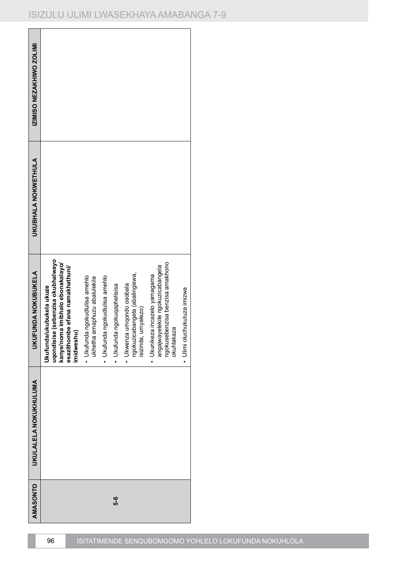| AMASONTO | <b>UKULALELA NOKUKHULUMA</b> | <b>UKUFUNDA NOKUBUKELA</b>                                                                                                                               | <b>UKUBHALA NOKWETHULA</b> | IZIMISO NEZAKHIWO ZOLIMI |
|----------|------------------------------|----------------------------------------------------------------------------------------------------------------------------------------------------------|----------------------------|--------------------------|
|          |                              | uqondisise (sebenzisa okubhalwayo<br>imibhalo ebonakalayo/<br>efana namakhathuni/<br>Ukufunda/ukubukela ukuze<br>esazithombe<br>kanye/noma<br>imidweshu) |                            |                          |
|          |                              | · Ukufunda ngokudlulisa amehlo<br>ukhetha amaphuzu abalulekile                                                                                           |                            |                          |
|          |                              | · Ukufunda ngokudlulisa amehlo                                                                                                                           |                            |                          |
| გ.<br>ნ  |                              | · Ukufunda ngokuqaphelisisa                                                                                                                              |                            |                          |
|          |                              | ngokuzicabangela (abalingiswa,<br>· Ukwenza umqondo osobala<br>isizinda, umyalezo)                                                                       |                            |                          |
|          |                              | ngokusebenzisa benzisa amakhono<br>angajwayelekile ngokuzicabangela<br>· Ukunikeza incazelo yamagama<br>okuhlakaza                                       |                            |                          |
|          |                              | · Ulimi oluchukuluza imizwa                                                                                                                              |                            |                          |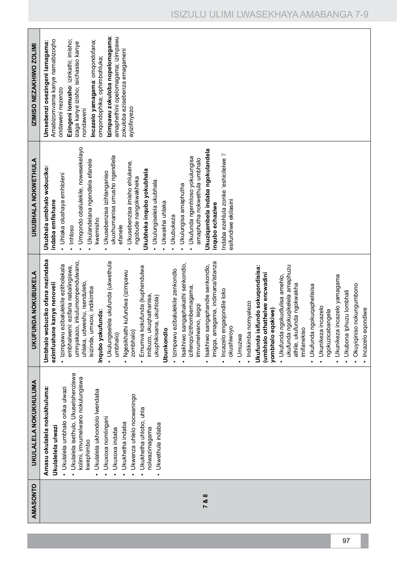| AMASONTO | <b>UKULALELA NOKUKHULUMA</b>                                                                                                                                                                                                                                                                                                                                         | <b>UKUFUNDA NOKUBUKELA</b>                                                                                                                                                                                                                                                                                                                                                                                                                                                                                                                                                                                                         | <b>UKUBHALA NOKWETHULA</b>                                                                                                                                                                                                                                                                                                                                                                                                              | IZIMISO NEZAKHIWO ZOLIMI                                                                                                                                                                                                                                                                                                                                                     |
|----------|----------------------------------------------------------------------------------------------------------------------------------------------------------------------------------------------------------------------------------------------------------------------------------------------------------------------------------------------------------------------|------------------------------------------------------------------------------------------------------------------------------------------------------------------------------------------------------------------------------------------------------------------------------------------------------------------------------------------------------------------------------------------------------------------------------------------------------------------------------------------------------------------------------------------------------------------------------------------------------------------------------------|-----------------------------------------------------------------------------------------------------------------------------------------------------------------------------------------------------------------------------------------------------------------------------------------------------------------------------------------------------------------------------------------------------------------------------------------|------------------------------------------------------------------------------------------------------------------------------------------------------------------------------------------------------------------------------------------------------------------------------------------------------------------------------------------------------------------------------|
|          | Ukulalela isethulo, Ukusetshenziswa<br>kolimi, imvumelwano nokulungiswa<br>Amasu okulalela nokukhuluma:<br>Ukulalela umbhalo onika ulwazi<br>Ukulalela ukhondolo lwendaba<br>Ukwenza uhlelo nocwaningo<br>Ukukhetha uhlobo, uhla<br>Ukuxoxa nomlingani<br>Ukukhetha indaba<br>Ukwethula indaba<br>Ukulalelela ulwazi<br>nolwazimagama<br>Ukuxoxa indaba<br>kwephimbo | Umbhalo wobuciko ofana nezindaba<br>inkulumompendulwano,<br>la ukufunda (ukwethula<br>Isakhiwo sangaphakathi senkondlo,<br>Izimpawu ezibalulekile ezitholakala<br>Emumva kokufunda (kuphendulwa<br>embhalweni: ezifana nabalingiswa,<br>Izimpawu ezibalulekile zenkondlo<br>kufundwa (izimpawu<br>uhlaka, udweshu, isendulelo,<br>ezimfushane kanye nenoveli<br>isizinda, umxoxi, indikimba<br>imibuzo, ukuqhathanisa,<br>ukuphikisana, ukuhlola)<br>Inqubo yokufunda:<br>· Ukulungiselel<br>umnyakazo,<br>Ngesikhathi<br>Ubunkondlo<br>zombhalo)<br>umbhalo)<br>$\bullet$<br>$\bullet$                                            | Umqondo obalulekile, nowesekelayo<br>ukuxhumanisa umusho ngendlela<br>Ukulandelana ngendlela efanele<br>Ukusebenzisa imisho ehlukene,<br>Ukubhala umbhalo wobuciko:<br>Ukubheka inqubo yokubhala<br>Ukusebenzisa izihlanganiso<br>· Uhlaka olushaya emhloleni<br>ngobude nangokwakheka<br>• Ukulungiselela ukubhala<br>Ukulungisa amaphutha<br>indaba emfishane<br>Ukwakha uhlaka<br><b>Ukubukeza</b><br>kwemisho<br>efanele<br>Inhloso | Izimpawu zokuloba nopelomagama:<br>amaphethini opelomagama; izimpawu<br>Ezingeni lomusho: izinkathi; imisho;<br>Amabizomvama kanye namabizoqho<br>Incazelo yamagama: omqondofana;<br>Umsebenzi osezingeni lamagama:<br>izaga kanye izisho; isichasiso kanye<br>zokuloba ezisebenza emagameni<br>omqondophika; ophimbohluka;<br>ondaweni nezenzo<br>ayizifinyezo<br>nondaweni |
| 788      |                                                                                                                                                                                                                                                                                                                                                                      | imigqa, amagama, indimana/istanza<br>Isakhiwo sangaphandle senkondlo,<br>Ukufunda isifundo sokuqondisisa:<br>ukufunda ngokuqikelela amaphuzu<br>umbhalo othathelwe encwadini)<br>· Ukufunda ngokudlulisa amehlo,<br>Ukunikeza incazelo yamagama<br>athile, ukufunda ngokwakha<br>Okuyiqiniso nokungumbono<br>Ukufunda ngokuqaphelisisa<br>izifenqo/izithombemagama,<br>Incazelo engaqondile loko<br>Ukubona iphuzu lombhali<br>· Indikimba nomyalezo<br>imvumelwano, isigqi<br>Ukunikeza incazelo<br>yombhalo eqokiwe)<br>Incazelo eqondiwe<br>ngokuzicabangela<br>okushiwoyo<br>imifanekiso<br>· Umuzwa<br>$\bullet$<br>$\bullet$ | Ukuziqambela indaba ngokulandela<br>Indaba ezehlula zonke 'eshicilelwe'/<br>· Ukufunda ngenhloso yokulungisa<br>amaphutha nokwethula umbhalo<br>esifundiwe ekilasini<br>inqubo echaziwe                                                                                                                                                                                                                                                 |                                                                                                                                                                                                                                                                                                                                                                              |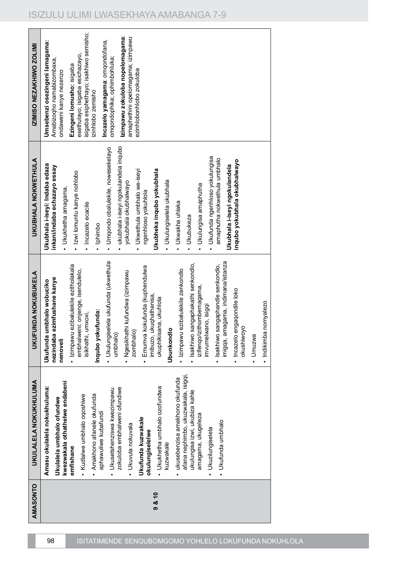| AMASONTO | <b>UKULALELA NOKUKHULUMA</b>                                                                                                                                                                                                                                                                                                                                                                                                                                                                                                                           | UKUFUNDA NOKUBUKELA                                                                                                                                                                                                                                                                                                                                                                                                                                                                                                                                                                                                                                                                                 | <b>UKUBHALA NOKWETHULA</b>                                                                                                                                                                                                                                                                                                                                                                                                                                                                                                                                                             | IZIMISO NEZAKHIWO ZOLIMI                                                                                                                                                                                                                                                                                                                                                                   |
|----------|--------------------------------------------------------------------------------------------------------------------------------------------------------------------------------------------------------------------------------------------------------------------------------------------------------------------------------------------------------------------------------------------------------------------------------------------------------------------------------------------------------------------------------------------------------|-----------------------------------------------------------------------------------------------------------------------------------------------------------------------------------------------------------------------------------------------------------------------------------------------------------------------------------------------------------------------------------------------------------------------------------------------------------------------------------------------------------------------------------------------------------------------------------------------------------------------------------------------------------------------------------------------------|----------------------------------------------------------------------------------------------------------------------------------------------------------------------------------------------------------------------------------------------------------------------------------------------------------------------------------------------------------------------------------------------------------------------------------------------------------------------------------------------------------------------------------------------------------------------------------------|--------------------------------------------------------------------------------------------------------------------------------------------------------------------------------------------------------------------------------------------------------------------------------------------------------------------------------------------------------------------------------------------|
| 9810     | afana nephimbo, ukuzwakala, isigqi,<br>ukusebenzisa amakhono okufunda<br>kwezwakala othathelwe endabeni<br>Amasu okulalela nokukhuluma:<br>• Ukukhetha umbhalo ozofundwa<br>zokuloba embhalweni ofundiwe<br>Ukusetshenziswa kwezimpawu<br>ukulungisa izwi, ukubiza kahle<br>· Amakhono afanele okufunda<br>- Kudlalwe umbhalo oqoshiwe<br>Ukulalela umbhalo ofundwe<br>aphawuliwe kubafundi<br>amagama, ukugeleza<br>Ukufunda kuzwakale<br>· Ukufunda umbhalo<br>· Ukuvula nokuvala<br>· Ukuzilungiselela<br>okulungiselelwe<br>kuzwakale<br>emfishane | · Ukulungiselela ukufunda (ukwethula<br>imigqa, amagama, indimana/istanza<br>· Isakhiwo sangaphakathi senkondlo,<br>· Izimpawu ezibalulekile ezitholakala<br>· Isakhiwo sangaphandle senkondlo,<br>Emumva kokufunda (kuphendulwa<br>embhalweni: onjenge, isendulelo,<br>· Izimpawu ezibalulekile zenkondlo<br>· Ngesikhathi kufundwa (izimpawu<br>nezindaba ezimfushane kanye<br>Ukufunda umbhalo wobuciko<br>izifenqo/izithombemagama,<br>· Incazelo engaqondile loko<br>imibuzo, ukuqhathanisa,<br>ukuphikisana, ukuhlola<br>· Indikimba nomyalezo<br>imvumelwano, isigqi<br>Inqubo yokufunda:<br>isikhathi, umxoxi,<br>Ubunkondlo<br>okushiwoyo<br>zombhalo)<br>umbhalo)<br>· Umuzwa<br>nenoveli | · ukubhala i-iseyi ngokulandela inqubo<br>· Umqondo obalulekile, nowesekelayo<br>• Ukufunda ngenhloso yokulungisa<br>amaphutha nokwethula umbhalo<br>inqubo yokubhala okubhalwayo<br>Ukubhala i-iseyi: Indaba edaza<br>Ukubhala i-iseyi ngokulandela<br>inkani/indaba echazayo essay<br>· Ukwethula umbhalo we-iseyi<br>Ukubheka inqubo yokubhala<br>· Izwi Iomuntu kanye nohlobo<br>· Ukulungiselela ukubhala<br>yokubhala okubhalwayo<br>· Ukulungisa amaphutha<br>· Ukukhetha amagama,<br>ngenhloso yokuhlola<br>· Ukwakha uhlaka<br>· Incazelo ecacile<br>· Ukubukeza<br>· Iphimbo | isigaba esiphethayo; isakhiwo semisho;<br>Izimpawu zokuloba nopelomagama:<br>amaphethini opelomagama; izimpawu<br>Incazelo yamagama: omqondofana,<br>Umsebenzi osezingeni lamagama:<br>esethulayo; isigaba esichazayo,<br>omqondophika; ophimbohluka;<br>Amabizoqho namabizombaxa,<br>Ezingeni lomusho: isigaba<br>ezinhlobonhlobo zokuloba<br>ondaweni kanye nezenzo<br>izinhlobo zemisho |
|          |                                                                                                                                                                                                                                                                                                                                                                                                                                                                                                                                                        |                                                                                                                                                                                                                                                                                                                                                                                                                                                                                                                                                                                                                                                                                                     |                                                                                                                                                                                                                                                                                                                                                                                                                                                                                                                                                                                        |                                                                                                                                                                                                                                                                                                                                                                                            |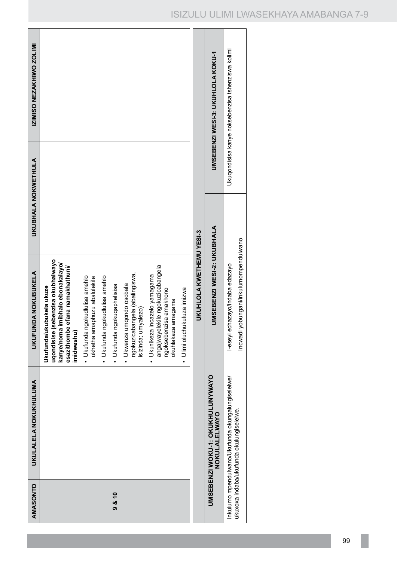| IZIMISO NEZAKHIWO ZOLIMI                                             |                                                                                                                                                                                                                                                                                                                                                                                                                                                                                                                                 |                                 | <b>UMSEBENZI WESI-3: UKUHLOLA KOKU-1</b>          |
|----------------------------------------------------------------------|---------------------------------------------------------------------------------------------------------------------------------------------------------------------------------------------------------------------------------------------------------------------------------------------------------------------------------------------------------------------------------------------------------------------------------------------------------------------------------------------------------------------------------|---------------------------------|---------------------------------------------------|
| <b>UKUBHALA NOKWETHULA</b><br><b>JNDA NOKUBUKELA</b><br><b>UKUFI</b> | uqondisise (sebenzisa okubhalwayo<br>kanye/noma imibhalo ebonakalayo/<br>angajwayelekile ngokuzicabangela<br>esazithombe efana namakhathuni/<br>ngokuzicabangela (abalingiswa,<br>· Ukunikeza incazelo yamagama<br>· Ukufunda ngokudlulisa amehlo<br>· Ukufunda ngokudlulisa amehlo<br>ukhetha amaphuzu abalulekile<br>· Ukwenza umqondo osobala<br>· Ukufunda ngokuqaphelisisa<br>Ukufunda/ukubukela ukuze<br>· Ulimi oluchukuluza imizwa<br>ngoksebenzisa amakhono<br>okuhlakaza amagama<br>isizinda; umyalezo)<br>imidweshu) | <b>UKUHLOLA KWETHEMU YESI-3</b> | <b>UMSEBENZI WESI-2: UKUBHALA</b>                 |
| <b>UKULALELA NOKUKHULUMA</b>                                         |                                                                                                                                                                                                                                                                                                                                                                                                                                                                                                                                 |                                 | UMSEBENZI WOKU-1: OKUKHULUNYWAYO<br>NOKULALELWAYO |
| AMASONTO                                                             | 9 & 10                                                                                                                                                                                                                                                                                                                                                                                                                                                                                                                          |                                 |                                                   |

Inkulumo mpendulwano/Ukufunda okungalungiselelwe/

Inkulumo mpendulwano/Ukufunda okungalungiselelwe/<br>ukuxoxa indaba/ukufunda okulungiselelwe.

I-eseyi echazayo/indaba edazayo

l-eseyi echazayo/indaba edazayo

Ukuqondisisa kanye noksebenzisa tshenziswa kolimi Ukuqondisisa kanye noksebenzisa tshenziswa kolimi

Incwadi yobungani/inkulumompendulwano

Incwadi yobungani/inkulumompendulwano

ukuxoxa indaba/ukufunda okulungiselelwe.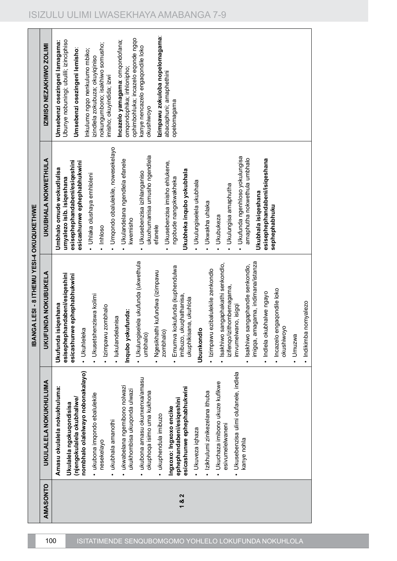|          |                                                                                                                              | IBANGA LESI - 8 ITHEMU YESI-4 OKUQUKETHWE                                                                                                         |                                                                                                                        |                                                                                                                                                      |
|----------|------------------------------------------------------------------------------------------------------------------------------|---------------------------------------------------------------------------------------------------------------------------------------------------|------------------------------------------------------------------------------------------------------------------------|------------------------------------------------------------------------------------------------------------------------------------------------------|
| AMASONTO | <b>UKULALELA NOKUKHULUMA</b>                                                                                                 | <b>UKUFUNDA NOKUBUKELA</b>                                                                                                                        | <b>UKUBHALA NOKWETHULA</b>                                                                                             | IZIMISO NEZAKHIWO ZOLIMI                                                                                                                             |
|          | nombhalo olalelwayo nobonakalayo)<br>Amasu okulalela nokukhuluma:<br>(njengokulalela okubhaliwe/<br>Ukulalela ngokuqondisisa | esisephephandabeni/esiqeshini<br>esicashunwe ephephabhukwini<br>Ukufunda isiqeshana<br>· Ukuhleleka                                               | esisephephandabeni/esiqeshini<br>esicashunwe ephephabhukwini<br>Umbhalo omude wokudlulisa<br>umyalezo isib. isiqeshana | Ubunye nobuningi; ubulili; izinciphiso<br>Umsebenzi osezingeni lamagama:<br>Umsebenzi osezingeni lemisho:                                            |
|          | · ukubona imqondo ebalulekile<br>· ukubhala amanothi<br>nesekelayo                                                           | · Ukusetshenziswa kolimi<br>· Izimpawu zombhalo<br>· lukulandelanisa                                                                              | · Umqondo obalulekile, nowesekelayo<br>· Uhlaka olushaya emhloleni<br>· Inhioso                                        | nokungumbono; isakhiwo somusho;<br>Inkulumo ngqo nenkulumo mbiko;<br>izindlela zokubuza; okuyiqiniso<br>misho; okuyindida; izwi                      |
|          | ukubona amasu okunxenxa/amasu<br>ukwabelana ngemibono nolwazi<br>ukukhombisa ukuqonda ulwazi                                 | · Ukulungiselela ukufunda (ukwethula<br>Inqubo yokufunda:<br>umbhalo)                                                                             | · Ukulandelana ngendlela efanele<br>Ukusebenzisa izihlanganiso<br>kwemisho                                             | ophimbohluka; incazelo eqonde ngqo<br>Incazelo yamagama: omqondofana;<br>kanye nencazelo engaqondile loko<br>omqondophika; inhlonipho;<br>okushiwoyo |
| 1 & 2    | okuphoqa isimo uma kukhona<br>ephephandabeni/esiqeshini<br>Ingxoxo: Ingxoxo encike<br>· ukuphendula imibuzo                  | Emumva kokufunda (kuphendulwa<br>kufundwa (izimpawu<br>imibuzo, ukuqhathanisa,<br>Ngesikhathi<br>zombhalo)                                        | ukuxhumanisa umusho ngendlela<br>· Ukusebenzisa imisho ehlukene,<br>ngobude nangokwakheka<br>efanele                   | izimpawu zokuloba nopelomagama:<br>abacaphuni; amaphethini<br>opelomagama                                                                            |
|          | esicashunwe ephephabhukwini<br>· Izikhulumi zinikezelana ithuba<br>· Ukuveza iqhaza                                          | ukuphikisana, ukuhlola<br>Ubunkondlo                                                                                                              | Ukubheka inqubo yokubhala<br>· Ukulungiselela ukubhala<br>· Ukwakha uhlaka                                             |                                                                                                                                                      |
|          | Ukusebenzisa ulimi olufanele, indlela<br>· Ukuchaza imibono ukuze kufikwe<br>esivumelelwaneni<br>kanye nohla<br>$\bullet$    | · Isakhiwo sangaphakathi senkondlo,<br>· Izimpawu ezibalulekile zenkondlo<br>izifenqo/izithombemagama,<br>imvumelwano, isigqi                     | • Ukufunda ngenhloso yokulungisa<br>Ukulungisa amaphutha<br>Ukubukeza                                                  |                                                                                                                                                      |
|          |                                                                                                                              | imigqa, amagama, indimana/istanza<br>· Isakhiwo sangaphandle senkondlo,<br>· Incazelo engaqondile loko<br>· Indiela okubhalwe ngayo<br>okushiwoyo | amaphutha nokwethula umbhalo<br>esisephephandabeni/isiqeshana<br>Ukubhala isiqeshana<br>sephephabhuku                  |                                                                                                                                                      |
|          |                                                                                                                              | · Indikimba nomyalezo<br>· Umuzwa                                                                                                                 |                                                                                                                        |                                                                                                                                                      |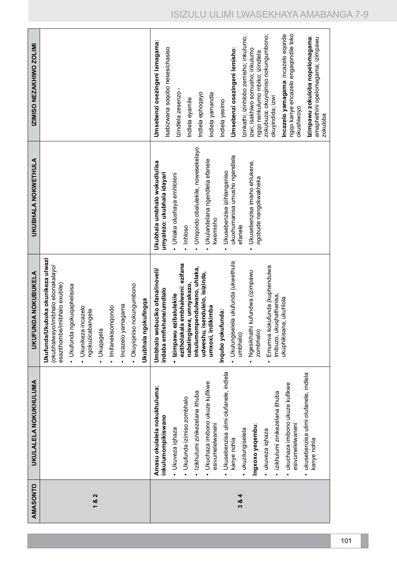| Ukufunda/Ukubuka okunikeza ulwazi<br>(okubhalwayo/imibhalo ebonakalayo/<br>UKUFUNDA NOKUBUKELA<br>esazithombe/imibhalo exubile)<br><b>UKULALELA NOKUKHULUMA</b> |  | <b>UKUBHALA NOKWETHULA</b>                                                                   | IZIMISO NEZAKHIWO ZOLIMI                                                                 |
|-----------------------------------------------------------------------------------------------------------------------------------------------------------------|--|----------------------------------------------------------------------------------------------|------------------------------------------------------------------------------------------|
| · Ukufunda ngokuqaphelisisa<br>· Ukunikeza incazelo<br>ngokuzicabangela<br>· Ukuqagela                                                                          |  |                                                                                              |                                                                                          |
| · Incazelo yamagama<br>· Imifanekisomqondo                                                                                                                      |  |                                                                                              |                                                                                          |
| · Okuyiqiniso nokungumbono<br>Ukubhala ngokufingqa                                                                                                              |  |                                                                                              |                                                                                          |
| Umbhalo wobuciko ofana/inoveli/<br>indaba emfishane/umdlalo<br>Amasu okulalela nokukhuluma:<br>inkulumompikiswano                                               |  | Ukubhala umbhalo wokudlulisa<br>umyalezo: ukubhala idayari                                   | Umsebenzi osezingeni lamagama:<br>sabizwana soqobo nesesichasiso                         |
| ezitholakala embhalweni: ezifana<br>· Izimpawu ezibalulekile<br>· Ukuveza iqhaza                                                                                |  | · Uhlaka olushaya emhloleni                                                                  | zindlela zesenzo                                                                         |
| inkulumompendulwano, uhlaka,<br>nabalingiswa, umnyakazo,<br>· Izikhulumi zinikezelana ithuba<br>Ukufunda izimiso zombhalo                                       |  | Inhloso                                                                                      | Indlela eyamile                                                                          |
| udweshu, isendulelo, isizinda,<br>umxoxi, indikimba<br>· Ukuchaza imibono ukuze kufikwe<br>esivumelelwaneni                                                     |  | Umqondo obalulekile, nowesekelayo<br>Ukulandelana ngendlela efanele<br>kwemisho<br>$\bullet$ | Indlela ephoqayo<br>Indlela yamandla                                                     |
| Inqubo yokufunda:<br>· Ukusebenzisa ulimi olufanele, indlela                                                                                                    |  | Ukusebenzisa izihlanganiso                                                                   | Indlela yesimo                                                                           |
| · Ukulungiselela ukufunda (ukwethula<br>umbhalo)<br>kanye nohla                                                                                                 |  | ukuxhumanisa umusho ngendlela                                                                | Umsebenzi osezingeni lemisho:                                                            |
| kufundwa (izimpawu<br>· Ngesikhathi<br>· ukuzilungiselela                                                                                                       |  | Ukusebenzisa imisho ehlukene,<br>efanele                                                     | izinkathi; izinhlobo zemisho; inkulumo;                                                  |
| zombhalo)<br>Ingxoxo yeqembu:                                                                                                                                   |  | ngobude nangokwakheka                                                                        | izwi; isakhiwo somusho; inkulumo<br>ngqo nenkulumo mbiko; izindlela                      |
| Emumva kokufunda (kuphendulwa<br>imibuzo, ukuqhathanisa,<br>$\bullet$<br>· izikhulumi zinikezelana ithuba<br>· ukuveza iqhaza                                   |  |                                                                                              | zokubuza; okuyiqiniso nokungumbono;<br>okuyindida; izwi                                  |
| ukuphikisana, ukuhlola<br>· ukuchaza imibono ukuze kufikwe<br>esivumelelwaneni                                                                                  |  |                                                                                              | Incazelo yamagama: incazelo eqonde<br>ngqo kanye encazelo engaqondile loko<br>okushiwoyo |
| ukusebenzisa ulimi olufanele, indlela<br>kanye nohla<br>$\ddot{\phantom{0}}$                                                                                    |  |                                                                                              | Izimpawu zokuloba nopelomagama:<br>amaphethini opelomagama; izimpawu                     |
|                                                                                                                                                                 |  |                                                                                              | zokuloba                                                                                 |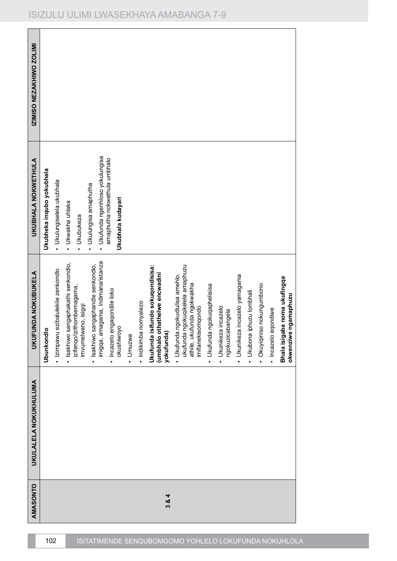| AMASONTO | <b>UKULALELA NOKUKHULUMA</b> | UKUFUNDA NOKUBUKELA                                                                                                   | <b>UKUBHALA NOKWETHULA</b>                        | IZIMISO NEZAKHIWO ZOLIMI |
|----------|------------------------------|-----------------------------------------------------------------------------------------------------------------------|---------------------------------------------------|--------------------------|
|          |                              | Ubunkondlo                                                                                                            | Ukubheka inqubo yokubhala                         |                          |
|          |                              | · Izimpawu ezibalulekile zenkondlo                                                                                    | · Ukulungiselela ukubhala                         |                          |
|          |                              | · Isakhiwo sangaphakathi senkondlo,                                                                                   | · Ukwakha uhlaka                                  |                          |
|          |                              | izifenqo/izithombemagama,<br>imvumelwano, isigqi                                                                      | <b>Ukubukeza</b>                                  |                          |
|          |                              | Isakhiwo sangaphandle senkondlo,<br>$\ddot{\phantom{0}}$                                                              | · Ukulungisa amaphutha                            |                          |
|          |                              | imigqa, amagama, indimana/istanza                                                                                     | · Ukufunda ngenhloso yokulungisa                  |                          |
|          |                              | · Incazelo engaqondile loko<br>okushiwoyo                                                                             | amaphutha nokwethula umbhalo<br>Ukubhala kudayari |                          |
|          |                              | · Umuzwa                                                                                                              |                                                   |                          |
|          |                              | · Indikimba nomyalezo                                                                                                 |                                                   |                          |
| 3 & 4    |                              | Ukufunda isifundo sokuqondisisa:<br>(umbhalo othathelwe encwadini<br>yokufunda)                                       |                                                   |                          |
|          |                              | ukufunda ngokuqikelela amaphuzu<br>athile, ukufunda ngokwakha<br>· Ukufunda ngokudlulisa amehlo,<br>imifanekisomqondo |                                                   |                          |
|          |                              | · Ukufunda ngokuqaphelisisa                                                                                           |                                                   |                          |
|          |                              | · Ukunikeza incazelo<br>ngokuzicabangela                                                                              |                                                   |                          |
|          |                              | • Ukunikeza incazelo yamagama                                                                                         |                                                   |                          |
|          |                              | · Ukubona iphuzu lombhali                                                                                             |                                                   |                          |
|          |                              | · Okuyiqiniso nokungumbono                                                                                            |                                                   |                          |
|          |                              | · Incazelo eqondiwe                                                                                                   |                                                   |                          |
|          |                              | Bhala isigaba noma ukufingqa<br>okwenziwe ngamaphuzu                                                                  |                                                   |                          |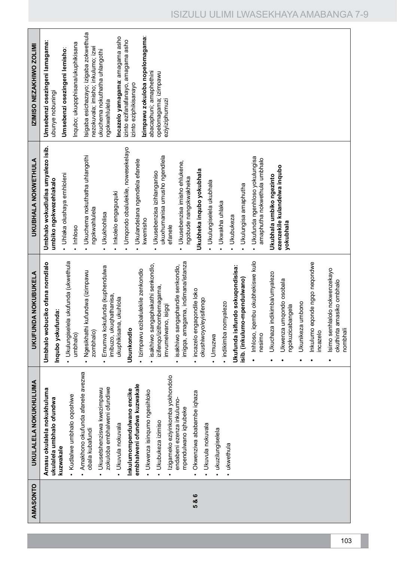| AMASONTO | <b>UKULALELA NOKUKHULUMA</b>                                                                                                       | UKUFUNDA NOKUBUKELA                                                                                                                                                        | <b>UKUBHALA NOKWETHULA</b>                                                                                                                      | IZIMISO NEZAKHIWO ZOLIMI                                                                                                          |
|----------|------------------------------------------------------------------------------------------------------------------------------------|----------------------------------------------------------------------------------------------------------------------------------------------------------------------------|-------------------------------------------------------------------------------------------------------------------------------------------------|-----------------------------------------------------------------------------------------------------------------------------------|
|          | Amasu okulalela nokukhuluma<br>· Kudlalwe umbhalo oqoshiwe<br>ukulalela umbhalo ofundwa<br>kuzwakale                               | • Ukulungiselela ukufunda (ukwethula<br>Umbhalo wobuciko ofana nomdlalo<br>Inqubo yokufunda:<br>umbhalo)                                                                   | Umbhalo wokudlulisa umyalezo isib.<br>· Uhlaka olushaya emhloleni<br>umbiko ngokwezehlakalo<br>· Inhloso                                        | Umsebenzi osezingeni lamagama:<br>Inqubo; ukuqophisana/ukuphikisana<br>Umsebenzi osezingeni lemisho:<br>ubunye nobuningi          |
|          | Amakhono okufunda afanele avezwa<br>zokuloba embhalweni ofundiwe<br>Ukusetshenziswa kwezimpawu<br>obala kubafundi<br>$\bullet$     | Emumva kokufunda (kuphendulwa<br>Ngesikhathi kufundwa (izimpawu<br>imibuzo, ukuqhathanisa,<br>zombhalo)<br>$\bullet$<br>$\bullet$                                          | • Ukuchema nokuthatha uhlangothi<br>ngokwahlulela<br>Ukukhohlisa                                                                                | Isigaba esichazayo; izigaba zokwethula<br>nezokuvala; imisho; inkulumo; izwi<br>ukuchema nokuthatha uhlangothi<br>ngokwahlulela   |
|          | embhalweni ofundwa kuzwakale<br>Inkulumompendulwano encike<br>· Ukwenza isinqumo ngesihloko<br>· Ukuvula nokuvala                  | · Izimpawu ezibalulekile zenkondlo<br>ukuphikisana, ukuhlola<br>Ubunkondlo                                                                                                 | · Umqondo obalulekile, nowesekelayo<br>Ukulandelana ngendlela efanele<br>· Inkolelo engaguquki<br>kwemisho<br>$\bullet$                         | izimpawu zokuloba nopelomagama:<br>Incazelo yamagama: amagama asho<br>izinto ezifanafanayo, amagama asho<br>izinto eziphikisanayo |
|          | Izigameko eziyinkomba yokhondolo<br>endabeni ezenza inkulumo-<br>mpendulwano iqhubeke<br>Ukubukeza izimiso<br>$\ddot{\phantom{0}}$ | imigqa, amagama, indimana/istanza<br>isakhiwo sangaphakathi senkondlo,<br>isakhiwo sangaphandle senkondlo,<br>izifenqo/izithombemagama<br>imvumelwano, isigqi<br>$\bullet$ | ukuxhumanisa umusho ngendlela<br>· Ukusebenzisa imisho ehlukene,<br>Ukusebenzisa izihlanganiso<br>ngobude nangokwakheka<br>efanele<br>$\bullet$ | abacaphuni; amaphethini<br>opelomagama; izimpawu<br>eziyiziphumuzi                                                                |
| 5 & 6    | Okwenziwa ababambe iqhaza<br>Ukuvula nokuvala<br>ukuzilungiselela<br>· ukwethula<br>$\bullet$<br>$\bullet$                         | Ukufunda isifundo sokuqondisisa:<br>isib. (inkulumo-mpendulwano)<br>incazelo engaqondile loko<br>okushiwoyo/eyisifenqo<br>· indikimba nomyalezo<br>· Umuzwa<br>$\bullet$   | Ukubheka inqubo yokubhala<br>• Ukulungiselela ukubhala<br>· Ukulungisa amaphutha<br>· Ukwakha uhlaka<br>· Ukubukeza                             |                                                                                                                                   |
|          |                                                                                                                                    | Inhloso, iqembu okubhekiswe kulo<br>Ukuchaza indikimba/umyalezo<br>Ukwenza umqondo osobala<br>ngokuzicabangela<br>nesimo<br>$\bullet$                                      | · Ukufunda ngenhloso yokulungisa<br>amaphutha nokwethula umbhalo<br>ezenzekile kulandelwa inqubo<br>Ukubhala umbiko ngezinto<br>yokubhala       |                                                                                                                                   |
|          |                                                                                                                                    | Inkulumo eqonde ngqo neqondwe<br>Isimo senhlalolo nokwenzekayo<br>okuthinta amasiko ombhalo<br>Ukunikeza umbono<br>nombhali<br>incazelo<br>٠                               |                                                                                                                                                 |                                                                                                                                   |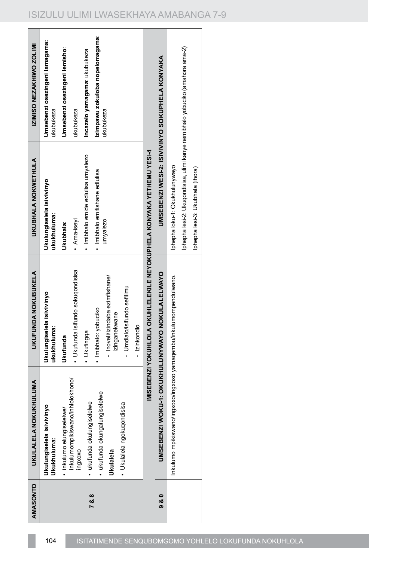| <b>AMASONTO</b> | <b>UKULALELA NOKUKHULUMA</b>                                       | <b>UKUFUNDA NOKUBUKELA</b>                                           | <b>UKUBHALA NOKWETHULA</b>                                                   | IZIMISO NEZAKHIWO ZOLIMI                       |
|-----------------|--------------------------------------------------------------------|----------------------------------------------------------------------|------------------------------------------------------------------------------|------------------------------------------------|
|                 | Ukulungiselela isivinyo<br>Ukukhuluma:                             | Ukulungiselela isivinyo<br>ukukhuluma:                               | Ukulungiselela isivinyo<br>ukukhuluma:                                       | Umsebenzi osezingeni lamagama:<br>ukubukeza    |
|                 | · inkulumo elungiselelwe/                                          | Ukufunda                                                             | Ukubhala:                                                                    | Umsebenzi osezingeni lemisho:                  |
|                 | inkulumompikiswano/inhlolokhono/<br>ingxoxo                        | isifundo sokuqondisisa<br>· Ukufunda                                 | • Ama-iseyi                                                                  | ukubukeza                                      |
| ∞<br>∝          | · ukufunda okulungiselelwe                                         | · Ukufingqa                                                          | · Imibhalo emide edlulisa umyalezo                                           | Incazelo yamagama: ukubukeza                   |
|                 | · ukufunda okungalungiselelwe                                      | · Imibhalo: yobuciko                                                 | · Imibhalo emifishane edlulisa                                               | izimpawu zokuloba nopelomagama:                |
|                 | Ukulalela                                                          | - Inoveli/izindaba ezimfishane/<br>izinganekwane                     | umyalezo                                                                     | ukubukeza                                      |
|                 | · Ukulalela ngokuqondisisa                                         | - Umdlalo/isifundo sefilimu                                          |                                                                              |                                                |
|                 |                                                                    | - Izinkondlo                                                         |                                                                              |                                                |
|                 |                                                                    | IMISEBENZI YOKUHLOLA OKUHLELEKILE NEYOKUPHELA KONYAKA YETHEMU YESI-4 |                                                                              |                                                |
| 0<br>ගී         |                                                                    | UMSEBENZI WOKU-1: OKUKHULUNYWAYO NOKULALELWAYO                       |                                                                              | UMSEBENZI WESI-2: ISIVIVINYO SOKUPHELA KONYAKA |
|                 | Inkulumo mpikiswano/ingxoxo/ingxoxo yamaqembu/inkulumompendulwano. |                                                                      | Iphepha loku-1: Okukhulunywayo                                               |                                                |
|                 |                                                                    |                                                                      | Iphepha lesi-2: Ukuqondisisa, ulimi kanye nemibhalo yobuciko (amahora ama-2) |                                                |

т

Iphepha lesi-3: Ukubhala (ihora)

Iphepha lesi-3: Ukubhala (ihora)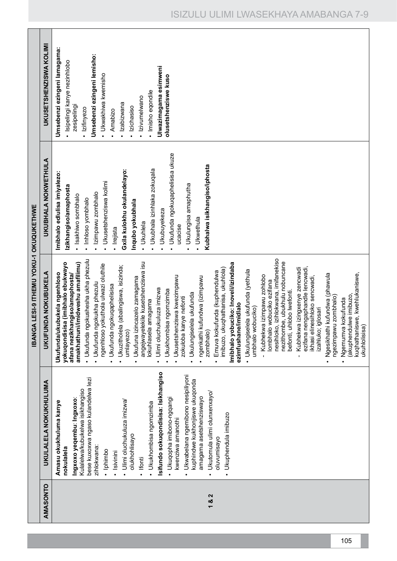|          |                                                                                                                                                                                                                                                                                                                                                                                                                                                                                                                                                | IBANGA LESI-9 ITHEMU YOKU-1 OKUQUKETHWE                                                                                                                                                                                                                                                                                                                                                                                                                                                                                                                                                                                                                                                                                                                                                                                                                                                                                                                                                                                                                                                                                                                                                                                                                                                                                                 |                                                                                                                                                                                                                                                                                                                                                                                                                                          |                                                                                                                                                                                                                                                                                               |
|----------|------------------------------------------------------------------------------------------------------------------------------------------------------------------------------------------------------------------------------------------------------------------------------------------------------------------------------------------------------------------------------------------------------------------------------------------------------------------------------------------------------------------------------------------------|-----------------------------------------------------------------------------------------------------------------------------------------------------------------------------------------------------------------------------------------------------------------------------------------------------------------------------------------------------------------------------------------------------------------------------------------------------------------------------------------------------------------------------------------------------------------------------------------------------------------------------------------------------------------------------------------------------------------------------------------------------------------------------------------------------------------------------------------------------------------------------------------------------------------------------------------------------------------------------------------------------------------------------------------------------------------------------------------------------------------------------------------------------------------------------------------------------------------------------------------------------------------------------------------------------------------------------------------|------------------------------------------------------------------------------------------------------------------------------------------------------------------------------------------------------------------------------------------------------------------------------------------------------------------------------------------------------------------------------------------------------------------------------------------|-----------------------------------------------------------------------------------------------------------------------------------------------------------------------------------------------------------------------------------------------------------------------------------------------|
| AMASONTO | <b>UKULALELA NOKUKHULUMA</b>                                                                                                                                                                                                                                                                                                                                                                                                                                                                                                                   | <b>DA NOKUBUKELA</b><br>UKUFUN                                                                                                                                                                                                                                                                                                                                                                                                                                                                                                                                                                                                                                                                                                                                                                                                                                                                                                                                                                                                                                                                                                                                                                                                                                                                                                          | <b>UKUBHALA NOKWETHULA</b>                                                                                                                                                                                                                                                                                                                                                                                                               | UKUSETSHENZISWA KOLIMI                                                                                                                                                                                                                                                                        |
| 1 & 2    | Isifundo sokuqondisisa: Isikhangiso<br>Ukwabelana ngemibono nesipiliyoni<br>bese kuxoxwa ngaso kulandelwa lezi<br>kuphindwe kukhonjiswe ukuqonda<br>Kulalelwa/kubukelwa isikhangiso<br>Ukutomula ulimi olunxenxayo/<br>amagama asetshenziswayo<br>Ukuqopha imibono-ngqangi<br>Ingxoxo yeqembu: Ingxoxo:<br>Ulimi oluchukuluza imizwa/<br>Amasu okukhuluma kanye<br>Ukukhombisa ngomzimba<br>Ukuphendula imibuzo<br>kwenziwa amanothi<br>olukhohlisayo<br>oluvumisayo<br>zihlokwana:<br>nokulalela<br>· Iphimbo<br>· Isivinini<br><b>Ifonti</b> | izihlokwana, imifanekiso<br>· Ukufunda ngokushesha ukha phezulu<br>nezithombe, ubukhulu nobuncane<br>amakhathuni/imidweshu amafilimu)<br>angejwayelekile kusetshenziswa isu<br>yokuqondisisa (imibhalo ebukwayo<br>Imibhalo yobuciko: Inoveli/izindaba<br>ngenhloso yokuthola ulwazi oluthile<br>Ukuzitholela (abalingiswa, isizinda;<br>ezifana nengaphandle lencwadi,<br>imibuzo, ukuqhathanisa, ukuhlola)<br>izingxenye zencwadi<br>• Ukulungiselela ukufunda (yethula<br>Emuva kokufunda (kuphendulwa<br>Ukufunda/ukubukela ngenhloso<br>kufundwa (phawula<br>kuqhathaniswe, kwehlukaniswe,<br>afana nezikhangiso/amaphosta/<br>izimpawu zohlobo<br>Ukusetshenziswa kwezimpawu<br>Ukufuna izincazelo zamagama<br>ngenkathi kufundwa (izimpawu<br>ikhasi elinesihloko sencwadi,<br>lombhalo wobuciko ezifana<br>Ukufunda ngokukha phezulu<br>Ukufunda ngokuqaphelisisa<br>Ulimi oluchukuluza imizwa<br>Ukukhombisa ngomzimba<br>lobo lwefonti.<br>Ukulungiselela ukufunda<br>(akuphendulwe imibuzo,<br>zombhalo)<br>zokuloba kanye nefonti<br>kokufunda<br>lokuhlasela amagama<br>ezimfushane/imidlalo<br>umbhalo wobuciko)<br>izahluko; iglosari<br>Kubhekwa<br>befonti, uh<br>Kubhekwa<br>ngezimpawu<br>ukuhlolisisa)<br>nesihloko,<br>Ngesikhathi<br>Ngemumva<br>umlayezo)<br>zombhalo)<br>$\mathbf{I}$<br>$\bullet$<br>$\bullet$ | Ukufunda ngokuqaphelisisa ukuze<br>Kubhalwa isikhangiso/iphosta<br>Ukubhala izinhlaka zokuqala<br>Gxila kulokhu okulandelayo:<br>Imibhalo edlulisa imiyalezo:<br>Ukusetshenziswa kolimi<br>Ukulungisa amaphutha<br>Izikhangiso/amaphosta<br>Izimpawu zombhalo<br>· Isakhiwo sombhalo<br>Inhloso yombhalo<br>Inqubo yokubhala<br>Ukubuyekeza<br>· Ukwethula<br>· Ukuhlela<br>ucacise<br>· Irejista<br>$\bullet$<br>$\bullet$<br>$\bullet$ | Umsebenzi ezingeni lamagama:<br>Umsebenzi ezingeni lemisho:<br>· Isipelingi kanye nezinhlobo<br>Ulwazimagama esimweni<br>· Ukwakhiwa kwemisho<br>olusetshenziswe kuso<br>· Imisho eqondile<br>Izivumelwano<br>Izabizwana<br>zesipelingi<br>Izichasiso<br>· Izifinyezo<br>Amabizo<br>$\bullet$ |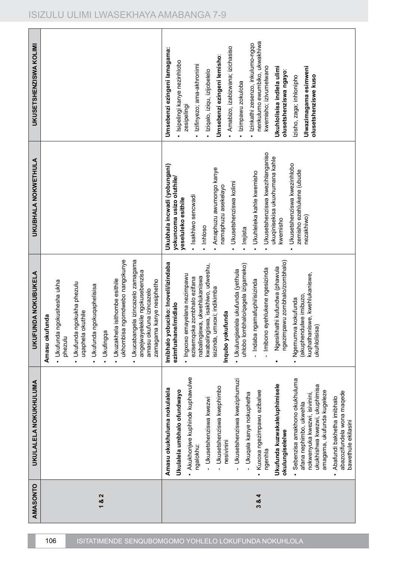| UKUSETSHENZISWA KOLIMI       |                                                                                                                                                                                                                                                                                                                                                                                                                         | nenkulumo ewumbiko, ukwakhiwa<br>Izinkathi zesenzo, inkulumo-ngqo<br>Amabizo, izabizwana; izichasiso<br>Umsebenzi ezingeni lamagama:<br>Umsebenzi ezingeni lemisho:<br>· Isipelingi kanye nezinhlobo<br>· Izifinyezo; ama-akhronimi<br>kwemisho; izivumelwano<br>Ulwazimagama esimweni<br>Ukuhlolisisa indlela ulimi<br>olusetshenziswa ngayo:<br>· Iziqalo, iziqu, izijobelelo<br>olusetshenziswe kuso<br>izisho, zaga; inhlonipho<br>· Izimpawu zokuloba<br>zesipelingi                                                                                                                                   |
|------------------------------|-------------------------------------------------------------------------------------------------------------------------------------------------------------------------------------------------------------------------------------------------------------------------------------------------------------------------------------------------------------------------------------------------------------------------|-------------------------------------------------------------------------------------------------------------------------------------------------------------------------------------------------------------------------------------------------------------------------------------------------------------------------------------------------------------------------------------------------------------------------------------------------------------------------------------------------------------------------------------------------------------------------------------------------------------|
| <b>UKUBHALA NOKWETHULA</b>   |                                                                                                                                                                                                                                                                                                                                                                                                                         | Ukusetshenziswa kwezihlanganiso<br>ukuqinisekisa ukuxhumana kahle<br>Ukusetshenziswa kwezinhlobo<br>Ukubhala incwadi (yobungani)<br>Amaphuzu awumongo kanye<br>zemisho ezehlukene (ubude<br>Ukuhleleka kahle kwemisho<br>yokuncoma usizo oluthile/<br>Ukusetshenziswa kolimi<br>namaphuzu asekelayo<br>· Isakhiwo sencwadi<br>yeseluleko esithile<br>nezakhiwo)<br>kwemisho<br>· Inhioso<br>Irejista<br>$\bullet$<br>$\bullet$                                                                                                                                                                              |
| UKUFUNDA NOKUBUKELA          | ukhombisa ngomdwebo nangokunye<br>Ukucabangela izincazelo zamagama<br>angejwayelekile ngokusebenzisa<br>· Ukuzakhela isithombe esithile<br>zamagama kanye nesiphetho<br>• Ukufunda ngokushesha ukha<br>Ukufunda ngokukha phezulu<br>Ukufunda ngokuqaphelisisa<br>amasu okufuna izincazelo<br>uqaphela okuthile<br>Amasu okufunda<br>Ukufingqa<br>phezulu<br>$\ddot{\phantom{0}}$<br>$\bullet$<br>$\bullet$<br>$\bullet$ | ngezimpawu zombhalo/zombhalo)<br>Imibhalo yobuciko: Inoveli/izindaba<br>kwabalingiswa, isakhiwo, udweshu,<br>uhlobo lombhalo/qagela izigameko)<br>Ngesikhathi kufundwa (phawula<br>Imibono eyehlukene ngesizinda<br>• Ukulungiselela ukufunda (yethula<br>kuqhathaniswe, kwehlukaniswe,<br>· Ingxoxo emayelana nezimpawu<br>nabalingiswa, ukwehlukaniswa<br>ezisemqoka zombhalo ezifana<br>- Indaba ngamafuphi/isizinda<br>isizinda, umxoxi; indikimba<br>(akuphendulwe imibuzo,<br>kokufunda<br>ezimfushane/imidlalo<br>Inqubo yokufunda<br>ukuhlolisisa)<br>Ngemumva<br>$\bullet$<br>$\bullet$            |
| <b>UKULALELA NOKUKHULUMA</b> |                                                                                                                                                                                                                                                                                                                                                                                                                         | · Akukhonjwe kuphinde kuphawulwe<br>Sebenzisa amakhono okukhuluma<br>Ukusetshenziswa kweziphumuzi<br>Ukufunda kuzwakale/uphimisele<br>ukukhishwa kwezwi, ukuphimisa<br>- Ukusetshenziswa kwephimbo<br>Amasu okukhuluma nokulalela<br>Ukulalela umbhalo ofundwayo<br>· Kuxoxa ngezimpawu ezibalwe<br>amagama, ukufunda kugeleze<br>abazozifundela wona maqede<br>- Ukuqala kanye nokuphetha<br>nokwenyuka kwezwi, isivinini,<br>Abafundi bakhetha imibhalo<br>Ukusetshenziswa kwezwi<br>afana nephimbo, ukwehla<br>bawethule ekilasini<br>okulungiselelwe<br>nesivinini<br>ngalokhu:<br>ngenhla<br>$\bullet$ |
| AMASONTO                     | 1 & 2                                                                                                                                                                                                                                                                                                                                                                                                                   | 4<br>್ರ<br>೧                                                                                                                                                                                                                                                                                                                                                                                                                                                                                                                                                                                                |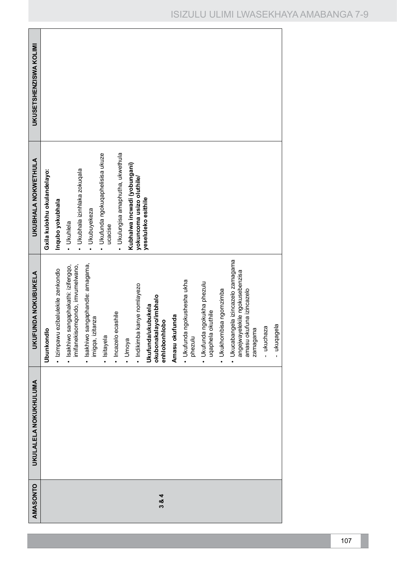| <b>UKUSETSHENZISWA KOLIMI</b> |                             |                                    |                                                                         |                                                                  |                                              |                                   |                              |                             |                                                              |                |                                        |                                                             |                       |                                                                                                            |            |
|-------------------------------|-----------------------------|------------------------------------|-------------------------------------------------------------------------|------------------------------------------------------------------|----------------------------------------------|-----------------------------------|------------------------------|-----------------------------|--------------------------------------------------------------|----------------|----------------------------------------|-------------------------------------------------------------|-----------------------|------------------------------------------------------------------------------------------------------------|------------|
| <b>UKUBHALA NOKWETHULA</b>    | Gxila kulokhu okulandelayo: | Inqubo yokubhala                   | • Ukubhala izinhlaka zokuqala<br>· Ukuhlela                             | · Ukubuyekeza                                                    | · Ukufunda ngokuqaphelisisa ukuze<br>ucacise | • Ukulungisa amaphutha, ukwethula | Kubhalwa incwadi (yobungani) | yokuncoma usizo oluthile/   | yeseluleko esithile                                          |                |                                        |                                                             |                       |                                                                                                            |            |
| <b>UKUFUNDA NOKUBUKELA</b>    | Ubunkondlo                  | · Izimpawu ezibalulekile zenkondlo | · Isakhiwo sangaphakathi: izifengqo,<br>imifanekisomqondo, imvumelwano, | Isakhiwo sangaphandle: amagama,<br>imigqa, izitanza<br>$\bullet$ | · Isitayela                                  | · Incazelo ecashile               | · Umoya                      | · Indikimba kanye nomlayezo | okubonakalayo/imbhalo<br>Ukufunda/ukubukela<br>enhlobonhlobo | Amasu okufunda | • Ukufunda ngokushesha ukha<br>phezulu | Ukufunda ngokukha phezulu<br>uqaphela okuthile<br>$\bullet$ | Ukukhombisa ngomzimba | Ukucabangela izincazelo zamagama<br>angejwayelekile ngokusebenzisa<br>amasu okufuna izincazelo<br>zamagama | - ukuchaza |
| <b>UKULALELA NOKUKHULUMA</b>  |                             |                                    |                                                                         |                                                                  |                                              |                                   |                              |                             |                                                              |                |                                        |                                                             |                       |                                                                                                            |            |
| AMASONTO                      |                             |                                    |                                                                         |                                                                  |                                              |                                   |                              |                             | 3 & 4                                                        |                |                                        |                                                             |                       |                                                                                                            |            |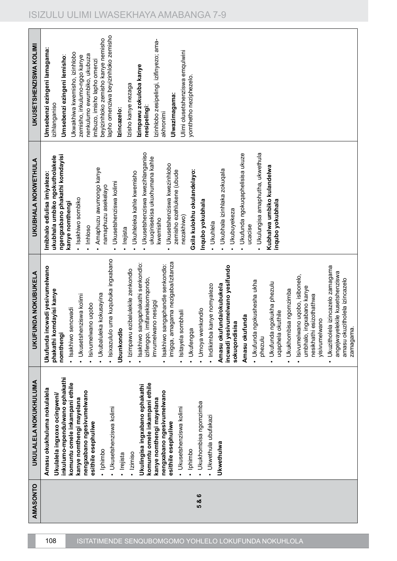| UKUSETSHENZISWA KOLIMI       | lapho omenziwa beyizinhloko zemisho<br>beyizinhloko zemisho kanye nemisho<br>izinhlobo zesipelingi, izifinyezo; ama-<br>Umsebenzi ezingeni lamagama:<br>Ulimi olusetshenziswa emqulwini<br>Ukwakhiwa kwemisho, izinhlobo<br>nenkulumo ewumbiko, ukubuza<br>Umsebenzi ezingeni lemisho:<br>zemisho, inkulumo-ngqo kanye<br>imibuzo, imisho lapho omenzi<br>Izimpawu zokuloba kanye<br>yomthetho neziphezelo.<br>zisho kanye nezaga<br>Ulwazimagama:<br>izihlanganiso<br>nesipelingi:<br>izincazelo:<br>akhronimi                                                                                                                                                                                                                                                                                                                                                                                                                                                                                                                                                                  |
|------------------------------|----------------------------------------------------------------------------------------------------------------------------------------------------------------------------------------------------------------------------------------------------------------------------------------------------------------------------------------------------------------------------------------------------------------------------------------------------------------------------------------------------------------------------------------------------------------------------------------------------------------------------------------------------------------------------------------------------------------------------------------------------------------------------------------------------------------------------------------------------------------------------------------------------------------------------------------------------------------------------------------------------------------------------------------------------------------------------------|
| <b>UKUBHALA NOKWETHULA</b>   | Ukusetshenziswa kwezihlanganiso<br>Ukufunda ngokuqaphelisisa ukuze<br>• Ukulungisa amaphutha, ukwethula<br>ngengxabano phakathi komdayisi<br>ukubhala umbiko ngokutholakele<br>ukuqinisekisa ukuxhumana kahle<br>Ukusetshenziswa kwezinhlobo<br>Kubhalwa umbiko kulandelwa<br>Amaphuzu awumongo kanye<br>Ukubhala izinhlaka zokuqala<br>zemisho ezehlukene (ubude<br>Gxila kulokhu okulandelayo:<br>Ukuhleleka kahle kwemisho<br>Imibhalo edlulisa imiyalezo<br>Ukusetshenziswa kolimi<br>namaphuzu asekelayo<br>Isakhiwo sombiko<br>inqubo yokubhala<br>Inqubo yokubhala<br>kanye nomthengi<br>Ukubuyekeza<br>nezakhiwo)<br>kwemisho<br>· Ukuhlela<br>ucacise<br>Inhloso<br>Irejista<br>$\bullet$<br>$\bullet$<br>$\bullet$<br>$\bullet$                                                                                                                                                                                                                                                                                                                                        |
| UKUFUNDA NOKUBUKELA          | • Isixazululo uma kuqubuka ingxabano<br>imigqa, amagama nezigaba/izitanza<br>Isakhiwo sangaphakathi senkondlo:<br>Isakhiwo sangaphandle senkondlo:<br>incwadi yesivumelwano yesifundo<br>Ukuzitholela izincazelo zamagama<br>di yesivumelwano<br>· Izimpawu ezibalulekile zenkondlo<br>angejwayelekile kusetshenziswa<br>Isivumelwano uqobo, isibonelo,<br>izifengqo, imifanekisomqondo,<br>amasu okuzitholela izincazelo<br>• Ukufunda ngokushesha ukha<br>Ukufunda ngokukha phezulu<br>· Indikimba kanye nomyalezo<br>Amasu okufunda/okubukela<br>umbhalo, ingxabano kanye<br>Ukukhombisa ngomzimba<br>phakathi komdayisi kanye<br>• Ukubaluleka kokusayina<br>nesikhathi esizothathwa<br>· Ukusetshenziswa kolimi<br>imvumelwano nesigqi<br>· Isivumelwano uqobo<br>· Isakhiwo sencwadi<br>· Umoya wenkondlo<br>Isitayela sombhali<br>uqaphela okuthile<br>Amasu okufunda<br>Ukufunda incwa<br>yisivumelwano<br>sokuqondisisa<br>zamagama.<br>Ubunkondlo<br>· Ukufengqa<br>nomthengi<br>phezulu<br>$\bullet$<br>$\bullet$<br>$\bullet$<br>$\bullet$<br>$\bullet$<br>$\bullet$ |
| <b>UKULALELA NOKUKHULUMA</b> | inkulumo-mpendulwano ephakathi<br>komuntu omele inkampani ethile<br>komuntu omele inkampani ethile<br>Ukulingisa ingxabano ephakathi<br>Amasu okukhuluma nokulalela<br>nengxabano ngesivumelwano<br>nengxabano ngesivumelwano<br>Ukulalela ingxoxo ocingweni/<br>kanye nomthengi mayelana<br>kanye nomthengi mayelana<br>· Ukukhombisa ngomzimba<br>· Ukusetshenziswa kolimi<br>· Ukusetshenziswa kolimi<br>· Ukwethula ubufakazi<br>esithile esephuliwe<br>esithile esephuliwe<br>Ukwethulwa<br>· Iphimbo<br>· Iphimbo<br>· Izimiso<br>• Irejista                                                                                                                                                                                                                                                                                                                                                                                                                                                                                                                               |
| AMASONTO                     | ဖ<br>5 &                                                                                                                                                                                                                                                                                                                                                                                                                                                                                                                                                                                                                                                                                                                                                                                                                                                                                                                                                                                                                                                                         |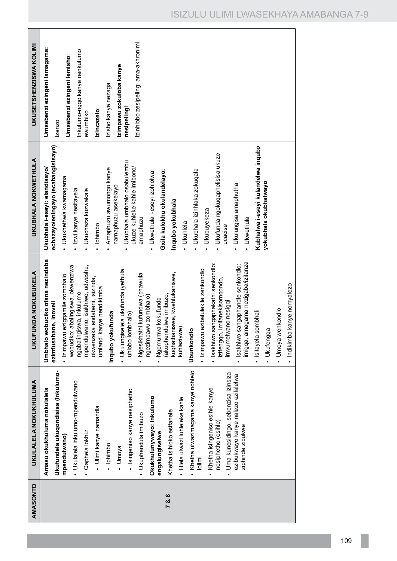| AMASONTO | <b>UKULALELA NOKUKHULUMA</b>                                            | UKUFUNDA NOKUBUKELA                                                                         | <b>UKUBHALA NOKWETHULA</b>                                               | UKUSETSHENZISWA KOLIMI                 |
|----------|-------------------------------------------------------------------------|---------------------------------------------------------------------------------------------|--------------------------------------------------------------------------|----------------------------------------|
|          | Ukufundela ukuqondisisa (Inkulumo-<br>Amasu okukhuluma nokulalela       | Umbhalo wobuciko ofana nezindaba<br>ezimfusahane, inoveli                                   | echazayo/eningayo (ecabangisisayo)<br>Ukubhala i-eseyi: elandisayo/      | Umsebenzi ezingeni lamagama:<br>Izenzo |
|          | mpendulwano)                                                            | · Izimpawu ezigqamile zombhalo                                                              | · Ukukhethwa kwamagama                                                   | Umsebenzi ezingeni lemisho:            |
|          | · Ukulalela inkulumo-mpendulwano                                        | wobuciko: abalingiswa, okwenziwa<br>ngabalingiswa, inkulumo-                                | · Izwi kanye nesitayela                                                  | Inkulumo-ngqo kanye nenkulumo          |
|          | · Qaphela lokhu:                                                        | mpendulwano, isakhiwo, udweshu,                                                             | · Ukuchaza kuzwakale                                                     | ewumbiko                               |
|          | - Ulimi kanye namandla                                                  | okwenzeka endabeni, isizinda,<br>umlandi kanye nendikimba                                   | · Iphimbo                                                                | Izincazelo:                            |
|          | - Iphimbo                                                               | Inqubo yokufunda                                                                            | Amaphuzu awumongo kanye<br>namaphuzu asekelayo                           | Izisho kanye nezaga                    |
|          | - Umoya                                                                 | · Ukulungiselela ukufunda (yethula                                                          |                                                                          | Izimpawu zokuloba kanye                |
|          | - Isingeniso kanye nesiphetho                                           | uhlobo lombhalo)                                                                            | Ukubhala umbhalo osabulembu<br>ukuze kuhleke kahle imibono/<br>$\bullet$ | nesipelingi:                           |
|          | · Ukuphendula imibuzo                                                   | Ngesikhathi kufundwa (phawula                                                               | amaphuzu                                                                 | Izinhlobo zesipeling; ama-akhronimi.   |
|          | Okukhulunywayo: Inkulumo                                                | ngezimpawu zombhalo)                                                                        | · Ukwethula i-eseyi izohlolwa                                            |                                        |
|          | engalungiselwe                                                          | (akuphendulwe imibuzo,<br>Ngemumva kokufunda<br>$\bullet$                                   | Gxila kulokhu okulandelayo:                                              |                                        |
| 7&8      | Khetha isihloko esifanele                                               | kuqhathaniswe, kwehlukaniswe,                                                               | Inqubo yokubhala                                                         |                                        |
|          | · Hlela ulwazi luhleleke kahle                                          | kuhlaziywe)                                                                                 | · Ukuhlela                                                               |                                        |
|          | • Khetha ulwazimagama kanye nohlelo                                     | Ubunkondlo                                                                                  |                                                                          |                                        |
|          | lolimi                                                                  | · Izimpawu ezibalulekile zenkondlo                                                          | • Ukubhala izinhlaka zokuqala                                            |                                        |
|          | • Khetha isingeniso esihle kanye                                        |                                                                                             | · Ukubuyekeza                                                            |                                        |
|          | Uma kunesidingo, sebenzisa izinsiza<br>nesiphetho (esihle)<br>$\bullet$ | · Isakhiwo sangaphakathi senkondlo:<br>izifengqo, imifanekisomqondo,<br>imvumelwano nesigqi | · Ukufunda ngokuqaphelisisa ukuze<br>ucacise                             |                                        |
|          | ezibukwayo kanye nalezo ezilalelwa                                      | · Isakhiwo sangaphandle senkondlo:                                                          | · Ukulungisa amaphutha                                                   |                                        |
|          | ziphinde zibukwe                                                        | imigqa, amagama nezigaba/izitanza                                                           | · Ukwethula                                                              |                                        |
|          |                                                                         | · Isitayela sombhali                                                                        | Kubhalwa i-eseyi kulandelwa inqubo                                       |                                        |
|          |                                                                         | · Ukufengqa                                                                                 | yokubhala okubhalwayo                                                    |                                        |
|          |                                                                         | · Umoya wenkondlo                                                                           |                                                                          |                                        |
|          |                                                                         | · Indikimba kanye nomyalezo                                                                 |                                                                          |                                        |
|          |                                                                         |                                                                                             |                                                                          |                                        |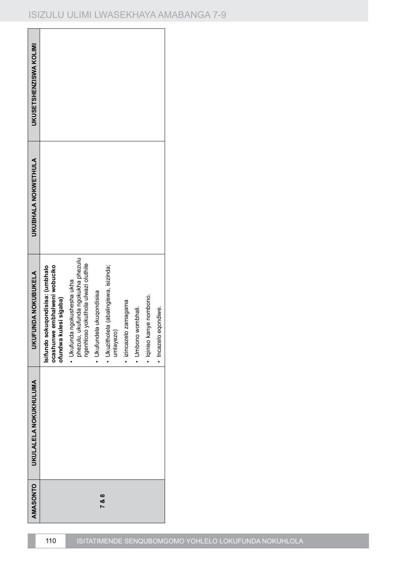| AMASONTO | <b>UKULALELA NOKUKHULUMA</b> | <b>UKUFUNDA NOKUBUKELA</b>                                                                               | <b>UKUBHALA NOKWETHULA</b> | UKUSETSHENZISWA KOLIMI |
|----------|------------------------------|----------------------------------------------------------------------------------------------------------|----------------------------|------------------------|
|          |                              | Isifundo sokuqondisisa: (umbhalo<br>ocashunwe embhalweni wobuciko<br>ofundwa kulesi sigaba)              |                            |                        |
|          |                              | phezulu, ukufunda ngokukha phezulu<br>ngenhloso yokuthola ulwazi oluthile<br>• Ukufunda ngokushesha ukha |                            |                        |
|          |                              | · Ukufundela ukuqondisisa                                                                                |                            |                        |
| 7 & 8    |                              | · Ukuzitholela (abalingiswa, isizinda;<br>umlayezo)                                                      |                            |                        |
|          |                              | · izincazelo zamagama                                                                                    |                            |                        |
|          |                              | · Umbono wombhali.                                                                                       |                            |                        |
|          |                              | e nombono.<br>· Iqiniso kany                                                                             |                            |                        |
|          |                              | · Incazelo eqondiwe.                                                                                     |                            |                        |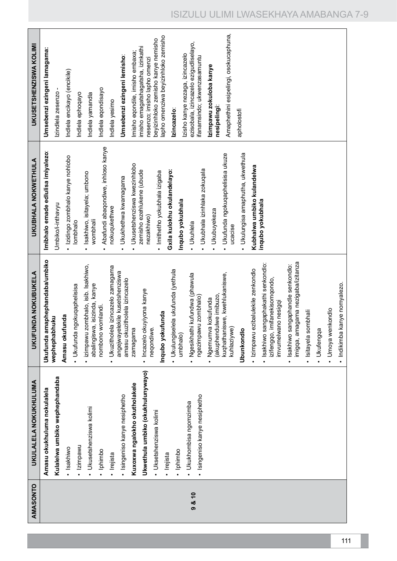| <b>UKUBHALA NOKWETHULA</b><br>Inqubo yokubhala<br>inqubo yokubhala<br>Umbiko/i-inthavyu<br>nokuqukethwe<br>· Ukubuyekeza<br>nezakhiwo)<br>wombhali<br>lombhalo<br>· Ukuhlela<br>ucacise<br>$\bullet$<br>Ukufunda amaphephandaba/umbiko<br>imigqa, amagama nezigaba/izitanza<br>· Isakhiwo sangaphakathi senkondlo:<br>Isakhiwo sangaphandle senkondlo:<br>· izimpawu zombhalo, isib. Isakhiwo,<br>izincazelo zamagama<br>· Izimpawu ezibalulekile zenkondlo<br>• Ukulungiselela ukufunda (yethula<br>angejwayelekile kusetshenziswa<br>UKUFUNDA NOKUBUKELA<br>kufundwa (phawula<br>kuqhathaniswe, kwehlukaniswe,<br>izifengqo, imifanekisomqondo,<br>amasu okuzitholela izincazelo<br>isizinda, kanye<br>· Ukufunda ngokuqaphelisisa<br>· Incazelo okuyiyona kanye<br>(akuphendulwe imibuzo,<br>ngezimpawu zombhalo)<br>kokufunda<br>imvumelwano nesigqi<br>nombono womlandi.<br>· Isitayela sombhali<br>iunda<br>Amasu okufunda<br>wephephabhuku<br>abalingiswa,<br>Ukuzitholela<br>Inqubo yokuf<br>Ngesikhathi<br>Ngemumva<br>kuhlaziywe)<br>zamagama<br>neqondiwe.<br>Ubunkondlo<br>· Ukufengqa<br>umbhalo)<br>$\ddot{\phantom{0}}$<br>Ukwethula umbiko (okukhulunywayo)<br>Kulalelwa umbiko wephephandaba<br><b>UKULALELA NOKUKHULUMA</b><br>Kuxoxwa ngalokho okutholakele<br>Amasu okukhuluma nokulalela<br>singeniso kanye nesiphetho<br>· Isingeniso kanye nesiphetho<br>· Ukukhombisa ngomzimba<br>· Ukusetshenziswa kolimi<br>· Uksetshenziswa kolimi<br>· Izimpawu<br>· Isakhiwo<br>· Iphimbo<br>· Iphimbo<br>· Irejista<br>· Irejista | <b>UKUSETSHENZISWA KOLIMI</b> | Umsebenzi ezingeni lamagama:<br>Indlela encikayo (encikile)<br>izndlela zesenzo<br>Indlela ephoqayo<br>Indlela yamandla | Amaphethini esipelingi, osokucaphuna,<br>lapho omenziwa beyizinhloko zemisho<br>beyizinhloko zemisho kanye nemisho<br>ezisobala, izincazelo ezigudliselayo,<br>imisho emagatshagatsha, izinkathi<br>Imisho eqondile, imisho embaxa;<br>Izisho kanye nezaga, izincazelo<br>Umsebenzi ezingeni lemisho:<br>ifanamsindo; ukwenzasamuntu<br>nesenzo; imisho lapho omenzi<br>Izimpawu zokuloba kanye<br>Indlela eqondisayo<br>Indlela yesimo<br>nesipelingi:<br>Izincazelo:<br>apholostofi<br>Abafundi abaqondiwe, inhloso kanye |
|--------------------------------------------------------------------------------------------------------------------------------------------------------------------------------------------------------------------------------------------------------------------------------------------------------------------------------------------------------------------------------------------------------------------------------------------------------------------------------------------------------------------------------------------------------------------------------------------------------------------------------------------------------------------------------------------------------------------------------------------------------------------------------------------------------------------------------------------------------------------------------------------------------------------------------------------------------------------------------------------------------------------------------------------------------------------------------------------------------------------------------------------------------------------------------------------------------------------------------------------------------------------------------------------------------------------------------------------------------------------------------------------------------------------------------------------------------------------------------------------------------------------------------------------------|-------------------------------|-------------------------------------------------------------------------------------------------------------------------|-----------------------------------------------------------------------------------------------------------------------------------------------------------------------------------------------------------------------------------------------------------------------------------------------------------------------------------------------------------------------------------------------------------------------------------------------------------------------------------------------------------------------------|
|                                                                                                                                                                                                                                                                                                                                                                                                                                                                                                                                                                                                                                                                                                                                                                                                                                                                                                                                                                                                                                                                                                                                                                                                                                                                                                                                                                                                                                                                                                                                                  |                               | Imibhalo emade edlulisa imiyalezo:<br>· Izidingo zombhalo kanye nohlobo<br>Isakhiwo, isitayela; umbono                  | • Ukulungisa amaphutha, ukwethula<br>· Ukufunda ngokuqaphelisisa ukuze<br>· Ukusetshenziswa kwezinhlobo<br>Kubhalwa umbiko kulandelwa<br>• Ukubhala izinhlaka zokuqala<br>Gxila kulokhu okulandelayo:<br>zemisho ezehlukene (ubude<br>· Imithetho yokubhala izigaba<br>Ukukhethwa kwamagama<br>· Umoya wenkondlo                                                                                                                                                                                                            |
|                                                                                                                                                                                                                                                                                                                                                                                                                                                                                                                                                                                                                                                                                                                                                                                                                                                                                                                                                                                                                                                                                                                                                                                                                                                                                                                                                                                                                                                                                                                                                  | AMASONTO                      |                                                                                                                         |                                                                                                                                                                                                                                                                                                                                                                                                                                                                                                                             |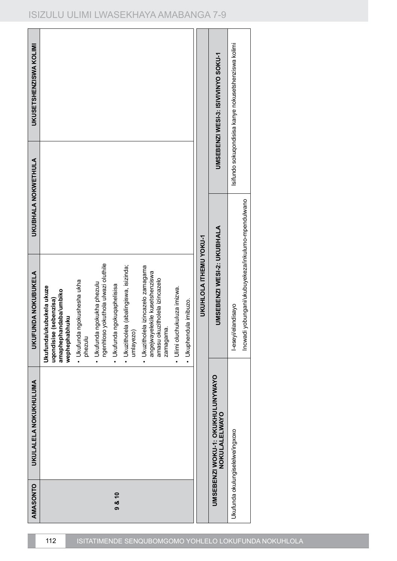| UKUSETSHENZISWA KOLIMI       |                                                                                              |                                           |                                                                    |                             |                                                     |                                                                                                                    |                              |                        |                               | UMSEBENZI WESI-3: ISIVIVNYO SOKU-1                | Isifundo sokuqondisisa kanye nokusetshenziswa kolimi |                                                       |
|------------------------------|----------------------------------------------------------------------------------------------|-------------------------------------------|--------------------------------------------------------------------|-----------------------------|-----------------------------------------------------|--------------------------------------------------------------------------------------------------------------------|------------------------------|------------------------|-------------------------------|---------------------------------------------------|------------------------------------------------------|-------------------------------------------------------|
| <b>UKUBHALA NOKWETHULA</b>   |                                                                                              |                                           |                                                                    |                             |                                                     |                                                                                                                    |                              |                        |                               |                                                   |                                                      |                                                       |
| <b>UKUFUNDA NOKUBUKELA</b>   | Ukufunda/ukubukela ukuze<br>amaphephandaba/umbiko<br>uqondisise (sebenzisa)<br>wephephabhuku | ngokushesha ukha<br>· Ukufunda<br>phezulu | ngenhloso yokuthola ulwazi oluthile<br>• Ukufunda ngokukha phezulu | · Ukufunda ngokuqaphelisisa | · Ukuzitholela (abalingiswa, isizinda;<br>umlayezo) | · Ukuzitholela izincazelo zamagama<br>angejwayelekile kusetshenziswa<br>amasu okuzitholela izincazelo<br>zamagama. | · Ulimi oluchukuluza imizwa. | · Ukuphendula imibuzo. | <b>UKUHLOLA ITHEMU YOKU-1</b> | UMSEBENZI WESI-2: UKUBHALA                        | I-eseyi/elandisayo                                   | yobungani/ukubuyekeza/inkulumo-mpendulwano<br>Incwadi |
| <b>UKULALELA NOKUKHULUMA</b> |                                                                                              |                                           |                                                                    |                             |                                                     |                                                                                                                    |                              |                        |                               | UMSEBENZI WOKU-1: OKUKHULUNYWAYO<br>NOKULALELWAYO | Ukufunda okulungiselelwe/ingxoxo                     |                                                       |
| AMASONTO                     |                                                                                              |                                           |                                                                    | 9 & 10                      |                                                     |                                                                                                                    |                              |                        |                               |                                                   |                                                      |                                                       |

 $\blacksquare$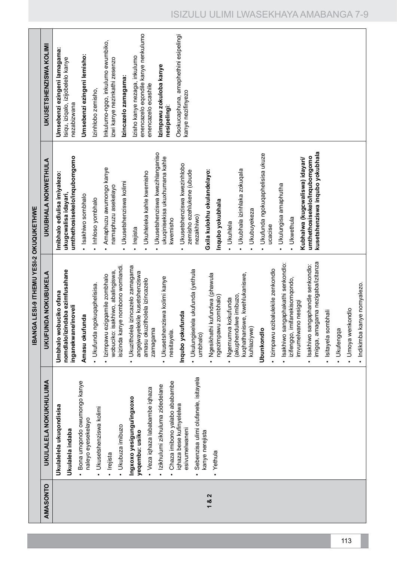|          |                                                   | LESI-9 ITHEMU YESI-2 OKUQUKETHWE<br><b>IBANGA</b>                                          |                                                                                      |                                                                                  |
|----------|---------------------------------------------------|--------------------------------------------------------------------------------------------|--------------------------------------------------------------------------------------|----------------------------------------------------------------------------------|
| AMASONTO | <b>UKULALELA NOKUKHULUMA</b>                      | A NOKUBUKELA<br>UKUFUND                                                                    | <b>UKUBHALA NOKWETHULA</b>                                                           | UKUSETSHENZISWA KOLIMI                                                           |
|          | Ukulalelela ukuqondisisa<br>Ukulalela indaba      | nomdlalo/izindaba ezimfusahane<br>Umbhalo wobuciko ofana<br>inganekwane/inoveli            | umthethosisekelo/inqubomgomo<br>Imibhalo edlulisa imiyalezo:<br>ukugcwalisa idayari, | Umsebenzi ezingeni lamagama:<br>Isiqu, iziqalo, izijobelelo kanye<br>nezabizwana |
|          | Bona umqondo owumongo kanye<br>naleyo eyesekelayo | Amasu okufunda                                                                             | · Isakhiwo sombhalo                                                                  | Umsebenzi ezingeni lemisho:                                                      |
|          | Ukusetshenziswa kolimi<br>$\ddot{\phantom{0}}$    | · Ukufunda ngokuqaphelisisa.                                                               | · Inhioso yombhalo                                                                   | izinhlobo zemisho                                                                |
|          | · Irejista                                        | wobuciko: isakhiwo, abalingiswa,<br>· Izimpawu ezigqamile zombhalo                         | Amaphuzu awumongo kanye<br>namaphuzu asekelayo<br>$\ddot{\phantom{0}}$               | Inkulumo-ngqo, inkulumo ewumbiko,<br>izwi kanye nezinkathi zesenzo               |
|          | · Ukubuza imibuzo                                 | isizinda kanye nombono womlandi.                                                           | Ukusetshenziswa kolimi<br>$\bullet$                                                  | izincazelo zamagama:                                                             |
|          | oxoxo yesigungulingxoxo<br>yeqembu: usiko         | Ukuzitholela izincazelo zamagama<br>angejwayelekile kusetshenziswa<br>$\ddot{\phantom{0}}$ | · Irejista                                                                           | Izisho kanye nezaga, inkulumo                                                    |
|          | • Veza iqhaza lababambe iqhaza                    | amasu okuzitholela izincazelo                                                              | Ukuhleleka kahle kwemisho                                                            | enencazelo eqondile kanye nenkulumo<br>enencazelo ecashile                       |
|          | Izikhulumi zikhuluma zidedelane<br>$\bullet$      | Ukusetshenziswa kolimi kanye<br>zamagama<br>$\bullet$                                      | Ukusetshenziswa kwezihlanganiso<br>ukuqinisekisa ukuxhumana kahle                    | Izimpawu zokuloba kanye<br>nesipelingi:                                          |
|          | Chaza imibono yalabo ababambe<br>$\bullet$        | nesitayela.                                                                                | kwemisho                                                                             |                                                                                  |
|          | iqhaza bese kufinyelelwa<br>esivumelwaneni        | Inqubo yokufunda                                                                           | Ukusetshenziswa kwezinhlobo<br>$\bullet$                                             | Osokucaphuna, amaphethini esipelingi<br>kanye nezifinyezo                        |
|          | Sebenzisa ulimi olufanele, isitayela<br>$\bullet$ | • Ukulungiselela ukufunda (yethula<br>umbhalo)                                             | zemisho ezehlukene (ubude<br>nezakhiwo)                                              |                                                                                  |
| 1 & 2    | kanye nerejista                                   | · Ngesikhathi kufundwa (phawula                                                            | Gxila kulokhu okulandelayo:                                                          |                                                                                  |
|          | • Yethula                                         | ngezimpawu zombhalo)                                                                       | Inqubo yokubhala                                                                     |                                                                                  |
|          |                                                   | Ngemumva kokufunda<br>$\bullet$                                                            | · Ukuhlela                                                                           |                                                                                  |
|          |                                                   | kuqhathaniswe, kwehlukaniswe,<br>(akuphendulwe imibuzo,                                    | • Ukubhala izinhlaka zokuqala                                                        |                                                                                  |
|          |                                                   | kuhlaziywe)                                                                                | · Ukubuyekeza                                                                        |                                                                                  |
|          |                                                   | Ubunkondlo                                                                                 | Ukufunda ngokuqaphelisisa ukuze<br>$\bullet$                                         |                                                                                  |
|          |                                                   | · Izimpawu ezibalulekile zenkondlo                                                         | ucacise                                                                              |                                                                                  |
|          |                                                   | · Isakhiwo sangaphakathi senkondlo:                                                        | · Ukulungisa amaphutha                                                               |                                                                                  |
|          |                                                   | izifengqo, imifanekisomqondo,                                                              | · Ukwethula                                                                          |                                                                                  |
|          |                                                   | · Isakhiwo sangaphandle senkondlo:<br>imvumelwano nesigqi                                  | umthethosisekelo/Inqubomgomo<br>Kubhalwa (kugcwaliswa) idayari/                      |                                                                                  |
|          |                                                   | imigqa, amagama nezigaba/izitanza                                                          | kusetshenziswa inqubo yokubhala                                                      |                                                                                  |
|          |                                                   | · Isitayela sombhali                                                                       |                                                                                      |                                                                                  |
|          |                                                   | · Ukufengqa                                                                                |                                                                                      |                                                                                  |
|          |                                                   | · Umoya wenkondlo                                                                          |                                                                                      |                                                                                  |
|          |                                                   | · Indikimba kanye nomyalezo.                                                               |                                                                                      |                                                                                  |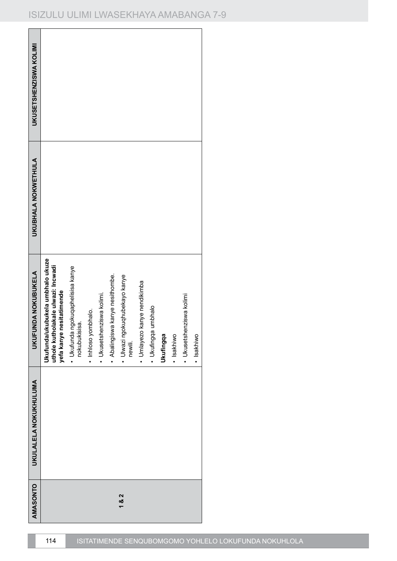| UKUSETSHENZISWA KOLIMI       |                                                                                                    |                                                    |                     |                           |                                 |                                          |                                |                        |                  |            |                          |            |
|------------------------------|----------------------------------------------------------------------------------------------------|----------------------------------------------------|---------------------|---------------------------|---------------------------------|------------------------------------------|--------------------------------|------------------------|------------------|------------|--------------------------|------------|
| <b>UKUBHALA NOKWETHULA</b>   |                                                                                                    |                                                    |                     |                           |                                 |                                          |                                |                        |                  |            |                          |            |
| <b>UKUFUNDA NOKUBUKELA</b>   | Ukufunda/ukubukela umbhalo ukuze<br>uthole kutholakale ulwazi: Incwadi<br>yefa kanye nesitatimende | · Ukufunda ngokuqaphelisisa kanye<br>nokubukisisa. | · Inhloso yombhalo. | · Ukusetshenziswa kolimi. | · Abalingiswa kanye nesithombe. | · Ulwazi ngokuqhubekayo kanye<br>newili. | kanye nendikimba<br>· Umlayezo | umbhalo<br>· Ukufingqa | <b>Ukufingqa</b> | · Isakhiwo | • Ukusetshenziswa kolimi | · Isakhiwo |
| <b>UKULALELA NOKUKHULUMA</b> |                                                                                                    |                                                    |                     |                           |                                 |                                          |                                |                        |                  |            |                          |            |
| <b>AMASONTO</b>              |                                                                                                    |                                                    |                     |                           |                                 | 1 & 2                                    |                                |                        |                  |            |                          |            |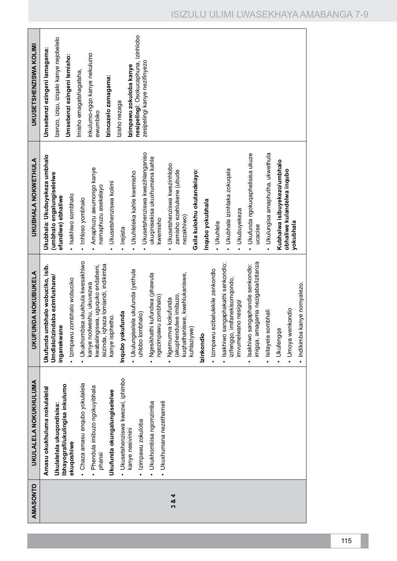| AMASONTO | <b>UKULALELA NOKUKHULUMA</b>                                                                                                                                                                                                                                                                                                                                                         | UKUFUNDA NOKUBUKELA                                                                                                                                                                                                                                                                                                                                                                                                                                                                                                                                                                                                                                                                                                                                                                                                                                       | <b>UKUBHALA NOKWETHULA</b>                                                                                                                                                                                                                                                                                                                                                                                                                                                                                                                                                                                                                                                                                 | UKUSETSHENZISWA KOLIMI                                                                                                                                                                                                                                                                                                    |
|----------|--------------------------------------------------------------------------------------------------------------------------------------------------------------------------------------------------------------------------------------------------------------------------------------------------------------------------------------------------------------------------------------|-----------------------------------------------------------------------------------------------------------------------------------------------------------------------------------------------------------------------------------------------------------------------------------------------------------------------------------------------------------------------------------------------------------------------------------------------------------------------------------------------------------------------------------------------------------------------------------------------------------------------------------------------------------------------------------------------------------------------------------------------------------------------------------------------------------------------------------------------------------|------------------------------------------------------------------------------------------------------------------------------------------------------------------------------------------------------------------------------------------------------------------------------------------------------------------------------------------------------------------------------------------------------------------------------------------------------------------------------------------------------------------------------------------------------------------------------------------------------------------------------------------------------------------------------------------------------------|---------------------------------------------------------------------------------------------------------------------------------------------------------------------------------------------------------------------------------------------------------------------------------------------------------------------------|
| 3 & 4    | • Ukusetshenziswa kwezwi, iphimbo<br>Chaza amasu enqubo yokulalela<br>Ibhayografi/ukulingisa inkulumo<br>Phendula imibuzo ngokuyibhala<br>Amasu okukhuluma nokulalelal<br>Ukufunda okungalungiselelwe<br>· Ukukhombisa ngomzimba<br>· Ukuxhumana nezethameli<br>Ukulalelala ukuqondisisa:<br>· Izimpawu zokuloba<br>kanye nesivinini<br>ekuqoshiwe<br>phansi<br>$\ddot{\phantom{0}}$ | Ukukhombisa ukukhula kwesakhiwo<br>imigqa, amagama nezigaba/izitanza<br>· Isakhiwo sangaphakathi senkondlo:<br>isizinda, iqhaza lomlandi, indikimba<br>· Isakhiwo sangaphandle senkondlo:<br>kwabalingiswa, uguquko endabeni,<br>Ukufunda umbhalo wobuciko, isib.<br>· Izimpawu ezibalulekile zenkondlo<br>• Ukulungiselela ukufunda (yethula<br>re, kwehlukaniswe,<br>· Ngesikhathi kufundwa (phawula<br>Umdlalo/izindaba ezimfushane/<br>izifengqo, imifanekisomqondo,<br>· Izimpawu zombhalo wobuciko<br>kanye nodweshu, ukuvezwa<br>· Indikimba kanye nomyalezo.<br>(akuphendulwe imibuzo,<br>ngezimpawu zombhalo)<br>• Ngemumva kokufunda<br>imvumelwano nesigqi<br>· Umoya wenkondlo<br>· Isitayela sombhali<br>Inqubo yokufunda<br>uhlobo lombhalo)<br>kanye isiphetho.<br>kuqhathanisw<br>inganekwane<br>kuhlaziywe)<br>· Ukufengqa<br>Izinkondlo | Ukusetshenziswa kwezihlanganiso<br>Ukufunda ngokuqaphelisisa ukuze<br>• Ukulungisa amaphutha, ukwethula<br>Ukubhala: Ukubuyekeza umbhalo<br>ukuqinisekisa ukuxhumana kahle<br>Kubhalwa isibuyekezo/umbhalo<br>Ukusetshenziswa kwezinhlobo<br>Amaphuzu awumongo kanye<br>• Ukubhala izinhlaka zokuqala<br>obhaliwe kulandelwa inqubo<br>Gxila kulokhu okulandelayo:<br>zemisho ezehlukene (ubude<br>Ukuhleleka kahle kwemisho<br>umbhalo engalungiselelwe<br>Ukusetshenziswa kolimi<br>namaphuzu asekelayo<br>· Isakhiwo sombhalo<br>efundiwe) ebhaliwe<br>· Inhloso yombhalo<br>Inqubo yokubhala<br>Ukubuyekeza<br>nezakhiwo)<br>kwemisho<br>· Ukuhlela<br>yokubhala<br>ucacise<br>· Irejista<br>$\bullet$ | nesipelingi: Osokucaphuna, izinhlobo<br>zenzo, iziqu, iziqalo kanye nejobelelo<br>Umsebenzi ezingeni lamagama:<br>inkulumo-ngqo kanye nekulumo<br>Umsebenzi ezingeni lemisho:<br>zesipelingi kanye nezifinyezo<br>Izimpawu zokuloba kanye<br>Imisho emagatshagatsha,<br>Izincazelo zamagama:<br>Izisho nezaga<br>ewumbiko |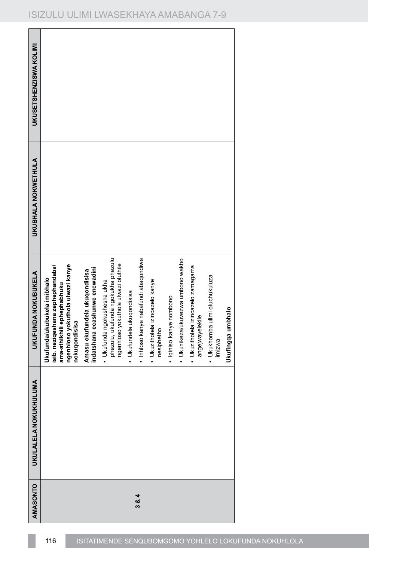| UKUSETSHENZISWA KOLIMI     |                                                                                                                                                    |                                                                 |                                                                                                          |                           |                                      |                                               |                         |                                   |                                                       |                                          |                        |
|----------------------------|----------------------------------------------------------------------------------------------------------------------------------------------------|-----------------------------------------------------------------|----------------------------------------------------------------------------------------------------------|---------------------------|--------------------------------------|-----------------------------------------------|-------------------------|-----------------------------------|-------------------------------------------------------|------------------------------------------|------------------------|
| <b>UKUBHALA NOKWETHULA</b> |                                                                                                                                                    |                                                                 |                                                                                                          |                           |                                      |                                               |                         |                                   |                                                       |                                          |                        |
| <b>UKUFUNDA NOKUBUKELA</b> | ngenhloso yokuthola ulwazi kanye<br>isib. neziqeshana zephephandaba/<br>Ukufunda/ukubukela imibhalo<br>ama-athikhili ephephabhuku<br>nokuqondisisa | indatshana ecashunwe encwadini<br>Amasu okufundela ukuqondisisa | phezulu, ukufunda ngokukha phezulu<br>ngenhloso yokuthola ulwazi oluthile<br>• Ukufunda ngokushesha ukha | · Ukufundela ukuqondisisa | · Inhloso kanye nabafundi abaqondiwe | · Ukuzitholela izincazelo kanye<br>nesiphetho | · Iqiniso kanye nombono | • Ukunikeza/ukuvezwa umbono wakho | · Ukuzitholela izincazelo zamagama<br>angejwayelekile | · Ukukhomba ulimi oluchukuluza<br>imizwa | umbhalo<br>Ukufingqa ı |
| UKULALELA NOKUKHULUMA      |                                                                                                                                                    |                                                                 |                                                                                                          |                           |                                      |                                               |                         |                                   |                                                       |                                          |                        |
| <b>AMASONTO</b>            |                                                                                                                                                    |                                                                 |                                                                                                          |                           | 3 & 4                                |                                               |                         |                                   |                                                       |                                          |                        |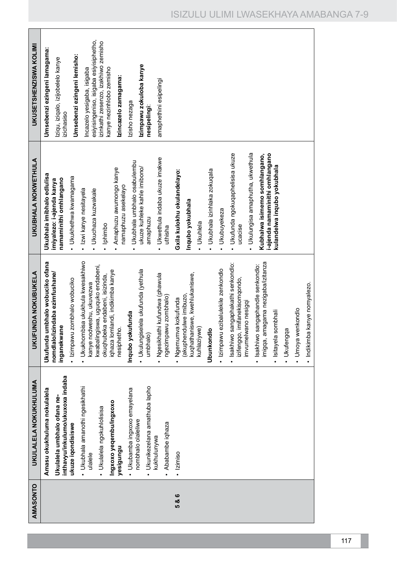| AMASONTO | <b>UKULALELA NOKUKHULUMA</b>                                                                   | <b>DA NOKUBUKELA</b><br><b>UKUFUN</b>                                                         | <b>UKUBHALA NOKWETHULA</b>                                                        | <b>UKUSETSHENZISWA KOLIMI</b>                                                   |
|----------|------------------------------------------------------------------------------------------------|-----------------------------------------------------------------------------------------------|-----------------------------------------------------------------------------------|---------------------------------------------------------------------------------|
|          | inthavyu/inkulumo/ukuxoxa indaba<br>Amasu okukhuluma nokulalela<br>Ukulalela umbhalo ofana ne- | Ukufunda umbhalo wobuciko ofana<br>nomdlalo/izindaba ezimfushane/<br>inganekwane              | Ukubhala imibhalo edlulisa<br>namaminithi omhlangano<br>imiyalezo: i-ajenda kanya | Umsebenzi ezingeni lamagama:<br>Iziqu, iziqalo, izijobelelo kanye<br>izichasiso |
|          | ukuze iqondisiswe                                                                              | · Izimpawu zombhalo wobuciko                                                                  | · Ukukhethwa kwamagama                                                            | Umsebenzi ezingeni lemisho:                                                     |
|          | · Ukubhala amanothi ngesikhathi                                                                | Ukukhombisa ukukhula kwesakhiwo                                                               | · Izwi kanye nesitayela                                                           | Incazelo yesigaba, isigaba                                                      |
|          | ulalele                                                                                        | kwabalingiswa, uguquko endabeni,<br>kanye nodweshu, ukuvezwa                                  | Ukuchaza kuzwakale                                                                | esiyisingeniso, isigaba esiyisiphetho,                                          |
|          | · Ukulalela ngokuhlolisisa                                                                     | okuqhubeka endabeni, isizinda,                                                                | lphimbo                                                                           | izinkathi zesenzo, izakhiwo zemisho<br>kanye nezinhlobo zemisho                 |
|          | Ingxoxo yeqembu/ingxoxo<br>yesigungu                                                           | iqhaza lomlandi, indikimba kanye<br>nesiphetho.                                               | Amaphuzu awumongo kanye<br>namaphuzu asekelayo                                    | Izincazelo zamagama:                                                            |
|          | · Ukubamba ingxoxo emayelana                                                                   | Inqubo yokufunda                                                                              | Ukubhala umbhalo osabulembu<br>$\bullet$                                          | Izisho nezaga                                                                   |
|          | Ukunikezelana amathuba lapho<br>nombhalo olaleliwe<br>$\ddot{\phantom{0}}$                     | la ukufunda (yethula<br>· Ukulungisele<br>umbhalo)                                            | ukuze kuhleke kahle imibono/<br>amaphuzu                                          | Izimpawu zokuloba kanye<br>nesipelingi                                          |
|          | kukhulunywa                                                                                    | kufundwa (phawula<br>· Ngesikhathi                                                            | Ukwethula indaba ukuze imakwe<br>$\ddot{\phantom{0}}$                             | amaphethini esipelingi                                                          |
|          | Ababambe iqhaza                                                                                | zombhalo<br>ngezimpawu                                                                        | uthisha                                                                           |                                                                                 |
| 5 & 6    | · Izimiso                                                                                      | kokufunda<br>Ngemumva                                                                         | Gxila kulokhu okulandelayo:                                                       |                                                                                 |
|          |                                                                                                | kuqhathaniswe, kwehlukaniswe,<br>(akuphendulwe imibuzo,                                       | Inqubo yokubhala                                                                  |                                                                                 |
|          |                                                                                                | kuhlaziywe)                                                                                   | · Ukuhlela                                                                        |                                                                                 |
|          |                                                                                                | Ubunkondlo                                                                                    | • Ukubhala izinhlaka zokuqala                                                     |                                                                                 |
|          |                                                                                                | · Izimpawu ezibalulekile zenkondlo                                                            | Ukubuyekeza                                                                       |                                                                                 |
|          |                                                                                                | Isakhiwo sangaphakathi senkondlo:<br>izifengqo, imifanekisomqondo,<br>$\ddot{\phantom{0}}$    | Ukufunda ngokuqaphelisisa ukuze<br>ucacise                                        |                                                                                 |
|          |                                                                                                | imvumelwano nesigqi                                                                           | • Ukulungisa amaphutha, ukwethula                                                 |                                                                                 |
|          |                                                                                                | imigqa, amagama nezigaba/izitanza<br>Isakhiwo sangaphandle senkondlo:<br>$\ddot{\phantom{0}}$ | i-ajenda namaminithi omhlangano<br>Kubhalwa isimemo somhlangano,                  |                                                                                 |
|          |                                                                                                | · Isitayela sombhali                                                                          | kulandelwa inqubo yokubhala                                                       |                                                                                 |
|          |                                                                                                | · Ukufengqa                                                                                   |                                                                                   |                                                                                 |
|          |                                                                                                | · Umoya wenkondlo                                                                             |                                                                                   |                                                                                 |
|          |                                                                                                | · Indikimba kanye nomyalezo.                                                                  |                                                                                   |                                                                                 |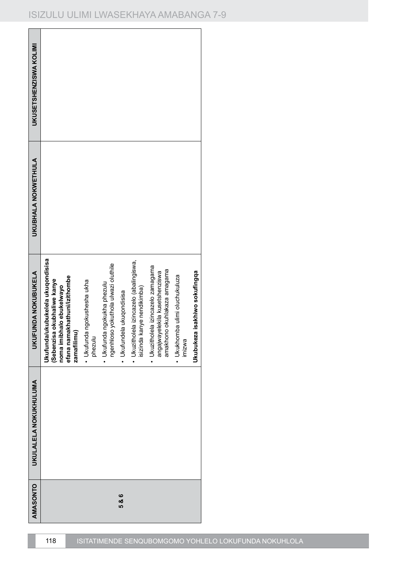| UKUSETSHENZISWA KOLIMI       |                                                                                                                                             |                                        |                                                                    |                           |                                                                       |                                                                                                        |                                             |                               |
|------------------------------|---------------------------------------------------------------------------------------------------------------------------------------------|----------------------------------------|--------------------------------------------------------------------|---------------------------|-----------------------------------------------------------------------|--------------------------------------------------------------------------------------------------------|---------------------------------------------|-------------------------------|
| <b>UKUBHALA NOKWETHULA</b>   |                                                                                                                                             |                                        |                                                                    |                           |                                                                       |                                                                                                        |                                             |                               |
| <b>UKUFUNDA NOKUBUKELA</b>   | Ukufunda/ukubukelela ukuqondisisa<br>efana namakhathuni/izithombe<br>(Sebenzisa okubhaliwe kanye<br>noma imibhalo ebukelwayo<br>zamafilimu) | • Ukufunda ngokushesha ukha<br>phezulu | ngenhloso yokuthola ulwazi oluthile<br>· Ukufunda ngokukha phezulu | · Ukufundela ukuqondisisa | · Ukuzitholela izincazelo (abalingiswa,<br>isizinda kanye nendikimba) | izincazelo zamagama<br>amakhono okuhlakaza amagama<br>angajwayelekila kusetshenziswa<br>· Ukuzitholela | ulimi oluchukuluza<br>· Ukukhomba<br>imizwa | Ukubukeza isakhiwo sokufingqa |
| <b>UKULALELA NOKUKHULUMA</b> |                                                                                                                                             |                                        |                                                                    |                           |                                                                       |                                                                                                        |                                             |                               |
| <b>AMASONTO</b>              |                                                                                                                                             |                                        |                                                                    | 5 & 6                     |                                                                       |                                                                                                        |                                             |                               |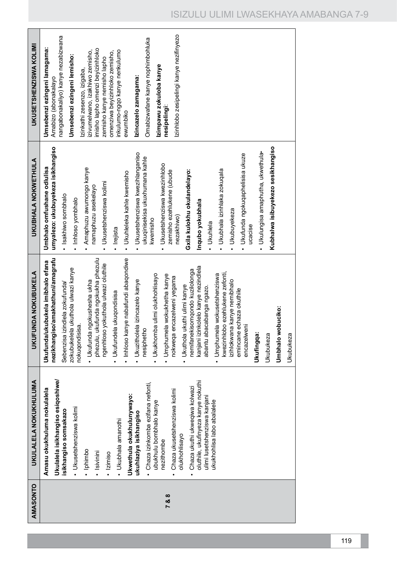| AMASONTO | <b>UKULALELA NOKUKHULUMA</b>                                                                                         | UKUFUNDA NOKUBUKELA                                                                                                                      | <b>UKUBHALA NOKWETHULA</b>                                                                                                | UKUSETSHENZISWA KOLIMI                                                                                                            |
|----------|----------------------------------------------------------------------------------------------------------------------|------------------------------------------------------------------------------------------------------------------------------------------|---------------------------------------------------------------------------------------------------------------------------|-----------------------------------------------------------------------------------------------------------------------------------|
|          | Ukulalela isikhangiso esiqoshiwe/<br>Amasu okukhuluma nokulalela<br>isikhangiso somsakazo                            | nezikhangiso/amakhathuni/amagrafu<br>Ukufunda/ukubukela imibhalo efana<br>Sebenzisa izindlela zokufunda/                                 | umyalezo: ukubuyekeza isikhangiso<br>Umbhalo omfushane odlulisa<br>· Isakhiwo sombhalo                                    | nangabonakaliyo) kanye nezabizwana<br>Umsebenzi ezingeni lamagama:<br>Amabizo (abonakalayo                                        |
|          | · Ukusetshenziswa kolimi<br>· Iphimbo                                                                                | zokubukelela ukuthola ulwazi kanye<br>• Ukufunda ngokushesha ukha<br>nokuqondisisa.                                                      | Amaphuzu awumongo kanye<br>namaphuzu asekelayo<br>· Inhioso yombhalo                                                      | imisho lapho omenzi beyizinhloko<br>izivumelwano, izakhiwo zemisho,<br>Umsebenzi ezingeni lemisho:<br>Izinkathi zesenzo, izigaba, |
|          | • Ukubhala amanothi<br>· Isivinini<br>· Izimiso                                                                      | phezulu, ukufunda ngokukha phezulu<br>ngenhloso yokuthola ulwazi oluthile<br>· Ukufundela ukuqondisisa                                   | Ukusetshenziswa kolimi<br>Irejista                                                                                        | inkulumo-ngqo kanye nenkulumo<br>omenziwa beyizinhloko zemisho,<br>zemisho kanye nemisho lapho                                    |
|          | · Chaza izinkomba ezifana nefonti,<br>Ukwethula okukhulunywayo:<br>ubukhulu bombhalo kanye<br>ukuhlaziya isikhangiso | · Inhloso kanye nabafundi abaqondiwe<br>· Ukukhomba ulimi olukhohlisayo<br>izincazelo kanye<br>· Ukuzitholela<br>nesiphetho              | Ukusetshenziswa kwezihlanganiso<br>ukuqinisekisa ukuxhumana kahle<br>· Ukuhleleka kahle kwemisho<br>kwemisho<br>$\bullet$ | Omabizwafane kanye nophimbohluka<br>Izimpawu zokuloba kanye<br>Izincazelo zamagama:<br>ewumbiko                                   |
| 7&8      | Chaza ukuthi ukweqiwa kolwazi<br>· Chaza ukusetshenziswa kolimi<br>olukhohlisayo<br>nezithombe<br>$\bullet$          | nemifanekisomqondo kuzilolonga<br>· Umphumela wokukhetha kanye<br>nokweqa encazelweni yegama<br>Ukuthola ukuthi ulimi kanye<br>$\bullet$ | Ukusetshenziswa kwezinhlobo<br>Gxila kulokhu okulandelayo:<br>zemisho ezehlukene (ubude<br>nezakhiwo)<br>$\bullet$        | Izinhlobo zesipelingi kanye nezifinyezo<br>nesipelingi:                                                                           |
|          | oluthile, ukufinyeza kanye nokuthi<br>ulimi lusetshenziswa kanjani<br>ukukhohlisa labo abalalele                     | kanjani izinkolelo kanye nezindlela<br>kwezinhlobo ezehlukene zefonti,<br>· Umphumela wokusetshenziswa<br>abantu abacabanga ngazo.       | • Ukubhala izinhlaka zokuqala<br>Inqubo yokubhala<br>· Ukuhlela                                                           |                                                                                                                                   |
|          |                                                                                                                      | izihlokwana kanye nemibhalo<br>emincane echaza okuthile<br>encazelweni<br>Ukufingqa:                                                     | · Ukulungisa amaphutha, ukwethula-<br>· Ukufunda ngokuqaphelisisa ukuze<br>· Ukubuyekeza<br>ucacise                       |                                                                                                                                   |
|          |                                                                                                                      | Umbhalo wobuciko:<br>Ukubukeza<br>Ukubukeza                                                                                              | Kubhalwa isibuyekezo sesikhangiso                                                                                         |                                                                                                                                   |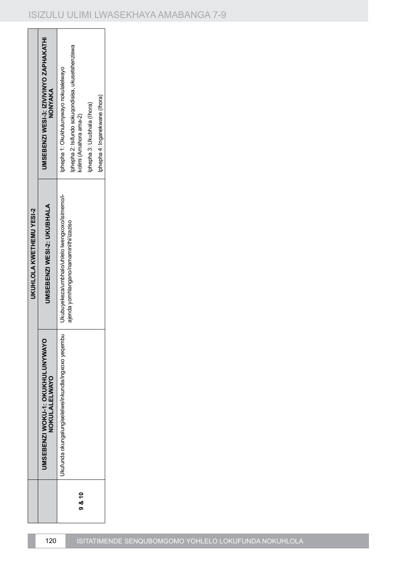| Iphepha 2: Isifundo sokuqondisisa, ukusetshenziswa<br>Iphepha 1: Okukhulunywayo nokulalelwayo<br>NONYAKA<br>Iphepha 4: Inganekwane (Ihora)<br>Iphepha 3: Ukubhala (Ihora)<br>kolimi (Amahora ama-2)<br>Ukubuyekeza/umbhalo/uhlelo lwengxoxo/isimemo/i-<br><b>UMSEBENZI WESI-2: UKUBHALA</b><br>ajenda yomhlangano/namaminithi/izaziso<br>Jkufunda okungalungiselelwe/inkundla/ingxoxo yeqembu<br>UMSEBENZI WOKU-1: OKUKHULUNYWAYO<br>NOKULALELWAYO<br>9 & 10 | UMSEBENZI WESI-3: IZIVINYO ZAPHAKATHI<br><b>UKUHLOLA KWETHEMU YESI-2</b> |
|--------------------------------------------------------------------------------------------------------------------------------------------------------------------------------------------------------------------------------------------------------------------------------------------------------------------------------------------------------------------------------------------------------------------------------------------------------------|--------------------------------------------------------------------------|
|--------------------------------------------------------------------------------------------------------------------------------------------------------------------------------------------------------------------------------------------------------------------------------------------------------------------------------------------------------------------------------------------------------------------------------------------------------------|--------------------------------------------------------------------------|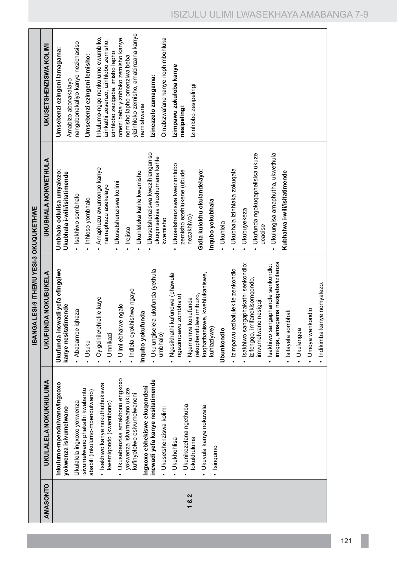|          |                                                                                               | IBANGA LESI-9 ITHEMU YESI-3 OKUQUKETHWE                                                            |                                                                                            |                                                                                                                         |
|----------|-----------------------------------------------------------------------------------------------|----------------------------------------------------------------------------------------------------|--------------------------------------------------------------------------------------------|-------------------------------------------------------------------------------------------------------------------------|
| AMASONTO | <b>UKULALELA NOKUKHULUMA</b>                                                                  | DA NOKUBUKELA<br>UKUFUN                                                                            | <b>UKUBHALA NOKWETHULA</b>                                                                 | UKUSETSHENZISWA KOLIMI                                                                                                  |
|          | Inkulumo-mpendulwano/ingxoxo<br>Ukulalela ingxoxo yokwenza<br>yokwenza isivumelwano           | Ukufunda incwadi yefa efingqiwe<br>kanye nesitatimende<br>Ababambe iqhaza                          | Umbhalo odlulisa umyalezo:<br>Ukubhala i-wili/isitatimende<br>· Isakhiwo sombhalo          | nangabonakaliyo kanye nezichasiso<br>Umsebenzi ezingeni lamagama:<br>Amabizo abonakalayo                                |
|          | isivumelwano phakathi kwabantu<br>ababili (inkulumo-mpendulwano)                              | · Usuku                                                                                            | · Inhioso yombhalo                                                                         | Umsebenzi ezingeni lemisho:                                                                                             |
|          | · Isakhiwo kanye nokuthuthukiswa<br>kwemiqondo (kwemibono)                                    | · Oyigcinile/ehlelile kuye<br>· Umnikazi                                                           | Amaphuzu awumongo kanye<br>namaphuzu asekelayo                                             | Inkulumo-ngqo nenkulumo ewumbiko,<br>izinkathi zesenzo, izinhlobo zemisho,<br>izinhlobo zezigaba, imisho lapho          |
|          | · Ukusebenzisa amakhono engxoxo<br>yokwenza isivumelwano ukuze<br>kufinyelelwe esivumelwaneni | · Indiela eyokhishwa ngayo<br>· Ulimi ebhalwe ngalo                                                | Ukuhleleka kahle kwemisho<br>Ukusetshenziswa kolimi<br>· Irejista<br>$\ddot{\phantom{0}}$  | yizinhloko zemisho, amabinzana kanye<br>omezi beba yiznhloko zemisho kanye<br>nemisho lapho omenziwa beba<br>nemishwana |
|          | incwadi yefa kanye nesitatimende<br>Ingxoxo ebhekiswe ekuqondeni<br>• Ukusetshenziswa kolimi  | · Ukulungiselela ukufunda (yethula<br>Inqubo yokufunda<br>umbhalo)                                 | Ukusetshenziswa kwezihlanganiso<br>ukuqinisekisa ukuxhumana kahle<br>kwemisho<br>$\bullet$ | Omabizwafane kanye nophimbohluka<br>Izincazelo zamagama:                                                                |
| 1 & 2    | • Ukunikezelana ngethuba<br>lokukhuluma<br>· Ukukhohlisa                                      | kufundwa (phawula<br>zombhalo)<br>okufunda<br>ngezimpawu<br>· Ngesikhathi<br>Ngemumva<br>$\bullet$ | Ukusetshenziswa kwezinhlobo<br>zemisho ezehlukene (ubude<br>nezakhiwo)<br>$\bullet$        | Izimpawu zokuloba kanye<br>izinhlobo zesipelingi<br>nesipelingi                                                         |
|          | Ukuvula kanye nokuvala<br>· Isinqumo                                                          | kuqhathaniswe, kwehlukaniswe,<br>(akuphendulwe imibuzo,<br>kuhlaziywe)                             | Gxila kulokhu okulandelayo:<br>Inqubo yokubhala                                            |                                                                                                                         |
|          |                                                                                               | · Izimpawu ezibalulekile zenkondlo<br>Ubunkondlo                                                   | · Ukubhala izinhlaka zokuqala<br>· Ukuhlela                                                |                                                                                                                         |
|          |                                                                                               | · Isakhiwo sangaphakathi senkondlo:<br>izifengqo, imifanekisomqondo,<br>imvumelwano nesigqi        | Ukufunda ngokuqaphelisisa ukuze<br>· Ukubuyekeza<br>ucacise<br>$\bullet$                   |                                                                                                                         |
|          |                                                                                               | imigqa, amagama nezigaba/izitanza<br>· Isakhiwo sangaphandle senkondlo:<br>· Isitayela sombhali    | · Ukulungisa amaphutha, ukwethula<br>Kubhalwa i-wili/isitatimende                          |                                                                                                                         |
|          |                                                                                               | · Umoya wenkondlo<br>· Ukufengqa                                                                   |                                                                                            |                                                                                                                         |
|          |                                                                                               | · Indikimba kanye nomyalezo.                                                                       |                                                                                            |                                                                                                                         |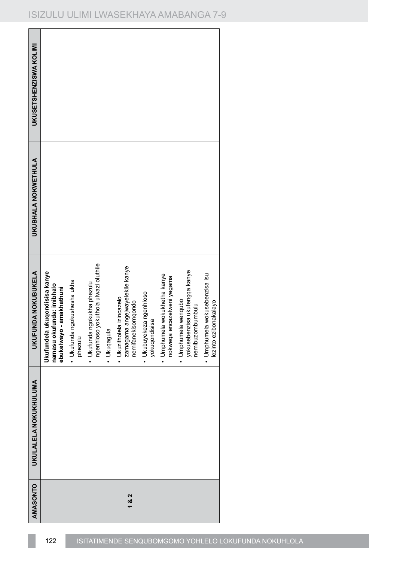| AMASONTO | UKULALELA NOKUKHULUMA | <b>UKUFUNDA NOKUBUKELA</b>                                                                   | <b>UKUBHALA NOKWETHULA</b> | UKUSETSHENZISWA KOLIMI |
|----------|-----------------------|----------------------------------------------------------------------------------------------|----------------------------|------------------------|
|          |                       | kuqondisisa kanye<br>namasu okufunda: imibhalo<br>amakhathuni<br>ebukelwayo-<br>Ukufundela u |                            |                        |
|          |                       | • Ukufunda ngokushesha ukha<br>phezulu                                                       |                            |                        |
|          |                       | ngenhloso yokuthola ulwazi oluthile<br>· Ukufunda ngokukha phezulu                           |                            |                        |
|          |                       | · Ukuqagula                                                                                  |                            |                        |
| 1 & 2    |                       | zamagama angejwayelekile kanye<br>izincazelo<br>nemifanekisomqondo<br>Ukuzitholela           |                            |                        |
|          |                       | Ukubuyekeza ngenhloso<br>yokuqondisisa                                                       |                            |                        |
|          |                       | Umphumela wokukhetha kanye<br>nokweqa encazelweni yegama                                     |                            |                        |
|          |                       | yokusebenzisa ukufengqa kanye<br>Umphumela wenqubo<br>nemibuzombumbulu                       |                            |                        |
|          |                       | · Umphumela wokusebenzisa isu<br>lezinto ezibonakalayo                                       |                            |                        |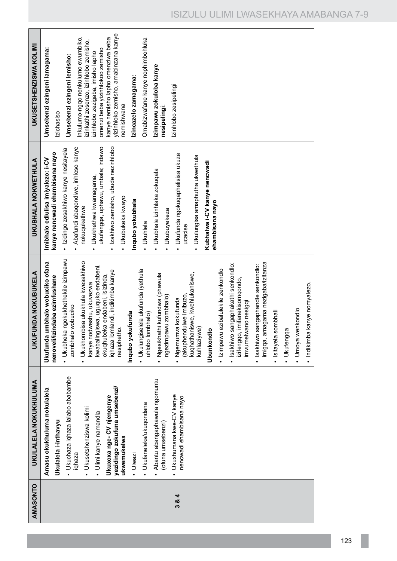| AMASONTO | <b>UKULALELA NOKUKHULUMA</b>                                              | UKUFUNDA NOKUBUKELA                                                                           | <b>UKUBHALA NOKWETHULA</b>                                          | <b>UKUSETSHENZISWA KOLIMI</b>                                                           |
|----------|---------------------------------------------------------------------------|-----------------------------------------------------------------------------------------------|---------------------------------------------------------------------|-----------------------------------------------------------------------------------------|
|          | Amasu okukhuluma nokulalela<br>Ukulalela i-inthavyu                       | Ukufunda umbhalo wobuciko ofana<br>nenoveli/izindaba ezimfushane                              | kanye nencwadi ehambisana nayo<br>Imibhalo edlulisa imiyalezo: i-CV | Umsebenzi ezingeni lamagama:<br><b>Izichasiso</b>                                       |
|          | · Ukuchaza iqhaza lalabo ababambe                                         | · Ukubheka ngokukhethekile izimpawu<br>zombhalo wobuciko                                      | · Izidingo zesakhiwo kanye nesitayela                               | Umsebenzi ezingeni lemisho:                                                             |
|          | · Ukusetshenziswa kolimi<br>iqhaza                                        | Ukukhombisa ukukhula kwesakhiwo<br>$\bullet$                                                  | Abafundi abaqondiwe, inhloso kanye<br>nokuqukethwe                  | Inkulumo-ngqo nenkulumo ewumbiko,<br>izinkathi zesenzo, izinhlobo zemisho,              |
|          | · Ulimi kanye namandla                                                    | kwabalingiswa, uguquko endabeni,<br>kanye nodweshu, ukuvezwa                                  | ukufengqa, uphawu, umbala; indawo<br>Ukukhethwa kwamagama,          | omenzi beba yizinhlokoo zemisho<br>izinhlobo zezigaba, imisho lapho                     |
|          | yezidingo zokufuna umsebenzi/<br>Ukuxoxa nge- CV njengenye<br>ukwemukelwa | iqhaza lomlandi, indikimba kanye<br>okuqhubeka endabeni, isizinda,<br>nesiphetho.             | · Izakhiwo zemisho, ubude nezinhlobo<br>· Ukubukeka kwayo           | yizinhloko zemisho, amabinzana kanye<br>kanye nemisho lapho omenziwa beba<br>nemishwana |
|          | · Ulwazi                                                                  | Inqubo yokufunda                                                                              | Inqubo yokubhala                                                    | Izincazelo zamagama:                                                                    |
|          | · Ukufaneleka/ukuqondana                                                  | • Ukulungiselela ukufunda (yethula<br>uhlobo lombhalo)                                        | · Ukuhlela                                                          | Omabizwafane kanye nophimbohluka                                                        |
|          | Abantu abangaphawula ngomuntu<br>(ofuna umsebenzi<br>$\ddot{\phantom{0}}$ | kufundwa (phawula<br>zombhalo)<br>ngezimpawu<br>Ngesikhathi                                   | • Ukubhala izinhlaka zokuqala<br>Ukubuyekeza                        | Izimpawu zokuloba kanye<br>nesipelingi:                                                 |
| 3 & 4    | Ukuxhumana kwe-CV kanye<br>nencwadi ehambisana nayo<br>$\bullet$          | (akuphendulwe imibuzo,<br>kokufunda<br>Ngemumva<br>$\bullet$                                  | Ukufunda ngokuqaphelisisa ukuze<br>ucacise                          | Izinhlobo zesipelingi                                                                   |
|          |                                                                           | kuqhathaniswe, kwehlukaniswe,<br>kuhlaziywe)                                                  | • Ukulungisa amaphutha ukwethula                                    |                                                                                         |
|          |                                                                           | Ubunkondlo                                                                                    | Kubhalwa i-CV kanye nencwadi<br>ehambisana nayo                     |                                                                                         |
|          |                                                                           | · Izimpawu ezibalulekile zenkondlo                                                            |                                                                     |                                                                                         |
|          |                                                                           | Isakhiwo sangaphakathi senkondlo:<br>izifengqo, imifanekisomqondo,<br>imvumelwano nesigqi     |                                                                     |                                                                                         |
|          |                                                                           | imigqa, amagama nezigaba/izitanza<br>Isakhiwo sangaphandle senkondlo:<br>$\ddot{\phantom{0}}$ |                                                                     |                                                                                         |
|          |                                                                           | · Isitayela sombhali                                                                          |                                                                     |                                                                                         |
|          |                                                                           | · Ukufengqa                                                                                   |                                                                     |                                                                                         |
|          |                                                                           | · Umoya wenkondlo                                                                             |                                                                     |                                                                                         |
|          |                                                                           | · Indikimba kanye nomyalezo.                                                                  |                                                                     |                                                                                         |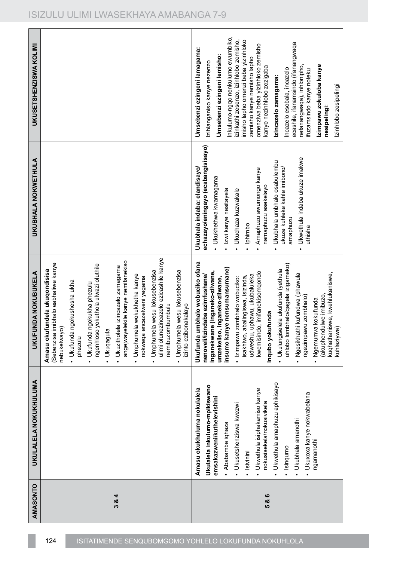| AMASONTO | <b>UKULALELA NOKUKHULUMA</b>                                                                                                                                                                                                                                                                                                                      | <b>UKUFUNDA NOKUBUKELA</b>                                                                                                                                                                                                                                                                                                                                                                                                                                                                                                                                                                      | UKUBHALA NOKWETHULA                                                                                                                                                                                                                                                                                                               | <b>UKUSETSHENZISWA KOLIMI</b>                                                                                                                                                                                                                                                                                                                                                                                                                                                                                                           |
|----------|---------------------------------------------------------------------------------------------------------------------------------------------------------------------------------------------------------------------------------------------------------------------------------------------------------------------------------------------------|-------------------------------------------------------------------------------------------------------------------------------------------------------------------------------------------------------------------------------------------------------------------------------------------------------------------------------------------------------------------------------------------------------------------------------------------------------------------------------------------------------------------------------------------------------------------------------------------------|-----------------------------------------------------------------------------------------------------------------------------------------------------------------------------------------------------------------------------------------------------------------------------------------------------------------------------------|-----------------------------------------------------------------------------------------------------------------------------------------------------------------------------------------------------------------------------------------------------------------------------------------------------------------------------------------------------------------------------------------------------------------------------------------------------------------------------------------------------------------------------------------|
| 3 & 4    |                                                                                                                                                                                                                                                                                                                                                   | ulimi olunezincazelo ezicashile kanye<br>angejwayelekile kanye nemifanekiso<br>(Sebenzisa imibhalo eabhaliwe kanye<br>ngenhloso yokuthola ulwazi oluthile<br>izincazelo zamagama<br>Amasu okufundela ukuqondisisa<br>Umphumela wesu lokusebenzisa<br>Umphumela wesu lokusebenzisa<br>Umphumela wokukhetha kanye<br>nokweqa encazelweni yegama<br>• Ukufunda ngokushesha ukha<br>· Ukufunda ngokukha phezulu<br>nemibuzombumbulu<br>izinto ezibonakalayo<br>nebukelwayo)<br>Ukuzitholela<br>Ukuqagula<br>phezulu<br>$\bullet$<br>$\bullet$                                                       |                                                                                                                                                                                                                                                                                                                                   |                                                                                                                                                                                                                                                                                                                                                                                                                                                                                                                                         |
| 5 & 6    | Ukwethula amaphuzu aphikisayo<br>Ukulalela inkulumo-mpikiswano<br>Amasu okukhuluma nokulalela<br>Ukwethula isiphakamiso kanye<br>Ukuxoxa kanye nokwabelana<br>emsakazweni/kuthelevishini<br>nokusisekela/nokusivikela<br>· Ukusetshenziswa kwezwi<br>Ukubhala amanothi<br>Ababambe iqhaza<br>ngamanothi<br>· Isinqumo<br>· Isivinini<br>$\bullet$ | Ukufunda umbhalo wobuciko ofana<br>uhlobo lombhalo/qagela izigameko)<br>insumo kanye nensumansumane)<br>• Ukulungiselela ukufunda (yethula<br>inganekwane (inganeko-zilwane,<br>kwemisindo, imifanekisomqondo<br>Ngesikhathi kufundwa (phawula<br>kuqhathaniswe, kwehlukaniswe,<br>udweshu, uphawu, ukubaluleka<br>nenoveli/izindaba ezimfushane/<br>isakhiwo, abalingiswa, isizinda,<br>umzekeliso, inganeko-zilwane,<br>· Izimpawu zombhalo wobuciko:<br>(akuphendulwe imibuzo)<br>ngezimpawu zombhalo)<br>kokufunda<br>Inqubo yokufunda<br>Ngemumva<br>kuhlaziywe)<br>$\bullet$<br>$\bullet$ | echazayo/eningayo (ecabangisisayo)<br>Ukwethula indaba ukuze imakwe<br>Ukubhala umbhalo osabulembu<br>Ukubhala indaba: elandisayo/<br>ukuze kuhleke kahle imibono/<br>Amaphuzu awumongo kanye<br>· Ukukhethwa kwamagama<br>namaphuzu asekelayo<br>· Izwi kanye nesitayela<br>Ukuchaza kuzwakale<br>amaphuzu<br>lphimbo<br>uthisha | Inkulumo-ngqo nenkulumo ewumbiko,<br>izinkathi zesenzo, izinhlobo zemisho,<br>imisho lapho omenzi beba yizinhloko<br>ecashile, ifanamsindo (ifanangwaqa<br>omenziwa beba yizinhloko zemisho<br>Umsebenzi ezingeni lamagama:<br>Umsebenzi ezingeni lemisho:<br>zemisho kanye nemisho lapho<br>izhlanganiso kanye nezenzo<br>Izimpawu zokuloba kanye<br>nefanangwaqa), inhlonipho,<br>kanye nezinhlobo zezigaba<br>Incazelo esobala, incazelo<br>fuzamsindo kanye noteku<br>Izincazelo zamagama:<br>izinhlobo zesipelingi<br>nesipelingi: |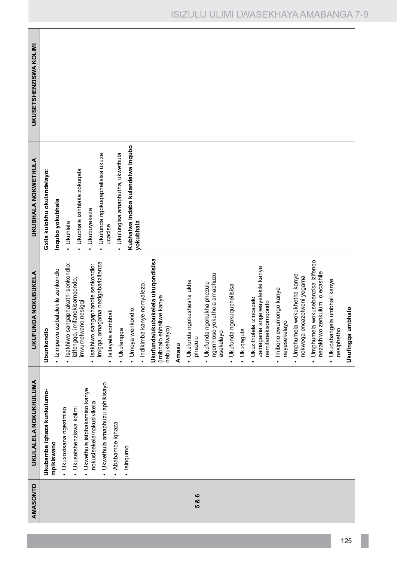| AMASONTO | <b>UKULALELA NOKUKHULUMA</b>                                | UKUFUNDA NOKUBUKELA                                                               | <b>UKUBHALA NOKWETHULA</b>                 | <b>UKUSETSHENZISWA KOLIMI</b> |
|----------|-------------------------------------------------------------|-----------------------------------------------------------------------------------|--------------------------------------------|-------------------------------|
|          | Ukubamba iqhaza kunkulumo-                                  | Ubunkondlo                                                                        | Gxila kulokhu okulandelayo:                |                               |
|          | mpikiswano                                                  | · Izimpawu ezibalulekile zenkondlo                                                | Inqubo yokubhala                           |                               |
|          | · Ukuxoxisana ngezimiso                                     | · Isakhiwo sangaphakathi senkondlo:                                               | · Ukuhlela                                 |                               |
|          | · Ukusetshenziswa kolimi                                    | izifengqo, imifanekisomqondo,<br>imvumelwano nesigqi                              | · Ukubhala izinhlaka zokuqala              |                               |
|          | • Ukwethula isiphakamiso kanye<br>nokusisekela/nokusivikela | · Isakhiwo sangaphandle senkondlo:                                                | Ukubuyekeza                                |                               |
|          | Ukwethula amaphuzu aphikisayo<br>$\bullet$                  | imigqa, amagama nezigaba/izitanza                                                 | Ukufunda ngokuqaphelisisa ukuze<br>ucacise |                               |
|          | Ababambe iqhaza                                             | · Isitayela sombhali                                                              |                                            |                               |
|          | · Isinqumo                                                  | · Ukufengqa                                                                       | • Ukulungisa amaphutha, ukwethula          |                               |
|          |                                                             | · Umoya wenkondlo                                                                 | Kubhalwa indaba kulandelwa inqubo          |                               |
|          |                                                             | · Indikimba kanye nomyalezo.                                                      | yokubhala                                  |                               |
|          |                                                             | Ukufunda/ukubukelela ukuqondisisa<br>(Imibhalo ebhaliwe kanye<br>nebukelwayo)     |                                            |                               |
|          |                                                             | Amasu                                                                             |                                            |                               |
| 5 & 6    |                                                             | • Ukufunda ngokushesha ukha<br>phezulu                                            |                                            |                               |
|          |                                                             | ngenhloso yokuthola amaphuzu<br>· Ukufunda ngokukha phezulu<br>asekelayo          |                                            |                               |
|          |                                                             | Ukufunda ngokuquphelisisa<br>$\bullet$                                            |                                            |                               |
|          |                                                             | Ukuqagula<br>$\bullet$                                                            |                                            |                               |
|          |                                                             | zamagama angejwayelekile kanye<br>nemifanekisomqondo<br>· Ukuzitholela izincazelo |                                            |                               |
|          |                                                             | Imibono ewumongo kanye<br>neyesekelayo<br>$\bullet$                               |                                            |                               |
|          |                                                             | Umphumela wokukhetha kanye<br>nokweqa encazelweni yegama<br>$\bullet$             |                                            |                               |
|          |                                                             | Umphumela wokusebenzisa izifenqo<br>nezakhiwo zenkulum o ecashile<br>$\bullet$    |                                            |                               |
|          |                                                             | • Ukucabangela umbhali kanye<br>nesiphetho                                        |                                            |                               |
|          |                                                             | Ukufingqa umbhalo                                                                 |                                            |                               |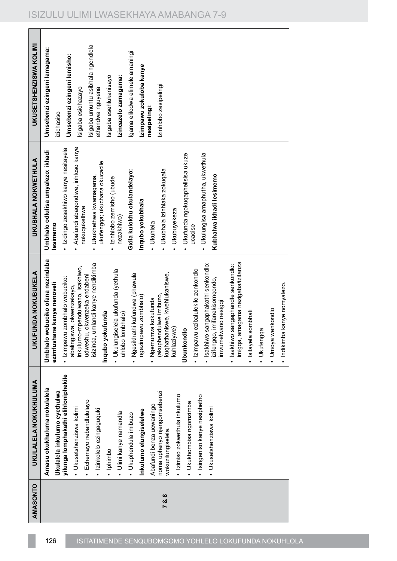| <b>AMASONTO</b> | <b>UKULALELA NOKUKHULUMA</b>                      | <b>UKUFUNDA NOKUBUKELA</b>                                              | <b>UKUBHALA NOKWETHULA</b>                                                     | UKUSETSHENZISWA KOLIMI            |
|-----------------|---------------------------------------------------|-------------------------------------------------------------------------|--------------------------------------------------------------------------------|-----------------------------------|
|                 | Amasu okukhuluma nokulalela                       | Umbhalo wobuciko ofana nezindaba<br>ezimfushane kanye nenoveli          | Umbhalo odlulisa umyalezo: ikhadi<br>lesimemo                                  | Umsebenzi ezingeni lamagama:      |
|                 | Ukulalela inkulumo eyethulwa                      |                                                                         |                                                                                | izichasiso                        |
|                 | yilunga lomphakathi elihloniphekile               | · Izimpawu zombhalo wobuciko:                                           | · Izidingo zesakhiwo kanye nesitayela                                          | Umsebenzi ezingeni lemisho:       |
|                 | · Ukusetshenziswa kolimi                          | inkulumo-mpendulwano, isakhiwo,<br>abalingiswa, okwenzekayo,            | Abafundi abaqondiwe, inhloso kanye                                             | Isigaba esichazayo                |
|                 | · Echemayo nebandlululayo                         | udweshu, okwenzeka endabeni                                             | nokuqukethwe                                                                   | Isigaba umuntu asibhala ngendlela |
|                 | · Izinkolelo ezingaguquki                         | isizinda, umlandi kanye nendikimba                                      | ukufengqa; ukuchaza okucacile<br>Ukukhethwa kwamagama,<br>$\ddot{\phantom{0}}$ | ethandwa nguyena                  |
|                 | · Iphimbo                                         | Inqubo yokufunda                                                        |                                                                                | Isigaba esehlukanisayo            |
|                 | · Ulimi kanye namandla                            | · Ukulungiselela ukufunda (yethula<br>uhlobo lombhalo)                  | · Izinhlobo zemisho (ubude<br>nezakhiwo)                                       | Izincazelo zamagama:              |
|                 | · Ukuphendula imibuzo                             | • Ngesikhathi kufundwa (phawula                                         | Gxila kulokhu okulandelayo:                                                    | Igama elilodwa elimele amaningi   |
|                 | Inkulumo elungiselelwe                            | ngezimpawu zombhalo)                                                    | Inqubo yokubhala                                                               | Izimpawu zokuloba kanye           |
|                 | Abafundi benza ucwaningo                          | Ngemumva kokufunda<br>$\bullet$                                         | · Ukuhlela                                                                     | nesipelingi:                      |
| 7 & 8           | noma uphenyo njengomsebenzi<br>wokuzilungiselela. | kuqhathaniswe, kwehlukaniswe,<br>(akuphendulwe imibuzo,                 | • Ukubhala izinhlaka zokuqala                                                  | Izinhlobo zesipelingi             |
|                 | · Izimiso zokwethula inkulumo                     | kuhlaziywe)                                                             | · Ukubuyekeza                                                                  |                                   |
|                 | · Ukukhombisa ngomzimba                           | Ubunkondlo                                                              | · Ukufunda ngokuqaphelisisa ukuze                                              |                                   |
|                 |                                                   | · Izimpawu ezibalulekile zenkondlo                                      | ucacise                                                                        |                                   |
|                 | · Isingeniso kanye nesiphetho                     | · Isakhiwo sangaphakathi senkondlo:                                     | • Ukulungisa amaphutha, ukwethula                                              |                                   |
|                 | · Ukusetshenziswa kolimi                          | izifengqo, imifanekisomqondo,<br>imvumelwano nesigqi                    | Kubhalwa ikhadi lesimemo                                                       |                                   |
|                 |                                                   | imigqa, amagama nezigaba/izitanza<br>· Isakhiwo sangaphandle senkondlo: |                                                                                |                                   |
|                 |                                                   | · Isitayela sombhali                                                    |                                                                                |                                   |
|                 |                                                   | · Ukufengqa                                                             |                                                                                |                                   |
|                 |                                                   | · Umoya wenkondlo                                                       |                                                                                |                                   |
|                 |                                                   | · Indikimba kanye nomyalezo.                                            |                                                                                |                                   |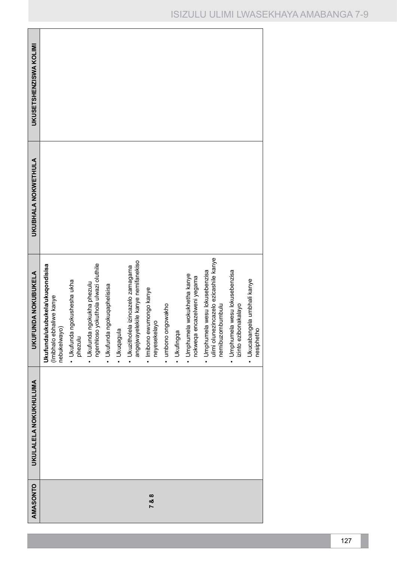| UKUSETSHENZISWA KOLIMI       |                                                                             |                                           |                                                                          |                             |             |                                                                          |                                          |                    |             |                                                                                  |                                                                                                        |                                                                              |                                            |
|------------------------------|-----------------------------------------------------------------------------|-------------------------------------------|--------------------------------------------------------------------------|-----------------------------|-------------|--------------------------------------------------------------------------|------------------------------------------|--------------------|-------------|----------------------------------------------------------------------------------|--------------------------------------------------------------------------------------------------------|------------------------------------------------------------------------------|--------------------------------------------|
| <b>UKUBHALA NOKWETHULA</b>   |                                                                             |                                           |                                                                          |                             |             |                                                                          |                                          |                    |             |                                                                                  |                                                                                                        |                                                                              |                                            |
| <b>UKUFUNDA NOKUBUKELA</b>   | Ukufunda/ukubukela/ukuqondisisa<br>(Imibhalo ebhaliwe kanye<br>nebukelwayo) | ngokushesha ukha<br>· Ukufunda<br>phezulu | yokuthola ulwazi oluthile<br>ngokukha phezulu<br>ngenhloso<br>· Ukufunda | · Ukufunda ngokuqaphelisisa | · Ukuqagula | angejwayelekile kanye nemifanekiso<br>· Ukuzitholela izincazelo zamagama | · Imibono ewumongo kanye<br>neyesekelayo | · umbono ongowakho | · Ukufingqa | Umphumela wokukhetha kanye<br>nokweqa encazelweni yegama<br>$\ddot{\phantom{0}}$ | Umphumela wesu lokusebenzisa<br>ulimi olunezincazelo ezicashile kanye<br>nemibuzombumbulu<br>$\bullet$ | Umphumela wesu lokusebenzisa<br>izinto ezibonakalayo<br>$\ddot{\phantom{0}}$ | • Ukucabangela umbhali kanye<br>nesiphetho |
| <b>UKULALELA NOKUKHULUMA</b> |                                                                             |                                           |                                                                          |                             |             |                                                                          |                                          |                    |             |                                                                                  |                                                                                                        |                                                                              |                                            |
| <b>AMASONTO</b>              |                                                                             |                                           |                                                                          |                             |             |                                                                          | 7 & 8                                    |                    |             |                                                                                  |                                                                                                        |                                                                              |                                            |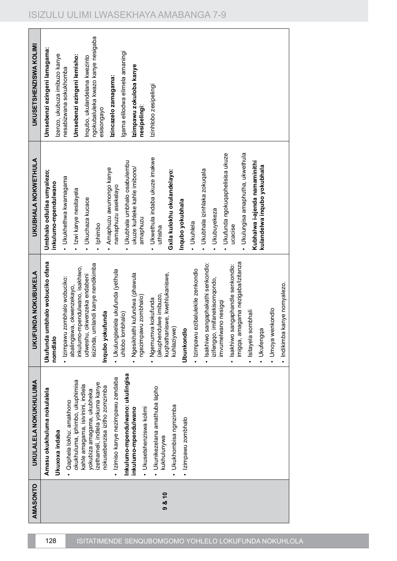| <b>AMASONTO</b> | <b>UKULALELA NOKUKHULUMA</b>                                                                                                                                                                                                                                                                                                                                                                                                                                                       | <b>UKUFUNDA NOKUBUKELA</b>                                                                                                                                                                                                                                                                                                                                                                                                                                                                                                                                                                                                                                                                                                                                                          | <b>UKUBHALA NOKWETHULA</b>                                                                                                                                                                                                                                                                                                                                                                                                                                                                                                                                                               | UKUSETSHENZISWA KOLIMI                                                                                                                                                                                                                                                                                                                     |
|-----------------|------------------------------------------------------------------------------------------------------------------------------------------------------------------------------------------------------------------------------------------------------------------------------------------------------------------------------------------------------------------------------------------------------------------------------------------------------------------------------------|-------------------------------------------------------------------------------------------------------------------------------------------------------------------------------------------------------------------------------------------------------------------------------------------------------------------------------------------------------------------------------------------------------------------------------------------------------------------------------------------------------------------------------------------------------------------------------------------------------------------------------------------------------------------------------------------------------------------------------------------------------------------------------------|------------------------------------------------------------------------------------------------------------------------------------------------------------------------------------------------------------------------------------------------------------------------------------------------------------------------------------------------------------------------------------------------------------------------------------------------------------------------------------------------------------------------------------------------------------------------------------------|--------------------------------------------------------------------------------------------------------------------------------------------------------------------------------------------------------------------------------------------------------------------------------------------------------------------------------------------|
| 9810            | Inkulumo-mpendulwano: ukulingisa<br>· Izimiso kanye nezimpawu zendaba<br>okukhuluma, iphimbo, ukuphimisa<br>izethameli, indlela yokuma kanye<br>kahle amagama, isivinini, indlela<br>nokusebenzisa izitho zomzimba<br>• Ukunikezelana amathuba lapho<br>Amasu okukhuluma nokulalela<br>yokubiza amagama, ukubheka<br>Qaphela lokhu: amakhono<br>· Ukukhombisa ngmzimba<br>· Ukusetshenziswa kolimi<br>inkulumo-mpendulwano<br>· Izimpawu zombhalo<br>Ukuxoxa indaba<br>kukhulunywa | Ukufunda umbhalo wobuciko ofana<br>imigqa, amagama nezigaba/izitanza<br>Isakhiwo sangaphakathi senkondlo:<br>isizinda, umlandi kanye nendikimba<br>· Isakhiwo sangaphandle senkondlo:<br>inkulumo-mpendulwano, isakhiwo,<br>· Izimpawu ezibalulekile zenkondlo<br>· Ukulungiselela ukufunda (yethula<br>kuqhathaniswe, kwehlukaniswe,<br>Ngesikhathi kufundwa (phawula<br>udweshu, okwenzeka endabeni<br>· Izimpawu zombhalo wobuciko:<br>izifengqo, imifanekisomqondo,<br>· Indikimba kanye nomyalezo.<br>abalingiswa, okwenzekayo,<br>(akuphendulwe imibuzo,<br>ngezimpawu zombhalo)<br>kokufunda<br>imvumelwano nesigqi<br>· Umoya wenkondlo<br>· Isitayela sombhali<br>Inqubo yokufunda<br>uhlobo lombhalo)<br>Ngemumva<br>kuhlaziywe)<br>Ubunkondlo<br>· Ukufengqa<br>nomdlalo | · Ukufunda ngokuqaphelisisa ukuze<br>• Ukulungisa amaphutha, ukwethula<br>· Ukwethula indaba ukuze imakwe<br>Ukubhala umbhalo osabulembu<br>Kubhalwa i-ajenda namaminithi<br>kulandelwa inqubo yokubhala<br>ukuze kuhleke kahle imibono/<br>Amaphuzu awumongo kanye<br>Gxila kulokhu okulandelayo:<br>• Ukubhala izinhlaka zokuqala<br>Umbhalo odlulisa umyalezo;<br>· Ukukhethwa kwamagama<br>inkulumo-mpendulwano<br>namaphuzu asekelayo<br>· Izwi kanye nesitayela<br>· Ukuchaza kucace<br>Inqubo yokubhala<br>Ukubuyekeza<br>amaphuzu<br>· Ukuhlela<br>lphimbo<br>ucacise<br>uthisha | ngokubaluleka kwazo kanye nesigaba<br>Umsebenzi ezingeni lamagama:<br>Igama elilodwa elimela amaningi<br>Izenzo, ukubuza imibuzo kanye<br>Umsebenzi ezingeni lemisho:<br>Inqubo, ukulandelana kwezinto<br>Izimpawu zokuloba kanye<br>nesabizwana sokukhomba<br>Izincazelo zamagama:<br>Izinhlobo zesipelingi<br>nesipelingi:<br>esisongayo |
|                 |                                                                                                                                                                                                                                                                                                                                                                                                                                                                                    |                                                                                                                                                                                                                                                                                                                                                                                                                                                                                                                                                                                                                                                                                                                                                                                     |                                                                                                                                                                                                                                                                                                                                                                                                                                                                                                                                                                                          |                                                                                                                                                                                                                                                                                                                                            |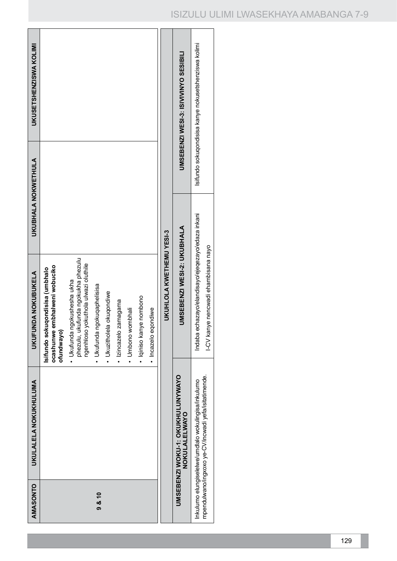| UKUSETSHENZISWA KOLIMI       |                                                                                   |                                                                                                          |                             |                           |                          |                   |                         |                     |                                 | UMSEBENZI WESI-3: ISIVIVINYO SESIBILI             |
|------------------------------|-----------------------------------------------------------------------------------|----------------------------------------------------------------------------------------------------------|-----------------------------|---------------------------|--------------------------|-------------------|-------------------------|---------------------|---------------------------------|---------------------------------------------------|
| <b>UKUBHALA NOKWETHULA</b>   |                                                                                   |                                                                                                          |                             |                           |                          |                   |                         |                     |                                 |                                                   |
| <b>UKUFUNDA NOKUBUKELA</b>   | embhalweni wobuciko<br>Isifundo sokuqondisisa (umbhalo<br>ocashunwe<br>ofundwayo) | phezulu, ukufunda ngokukha phezulu<br>ngenhloso yokuthola ulwazi oluthile<br>• Ukufunda ngokushesha ukha | · Ukufunda ngokuqaphelisisa | · Ukuzitholela okuqondiwe | zamagama<br>· Izincazelo | · Umbono wombhali | · Iqiniso kanye nombono | · Incazelo eqondiwe | <b>UKUHLOLA KWETHEMU YESI-3</b> | <b>UMSEBENZI WESI-2: UKUBHALA</b>                 |
| <b>UKULALELA NOKUKHULUMA</b> |                                                                                   |                                                                                                          |                             |                           |                          |                   |                         |                     |                                 | UMSEBENZI WOKU-1: OKUKHULUNYWAYO<br>NOKULALELWAYO |
| AMASONTO                     |                                                                                   |                                                                                                          | 9810                        |                           |                          |                   |                         |                     |                                 |                                                   |

Inkulumo elungiselelwe/umdlalo wokulingisa/inkulumo mpendulwano/ingxoxo ye-CV/incwadi yefa/isitatimende.

Inkulumo elungiselelwe/umdlalo wokulingisa/inkulumo<br>mpendulwano/ingxoxo ye-CV/incwadi yefa/isitatimende.

Indaba echazayo/elandisayo/ejeqezayo/edaza inkani

Indaba echazayo/elandisayo/ejeqezayo/edaza inkani

Isifundo sokuqondisisa kanye nokusetshenziswa kolimi Isifundo sokuqondisisa kanye nokusetshenziswa kolimi

I-CV kanye nencwadi ehambisana nayo

I-CV kanye nencwadi ehambisana nayo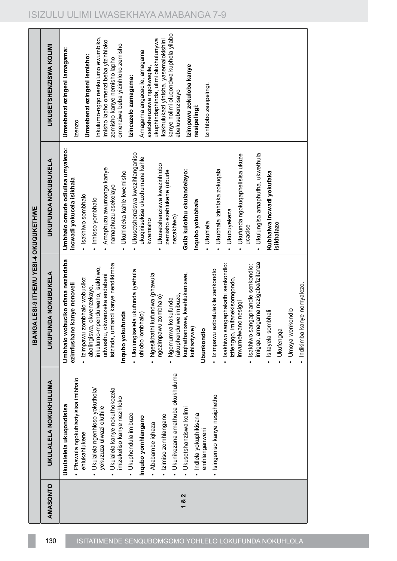|          |                                                                                                                                                                                                                                                                                                                                                                                                                                                                                 | A LESI-9 ITHEMU YESI-4 OKUQUKETHWE<br><b>IBANG</b>                                                                                                                                                                                                                                                                                                                                                                                                                                                                                                                                                                                                                                       |                                                                                                                                                                                                                                                                                                                                                                                                                                                                                                                     |                                                                                                                                                                                                                                                                                                                                                                                                                                                                                                                            |
|----------|---------------------------------------------------------------------------------------------------------------------------------------------------------------------------------------------------------------------------------------------------------------------------------------------------------------------------------------------------------------------------------------------------------------------------------------------------------------------------------|------------------------------------------------------------------------------------------------------------------------------------------------------------------------------------------------------------------------------------------------------------------------------------------------------------------------------------------------------------------------------------------------------------------------------------------------------------------------------------------------------------------------------------------------------------------------------------------------------------------------------------------------------------------------------------------|---------------------------------------------------------------------------------------------------------------------------------------------------------------------------------------------------------------------------------------------------------------------------------------------------------------------------------------------------------------------------------------------------------------------------------------------------------------------------------------------------------------------|----------------------------------------------------------------------------------------------------------------------------------------------------------------------------------------------------------------------------------------------------------------------------------------------------------------------------------------------------------------------------------------------------------------------------------------------------------------------------------------------------------------------------|
| AMASONTO | <b>UKULALELA NOKUKHULUMA</b>                                                                                                                                                                                                                                                                                                                                                                                                                                                    | <b>UKUFUNDA NOKUBUKELA</b>                                                                                                                                                                                                                                                                                                                                                                                                                                                                                                                                                                                                                                                               | UKUFUNDA NOKUBUKELA                                                                                                                                                                                                                                                                                                                                                                                                                                                                                                 | UKUSETSHENZISWA KOLIMI                                                                                                                                                                                                                                                                                                                                                                                                                                                                                                     |
| 1 & 2    | · Ukunikezana amathuba okukhuluma<br>· Phawula ngokuhlaziyisisa imibhalo<br>Ukulalela kanye nokuthokozela<br>Ukulalela ngenhloso yokuthola/<br>· Isingeniso kanye nesiphetho<br>imizekeliso kanye nezihloko<br>Ukulalelela ukuqondisisa<br>yokuzuza ulwazi oluthile<br>· Ukusetshanziswa kolimi<br>· Ukuphendula imibuzo<br>Indlela yokuphikisana<br>· Izimiso zomhlangano<br>Inqubo yomhlangano<br>Ababambe iqhaza<br>emhlanganweni<br>ehlukahlukene<br>$\bullet$<br>$\bullet$ | Umbhalo wobuciko ofana nezindaba<br>Isakhiwo sangaphakathi senkondlo:<br>isizinda, umlandi kanye nendikimba<br>Isakhiwo sangaphandle senkondlo:<br>inkulumo-mpendulwano, isakhiwo,<br>· Izimpawu ezibalulekile zenkondlo<br>• Ukulungiselela ukufunda (yethula<br>kuqhathaniswe, kwehlukaniswe,<br>kufundwa (phawula<br>udweshu, okwenzeka endabeni<br>· Izimpawu zombhalo wobuciko:<br>izifengqo, imifanekisomqondo,<br>kanye nenoveli<br>abalingiswa, okwenzekayo,<br>(akuphendulwe imibuzo,<br>ngezimpawu zombhalo)<br>kokufunda<br>imvumelwano nesigqi<br>Inqubo yokufunda<br>uhlobo lombhalo)<br>ezimfushane I<br>Ngesikhathi<br>Ngemumva<br>kuhlaziywe)<br>Ubunkondlo<br>$\bullet$ | Umbhalo omude odlulisa umyalezo:<br>Ukusetshenziswa kwezihlanganiso<br>Ukufunda ngokuqaphelisisa ukuze<br>ukuqinisekisa ukuxhumana kahle<br>Ukusetshenziswa kwezinhlobo<br>Amaphuzu awumongo kanye<br>• Ukubhala izinhlaka zokuqala<br>Gxila kulokhu okulandelayo:<br>zemisho ezehlukene (ubude<br>Ukuhleleka kahle kwemisho<br>incwadi yokucela isikhala<br>namaphuzu asekelayo<br>· Isakhiwo sombhalo<br>· Inhloso yombhalo<br>Inqubo yokubhala<br>Ukubuyekeza<br>nezakhiwo)<br>kwemisho<br>· Ukuhlela<br>ucacise | kanye nolimi oluqondwa kuphela yilabo<br>Inkulumo-ngqo nenkulumo ewumbiko,<br>ukuphindaphinda, ulimi olukhulunywa<br>ikakhulukazi yintsha, yasemalokishini<br>imisho lapho omenzi beba yizinhloko<br>omenziwa beba yizinhloko zemisho<br>Umsebenzi ezingeni lamagama:<br>Amagama angacacile, amagama<br>Umsebenzi ezingeni lemisho:<br>zemisho kanye nemisho lapho<br>Izimpawu zokuloba kanye<br>asetshenziswa ngokweqile,<br>Izincazelo zamagama:<br>Izinhlobo zesipelingi.<br>abalusebenzisayo<br>nesipelingi:<br>Izenzo |
|          |                                                                                                                                                                                                                                                                                                                                                                                                                                                                                 | imigqa, amagama nezigaba/izitanza<br>· Indikimba kanye nomyalezo.<br>· Umoya wenkondlo<br>· Isitayela sombhali<br>· Ukufengqa                                                                                                                                                                                                                                                                                                                                                                                                                                                                                                                                                            | • Ukulungisa amaphutha, ukwethula<br>Kubhalwa incwadi yokufaka<br>isikhalazo                                                                                                                                                                                                                                                                                                                                                                                                                                        |                                                                                                                                                                                                                                                                                                                                                                                                                                                                                                                            |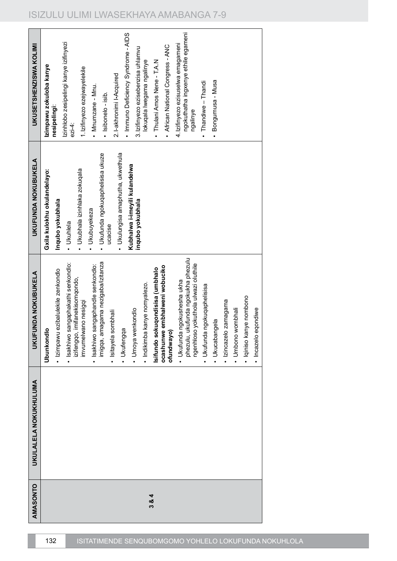| AMASONTO | <b>UKULALELA NOKUKHULUMA</b> | <b>UKUFUNDA NOKUBUKELA</b>                                                                               | <b>UKUFUNDA NOKUBUKELA</b>                   | UKUSETSHENZISWA KOLIMI                                                                |
|----------|------------------------------|----------------------------------------------------------------------------------------------------------|----------------------------------------------|---------------------------------------------------------------------------------------|
|          |                              | Ubunkondlo                                                                                               | Gxila kulokhu okulandelayo:                  | Izimpawu zokuloba kanye                                                               |
|          |                              | · Izimpawu ezibalulekile zenkondlo                                                                       | Inqubo yokubhala                             | nesipelingi:                                                                          |
|          |                              | · Isakhiwo sangaphakathi senkondlo:                                                                      | · Ukuhlela                                   | Izinhlobo zesipelingi kanye izifinyezi<br>$ezi-4$ :                                   |
|          |                              | izifengqo, imifanekisomqondo,<br>imvumelwano nesigqi                                                     | • Ukubhala izinhlaka zokuqala                | 1. Izifinyezo ezejwayelekile                                                          |
|          |                              | · Isakhiwo sangaphandle senkondlo:                                                                       | · Ukubuyekeza                                | • Mnumzane - Mnu.                                                                     |
|          |                              | imigqa, amagama nezigaba/izitanza                                                                        | · Ukufunda ngokuqaphelisisa ukuze<br>ucacise | · Isibonelo - isib.                                                                   |
|          |                              | · Isitayela sombhali                                                                                     | • Ukulungisa amaphutha, ukwethula            | 2.1-akhronimi I-Acquired                                                              |
|          |                              | · Ukufengqa                                                                                              | Kubhalwa i-imeyili kulandelwa                | · Immuno Deficiency Syndrome - AIDS                                                   |
|          |                              | · Umoya wenkondlo                                                                                        | inqubo yokubhala                             | 3. Izifinyezo ezisebenzisa uhlamvu                                                    |
|          |                              | · Indikimba kanye nomyalezo.                                                                             |                                              | lokuqala lwegama ngalinye                                                             |
| 3 & 4    |                              | Isifundo sokuqondisisa (umbhalo                                                                          |                                              | · Thulani Amos Nene - T.A.N                                                           |
|          |                              | embhalweni wobuciko<br>ocashunwe<br>ofundwayo)                                                           |                                              | - African National Congress - ANC                                                     |
|          |                              | phezulu, ukufunda ngokukha phezulu<br>ngenhloso yokuthola ulwazi oluthile<br>• Ukufunda ngokushesha ukha |                                              | ngokuthatha ingxenye ethile egameni<br>4. Izifinyezo ezisuselwa emagameni<br>ngalinye |
|          |                              | · Ukufunda ngokuqaphelisisa                                                                              |                                              | • Thandiwe - Thandi                                                                   |
|          |                              | · Ukucabangela                                                                                           |                                              | Bongumusa - Musa                                                                      |
|          |                              | zamagama<br>· Izincazelo                                                                                 |                                              |                                                                                       |
|          |                              | · Umbono wombhali                                                                                        |                                              |                                                                                       |
|          |                              | · Iqiniso kanye nombono                                                                                  |                                              |                                                                                       |
|          |                              | · Incazelo eqondiwe                                                                                      |                                              |                                                                                       |
|          |                              |                                                                                                          |                                              |                                                                                       |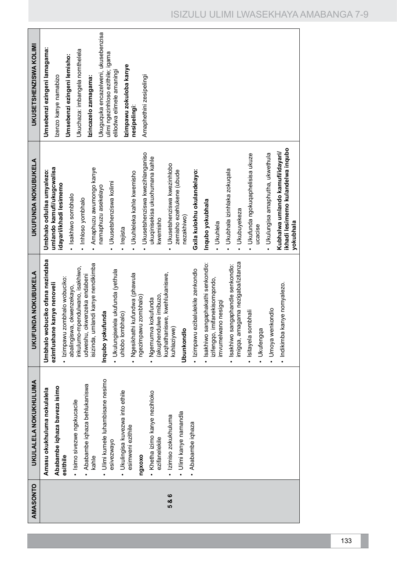| AMASONTO | <b>UKULALELA NOKUKHULUMA</b>                                                                                                                                                                                                                                                                                                                                                                                         | UKUFUNDA NOKUBUKELA                                                                                                                                                                                                                                                                                                                                                                                                                                                                                                                                                                                                                                                                                                                                                        | <b>UKUFUNDA NOKUBUKELA</b>                                                                                                                                                                                                                                                                                                                                                                                                                                                                                                                                                                                           | UKUSETSHENZISWA KOLIMI                                                                                                                                                                                                                                                                                                        |
|----------|----------------------------------------------------------------------------------------------------------------------------------------------------------------------------------------------------------------------------------------------------------------------------------------------------------------------------------------------------------------------------------------------------------------------|----------------------------------------------------------------------------------------------------------------------------------------------------------------------------------------------------------------------------------------------------------------------------------------------------------------------------------------------------------------------------------------------------------------------------------------------------------------------------------------------------------------------------------------------------------------------------------------------------------------------------------------------------------------------------------------------------------------------------------------------------------------------------|----------------------------------------------------------------------------------------------------------------------------------------------------------------------------------------------------------------------------------------------------------------------------------------------------------------------------------------------------------------------------------------------------------------------------------------------------------------------------------------------------------------------------------------------------------------------------------------------------------------------|-------------------------------------------------------------------------------------------------------------------------------------------------------------------------------------------------------------------------------------------------------------------------------------------------------------------------------|
| 5 & 6    | Ulimi kumele luhambisane nesimo<br>· Ababambe iqhaza behlukaniswa<br>Ababambe iqhaza baveza isimo<br>Amasu okukhuluma nokulalela<br>· Ukulingisa kuvezwa into ethile<br>. Khetha izimo kanye nezihloko<br>· Isimo sivezwe ngokucacile<br>· Ulimi kanye namandla<br>Izimiso zokukhuluma<br>Ababambe iqhaza<br>esimweni ezithile<br>ezifanelekile<br>esivezwayo<br>ngxoxo<br>esithile<br>kahle<br>$\ddot{\phantom{0}}$ | Umbhalo wobuciko ofana nezindaba<br>imigqa, amagama nezigaba/izitanza<br>· Isakhiwo sangaphakathi senkondlo:<br>isizinda, umlandi kanye nendikimba<br>· Isakhiwo sangaphandle senkondlo:<br>inkulumo-mpendulwano, isakhiwo,<br>· Izimpawu ezibalulekile zenkondlo<br>• Ukulungiselela ukufunda (yethula<br>kuqhathaniswe, kwehlukaniswe,<br>Ngesikhathi kufundwa (phawula<br>udweshu, okwenzeka endabeni<br>· Izimpawu zombhalo wobuciko:<br>izifengqo, imifanekisomqondo,<br>ezimfushane kanye nenoveli<br>abalingiswa, okwenzekayo,<br>(akuphendulwe imibuzo,<br>ngezimpawu zombhalo)<br>Ngemumva kokufunda<br>imvumelwano nesigqi<br>· Isitayela sombhali<br>Inqubo yokufunda<br>uhlobo lombhalo)<br>kuhlaziywe)<br>Ubunkondlo<br>· Ukufengqa<br>$\bullet$<br>$\bullet$ | Ukusetshenziswa kwezihlanganiso<br>Ukufunda ngokuqaphelisisa ukuze<br>ukuqinisekisa ukuxhumana kahle<br>Ukusetshenziswa kwezinhlobo<br>Amaphuzu awumongo kanye<br>umlando kamufi/ukugcwalisa<br>• Ukubhala izinhlaka zokuqala<br>zemisho ezehlukene (ubude<br>Gxila kulokhu okulandelayo:<br>Umbhalo odlulisa umyalezo:<br>Ukuhleleka kahle kwemisho<br>Ukusetshenziswa kolimi<br>idayari/ikhadi lesimemo<br>namaphuzu asekelayo<br>· Isakhiwo sombhalo<br>Inhloso yombhalo<br>Inqubo yokubhala<br>Ukubuyekeza<br>nezakhiwo)<br>kwemisho<br>· Ukuhlela<br>ucacise<br>Irejista<br>$\bullet$<br>$\bullet$<br>$\bullet$ | Ukuguquka encazelweni, ukusebenzisa<br>Umsebenzi ezingeni lamagama:<br>Ukuchaza: imbangela nomthelela<br>ulimi ngezinhloso ezithile; igama<br>Umsebenzi ezingeni lemisho:<br>Izimpawu zokuloba kanye<br>elilodwa elimele amaningi<br>Izenzo kanye namabizo<br>Amaphethini zesipelingi<br>Izincazelo zamagama:<br>nesipelingi: |
|          |                                                                                                                                                                                                                                                                                                                                                                                                                      | · Indikimba kanye nomyalezo.<br>· Umoya wenkondlo                                                                                                                                                                                                                                                                                                                                                                                                                                                                                                                                                                                                                                                                                                                          | ikhadi lesimemo kulandelwa inqubo<br>Kubhalwa umlando kamufi/idayari/<br>• Ukulungisa amaphutha, ukwethula<br>yokubhala                                                                                                                                                                                                                                                                                                                                                                                                                                                                                              |                                                                                                                                                                                                                                                                                                                               |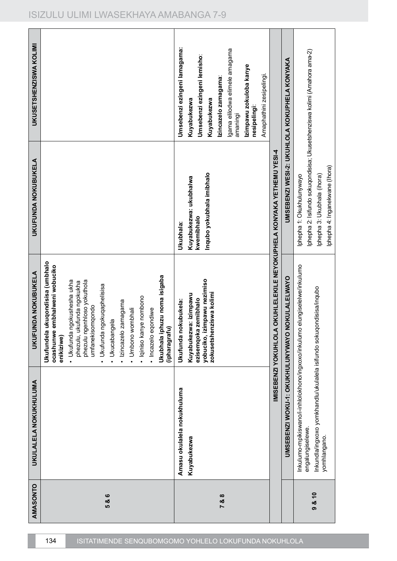| UKUSETSHENZISWA KOLIMI                 |                                                                                                                                                                                                                                                                                                                                                                                                                    | Umsebenzi ezingeni lamagama:<br>Igama elilodwa elimele amagama<br>Umsebenzi ezingeni lemisho:<br>Izimpawu zokuloba kanye<br>Amaphathini zesipelingi.<br>Izincazelo zamagama:<br>Kuyabukezwa<br>Kuyabukezwa<br>nesipelingi:<br>amaningi |                                                        | UMSEBENZI WESI-2: UKUHLOLA KOKUPHELA KONYAKA   |                                                                                                                                                                         |
|----------------------------------------|--------------------------------------------------------------------------------------------------------------------------------------------------------------------------------------------------------------------------------------------------------------------------------------------------------------------------------------------------------------------------------------------------------------------|----------------------------------------------------------------------------------------------------------------------------------------------------------------------------------------------------------------------------------------|--------------------------------------------------------|------------------------------------------------|-------------------------------------------------------------------------------------------------------------------------------------------------------------------------|
| UKUFUNDA NOKUBUKELA                    |                                                                                                                                                                                                                                                                                                                                                                                                                    | Inqubo yokubhala imibhalo<br>Kuyabukezwa: ukubhalwa<br>kwemibhalo<br>Ukubhala:                                                                                                                                                         | <b>OKUHLELEKILE NEYOKUPHELA KONYAKA YETHEMU YESI-4</b> |                                                | Iphepha 2: Isifundo sokuqondisisa; Ukusetshenziswa kolimi (Amahora ama-2)<br>Iphepha 4: Inganekwane (Ihora)<br>Iphepha 1: Okukhulunywayo<br>Iphepha 3: Ukubhala (ihora) |
| <b>NDA NOKUBUKELA</b><br><b>UKUFUI</b> | ukuqondisisa (umbhalo<br>ambhalweni wobuciko<br>Ukubhala iphuzu noma isigaba<br>• Ukufunda ngokushesha ukha<br>phezulu ngenhloso yokuthola<br>phezulu, ukufunda ngokukha<br>Ukufunda ngokuqaphelisisa<br>· Iqiniso kanye nombono<br>· Izincazelo zamagama<br>umfanekisomqondo<br>· Umbono wombhali<br>· Incazelo eqondiwe<br>· Ukucabangela<br>(ipharagrafu)<br>ocashunwe<br>Ukufundela<br>enikiziwe)<br>$\bullet$ | yobuciko, izimpawu nezimiso<br>zokusetshenziswa kolimi<br>Kuyabukezwa: izimpawu<br>ezisemqoka zemibhalo<br>Ukufunda nokubukela:                                                                                                        | IMISEBENZI YOKUHLOLA                                   | UMSEBENZI WOKU-1: OKUKHULUNYWAYO NOKULALELWAYO | elungiselelwe/inkulumo                                                                                                                                                  |
| <b>UKULALELA NOKUKHULUMA</b>           |                                                                                                                                                                                                                                                                                                                                                                                                                    | Amasu okulalela nokukhuluma<br>Kuyabukezwa                                                                                                                                                                                             |                                                        |                                                | Inkundla/ingxoxo yomkhandlu/ukulalela isifundo sokuqondisisa/inqubo<br>Inkulumo-mpikiswano/i-inhlolokhono/ingxoxo/inkulumo<br>engalungiselewe.<br>yomhlangano.          |
| AMASONTO                               | 5 & 6                                                                                                                                                                                                                                                                                                                                                                                                              | 788                                                                                                                                                                                                                                    |                                                        |                                                | 9 & 10                                                                                                                                                                  |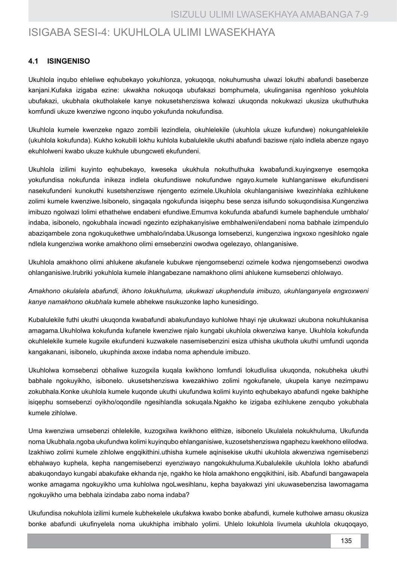## ISIGABA SESI-4: UKUHLOLA ULIMI LWASEKHAYA

#### **4.1 ISINGENISO**

Ukuhlola inqubo ehleliwe eqhubekayo yokuhlonza, yokuqoqa, nokuhumusha ulwazi lokuthi abafundi basebenze kanjani.Kufaka izigaba ezine: ukwakha nokuqoqa ubufakazi bomphumela, ukulinganisa ngenhloso yokuhlola ubufakazi, ukubhala okutholakele kanye nokusetshenziswa kolwazi ukuqonda nokukwazi ukusiza ukuthuthuka komfundi ukuze kwenziwe ngcono inqubo yokufunda nokufundisa.

Ukuhlola kumele kwenzeke ngazo zombili lezindlela, okuhlelekile (ukuhlola ukuze kufundwe) nokungahlelekile (ukuhlola kokufunda). Kukho kokubili lokhu kuhlola kubalulekile ukuthi abafundi baziswe njalo indlela abenze ngayo ekuhlolweni kwabo ukuze kukhule ubungcweti ekufundeni.

Ukuhlola izilimi kuyinto eqhubekayo, kweseka ukukhula nokuthuthuka kwabafundi.kuyingxenye esemqoka yokufundisa nokufunda inikeza indlela okufundiswe nokufundwe ngayo.kumele kuhlanganiswe ekufundiseni nasekufundeni kunokuthi kusetshenziswe njengento ezimele.Ukuhlola okuhlanganisiwe kwezinhlaka ezihlukene zolimi kumele kwenziwe.Isibonelo, singaqala ngokufunda isiqephu bese senza isifundo sokuqondisisa.Kungenziwa imibuzo ngolwazi lolimi ethathelwe endabeni efundiwe.Emumva kokufunda abafundi kumele baphendule umbhalo/ indaba, isibonelo, ngokubhala incwadi ngezinto eziphakanyisiwe embhalweni/endabeni noma babhale izimpendulo abaziqambele zona ngokuqukethwe umbhalo/indaba.Ukusonga lomsebenzi, kungenziwa ingxoxo ngesihloko ngale ndlela kungenziwa wonke amakhono olimi emsebenzini owodwa ogelezayo, ohlanganisiwe.

Ukuhlola amakhono olimi ahlukene akufanele kubukwe njengomsebenzi ozimele kodwa njengomsebenzi owodwa ohlanganisiwe.Irubriki yokuhlola kumele ihlangabezane namakhono olimi ahlukene kumsebenzi ohlolwayo.

*Amakhono okulalela abafundi, ikhono lokukhuluma, ukukwazi ukuphendula imibuzo, ukuhlanganyela engxoxweni kanye namakhono okubhala* kumele abhekwe nsukuzonke lapho kunesidingo.

Kubalulekile futhi ukuthi ukuqonda kwabafundi abakufundayo kuhlolwe hhayi nje ukukwazi ukubona nokuhlukanisa amagama.Ukuhlolwa kokufunda kufanele kwenziwe njalo kungabi ukuhlola okwenziwa kanye. Ukuhlola kokufunda okuhlelekile kumele kugxile ekufundeni kuzwakele nasemisebenzini esiza uthisha ukuthola ukuthi umfundi uqonda kangakanani, isibonelo, ukuphinda axoxe indaba noma aphendule imibuzo.

Ukuhlolwa komsebenzi obhaliwe kuzogxila kuqala kwikhono lomfundi lokudlulisa ukuqonda, nokubheka ukuthi babhale ngokuyikho, isibonelo. ukusetshenziswa kwezakhiwo zolimi ngokufanele, ukupela kanye nezimpawu zokubhala.Konke ukuhlola kumele kuqonde ukuthi ukufundwa kolimi kuyinto eqhubekayo abafundi ngeke bakhiphe isiqephu somsebenzi oyikho/oqondile ngesihlandla sokuqala.Ngakho ke izigaba ezihlukene zenqubo yokubhala kumele zihlolwe.

Uma kwenziwa umsebenzi ohlelekile, kuzogxilwa kwikhono elithize, isibonelo Ukulalela nokukhuluma, Ukufunda noma Ukubhala.ngoba ukufundwa kolimi kuyinqubo ehlanganisiwe, kuzosetshenziswa ngaphezu kwekhono elilodwa. Izakhiwo zolimi kumele zihlolwe engqikithini.uthisha kumele aqinisekise ukuthi ukuhlola akwenziwa ngemisebenzi ebhalwayo kuphela, kepha nangemisebenzi eyenziwayo nangokukhuluma.Kubalulekile ukuhlola lokho abafundi abakuqondayo kungabi abakufake ekhanda nje, ngakho ke hlola amakhono engqikithini, isib. Abafundi bangawapela wonke amagama ngokuyikho uma kuhlolwa ngoLwesihlanu, kepha bayakwazi yini ukuwasebenzisa lawomagama ngokuyikho uma bebhala izindaba zabo noma indaba?

Ukufundisa nokuhlola izilimi kumele kubhekelele ukufakwa kwabo bonke abafundi, kumele kutholwe amasu okusiza bonke abafundi ukufinyelela noma ukukhipha imibhalo yolimi. Uhlelo lokuhlola livumela ukuhlola okuqoqayo,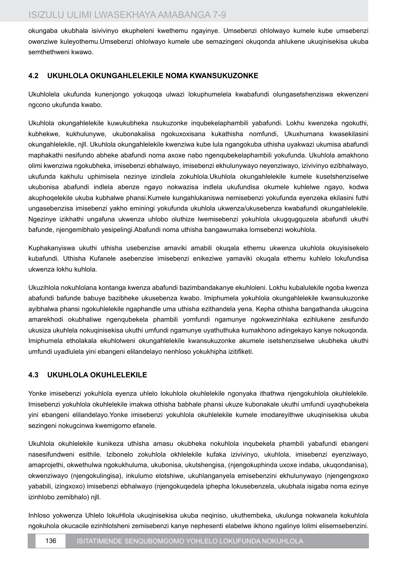okungaba ukubhala isivivinyo ekupheleni kwethemu ngayinye. Umsebenzi ohlolwayo kumele kube umsebenzi owenziwe kuleyothemu.Umsebenzi ohlolwayo kumele ube semazingeni okuqonda ahlukene ukuqinisekisa ukuba semthethweni kwawo.

### **4.2 UKUHLOLA OKUNGAHLELEKILE NOMA KWANSUKUZONKE**

Ukuhlolela ukufunda kunenjongo yokuqoqa ulwazi lokuphumelela kwabafundi olungasetshenziswa ekwenzeni ngcono ukufunda kwabo.

Ukuhlola okungahlelekile kuwukubheka nsukuzonke inqubekelaphambili yabafundi. Lokhu kwenzeka ngokuthi, kubhekwe, kukhulunywe, ukubonakalisa ngokuxoxisana kukathisha nomfundi, Ukuxhumana kwasekilasini okungahlelekile, njll. Ukuhlola okungahlelekile kwenziwa kube lula ngangokuba uthisha uyakwazi ukumisa abafundi maphakathi nesifundo abheke abafundi noma axoxe nabo ngenqubekelaphambili yokufunda. Ukuhlola amakhono olimi kwenziwa ngokubheka, imisebenzi ebhalwayo, imisebenzi ekhulunywayo neyenziwayo, izivivinyo ezibhalwayo, ukufunda kakhulu uphimisela nezinye izindlela zokuhlola.Ukuhlola okungahlelekile kumele kusetshenziselwe ukubonisa abafundi indlela abenze ngayo nokwazisa indlela ukufundisa okumele kuhlelwe ngayo, kodwa akuphoqelekile ukuba kubhalwe phansi.Kumele kungahlukaniswa nemisebenzi yokufunda eyenzeka ekilasini futhi ungasebenzisa imisebenzi yakho eminingi yokufunda ukuhlola ukwenza/ukusebenza kwabafundi okungahlelekile. Ngezinye izikhathi ungafuna ukwenza uhlobo oluthize lwemisebenzi yokuhlola ukugqugquzela abafundi ukuthi bafunde, njengemibhalo yesipelingi.Abafundi noma uthisha bangawumaka lomsebenzi wokuhlola.

Kuphakanyiswa ukuthi uthisha usebenzise amaviki amabili okuqala ethemu ukwenza ukuhlola okuyisisekelo kubafundi. Uthisha Kufanele asebenzise imisebenzi enikeziwe yamaviki okuqala ethemu kuhlelo lokufundisa ukwenza lokhu kuhlola.

Ukuzihlola nokuhlolana kontanga kwenza abafundi bazimbandakanye ekuhloleni. Lokhu kubalulekile ngoba kwenza abafundi bafunde babuye bazibheke ukusebenza kwabo. Imiphumela yokuhlola okungahlelekile kwansukuzonke ayibhalwa phansi ngokuhlelekile ngaphandle uma uthisha ezithandela yena. Kepha othisha bangathanda ukugcina amarekhodi okubhaliwe ngenqubekela phambili yomfundi ngamunye ngokwezinhlaka ezihlukene zesifundo ukusiza ukuhlela nokuqinisekisa ukuthi umfundi ngamunye uyathuthuka kumakhono adingekayo kanye nokuqonda. Imiphumela etholakala ekuhlolweni okungahlelekile kwansukuzonke akumele isetshenziselwe ukubheka ukuthi umfundi uyadlulela yini ebangeni elilandelayo nenhloso yokukhipha izitifiketi.

## **4.3 UKUHLOLA OKUHLELEKILE**

Yonke imisebenzi yokuhlola eyenza uhlelo lokuhlola okuhlelekile ngonyaka ithathwa njengokuhlola okuhlelekile. Imisebenzi yokuhlola okuhlelekile imakwa othisha babhale phansi ukuze kubonakale ukuthi umfundi uyaqhubekela yini ebangeni elilandelayo.Yonke imisebenzi yokuhlola okuhlelekile kumele imodareyithwe ukuqinisekisa ukuba sezingeni nokugcinwa kwemigomo efanele.

Ukuhlola okuhlelekile kunikeza uthisha amasu okubheka nokuhlola inqubekela phambili yabafundi ebangeni nasesifundweni esithile. Izibonelo zokuhlola okhlelekile kufaka izivivinyo, ukuhlola, imisebenzi eyenziwayo, amaprojethi, okwethulwa ngokukhuluma, ukubonisa, ukutshengisa, (njengokuphinda uxoxe indaba, ukuqondanisa), okwenziwayo (njengokulingisa), inkulumo elotshiwe, ukuhlanganyela emisebenzini ekhulunywayo (njengengxoxo yababili, izingxoxo) imisebenzi ebhalwayo (njengokuqedela iphepha lokusebenzela, ukubhala isigaba noma ezinye izinhlobo zemibhalo) njll.

Inhloso yokwenza Uhlelo lokuHlola ukuqinisekisa ukuba neqiniso, ukuthembeka, ukulunga nokwanela kokuhlola ngokuhola okucacile ezinhlotsheni zemisebenzi kanye nephesenti elabelwe ikhono ngalinye lolimi elisemsebenzini.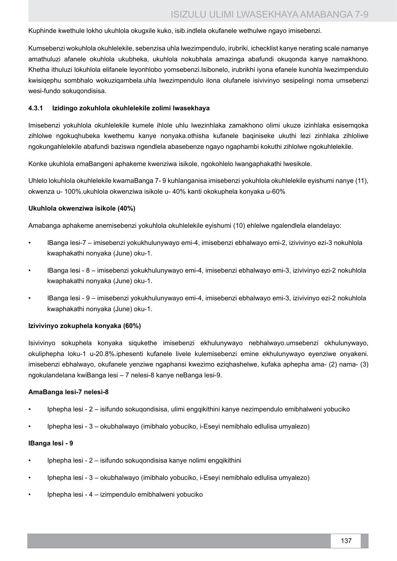Kuphinde kwethule lokho ukuhlola okugxile kuko, isib.indlela okufanele wethulwe ngayo imisebenzi.

Kumsebenzi wokuhlola okuhlelekile, sebenzisa uhla lwezimpendulo, irubriki, ichecklist kanye nerating scale namanye amathuluzi afanele okuhlola ukubheka, ukuhlola nokubhala amazinga abafundi okuqonda kanye namakhono. Khetha ithuluzi lokuhlola elifanele leyonhlobo yomsebenzi.Isibonelo, irubrikhi iyona efanele kunohla lwezimpendulo kwisiqephu sombhalo wokuziqambela.uhla lwezimpendulo ilona olufanele isivivinyo sesipelingi noma umsebenzi wesi-fundo sokuqondisisa.

#### **4.3.1 Izidingo zokuhlola okuhlelekile zolimi lwasekhaya**

Imisebenzi yokuhlola okuhlelekile kumele ihlole uhlu lwezinhlaka zamakhono olimi ukuze izinhlaka esisemqoka zihlolwe ngokuqhubeka kwethemu kanye nonyaka.othisha kufanele baqiniseke ukuthi lezi zinhlaka zihloliwe ngokungahlelekile abafundi baziswa ngendlela abasebenze ngayo ngaphambi kokuthi zihlolwe ngokuhlelekile.

Konke ukuhlola emaBangeni aphakeme kwenziwa isikole, ngokohlelo lwangaphakathi lwesikole.

Uhlelo lokuhlola okuhlelekile kwamaBanga 7- 9 kuhlanganisa imisebenzi yokuhlola okuhlelekile eyishumi nanye (11), okwenza u- 100%.ukuhlola okwenziwa isikole u- 40% kanti okokuphela konyaka u-60%

#### **Ukuhlola okwenziwa isikole (40%)**

Amabanga aphakeme anemisebenzi yokuhlola okuhlelekile eyishumi (10) ehlelwe ngalendlela elandelayo:

- IBanga lesi-7 imisebenzi yokukhulunywayo emi-4, imisebenzi ebhalwayo emi-2, izivivinyo ezi-3 nokuhlola kwaphakathi nonyaka (June) oku-1.
- IBanga lesi 8 imisebenzi yokukhulunywayo emi-4, imisebenzi ebhalwayo emi-3, izivivinyo ezi-2 nokuhlola kwaphakathi nonyaka (June) oku-1.
- IBanga lesi 9 imisebenzi yokukhulunywayo emi-4, imisebenzi ebhalwayo emi-3, izivivinyo ezi-2 nokuhlola kwaphakathi nonyaka (June) oku-1.

#### **Izivivinyo zokuphela konyaka (60%)**

Isivivinyo sokuphela konyaka siqukethe imisebenzi ekhulunywayo nebhalwayo.umsebenzi okhulunywayo, okuliphepha loku-1 u-20.8%.iphesenti kufanele livele kulemisebenzi emine ekhulunywayo eyenziwe onyakeni. imisebenzi ebhalwayo, okufanele yenziwe ngaphansi kwezimo eziqhashelwe, kufaka aphepha ama- (2) nama- (3) ngokulandelana kwiBanga lesi – 7 nelesi-8 kanye neBanga lesi-9.

#### **AmaBanga lesi-7 nelesi-8**

- Iphepha lesi 2 isifundo sokuqondisisa, ulimi engqikithini kanye nezimpendulo emibhalweni yobuciko
- Iphepha lesi 3 okubhalwayo (imibhalo yobuciko, i-Eseyi nemibhalo edlulisa umyalezo)

#### **IBanga lesi - 9**

- Iphepha lesi 2 isifundo sokuqondisisa kanye nolimi engqikithini
- Iphepha lesi 3 okubhalwayo (imibhalo yobuciko, i-Eseyi nemibhalo edlulisa umyalezo)
- Iphepha lesi 4 izimpendulo emibhalweni yobuciko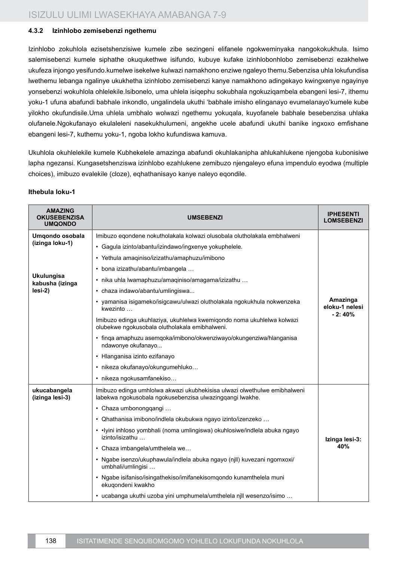## **4.3.2 Izinhlobo zemisebenzi ngethemu**

Izinhlobo zokuhlola ezisetshenzisiwe kumele zibe sezingeni elifanele ngokweminyaka nangokokukhula. Isimo salemisebenzi kumele siphathe okuqukethwe isifundo, kubuye kufake izinhlobonhlobo zemisebenzi ezakhelwe ukufeza injongo yesifundo.kumelwe isekelwe kulwazi namakhono enziwe ngaleyo themu.Sebenzisa uhla lokufundisa lwethemu lebanga ngalinye ukukhetha izinhlobo zemisebenzi kanye namakhono adingekayo kwingxenye ngayinye yonsebenzi wokuhlola ohlelekile.Isibonelo, uma uhlela isiqephu sokubhala ngokuziqambela ebangeni lesi-7, ithemu yoku-1 ufuna abafundi babhale inkondlo, ungalindela ukuthi 'babhale imisho elinganayo evumelanayo'kumele kube yilokho okufundisile.Uma uhlela umbhalo wolwazi ngethemu yokuqala, kuyofanele babhale besebenzisa uhlaka olufanele.Ngokufanayo ekulaleleni nasekukhulumeni, angekhe ucele abafundi ukuthi banike ingxoxo emfishane ebangeni lesi-7, kuthemu yoku-1, ngoba lokho kufundiswa kamuva.

Ukuhlola okuhlelekile kumele Kubhekelele amazinga abafundi okuhlakanipha ahlukahlukene njengoba kubonisiwe lapha ngezansi. Kungasetshenziswa izinhlobo ezahlukene zemibuzo njengaleyo efuna impendulo eyodwa (multiple choices), imibuzo evalekile (cloze), eqhathanisayo kanye naleyo eqondile.

#### **Ithebula loku-1**

| <b>AMAZING</b><br><b>OKUSEBENZISA</b><br><b>UMQONDO</b> | <b>UMSEBENZI</b>                                                                                                                      | <b>IPHESENTI</b><br><b>LOMSEBENZI</b> |
|---------------------------------------------------------|---------------------------------------------------------------------------------------------------------------------------------------|---------------------------------------|
| Umqondo osobala                                         | Imibuzo egondene nokutholakala kolwazi olusobala olutholakala embhalweni                                                              |                                       |
| (izinga loku-1)                                         | · Gagula izinto/abantu/izindawo/ingxenye yokuphelele.                                                                                 |                                       |
|                                                         | · Yethula amaqiniso/izizathu/amaphuzu/imibono                                                                                         |                                       |
|                                                         | · bona izizathu/abantu/imbangela                                                                                                      |                                       |
| <b>Ukulungisa</b><br>kabusha (izinga                    | · nika uhla lwamaphuzu/amaqiniso/amagama/izizathu                                                                                     |                                       |
| $lesi-2)$                                               | • chaza indawo/abantu/umlingiswa                                                                                                      |                                       |
|                                                         | • yamanisa isigameko/isigcawu/ulwazi olutholakala ngokukhula nokwenzeka<br>kwezinto                                                   | Amazinga<br>eloku-1 nelesi            |
|                                                         | Imibuzo edinga ukuhlaziya, ukuhlelwa kwemiqondo noma ukuhlelwa kolwazi<br>olubekwe ngokusobala olutholakala emibhalweni.              | $-2:40%$                              |
|                                                         | · finga amaphuzu asemgoka/imibono/okwenziwayo/okungenziwa/hlanganisa<br>ndawonye okufanayo                                            |                                       |
|                                                         | · Hlanganisa izinto ezifanayo                                                                                                         |                                       |
|                                                         | · nikeza okufanayo/okungumehluko                                                                                                      |                                       |
|                                                         | · nikeza ngokusamfanekiso                                                                                                             |                                       |
| ukucabangela<br>(izinga lesi-3)                         | Imibuzo edinga umhlolwa akwazi ukubhekisisa ulwazi olwethulwe emibhalweni<br>labekwa ngokusobala ngokusebenzisa ulwazingqangi lwakhe. |                                       |
|                                                         | · Chaza umbonongqangi                                                                                                                 |                                       |
|                                                         | · Qhathanisa imibono/indlela okubukwa ngayo izinto/izenzeko                                                                           |                                       |
|                                                         | • · Iyini inhloso yombhali (noma umlingiswa) okuhlosiwe/indlela abuka ngayo<br>izinto/isizathu                                        | Izinga lesi-3:                        |
|                                                         | • Chaza imbangela/umthelela we                                                                                                        | 40%                                   |
|                                                         | · Ngabe isenzo/ukuphawula/indlela abuka ngayo (njll) kuvezani ngomxoxi/<br>umbhali/umlingisi                                          |                                       |
|                                                         | · Ngabe isifaniso/isingathekiso/imifanekisomqondo kunamthelela muni<br>ekugondeni kwakho                                              |                                       |
|                                                         | · ucabanga ukuthi uzoba yini umphumela/umthelela njll wesenzo/isimo                                                                   |                                       |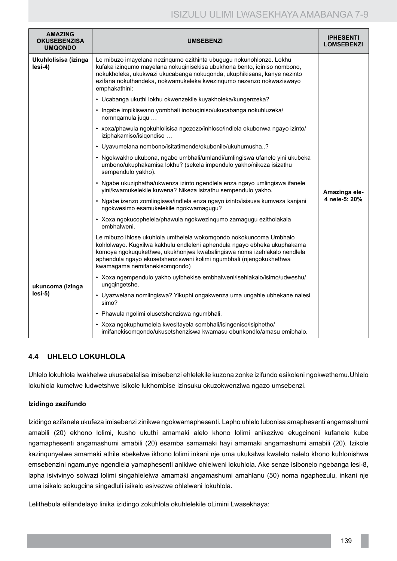| <b>AMAZING</b><br><b>OKUSEBENZISA</b><br><b>UMQONDO</b> | <b>UMSEBENZI</b>                                                                                                                                                                                                                                                                                                                  | <b>IPHESENTI</b><br><b>LOMSEBENZI</b> |
|---------------------------------------------------------|-----------------------------------------------------------------------------------------------------------------------------------------------------------------------------------------------------------------------------------------------------------------------------------------------------------------------------------|---------------------------------------|
| Ukuhlolisisa (izinga<br>lesi-4)                         | Le mibuzo imayelana nezinqumo ezithinta ubugugu nokunohlonze. Lokhu<br>kufaka izinqumo mayelana nokuqinisekisa ubukhona bento, iqiniso nombono,<br>nokukholeka, ukukwazi ukucabanga nokuqonda, ukuphikisana, kanye nezinto<br>ezifana nokuthandeka, nokwamukeleka kwezinqumo nezenzo nokwaziswayo<br>emphakathini:                |                                       |
|                                                         | · Ucabanga ukuthi lokhu okwenzekile kuyakholeka/kungenzeka?                                                                                                                                                                                                                                                                       |                                       |
|                                                         | · Ingabe impikiswano yombhali inobuqiniso/ukucabanga nokuhluzeka/<br>nomnqamula juqu                                                                                                                                                                                                                                              |                                       |
|                                                         | · xoxa/phawula ngokuhlolisisa ngezezo/inhloso/indlela okubonwa ngayo izinto/<br>iziphakamiso/isiqondiso                                                                                                                                                                                                                           |                                       |
|                                                         | • Uyavumelana nombono/isitatimende/okubonile/ukuhumusha?                                                                                                                                                                                                                                                                          |                                       |
|                                                         | · Ngokwakho ukubona, ngabe umbhali/umlandi/umlingiswa ufanele yini ukubeka<br>umbono/ukuphakamisa lokhu? (sekela impendulo yakho/nikeza isizathu<br>sempendulo yakho).                                                                                                                                                            |                                       |
|                                                         | · Ngabe ukuziphatha/ukwenza izinto ngendlela enza ngayo umlingiswa ifanele<br>yini/kwamukelekile kuwena? Nikeza isizathu sempendulo yakho.                                                                                                                                                                                        | Amazinga ele-                         |
|                                                         | · Ngabe izenzo zomlingiswa/indlela enza ngayo izinto/isisusa kumveza kanjani<br>ngokwesimo esamukelekile ngokwamagugu?                                                                                                                                                                                                            | 4 nele-5: 20%                         |
|                                                         | · Xoxa ngokucophelela/phawula ngokwezinqumo zamagugu ezitholakala<br>embhalweni.                                                                                                                                                                                                                                                  |                                       |
|                                                         | Le mibuzo ihlose ukuhlola umthelela wokomqondo nokokuncoma Umbhalo<br>kohlolwayo. Kugxilwa kakhulu endleleni aphendula ngayo ebheka ukuphakama<br>komoya ngokuqukethwe, ukukhonjwa kwabalingiswa noma izehlakalo nendlela<br>aphendula ngayo ekusetshenzisweni kolimi ngumbhali (njengokukhethwa<br>kwamagama nemifanekisomqondo) |                                       |
| ukuncoma (izinga                                        | · Xoxa ngempendulo yakho uyibhekise embhalweni/isehlakalo/isimo/udweshu/<br>ungqingetshe.                                                                                                                                                                                                                                         |                                       |
| $lesi-5)$                                               | · Uyazwelana nomlingiswa? Yikuphi ongakwenza uma ungahle ubhekane nalesi<br>simo?                                                                                                                                                                                                                                                 |                                       |
|                                                         | · Phawula ngolimi olusetshenziswa ngumbhali.                                                                                                                                                                                                                                                                                      |                                       |
|                                                         | · Xoxa ngokuphumelela kwesitayela sombhali/isingeniso/isiphetho/<br>imifanekisomqondo/ukusetshenziswa kwamasu obunkondlo/amasu emibhalo.                                                                                                                                                                                          |                                       |

## **4.4 UHLELO LOKUHLOLA**

Uhlelo lokuhlola lwakhelwe ukusabalalisa imisebenzi ehlelekile kuzona zonke izifundo esikoleni ngokwethemu.Uhlelo lokuhlola kumelwe ludwetshwe isikole lukhombise izinsuku okuzokwenziwa ngazo umsebenzi.

#### **Izidingo zezifundo**

Izidingo ezifanele ukufeza imisebenzi zinikwe ngokwamaphesenti. Lapho uhlelo lubonisa amaphesenti angamashumi amabili (20) ekhono lolimi, kusho ukuthi amamaki alelo khono lolimi anikeziwe ekugcineni kufanele kube ngamaphesenti angamashumi amabili (20) esamba samamaki hayi amamaki angamashumi amabili (20). Izikole kazinqunyelwe amamaki athile abekelwe ikhono lolimi inkani nje uma ukukalwa kwalelo nalelo khono kuhlonishwa emsebenzini ngamunye ngendlela yamaphesenti anikiwe ohlelweni lokuhlola. Ake senze isibonelo ngebanga lesi-8, lapha isivivinyo solwazi lolimi singahlelelwa amamaki angamashumi amahlanu (50) noma ngaphezulu, inkani nje uma isikalo sokugcina singadluli isikalo esivezwe ohlelweni lokuhlola.

Lelithebula elilandelayo linika izidingo zokuhlola okuhlelekile oLimini Lwasekhaya: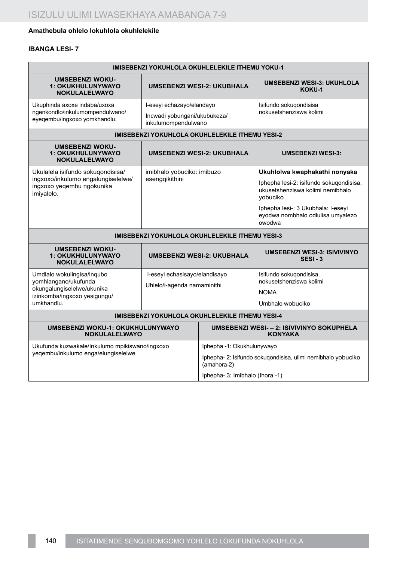#### **Amathebula ohlelo lokuhlola okuhlelekile**

#### **IBANGA LESI- 7**

| <b>IMISEBENZI YOKUHLOLA OKUHLELEKILE ITHEMU YOKU-1</b>                        |                                                     |                                                                            |                                                                                         |  |
|-------------------------------------------------------------------------------|-----------------------------------------------------|----------------------------------------------------------------------------|-----------------------------------------------------------------------------------------|--|
| UMSEBENZI WOKU-<br><b>1: OKUKHULUNYWAYO</b><br><b>NOKULALELWAYO</b>           | <b>UMSEBENZI WESI-2: UKUBHALA</b>                   |                                                                            | <b>UMSEBENZI WESI-3: UKUHLOLA</b><br>KOKU-1                                             |  |
| Ukuphinda axoxe indaba/uxoxa                                                  | I-eseyi echazayo/elandayo                           |                                                                            | Isifundo sokuqondisisa<br>nokusetshenziswa kolimi                                       |  |
| ngenkondlo/inkulumompendulwano/<br>eyeqembu/ingxoxo yomkhandlu.               | Incwadi yobungani/ukubukeza/<br>inkulumompendulwano |                                                                            |                                                                                         |  |
|                                                                               | IMISEBENZI YOKUHLOLA OKUHLELEKILE ITHEMU YESI-2     |                                                                            |                                                                                         |  |
| UMSEBENZI WOKU-<br><b>1: OKUKHULUNYWAYO</b><br><b>NOKULALELWAYO</b>           | <b>UMSEBENZI WESI-2: UKUBHALA</b>                   |                                                                            | <b>UMSEBENZI WESI-3:</b>                                                                |  |
| Ukulalela isifundo sokuqondisisa/                                             | imibhalo yobuciko: imibuzo<br>esengqikithini        |                                                                            | Ukuhlolwa kwaphakathi nonyaka                                                           |  |
| ingxoxo/inkulumo engalungiselelwe/<br>ingxoxo yeqembu ngokunika<br>imiyalelo. |                                                     |                                                                            | Iphepha lesi-2: isifundo sokuqondisisa,<br>ukusetshenziswa kolimi nemibhalo<br>yobuciko |  |
|                                                                               |                                                     |                                                                            | Iphepha lesi-: 3 Ukubhala: I-eseyi<br>eyodwa nombhalo odlulisa umyalezo<br>owodwa       |  |
|                                                                               | IMISEBENZI YOKUHLOLA OKUHLELEKILE ITHEMU YESI-3     |                                                                            |                                                                                         |  |
| <b>UMSEBENZI WOKU-</b><br><b>1: OKUKHULUNYWAYO</b><br><b>NOKULALELWAYO</b>    | <b>UMSEBENZI WESI-2: UKUBHALA</b>                   |                                                                            | <b>UMSEBENZI WESI-3: ISIVIVINYO</b><br>$SESI - 3$                                       |  |
| Umdlalo wokulingisa/inqubo<br>yomhlangano/ukufunda                            | I-eseyi echasisayo/elandisayo                       |                                                                            | Isifundo sokuqondisisa<br>nokusetshenziswa kolimi                                       |  |
| okungalungiselelwe/ukunika<br>izinkomba/ingxoxo yesigungu/                    | Uhlelo/i-agenda namaminithi                         |                                                                            | <b>NOMA</b>                                                                             |  |
| umkhandlu.                                                                    |                                                     |                                                                            | Umbhalo wobuciko                                                                        |  |
| IMISEBENZI YOKUHLOLA OKUHLELEKILE ITHEMU YESI-4                               |                                                     |                                                                            |                                                                                         |  |
| UMSEBENZI WOKU-1: OKUKHULUNYWAYO<br><b>NOKULALELWAYO</b>                      |                                                     | UMSEBENZI WESI- - 2: ISIVIVINYO SOKUPHELA<br><b>KONYAKA</b>                |                                                                                         |  |
| Ukufunda kuzwakale/Inkulumo mpikiswano/ingxoxo                                |                                                     | Iphepha -1: Okukhulunywayo                                                 |                                                                                         |  |
| yeqembu/inkulumo enga/elungiselelwe                                           |                                                     | Iphepha-2: Isifundo sokuqondisisa, ulimi nemibhalo yobuciko<br>(amahora-2) |                                                                                         |  |
|                                                                               |                                                     | Iphepha- 3: Imibhalo (Ihora -1)                                            |                                                                                         |  |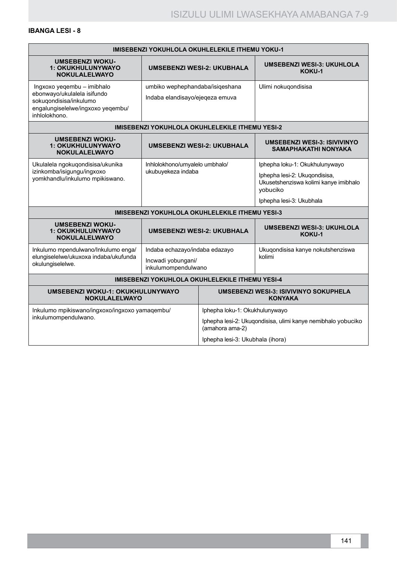### **IBANGA LESI - 8**

| IMISEBENZI YOKUHLOLA OKUHLELEKILE ITHEMU YOKU-1                                                                                           |                                                                             |                                                                                 |                                                                                                                      |
|-------------------------------------------------------------------------------------------------------------------------------------------|-----------------------------------------------------------------------------|---------------------------------------------------------------------------------|----------------------------------------------------------------------------------------------------------------------|
| <b>UMSEBENZI WOKU-</b><br>1: OKUKHULUNYWAYO<br><b>NOKULALELWAYO</b>                                                                       | <b>UMSEBENZI WESI-2: UKUBHALA</b>                                           |                                                                                 | UMSEBENZI WESI-3: UKUHLOLA<br>KOKU-1                                                                                 |
| Ingxoxo yeqembu - imibhalo<br>ebonwayo/ukulalela isifundo<br>sokuqondisisa/inkulumo<br>engalungiselelwe/ingxoxo yeqembu/<br>inhlolokhono. | umbiko wephephandaba/isiqeshana<br>Indaba elandisayo/ejeqeza emuva          |                                                                                 | Ulimi nokuqondisisa                                                                                                  |
|                                                                                                                                           |                                                                             | IMISEBENZI YOKUHLOLA OKUHLELEKILE ITHEMU YESI-2                                 |                                                                                                                      |
| UMSEBENZI WOKU-<br><b>1: OKUKHULUNYWAYO</b><br><b>NOKULALELWAYO</b>                                                                       | UMSEBENZI WESI-2: UKUBHALA                                                  |                                                                                 | <b>UMSEBENZI WESI-3: ISIVIVINYO</b><br>SAMAPHAKATHI NONYAKA                                                          |
| Ukulalela ngokuqondisisa/ukunika<br>izinkomba/isigungu/ingxoxo<br>yomkhandlu/inkulumo mpikiswano.                                         | Inhlolokhono/umyalelo umbhalo/<br>ukubuyekeza indaba                        |                                                                                 | Iphepha loku-1: Okukhulunywayo<br>Iphepha lesi-2: Ukuqondisisa,<br>Ukusetshenziswa kolimi kanye imibhalo<br>yobuciko |
|                                                                                                                                           |                                                                             |                                                                                 | Iphepha lesi-3: Ukubhala                                                                                             |
| <b>IMISEBENZI YOKUHLOLA OKUHLELEKILE ITHEMU YESI-3</b>                                                                                    |                                                                             |                                                                                 |                                                                                                                      |
| <b>UMSEBENZI WOKU-</b><br>1: OKUKHULUNYWAYO<br><b>NOKULALELWAYO</b>                                                                       | <b>UMSEBENZI WESI-2: UKUBHALA</b>                                           |                                                                                 | <b>UMSEBENZI WESI-3: UKUHLOLA</b><br>KOKU-1                                                                          |
| Inkulumo mpendulwano/Inkulumo enga/<br>elungiselelwe/ukuxoxa indaba/ukufunda<br>okulungiselelwe.                                          | Indaba echazayo/indaba edazayo<br>Incwadi yobungani/<br>inkulumompendulwano |                                                                                 | Ukuqondisisa kanye nokutshenziswa<br>kolimi                                                                          |
| IMISEBENZI YOKUHLOLA OKUHLELEKILE ITHEMU YESI-4                                                                                           |                                                                             |                                                                                 |                                                                                                                      |
| UMSEBENZI WOKU-1: OKUKHULUNYWAYO<br><b>NOKULALELWAYO</b>                                                                                  |                                                                             | UMSEBENZI WESI-3: ISIVIVINYO SOKUPHELA<br><b>KONYAKA</b>                        |                                                                                                                      |
| Inkulumo mpikiswano/ingxoxo/ingxoxo yamaqembu/<br>inkulumompendulwano.                                                                    |                                                                             | Iphepha loku-1: Okukhulunywayo                                                  |                                                                                                                      |
|                                                                                                                                           |                                                                             | Iphepha lesi-2: Ukuqondisisa, ulimi kanye nemibhalo yobuciko<br>(amahora ama-2) |                                                                                                                      |
|                                                                                                                                           |                                                                             | Iphepha lesi-3: Ukubhala (ihora)                                                |                                                                                                                      |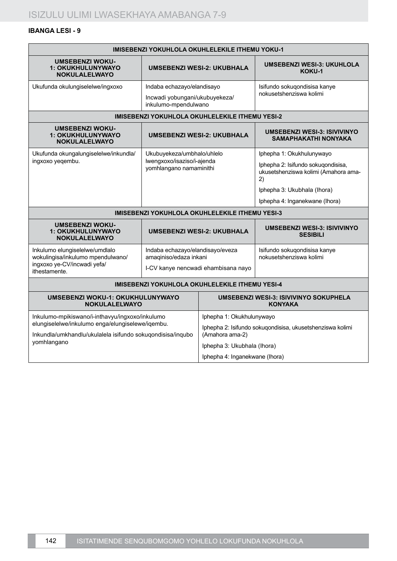### **IBANGA LESI - 9**

| IMISEBENZI YOKUHLOLA OKUHLELEKILE ITHEMU YOKU-1                            |                                                                                     |                                                                 |                                                                                  |
|----------------------------------------------------------------------------|-------------------------------------------------------------------------------------|-----------------------------------------------------------------|----------------------------------------------------------------------------------|
| UMSEBENZI WOKU-<br><b>1: OKUKHULUNYWAYO</b><br><b>NOKULALELWAYO</b>        | <b>UMSEBENZI WESI-2: UKUBHALA</b>                                                   |                                                                 | <b>UMSEBENZI WESI-3: UKUHLOLA</b><br>KOKU-1                                      |
| Ukufunda okulungiselelwe/ingxoxo                                           | Indaba echazayo/elandisayo                                                          |                                                                 | Isifundo sokuqondisisa kanye                                                     |
|                                                                            | Incwadi yobungani/ukubuyekeza/<br>inkulumo-mpendulwano                              |                                                                 | nokusetshenziswa kolimi                                                          |
|                                                                            | IMISEBENZI YOKUHLOLA OKUHLELEKILE ITHEMU YESI-2                                     |                                                                 |                                                                                  |
| UMSEBENZI WOKU-<br><b>1: OKUKHULUNYWAYO</b><br><b>NOKULALELWAYO</b>        | <b>UMSEBENZI WESI-2: UKUBHALA</b>                                                   |                                                                 | <b>UMSEBENZI WESI-3: ISIVIVINYO</b><br>SAMAPHAKATHI NONYAKA                      |
| Ukufunda okungalungiselelwe/inkundla/                                      | Ukubuyekeza/umbhalo/uhlelo<br>Iwengxoxo/isaziso/i-ajenda<br>yomhlangano namaminithi |                                                                 | Iphepha 1: Okukhulunywayo                                                        |
| ingxoxo yeqembu.                                                           |                                                                                     |                                                                 | Iphepha 2: Isifundo sokuqondisisa,<br>ukusetshenziswa kolimi (Amahora ama-<br>2) |
|                                                                            |                                                                                     |                                                                 | Iphepha 3: Ukubhala (Ihora)                                                      |
|                                                                            |                                                                                     |                                                                 | Iphepha 4: Inganekwane (Ihora)                                                   |
| <b>IMISEBENZI YOKUHLOLA OKUHLELEKILE ITHEMU YESI-3</b>                     |                                                                                     |                                                                 |                                                                                  |
| <b>UMSEBENZI WOKU-</b><br><b>1: OKUKHULUNYWAYO</b><br><b>NOKULALELWAYO</b> | UMSEBENZI WESI-2: UKUBHALA                                                          |                                                                 | <b>UMSEBENZI WESI-3: ISIVIVINYO</b><br><b>SESIBILI</b>                           |
| Inkulumo elungiselelwe/umdlalo<br>wokulingisa/inkulumo mpendulwano/        | Indaba echazayo/elandisayo/eveza<br>amaginiso/edaza inkani                          |                                                                 | Isifundo sokuqondisisa kanye<br>nokusetshenziswa kolimi                          |
| ingxoxo ye-CV/incwadi yefa/<br>ithestamente.                               |                                                                                     | I-CV kanye nencwadi ehambisana nayo                             |                                                                                  |
| <b>IMISEBENZI YOKUHLOLA OKUHLELEKILE ITHEMU YESI-4</b>                     |                                                                                     |                                                                 |                                                                                  |
| UMSEBENZI WOKU-1: OKUKHULUNYWAYO<br><b>NOKULALELWAYO</b>                   |                                                                                     | <b>UMSEBENZI WESI-3: ISIVIVINYO SOKUPHELA</b><br><b>KONYAKA</b> |                                                                                  |
| Inkulumo-mpikiswano/i-inthavyu/ingxoxo/inkulumo                            |                                                                                     | Iphepha 1: Okukhulunywayo                                       |                                                                                  |
| elungiselelwe/inkulumo enga/elungiselewe/igembu.                           |                                                                                     | (Amahora ama-2)                                                 | Iphepha 2: Isifundo sokuqondisisa, ukusetshenziswa kolimi                        |
| Inkundla/umkhandlu/ukulalela isifundo sokuqondisisa/inqubo<br>yomhlangano  |                                                                                     | Iphepha 3: Ukubhala (Ihora)                                     |                                                                                  |
|                                                                            |                                                                                     | Iphepha 4: Inganekwane (Ihora)                                  |                                                                                  |
|                                                                            |                                                                                     |                                                                 |                                                                                  |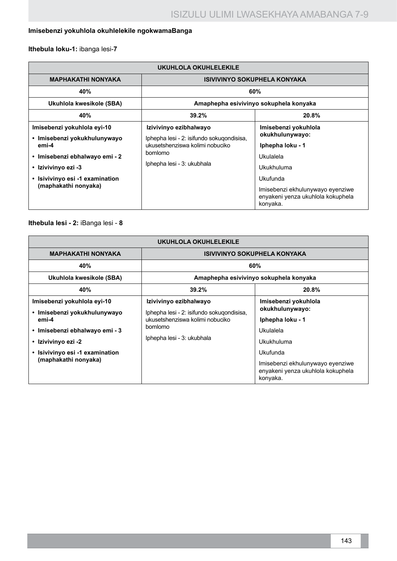## **Imisebenzi yokuhlola okuhlelekile ngokwamaBanga**

**Ithebula loku-1:** ibanga lesi-**7** 

| UKUHLOLA OKUHLELEKILE                                                                                                                                                                                             |                                                                                                                                                 |                                                                                                                                                                                         |  |
|-------------------------------------------------------------------------------------------------------------------------------------------------------------------------------------------------------------------|-------------------------------------------------------------------------------------------------------------------------------------------------|-----------------------------------------------------------------------------------------------------------------------------------------------------------------------------------------|--|
| <b>MAPHAKATHI NONYAKA</b>                                                                                                                                                                                         | ISIVIVINYO SOKUPHELA KONYAKA                                                                                                                    |                                                                                                                                                                                         |  |
| 40%                                                                                                                                                                                                               | 60%                                                                                                                                             |                                                                                                                                                                                         |  |
| Ukuhlola kwesikole (SBA)                                                                                                                                                                                          | Amaphepha esivivinyo sokuphela konyaka                                                                                                          |                                                                                                                                                                                         |  |
| 40%                                                                                                                                                                                                               | 39.2%                                                                                                                                           | 20.8%                                                                                                                                                                                   |  |
| Imisebenzi yokuhlola eyi-10<br>Imisebenzi yokukhulunywayo<br>$\bullet$<br>emi-4<br>Imisebenzi ebhalwayo emi - 2<br>$\bullet$<br>• Izivivinyo ezi -3<br>Isivivinyo esi -1 examination<br>٠<br>(maphakathi nonyaka) | Izivivinyo ezibhalwayo<br>Iphepha lesi - 2: isifundo sokugondisisa,<br>ukusetshenziswa kolimi nobuciko<br>bomlomo<br>Iphepha lesi - 3: ukubhala | Imisebenzi yokuhlola<br>okukhulunywayo:<br>Iphepha loku - 1<br>Ukulalela<br>Ukukhuluma<br>Ukufunda<br>Imisebenzi ekhulunywayo eyenziwe<br>enyakeni yenza ukuhlola kokuphela<br>konyaka. |  |

#### **Ithebula lesi - 2:** iBanga lesi - **8**

| UKUHLOLA OKUHLELEKILE                                                                                                                                                                               |                                                                                                                                                 |                                                                                                                                                                                         |  |
|-----------------------------------------------------------------------------------------------------------------------------------------------------------------------------------------------------|-------------------------------------------------------------------------------------------------------------------------------------------------|-----------------------------------------------------------------------------------------------------------------------------------------------------------------------------------------|--|
| <b>MAPHAKATHI NONYAKA</b>                                                                                                                                                                           | ISIVIVINYO SOKUPHELA KONYAKA                                                                                                                    |                                                                                                                                                                                         |  |
| 40%                                                                                                                                                                                                 | 60%                                                                                                                                             |                                                                                                                                                                                         |  |
| Ukuhlola kwesikole (SBA)                                                                                                                                                                            | Amaphepha esivivinyo sokuphela konyaka                                                                                                          |                                                                                                                                                                                         |  |
| 40%                                                                                                                                                                                                 | 39.2%                                                                                                                                           | 20.8%                                                                                                                                                                                   |  |
| Imisebenzi yokuhlola eyi-10<br>· Imisebenzi yokukhulunywayo<br>emi-4<br>· Imisebenzi ebhalwayo emi - 3<br>• Izivivinyo ezi -2<br>Isivivinyo esi -1 examination<br>$\bullet$<br>(maphakathi nonyaka) | Izivivinyo ezibhalwayo<br>Iphepha lesi - 2: isifundo sokugondisisa,<br>ukusetshenziswa kolimi nobuciko<br>bomlomo<br>Iphepha lesi - 3: ukubhala | Imisebenzi yokuhlola<br>okukhulunywayo:<br>Iphepha loku - 1<br>Ukulalela<br>Ukukhuluma<br>Ukufunda<br>Imisebenzi ekhulunywayo eyenziwe<br>enyakeni yenza ukuhlola kokuphela<br>konyaka. |  |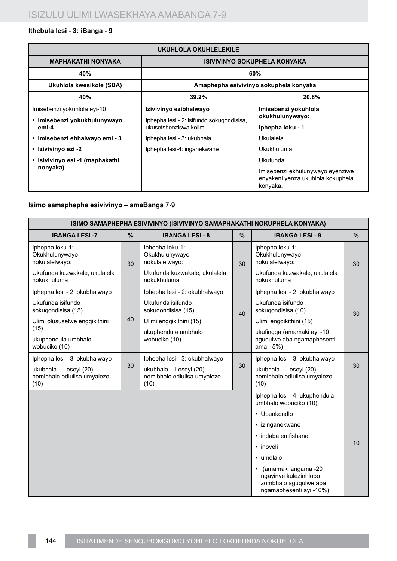## **Ithebula lesi - 3: iBanga - 9**

| <b>UKUHLOLA OKUHLELEKILE</b>               |                                           |                                                                                   |  |
|--------------------------------------------|-------------------------------------------|-----------------------------------------------------------------------------------|--|
| <b>MAPHAKATHI NONYAKA</b>                  | ISIVIVINYO SOKUPHELA KONYAKA              |                                                                                   |  |
| 40%                                        | 60%                                       |                                                                                   |  |
| Ukuhlola kwesikole (SBA)                   | Amaphepha esivivinyo sokuphela konyaka    |                                                                                   |  |
| 40%                                        | 39.2%                                     | 20.8%                                                                             |  |
| Imisebenzi yokuhlola eyi-10                | Izivivinyo ezibhalwayo                    | Imisebenzi yokuhlola                                                              |  |
| • Imisebenzi yokukhulunywayo               | Iphepha lesi - 2: isifundo sokugondisisa, | okukhulunywayo:                                                                   |  |
| emi-4                                      | ukusetshenziswa kolimi                    | Iphepha loku - 1                                                                  |  |
| • Imisebenzi ebhalwayo emi - 3             | Iphepha lesi - 3: ukubhala                | Ukulalela                                                                         |  |
| • Izivivinyo ezi -2                        | Iphepha lesi-4: inganekwane               | Ukukhuluma                                                                        |  |
| Isivivinyo esi -1 (maphakathi<br>$\bullet$ |                                           | Ukufunda                                                                          |  |
| nonyaka)                                   |                                           | Imisebenzi ekhulunywayo eyenziwe<br>enyakeni yenza ukuhlola kokuphela<br>konyaka. |  |

## **Isimo samaphepha esivivinyo – amaBanga 7-9**

| ISIMO SAMAPHEPHA ESIVIVINYO (ISIVIVINYO SAMAPHAKATHI NOKUPHELA KONYAKA) |               |                                                                |    |                                                                                                               |               |
|-------------------------------------------------------------------------|---------------|----------------------------------------------------------------|----|---------------------------------------------------------------------------------------------------------------|---------------|
| <b>IBANGA LESI-7</b>                                                    | $\frac{9}{6}$ | <b>IBANGA LESI - 8</b>                                         | %  | <b>IBANGA LESI - 9</b>                                                                                        | $\frac{9}{6}$ |
| Iphepha loku-1:<br>Okukhulunywayo<br>nokulalelwayo:                     | 30            | Iphepha loku-1:<br>Okukhulunywayo<br>nokulalelwayo:            | 30 | Iphepha loku-1:<br>Okukhulunywayo<br>nokulalelwayo:                                                           | 30            |
| Ukufunda kuzwakale, ukulalela<br>nokukhuluma                            |               | Ukufunda kuzwakale, ukulalela<br>nokukhuluma                   |    | Ukufunda kuzwakale, ukulalela<br>nokukhuluma                                                                  |               |
| Iphepha lesi - 2: okubhalwayo                                           |               | Iphepha lesi - 2: okubhalwayo                                  |    | Iphepha lesi - 2: okubhalwayo                                                                                 |               |
| Ukufunda isifundo<br>sokuqondisisa (15)                                 |               | Ukufunda isifundo<br>sokuqondisisa (15)                        | 40 | Ukufunda isifundo<br>sokuqondisisa (10)                                                                       | 30            |
| Ulimi olususelwe engqikithini                                           | 40            | Ulimi engqikithini (15)                                        |    | Ulimi engqikithini (15)                                                                                       |               |
| (15)<br>ukuphendula umbhalo<br>wobuciko (10)                            |               | ukuphendula umbhalo<br>wobuciko (10)                           |    | ukufingqa (amamaki ayi -10<br>aguqulwe aba ngamaphesenti<br>ama - 5%)                                         |               |
| Iphepha lesi - 3: okubhalwayo                                           |               | Iphepha lesi - 3: okubhalwayo                                  |    | Iphepha lesi - 3: okubhalwayo                                                                                 |               |
| ukubhala - i-eseyi (20)<br>nemibhalo edlulisa umyalezo<br>(10)          | 30            | ukubhala - i-eseyi (20)<br>nemibhalo edlulisa umyalezo<br>(10) | 30 | ukubhala - i-eseyi (20)<br>nemibhalo edlulisa umyalezo<br>(10)                                                | 30            |
|                                                                         |               |                                                                |    | Iphepha lesi - 4: ukuphendula<br>umbhalo wobuciko (10)                                                        |               |
|                                                                         |               |                                                                |    | • Ubunkondlo                                                                                                  |               |
|                                                                         |               |                                                                |    | • izinganekwane                                                                                               |               |
|                                                                         |               |                                                                |    | • indaba emfishane                                                                                            | 10            |
|                                                                         |               |                                                                |    | • inoveli                                                                                                     |               |
|                                                                         |               |                                                                |    | • umdlalo                                                                                                     |               |
|                                                                         |               |                                                                |    | (amamaki angama -20<br>$\bullet$<br>ngayinye kulezinhlobo<br>zombhalo aguqulwe aba<br>ngamaphesenti ayi -10%) |               |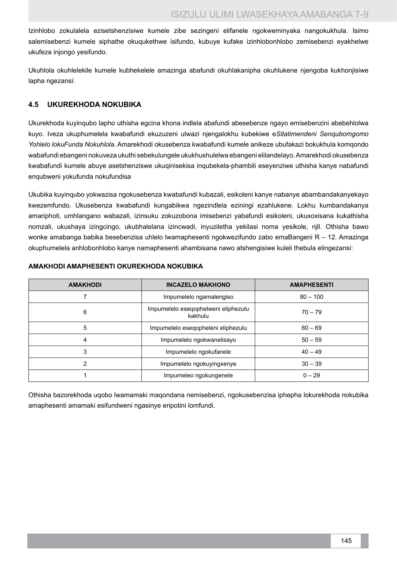Izinhlobo zokulalela ezisetshenzisiwe kumele zibe sezingeni elifanele ngokweminyaka nangokukhula. Isimo salemisebenzi kumele siphathe okuqukethwe isifundo, kubuye kufake izinhlobonhlobo zemisebenzi eyakhelwe ukufeza injongo yesifundo.

Ukuhlola okuhlelekile kumele kubhekelele amazinga abafundi okuhlakanipha okuhlukene njengoba kukhonjisiwe lapha ngezansi:

## **4.5 UKUReKHODA NOKUBIKA**

Ukurekhoda kuyinqubo lapho uthisha egcina khona indlela abafundi abesebenze ngayo emisebenzini abebehlolwa kuyo. Iveza ukuphumelela kwabafundi ekuzuzeni ulwazi njengalokhu kubekiwe e*Sitatimendeni Senqubomgomo Yohlelo lokuFunda Nokuhlola*. Amarekhodi okusebenza kwabafundi kumele anikeze ubufakazi bokukhula komqondo wabafundi ebangeni nokuveza ukuthi sebekulungele ukukhushulelwa ebangeni elilandelayo. Amarekhodi okusebenza kwabafundi kumele abuye asetshenziswe ukuqinisekisa inqubekela-phambili eseyenziwe uthisha kanye nabafundi enqubweni yokufunda nokufundisa

Ukubika kuyinqubo yokwazisa ngokusebenza kwabafundi kubazali, esikoleni kanye nabanye abambandakanyekayo kwezemfundo. Ukusebenza kwabafundi kungabikwa ngezindlela eziningi ezahlukene. Lokhu kumbandakanya amariphoti, umhlangano wabazali, izinsuku zokuzobona imisebenzi yabafundi esikoleni, ukuxoxisana kukathisha nomzali, ukushaya izingcingo, ukubhalelana izincwadi, inyuziletha yekilasi noma yesikole, njll. Othisha bawo wonke amabanga babika besebenzisa uhlelo lwamaphesenti ngokwezifundo zabo emaBangeni R – 12. Amazinga okuphumelela anhlobonhlobo kanye namaphesenti ahambisana nawo atshengisiwe kuleli thebula elingezansi:

| <b>AMAKHODI</b> | <b>INCAZELO MAKHONO</b>                        | <b>AMAPHESENTI</b> |
|-----------------|------------------------------------------------|--------------------|
|                 | Impumelelo ngamalengiso                        | $80 - 100$         |
| 6               | Impumelelo esegophelweni eliphezulu<br>kakhulu | $70 - 79$          |
| 5               | Impumelelo esegopheleni eliphezulu             | $60 - 69$          |
| 4               | Impumelelo ngokwanelisayo                      | $50 - 59$          |
| 3               | Impumelelo ngokufanele                         | $40 - 49$          |
| $\overline{2}$  | Impumelelo ngokuyingxenye                      | $30 - 39$          |
|                 | Impumeleo ngokungenele                         | $0 - 29$           |

#### **AMAKHODI AMAPHESENTI OKUREKHODA NOKUBIKA**

Othisha bazorekhoda uqobo lwamamaki maqondana nemisebenzi, ngokusebenzisa iphepha lokurekhoda nokubika amaphesenti amamaki esifundweni ngasinye eripotini lomfundi.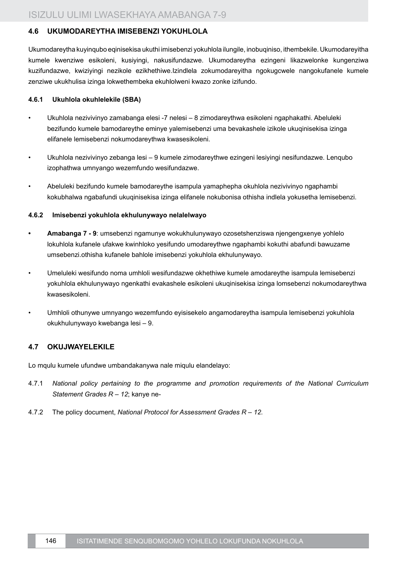### **4.6 UKUMODAREYTHA IMISEBENZI YOKUHLOLA**

Ukumodareytha kuyinqubo eqinisekisa ukuthi imisebenzi yokuhlola ilungile, inobuqiniso, ithembekile. Ukumodareyitha kumele kwenziwe esikoleni, kusiyingi, nakusifundazwe. Ukumodareytha ezingeni likazwelonke kungenziwa kuzifundazwe, kwiziyingi nezikole ezikhethiwe.Izindlela zokumodareyitha ngokugcwele nangokufanele kumele zenziwe ukukhulisa izinga lokwethembeka ekuhlolweni kwazo zonke izifundo.

#### **4.6.1 Ukuhlola okuhlelekile (SBA)**

- Ukuhlola nezivivinyo zamabanga elesi -7 nelesi 8 zimodareythwa esikoleni ngaphakathi. Abeluleki bezifundo kumele bamodareythe eminye yalemisebenzi uma bevakashele izikole ukuqinisekisa izinga elifanele lemisebenzi nokumodareythwa kwasesikoleni.
- Ukuhlola nezivivinyo zebanga lesi 9 kumele zimodareythwe ezingeni lesiyingi nesifundazwe. Lenqubo izophathwa umnyango wezemfundo wesifundazwe.
- Abeluleki bezifundo kumele bamodareythe isampula yamaphepha okuhlola nezivivinyo ngaphambi kokubhalwa ngabafundi ukuqinisekisa izinga elifanele nokubonisa othisha indlela yokusetha lemisebenzi.

#### **4.6.2 Imisebenzi yokuhlola ekhulunywayo nelalelwayo**

- **• Amabanga 7 9**: umsebenzi ngamunye wokukhulunywayo ozosetshenziswa njengengxenye yohlelo lokuhlola kufanele ufakwe kwinhloko yesifundo umodareythwe ngaphambi kokuthi abafundi bawuzame umsebenzi.othisha kufanele bahlole imisebenzi yokuhlola ekhulunywayo.
- Umeluleki wesifundo noma umhloli wesifundazwe okhethiwe kumele amodareythe isampula lemisebenzi yokuhlola ekhulunywayo ngenkathi evakashele esikoleni ukuqinisekisa izinga lomsebenzi nokumodareythwa kwasesikoleni.
- Umhloli othunywe umnyango wezemfundo eyisisekelo angamodareytha isampula lemisebenzi yokuhlola okukhulunywayo kwebanga lesi – 9.

#### **4.7 OKUJWAYELEKILE**

Lo mqulu kumele ufundwe umbandakanywa nale miqulu elandelayo:

- 4.7.1 *National policy pertaining to the programme and promotion requirements of the National Curriculum Statement Grades R – 12*; kanye ne-
- 4.7.2 The policy document, *National Protocol for Assessment Grades R 12.*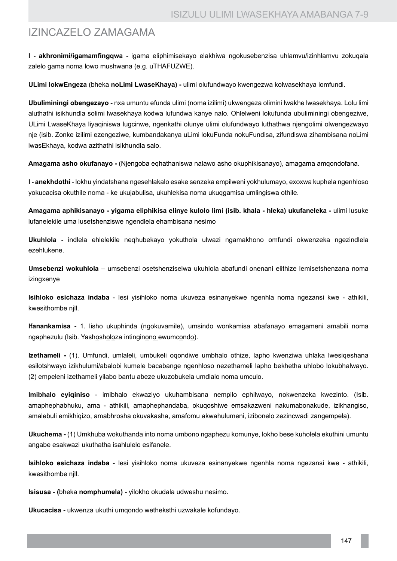# IZINCAZELO ZAMAGAMA

**I - akhronimi/igamamfingqwa -** igama eliphimisekayo elakhiwa ngokusebenzisa uhlamvu/izinhlamvu zokuqala zalelo gama noma lowo mushwana (e.g. uTHAFUZWE).

**ULimi lokwEngeza** (bheka **noLimi LwaseKhaya) -** ulimi olufundwayo kwengezwa kolwasekhaya lomfundi.

**Ubuliminingi obengezayo -** nxa umuntu efunda ulimi (noma izilimi) ukwengeza olimini lwakhe lwasekhaya. Lolu limi aluthathi isikhundla solimi lwasekhaya kodwa lufundwa kanye nalo. Ohlelweni lokufunda ubuliminingi obengeziwe, ULimi LwaseKhaya liyaqiniswa lugcinwe, ngenkathi olunye ulimi olufundwayo luthathwa njengolimi olwengezwayo nje (isib. Zonke izilimi ezengeziwe, kumbandakanya uLimi lokuFunda nokuFundisa, zifundiswa zihambisana noLimi lwasEkhaya, kodwa azithathi isikhundla salo.

**Amagama asho okufanayo -** (Njengoba eqhathaniswa nalawo asho okuphikisanayo), amagama amqondofana.

**I - anekhdothi** - lokhu yindatshana ngesehlakalo esake senzeka empilweni yokhulumayo, exoxwa kuphela ngenhloso yokucacisa okuthile noma - ke ukujabulisa, ukuhlekisa noma ukuqgamisa umlingiswa othile.

**Amagama aphikisanayo - yigama eliphikisa elinye kulolo limi (isib. khala - hleka) ukufaneleka -** ulimi lusuke lufanelekile uma lusetshenziswe ngendlela ehambisana nesimo

**Ukuhlola -** indlela ehlelekile neqhubekayo yokuthola ulwazi ngamakhono omfundi okwenzeka ngezindlela ezehlukene.

**Umsebenzi wokuhlola** – umsebenzi osetshenziselwa ukuhlola abafundi onenani elithize lemisetshenzana noma izingxenye

**Isihloko esichaza indaba** - lesi yisihloko noma ukuveza esinanyekwe ngenhla noma ngezansi kwe - athikili, kwesithombe njll.

**Ifanankamisa -** 1. lisho ukuphinda (ngokuvamile), umsindo wonkamisa abafanayo emagameni amabili noma ngaphezulu (Isib. Yashosholoza intinginono ewumcondo).

**Izethameli -** (1). Umfundi, umlaleli, umbukeli oqondiwe umbhalo othize, lapho kwenziwa uhlaka lwesiqeshana esilotshwayo izikhulumi/abalobi kumele bacabange ngenhloso nezethameli lapho bekhetha uhlobo lokubhalwayo. (2) empeleni izethameli yilabo bantu abeze ukuzobukela umdlalo noma umculo.

**Imibhalo eyiqiniso** - imibhalo ekwaziyo ukuhambisana nempilo ephilwayo, nokwenzeka kwezinto. (Isib. amaphephabhuku, ama - athikili, amaphephandaba, okuqoshiwe emsakazweni nakumabonakude, izikhangiso, amalebuli emikhiqizo, amabhrosha okuvakasha, amafomu akwahulumeni, izibonelo zezincwadi zangempela).

**Ukuchema -** (1) Umkhuba wokuthanda into noma umbono ngaphezu komunye, lokho bese kuholela ekuthini umuntu angabe esakwazi ukuthatha isahlulelo esifanele.

**Isihloko esichaza indaba** - lesi yisihloko noma ukuveza esinanyekwe ngenhla noma ngezansi kwe - athikili, kwesithombe njll.

**Isisusa - (**bheka **nomphumela) -** yilokho okudala udweshu nesimo.

**Ukucacisa -** ukwenza ukuthi umqondo wetheksthi uzwakale kofundayo.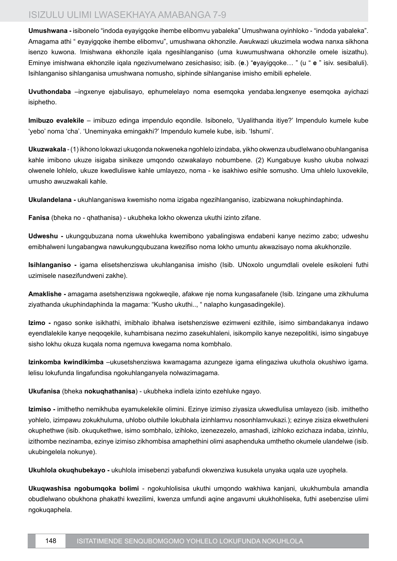**Umushwana -** isibonelo "indoda eyayigqoke ihembe elibomvu yabaleka" Umushwana oyinhloko - "indoda yabaleka". Amagama athi " eyayigqoke ihembe elibomvu", umushwana okhonzile. Awukwazi ukuzimela wodwa nanxa sikhona isenzo kuwona. Imishwana ekhonzile iqala ngesihlanganiso (uma kuwumushwana okhonzile omele isizathu). Eminye imishwana ekhonzile iqala ngezivumelwano zesichasiso; isib. (**e**.) "**e**yayigqoke… " (u " **e** " isiv. sesibaluli). Isihlanganiso sihlanganisa umushwana nomusho, siphinde sihlanganise imisho emibili ephelele.

**Uvuthondaba** –ingxenye ejabulisayo, ephumelelayo noma esemqoka yendaba.lengxenye esemqoka ayichazi isiphetho.

**Imibuzo evalekile** – imibuzo edinga impendulo eqondile. Isibonelo, 'Uyalithanda itiye?' Impendulo kumele kube 'yebo' noma 'cha'. 'Uneminyaka emingakhi?' Impendulo kumele kube, isib. 'Ishumi'.

**Ukuzwakala** - (1) ikhono lokwazi ukuqonda nokweneka ngohlelo izindaba, yikho okwenza ubudlelwano obuhlanganisa kahle imibono ukuze isigaba sinikeze umqondo ozwakalayo nobumbene. (2) Kungabuye kusho ukuba nolwazi olwenele lohlelo, ukuze kwedluliswe kahle umlayezo, noma - ke isakhiwo esihle somusho. Uma uhlelo luxovekile, umusho awuzwakali kahle.

**Ukulandelana -** ukuhlanganiswa kwemisho noma izigaba ngezihlanganiso, izabizwana nokuphindaphinda.

**Fanisa** (bheka no - qhathanisa) - ukubheka lokho okwenza ukuthi izinto zifane.

**Udweshu -** ukungqubuzana noma ukwehluka kwemibono yabalingiswa endabeni kanye nezimo zabo; udweshu emibhalweni lungabangwa nawukungqubuzana kwezifiso noma lokho umuntu akwazisayo noma akukhonzile.

**Isihlanganiso -** igama elisetshenziswa ukuhlanganisa imisho (Isib. UNoxolo ungumdlali ovelele esikoleni futhi uzimisele nasezifundweni zakhe).

**Amaklishe -** amagama asetshenziswa ngokweqile, afakwe nje noma kungasafanele (Isib. Izingane uma zikhuluma ziyathanda ukuphindaphinda la magama: "Kusho ukuthi.., " nalapho kungasadingekile).

**Izimo -** ngaso sonke isikhathi, imibhalo ibhalwa isetshenziswe ezimweni ezithile, isimo simbandakanya indawo eyendlalekile kanye neqoqekile, kuhambisana nezimo zasekuhlaleni, isikompilo kanye nezepolitiki, isimo singabuye sisho lokhu okuza kuqala noma ngemuva kwegama noma kombhalo.

**Izinkomba kwindikimba** –ukusetshenziswa kwamagama azungeze igama elingaziwa ukuthola okushiwo igama. lelisu lokufunda lingafundisa ngokuhlanganyela nolwazimagama.

**Ukufanisa** (bheka **nokuqhathanisa**) - ukubheka indlela izinto ezehluke ngayo.

**Izimiso -** imithetho nemikhuba eyamukelekile olimini. Ezinye izimiso ziyasiza ukwedlulisa umlayezo (isib. imithetho yohlelo, izimpawu zokukhuluma, uhlobo oluthile lokubhala izinhlamvu nosonhlamvukazi.); ezinye zisiza ekwethuleni okuphethwe (isib. okuqukethwe, isimo sombhalo, izihloko, izenezezelo, amashadi, izihloko ezichaza indaba, izinhlu, izithombe nezinamba, ezinye izimiso zikhombisa amaphethini olimi asaphenduka umthetho okumele ulandelwe (isib. ukubingelela nokunye).

**Ukuhlola okuqhubekayo -** ukuhlola imisebenzi yabafundi okwenziwa kusukela unyaka uqala uze uyophela.

**Ukuqwashisa ngobumqoka bolimi** - ngokuhlolisisa ukuthi umqondo wakhiwa kanjani, ukukhumbula amandla obudlelwano obukhona phakathi kwezilimi, kwenza umfundi aqine angavumi ukukhohliseka, futhi asebenzise ulimi ngokuqaphela.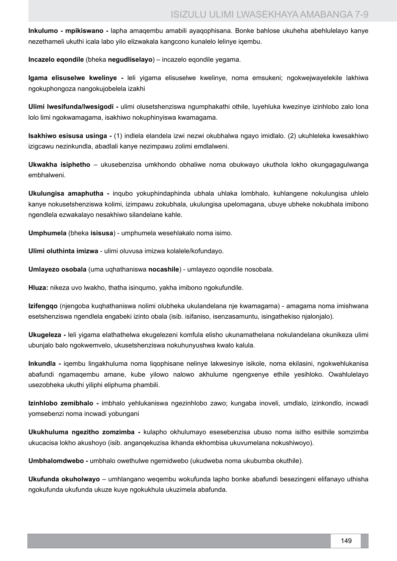**Inkulumo - mpikiswano -** lapha amaqembu amabili ayaqophisana. Bonke bahlose ukuheha abehlulelayo kanye nezethameli ukuthi icala labo yilo elizwakala kangcono kunalelo lelinye iqembu.

**Incazelo eqondile** (bheka **negudliselayo**) – incazelo eqondile yegama.

**Igama elisuselwe kwelinye -** leli yigama elisuselwe kwelinye, noma emsukeni; ngokwejwayelekile lakhiwa ngokuphongoza nangokujobelela izakhi

**Ulimi lwesifunda/lwesigodi -** ulimi olusetshenziswa ngumphakathi othile, luyehluka kwezinye izinhlobo zalo lona lolo limi ngokwamagama, isakhiwo nokuphinyiswa kwamagama.

**Isakhiwo esisusa usinga -** (1) indlela elandela izwi nezwi okubhalwa ngayo imidlalo. (2) ukuhleleka kwesakhiwo izigcawu nezinkundla, abadlali kanye nezimpawu zolimi emdlalweni.

**Ukwakha isiphetho** – ukusebenzisa umkhondo obhaliwe noma obukwayo ukuthola lokho okungagagulwanga embhalweni.

**Ukulungisa amaphutha -** inqubo yokuphindaphinda ubhala uhlaka lombhalo, kuhlangene nokulungisa uhlelo kanye nokusetshenziswa kolimi, izimpawu zokubhala, ukulungisa upelomagana, ubuye ubheke nokubhala imibono ngendlela ezwakalayo nesakhiwo silandelane kahle.

**Umphumela** (bheka **isisusa**) - umphumela wesehlakalo noma isimo.

**Ulimi oluthinta imizwa** - ulimi oluvusa imizwa kolalele/kofundayo.

**Umlayezo osobala** (uma uqhathaniswa **nocashile**) - umlayezo oqondile nosobala.

**Hluza:** nikeza uvo lwakho, thatha isinqumo, yakha imibono ngokufundile.

**Izifengqo** (njengoba kuqhathaniswa nolimi olubheka ukulandelana nje kwamagama) - amagama noma imishwana esetshenziswa ngendlela engabeki izinto obala (isib. isifaniso, isenzasamuntu, isingathekiso njalonjalo).

**Ukugeleza -** leli yigama elathathelwa ekugelezeni komfula elisho ukunamathelana nokulandelana okunikeza ulimi ubunjalo balo ngokwemvelo, ukusetshenziswa nokuhunyushwa kwalo kalula.

**Inkundla -** iqembu lingakhuluma noma liqophisane nelinye lakwesinye isikole, noma ekilasini, ngokwehlukanisa abafundi ngamaqembu amane, kube yilowo nalowo akhulume ngengxenye ethile yesihloko. Owahlulelayo usezobheka ukuthi yiliphi eliphuma phambili.

**Izinhlobo zemibhalo -** imbhalo yehlukaniswa ngezinhlobo zawo; kungaba inoveli, umdlalo, izinkondlo, incwadi yomsebenzi noma incwadi yobungani

**Ukukhuluma ngezitho zomzimba -** kulapho okhulumayo esesebenzisa ubuso noma isitho esithile somzimba ukucacisa lokho akushoyo (isib. anganqekuzisa ikhanda ekhombisa ukuvumelana nokushiwoyo).

**Umbhalomdwebo -** umbhalo owethulwe ngemidwebo (ukudweba noma ukubumba okuthile).

**Ukufunda okuholwayo** – umhlangano weqembu wokufunda lapho bonke abafundi besezingeni elifanayo uthisha ngokufunda ukufunda ukuze kuye ngokukhula ukuzimela abafunda.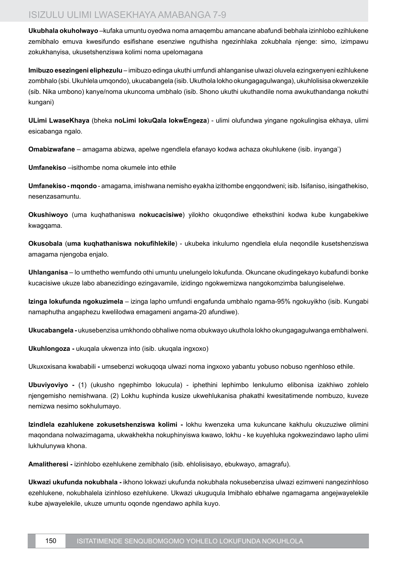**Ukubhala okuholwayo** –kufaka umuntu oyedwa noma amaqembu amancane abafundi bebhala izinhlobo ezihlukene zemibhalo emuva kwesifundo esifishane esenziwe nguthisha ngezinhlaka zokubhala njenge: simo, izimpawu zokukhanyisa, ukusetshenziswa kolimi noma upelomagana

**Imibuzo esezingeni eliphezulu** – imibuzo edinga ukuthi umfundi ahlanganise ulwazi oluvela ezingxenyeni ezihlukene zombhalo (sbi. Ukuhlela umqondo), ukucabangela (isib. Ukuthola lokho okungagagulwanga), ukuhlolisisa okwenzekile (sib. Nika umbono) kanye/noma ukuncoma umbhalo (isib. Shono ukuthi ukuthandile noma awukuthandanga nokuthi kungani)

**ULimi LwaseKhaya** (bheka **noLimi lokuQala lokwEngeza**) - ulimi olufundwa yingane ngokulingisa ekhaya, ulimi esicabanga ngalo.

**Omabizwafane** – amagama abizwa, apelwe ngendlela efanayo kodwa achaza okuhlukene (isib. inyanga')

**Umfanekiso** –isithombe noma okumele into ethile

**Umfanekiso - mqondo** - amagama, imishwana nemisho eyakha izithombe engqondweni; isib. Isifaniso, isingathekiso, nesenzasamuntu.

**Okushiwoyo** (uma kuqhathaniswa **nokucacisiwe**) yilokho okuqondiwe etheksthini kodwa kube kungabekiwe kwagqama.

**Okusobala** (**uma kuqhathaniswa nokufihlekile**) - ukubeka inkulumo ngendlela elula neqondile kusetshenziswa amagama njengoba enjalo.

**Uhlanganisa** – lo umthetho wemfundo othi umuntu unelungelo lokufunda. Okuncane okudingekayo kubafundi bonke kucacisiwe ukuze labo abanezidingo ezingavamile, izidingo ngokwemizwa nangokomzimba balungiselelwe.

**Izinga lokufunda ngokuzimela** – izinga lapho umfundi engafunda umbhalo ngama-95% ngokuyikho (isib. Kungabi namaphutha angaphezu kwelilodwa emagameni angama-20 afundiwe).

**Ukucabangela -** ukusebenzisa umkhondo obhaliwe noma obukwayo ukuthola lokho okungagagulwanga embhalweni.

**Ukuhlongoza -** ukuqala ukwenza into (isib. ukuqala ingxoxo)

Ukuxoxisana kwababili **-** umsebenzi wokuqoqa ulwazi noma ingxoxo yabantu yobuso nobuso ngenhloso ethile.

**Ubuviyoviyo -** (1) (ukusho ngephimbo lokucula) - iphethini lephimbo lenkulumo elibonisa izakhiwo zohlelo njengemisho nemishwana. (2) Lokhu kuphinda kusize ukwehlukanisa phakathi kwesitatimende nombuzo, kuveze nemizwa nesimo sokhulumayo.

**Izindlela ezahlukene zokusetshenziswa kolimi -** lokhu kwenzeka uma kukuncane kakhulu okuzuziwe olimini maqondana nolwazimagama, ukwakhekha nokuphinyiswa kwawo, lokhu - ke kuyehluka ngokwezindawo lapho ulimi lukhulunywa khona.

**Amalitheresi -** izinhlobo ezehlukene zemibhalo (isib. ehlolisisayo, ebukwayo, amagrafu).

**Ukwazi ukufunda nokubhala -** ikhono lokwazi ukufunda nokubhala nokusebenzisa ulwazi ezimweni nangezinhloso ezehlukene, nokubhalela izinhloso ezehlukene. Ukwazi ukuguqula Imibhalo ebhalwe ngamagama angejwayelekile kube ajwayelekile, ukuze umuntu oqonde ngendawo aphila kuyo.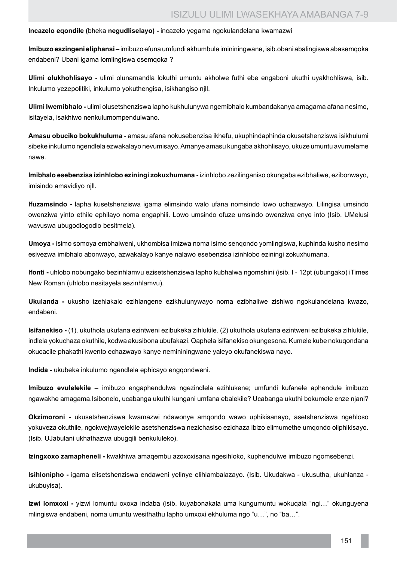#### **Incazelo eqondile (**bheka **negudliselayo) -** incazelo yegama ngokulandelana kwamazwi

**Imibuzo eszingeni eliphansi** – imibuzo efuna umfundi akhumbule imininingwane, isib.obani abalingiswa abasemqoka endabeni? Ubani igama lomlingiswa osemqoka ?

**Ulimi olukhohlisayo -** ulimi olunamandla lokuthi umuntu akholwe futhi ebe engaboni ukuthi uyakhohliswa, isib. Inkulumo yezepolitiki, inkulumo yokuthengisa, isikhangiso njll.

**Ulimi lwemibhalo -** ulimi olusetshenziswa lapho kukhulunywa ngemibhalo kumbandakanya amagama afana nesimo, isitayela, isakhiwo nenkulumompendulwano.

**Amasu obuciko bokukhuluma -** amasu afana nokusebenzisa ikhefu, ukuphindaphinda okusetshenziswa isikhulumi sibeke inkulumo ngendlela ezwakalayo nevumisayo. Amanye amasu kungaba akhohlisayo, ukuze umuntu avumelame nawe.

**Imibhalo esebenzisa izinhlobo eziningi zokuxhumana -** izinhlobo zezilinganiso okungaba ezibhaliwe, ezibonwayo, imisindo amavidiyo njll.

**Ifuzamsindo -** lapha kusetshenziswa igama elimsindo walo ufana nomsindo lowo uchazwayo. Lilingisa umsindo owenziwa yinto ethile ephilayo noma engaphili. Lowo umsindo ofuze umsindo owenziwa enye into (Isib. UMelusi wavuswa ubugodlogodlo besitmela).

**Umoya -** isimo somoya embhalweni, ukhombisa imizwa noma isimo senqondo yomlingiswa, kuphinda kusho nesimo esivezwa imibhalo abonwayo, azwakalayo kanye nalawo esebenzisa izinhlobo eziningi zokuxhumana.

**Ifonti -** uhlobo nobungako bezinhlamvu ezisetshenziswa lapho kubhalwa ngomshini (isib. I - 12pt (ubungako) iTimes New Roman (uhlobo nesitayela sezinhlamvu).

**Ukulanda -** ukusho izehlakalo ezihlangene ezikhulunywayo noma ezibhaliwe zishiwo ngokulandelana kwazo, endabeni.

**Isifanekiso -** (1). ukuthola ukufana ezintweni ezibukeka zihlukile. (2) ukuthola ukufana ezintweni ezibukeka zihlukile, indlela yokuchaza okuthile, kodwa akusibona ubufakazi. Qaphela isifanekiso okungesona. Kumele kube nokuqondana okucacile phakathi kwento echazwayo kanye nemininingwane yaleyo okufanekiswa nayo.

**Indida -** ukubeka inkulumo ngendlela ephicayo engqondweni.

**Imibuzo evulelekile** – imibuzo engaphendulwa ngezindlela ezihlukene; umfundi kufanele aphendule imibuzo ngawakhe amagama.Isibonelo, ucabanga ukuthi kungani umfana ebalekile? Ucabanga ukuthi bokumele enze njani?

**Okzimoroni -** ukusetshenziswa kwamazwi ndawonye amqondo wawo uphikisanayo, asetshenziswa ngehloso yokuveza okuthile, ngokwejwayelekile asetshenziswa nezichasiso ezichaza ibizo elimumethe umqondo oliphikisayo. (Isib. UJabulani ukhathazwa ubugqili benkululeko).

**Izingxoxo zamapheneli -** kwakhiwa amaqembu azoxoxisana ngesihloko, kuphendulwe imibuzo ngomsebenzi.

**Isihlonipho -** igama elisetshenziswa endaweni yelinye elihlambalazayo. (Isib. Ukudakwa - ukusutha, ukuhlanza ukubuyisa).

**Izwi lomxoxi -** yizwi lomuntu oxoxa indaba (isib. kuyabonakala uma kungumuntu wokuqala "ngi…" okunguyena mlingiswa endabeni, noma umuntu wesithathu lapho umxoxi ekhuluma ngo "u…", no "ba…".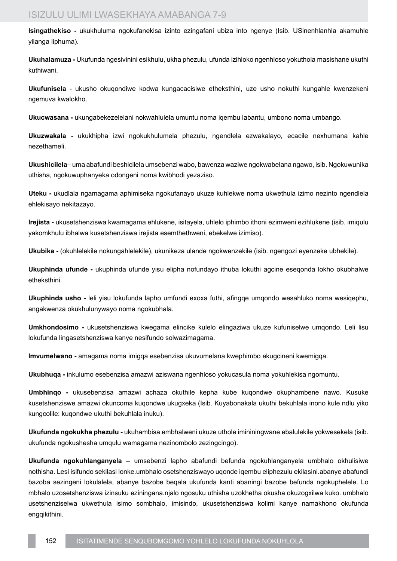**Isingathekiso -** ukukhuluma ngokufanekisa izinto ezingafani ubiza into ngenye (Isib. USinenhlanhla akamuhle yilanga liphuma).

**Ukuhalamuza -** Ukufunda ngesivinini esikhulu, ukha phezulu, ufunda izihloko ngenhloso yokuthola masishane ukuthi kuthiwani.

**Ukufunisela** - ukusho okuqondiwe kodwa kungacacisiwe etheksthini, uze usho nokuthi kungahle kwenzekeni ngemuva kwalokho.

**Ukucwasana -** ukungabekezelelani nokwahlulela umuntu noma iqembu labantu, umbono noma umbango.

**Ukuzwakala -** ukukhipha izwi ngokukhulumela phezulu, ngendlela ezwakalayo, ecacile nexhumana kahle nezethameli.

**Ukushicilela**– uma abafundi beshicilela umsebenzi wabo, bawenza waziwe ngokwabelana ngawo, isib. Ngokuwunika uthisha, ngokuwuphanyeka odongeni noma kwibhodi yezaziso.

**Uteku -** ukudlala ngamagama aphimiseka ngokufanayo ukuze kuhlekwe noma ukwethula izimo nezinto ngendlela ehlekisayo nekitazayo.

**Irejista -** ukusetshenziswa kwamagama ehlukene, isitayela, uhlelo iphimbo ithoni ezimweni ezihlukene (isib. imiqulu yakomkhulu ibhalwa kusetshenziswa irejista esemthethweni, ebekelwe izimiso).

**Ukubika -** (okuhlelekile nokungahlelekile), ukunikeza ulande ngokwenzekile (isib. ngengozi eyenzeke ubhekile).

**Ukuphinda ufunde -** ukuphinda ufunde yisu elipha nofundayo ithuba lokuthi agcine eseqonda lokho okubhalwe etheksthini.

**Ukuphinda usho -** leli yisu lokufunda lapho umfundi exoxa futhi, afingqe umqondo wesahluko noma wesiqephu, angakwenza okukhulunywayo noma ngokubhala.

**Umkhondosimo -** ukusetshenziswa kwegama elincike kulelo elingaziwa ukuze kufuniselwe umqondo. Leli lisu lokufunda lingasetshenziswa kanye nesifundo solwazimagama.

**Imvumelwano -** amagama noma imigqa esebenzisa ukuvumelana kwephimbo ekugcineni kwemigqa.

**Ukubhuqa -** inkulumo esebenzisa amazwi aziswana ngenhloso yokucasula noma yokuhlekisa ngomuntu.

**Umbhinqo -** ukusebenzisa amazwi achaza okuthile kepha kube kuqondwe okuphambene nawo. Kusuke kusetshenziswe amazwi okuncoma kuqondwe ukugxeka (Isib. Kuyabonakala ukuthi bekuhlala inono kule ndlu yiko kungcolile: kuqondwe ukuthi bekuhlala inuku).

**Ukufunda ngokukha phezulu -** ukuhambisa embhalweni ukuze uthole imininingwane ebalulekile yokwesekela (isib. ukufunda ngokushesha umqulu wamagama nezinombolo zezingcingo).

**Ukufunda ngokuhlanganyela** – umsebenzi lapho abafundi befunda ngokuhlanganyela umbhalo okhulisiwe nothisha. Lesi isifundo sekilasi lonke.umbhalo osetshenziswayo uqonde iqembu eliphezulu ekilasini.abanye abafundi bazoba sezingeni lokulalela, abanye bazobe beqala ukufunda kanti abaningi bazobe befunda ngokuphelele. Lo mbhalo uzosetshenziswa izinsuku eziningana.njalo ngosuku uthisha uzokhetha okusha okuzogxilwa kuko. umbhalo usetshenziselwa ukwethula isimo sombhalo, imisindo, ukusetshenziswa kolimi kanye namakhono okufunda engqikithini.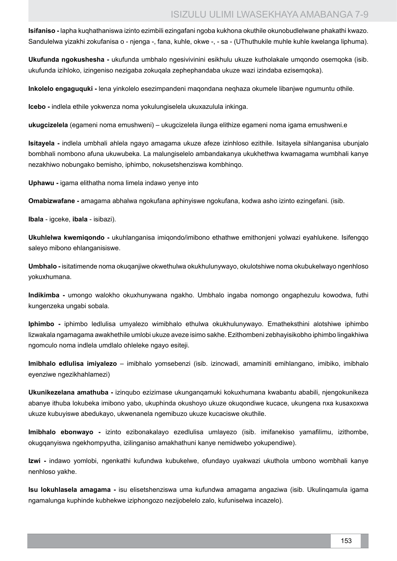**Isifaniso -** lapha kuqhathaniswa izinto ezimbili ezingafani ngoba kukhona okuthile okunobudlelwane phakathi kwazo. Sandulelwa yizakhi zokufanisa o - njenga -, fana, kuhle, okwe -, - sa - (UThuthukile muhle kuhle kwelanga liphuma).

**Ukufunda ngokushesha -** ukufunda umbhalo ngesivivinini esikhulu ukuze kutholakale umqondo osemqoka (isib. ukufunda izihloko, izingeniso nezigaba zokuqala zephephandaba ukuze wazi izindaba ezisemqoka).

**Inkolelo engaguquki -** lena yinkolelo esezimpandeni maqondana neqhaza okumele libanjwe ngumuntu othile.

**Icebo -** indlela ethile yokwenza noma yokulungiselela ukuxazulula inkinga.

**ukugcizelela** (egameni noma emushweni) – ukugcizelela ilunga elithize egameni noma igama emushweni.e

**Isitayela -** indlela umbhali ahlela ngayo amagama ukuze afeze izinhloso ezithile. Isitayela sihlanganisa ubunjalo bombhali nombono afuna ukuwubeka. La malungiselelo ambandakanya ukukhethwa kwamagama wumbhali kanye nezakhiwo nobungako bemisho, iphimbo, nokusetshenziswa kombhinqo.

**Uphawu -** igama elithatha noma limela indawo yenye into

**Omabizwafane -** amagama abhalwa ngokufana aphinyiswe ngokufana, kodwa asho izinto ezingefani. (isib.

**Ibala** - igceke, **ibala** - isibazi).

**Ukuhlelwa kwemiqondo -** ukuhlanganisa imiqondo/imibono ethathwe emithonjeni yolwazi eyahlukene. Isifengqo saleyo mibono ehlanganisiswe.

**Umbhalo -** isitatimende noma okuqanjiwe okwethulwa okukhulunywayo, okulotshiwe noma okubukelwayo ngenhloso yokuxhumana.

**Indikimba -** umongo walokho okuxhunywana ngakho. Umbhalo ingaba nomongo ongaphezulu kowodwa, futhi kungenzeka ungabi sobala.

**Iphimbo -** iphimbo ledlulisa umyalezo wimibhalo ethulwa okukhulunywayo. Ematheksthini alotshiwe iphimbo lizwakala ngamagama awakhethile umlobi ukuze aveze isimo sakhe. Ezithombeni zebhayisikobho iphimbo lingakhiwa ngomculo noma indlela umdlalo ohleleke ngayo esiteji.

**Imibhalo edlulisa imiyalezo** – imibhalo yomsebenzi (isib. izincwadi, amaminiti emihlangano, imibiko, imibhalo eyenziwe ngezikhahlamezi)

**Ukunikezelana amathuba -** izinqubo ezizimase ukunganqamuki kokuxhumana kwabantu ababili, njengokunikeza abanye ithuba lokubeka imibono yabo, ukuphinda okushoyo ukuze okuqondiwe kucace, ukungena nxa kusaxoxwa ukuze kubuyiswe abedukayo, ukwenanela ngemibuzo ukuze kucaciswe okuthile.

**Imibhalo ebonwayo -** izinto ezibonakalayo ezedlulisa umlayezo (isib. imifanekiso yamafilimu, izithombe, okugqanyiswa ngekhompyutha, izilinganiso amakhathuni kanye nemidwebo yokupendiwe).

**Izwi -** indawo yomlobi, ngenkathi kufundwa kubukelwe, ofundayo uyakwazi ukuthola umbono wombhali kanye nenhloso yakhe.

**Isu lokuhlasela amagama -** isu elisetshenziswa uma kufundwa amagama angaziwa (isib. Ukulinqamula igama ngamalunga kuphinde kubhekwe iziphongozo nezijobelelo zalo, kufuniselwa incazelo).